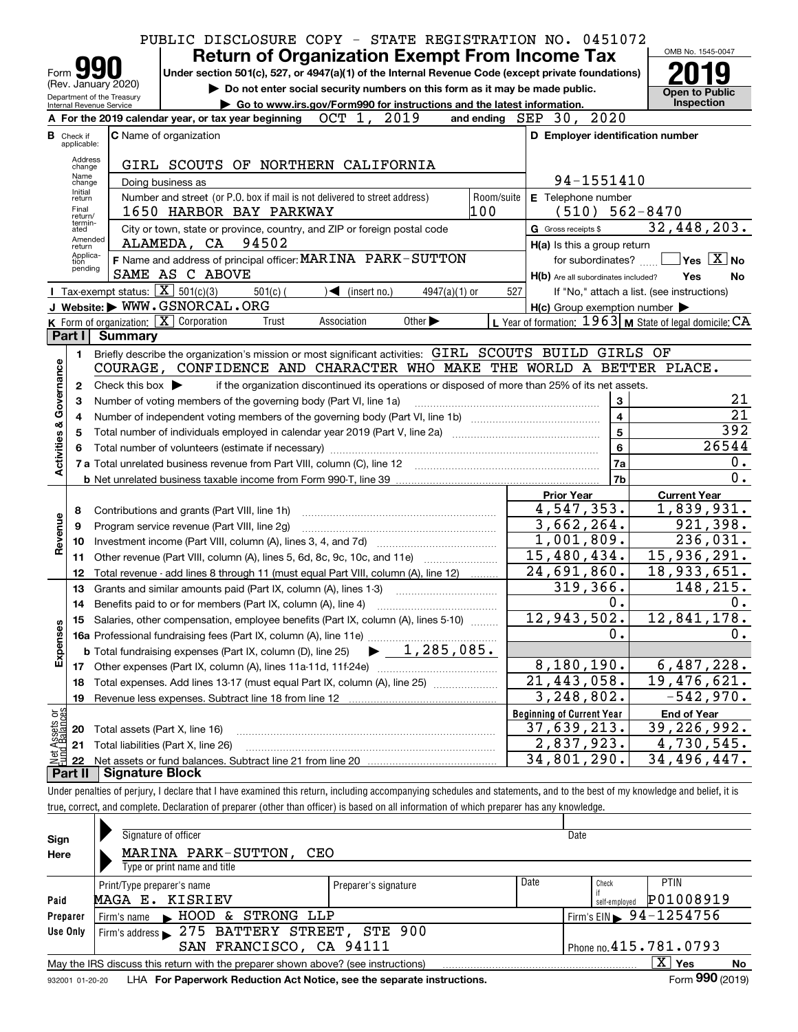|                                                                                                                                                                                                                                          |                                  |                                                   | PUBLIC DISCLOSURE COPY - STATE REGISTRATION NO. 0451072                                                                                                                    |                                                           | OMB No. 1545-0047                          |  |  |  |  |  |  |
|------------------------------------------------------------------------------------------------------------------------------------------------------------------------------------------------------------------------------------------|----------------------------------|---------------------------------------------------|----------------------------------------------------------------------------------------------------------------------------------------------------------------------------|-----------------------------------------------------------|--------------------------------------------|--|--|--|--|--|--|
|                                                                                                                                                                                                                                          |                                  |                                                   | <b>Return of Organization Exempt From Income Tax</b>                                                                                                                       |                                                           |                                            |  |  |  |  |  |  |
| Form                                                                                                                                                                                                                                     |                                  | (Rev. January 2020)                               | Under section 501(c), 527, or 4947(a)(1) of the Internal Revenue Code (except private foundations)                                                                         |                                                           |                                            |  |  |  |  |  |  |
| Do not enter social security numbers on this form as it may be made public.<br><b>Open to Public</b><br>Department of the Treasury<br>Internal Revenue Service<br>Go to www.irs.gov/Form990 for instructions and the latest information. |                                  |                                                   |                                                                                                                                                                            |                                                           |                                            |  |  |  |  |  |  |
|                                                                                                                                                                                                                                          |                                  |                                                   | A For the 2019 calendar year, or tax year beginning OCT 1,<br>2019                                                                                                         | and ending SEP 30, 2020                                   | <b>Inspection</b>                          |  |  |  |  |  |  |
|                                                                                                                                                                                                                                          |                                  |                                                   |                                                                                                                                                                            |                                                           |                                            |  |  |  |  |  |  |
|                                                                                                                                                                                                                                          | <b>B</b> Check if<br>applicable: |                                                   | <b>C</b> Name of organization                                                                                                                                              | D Employer identification number                          |                                            |  |  |  |  |  |  |
|                                                                                                                                                                                                                                          | Address<br>change                |                                                   | GIRL SCOUTS OF NORTHERN CALIFORNIA                                                                                                                                         |                                                           |                                            |  |  |  |  |  |  |
|                                                                                                                                                                                                                                          | Name<br>change                   |                                                   | Doing business as                                                                                                                                                          | 94-1551410                                                |                                            |  |  |  |  |  |  |
|                                                                                                                                                                                                                                          | Initial<br>return                |                                                   | Number and street (or P.O. box if mail is not delivered to street address)<br>Room/suite                                                                                   | E Telephone number                                        |                                            |  |  |  |  |  |  |
|                                                                                                                                                                                                                                          | Final<br>return/                 |                                                   | 100<br>1650 HARBOR BAY PARKWAY                                                                                                                                             | (510)                                                     | $562 - 8470$                               |  |  |  |  |  |  |
|                                                                                                                                                                                                                                          | termin-<br>ated                  |                                                   | City or town, state or province, country, and ZIP or foreign postal code                                                                                                   | G Gross receipts \$                                       | 32,448,203.                                |  |  |  |  |  |  |
|                                                                                                                                                                                                                                          | Amended<br>return                |                                                   | ALAMEDA, CA 94502                                                                                                                                                          | H(a) Is this a group return                               |                                            |  |  |  |  |  |  |
|                                                                                                                                                                                                                                          | Applica-<br>tion                 |                                                   | F Name and address of principal officer: MARINA PARK-SUTTON                                                                                                                | for subordinates?                                         | $\sqrt{}$ Yes $\sqrt{}$ X $\sqrt{}$ No     |  |  |  |  |  |  |
|                                                                                                                                                                                                                                          | pending                          |                                                   | SAME AS C ABOVE                                                                                                                                                            | H(b) Are all subordinates included?                       | Yes<br>No                                  |  |  |  |  |  |  |
|                                                                                                                                                                                                                                          |                                  | Tax-exempt status: $\boxed{\mathbf{X}}$ 501(c)(3) | $501(c)$ (<br>$\sqrt{\frac{4}{1}}$ (insert no.)<br>$4947(a)(1)$ or                                                                                                         | 527                                                       | If "No," attach a list. (see instructions) |  |  |  |  |  |  |
|                                                                                                                                                                                                                                          |                                  |                                                   | J Website: WWW.GSNORCAL.ORG                                                                                                                                                | $H(c)$ Group exemption number $\blacktriangleright$       |                                            |  |  |  |  |  |  |
|                                                                                                                                                                                                                                          |                                  |                                                   | K Form of organization: $\boxed{\mathbf{X}}$ Corporation<br>Other $\blacktriangleright$<br>Association<br>Trust                                                            | L Year of formation: $1963$ M State of legal domicile: CA |                                            |  |  |  |  |  |  |
|                                                                                                                                                                                                                                          | Part I                           | Summary                                           |                                                                                                                                                                            |                                                           |                                            |  |  |  |  |  |  |
|                                                                                                                                                                                                                                          | 1.                               |                                                   | Briefly describe the organization's mission or most significant activities: GIRL SCOUTS BUILD GIRLS OF                                                                     |                                                           |                                            |  |  |  |  |  |  |
|                                                                                                                                                                                                                                          |                                  |                                                   | COURAGE, CONFIDENCE AND CHARACTER WHO MAKE THE WORLD A BETTER PLACE.                                                                                                       |                                                           |                                            |  |  |  |  |  |  |
| Governance                                                                                                                                                                                                                               | 2                                | Check this box $\blacktriangleright$              | if the organization discontinued its operations or disposed of more than 25% of its net assets.                                                                            |                                                           |                                            |  |  |  |  |  |  |
|                                                                                                                                                                                                                                          | 3                                |                                                   | Number of voting members of the governing body (Part VI, line 1a)                                                                                                          | 3                                                         | 21<br>$\overline{21}$                      |  |  |  |  |  |  |
|                                                                                                                                                                                                                                          | 4                                |                                                   |                                                                                                                                                                            | $\overline{\mathbf{4}}$<br>$5\phantom{a}$                 | 392                                        |  |  |  |  |  |  |
| <b>Activities &amp;</b>                                                                                                                                                                                                                  | 5                                |                                                   |                                                                                                                                                                            | 6                                                         | 26544                                      |  |  |  |  |  |  |
|                                                                                                                                                                                                                                          | 6                                |                                                   |                                                                                                                                                                            | 7a                                                        | 0.                                         |  |  |  |  |  |  |
|                                                                                                                                                                                                                                          |                                  |                                                   |                                                                                                                                                                            | 7b                                                        | 0.                                         |  |  |  |  |  |  |
|                                                                                                                                                                                                                                          |                                  |                                                   |                                                                                                                                                                            | <b>Prior Year</b>                                         | <b>Current Year</b>                        |  |  |  |  |  |  |
|                                                                                                                                                                                                                                          | 8                                |                                                   | Contributions and grants (Part VIII, line 1h)                                                                                                                              | 4,547,353.                                                | $\overline{1,839}$ , 931.                  |  |  |  |  |  |  |
| Revenue                                                                                                                                                                                                                                  | 9                                |                                                   | Program service revenue (Part VIII, line 2g)                                                                                                                               | 3,662,264.                                                | 921,398.                                   |  |  |  |  |  |  |
|                                                                                                                                                                                                                                          | 10                               |                                                   |                                                                                                                                                                            | 1,001,809.                                                | 236,031.                                   |  |  |  |  |  |  |
|                                                                                                                                                                                                                                          | 11                               |                                                   | Other revenue (Part VIII, column (A), lines 5, 6d, 8c, 9c, 10c, and 11e)                                                                                                   | 15,480,434.                                               | 15,936,291.                                |  |  |  |  |  |  |
|                                                                                                                                                                                                                                          | 12                               |                                                   | Total revenue - add lines 8 through 11 (must equal Part VIII, column (A), line 12)                                                                                         | 24,691,860.                                               | 18,933,651.                                |  |  |  |  |  |  |
|                                                                                                                                                                                                                                          | 13                               |                                                   | Grants and similar amounts paid (Part IX, column (A), lines 1-3)                                                                                                           | 319,366.                                                  | 148,215.                                   |  |  |  |  |  |  |
|                                                                                                                                                                                                                                          | 14                               |                                                   |                                                                                                                                                                            | 0.                                                        | 0.                                         |  |  |  |  |  |  |
|                                                                                                                                                                                                                                          | 15                               |                                                   | Salaries, other compensation, employee benefits (Part IX, column (A), lines 5-10)                                                                                          | 12,943,502.                                               | 12, 841, 178.                              |  |  |  |  |  |  |
| Expenses                                                                                                                                                                                                                                 |                                  |                                                   | 16a Professional fundraising fees (Part IX, column (A), line 11e)                                                                                                          | 0.                                                        | 0.                                         |  |  |  |  |  |  |
|                                                                                                                                                                                                                                          |                                  |                                                   | 1,285,085.<br><b>b</b> Total fundraising expenses (Part IX, column (D), line 25)                                                                                           |                                                           |                                            |  |  |  |  |  |  |
|                                                                                                                                                                                                                                          |                                  |                                                   | 17 Other expenses (Part IX, column (A), lines 11a-11d, 11f-24e)                                                                                                            | 8,180,190.                                                | 6,487,228.                                 |  |  |  |  |  |  |
|                                                                                                                                                                                                                                          | 18                               |                                                   | Total expenses. Add lines 13-17 (must equal Part IX, column (A), line 25)                                                                                                  | $\overline{21,443,058}$ .                                 | 19,476,621.                                |  |  |  |  |  |  |
|                                                                                                                                                                                                                                          | 19                               |                                                   |                                                                                                                                                                            | 3,248,802.                                                | $-542,970.$                                |  |  |  |  |  |  |
| Assets or<br>dBalances                                                                                                                                                                                                                   |                                  |                                                   |                                                                                                                                                                            | <b>Beginning of Current Year</b><br>37,639,213.           | <b>End of Year</b>                         |  |  |  |  |  |  |
|                                                                                                                                                                                                                                          | 20                               | Total assets (Part X, line 16)                    |                                                                                                                                                                            | 2,837,923.                                                | 39,226,992.<br>4,730,545.                  |  |  |  |  |  |  |
| Net                                                                                                                                                                                                                                      | 21                               |                                                   | Total liabilities (Part X, line 26)                                                                                                                                        | 34,801,290.                                               | 34,496,447.                                |  |  |  |  |  |  |
|                                                                                                                                                                                                                                          | 22<br>Part II                    | <b>Signature Block</b>                            |                                                                                                                                                                            |                                                           |                                            |  |  |  |  |  |  |
|                                                                                                                                                                                                                                          |                                  |                                                   | Under penalties of perjury, I declare that I have examined this return, including accompanying schedules and statements, and to the best of my knowledge and belief, it is |                                                           |                                            |  |  |  |  |  |  |
|                                                                                                                                                                                                                                          |                                  |                                                   | true, correct, and complete. Declaration of preparer (other than officer) is based on all information of which preparer has any knowledge.                                 |                                                           |                                            |  |  |  |  |  |  |

| Sign<br>Here    | Signature of officer<br>MARINA PARK-SUTTON, CEO<br>Type or print name and title   |                      |      | Date                   |                                        |           |
|-----------------|-----------------------------------------------------------------------------------|----------------------|------|------------------------|----------------------------------------|-----------|
| Paid            | Print/Type preparer's name<br>MAGA E. KISRIEV                                     | Preparer's signature | Date | Check<br>self-employed | <b>PTIN</b><br>P01008919               |           |
| Preparer        | STRONG LLP<br>Firm's name HOOD<br>&.                                              |                      |      |                        | Firm's EIN $\triangleright$ 94-1254756 |           |
| Use Only        | Firm's address > 275 BATTERY STREET, STE 900                                      |                      |      |                        |                                        |           |
|                 | SAN FRANCISCO, CA 94111                                                           |                      |      |                        | Phone no. 415.781.0793                 |           |
|                 | May the IRS discuss this return with the preparer shown above? (see instructions) |                      |      |                        | $X \vert Y$ es                         | <b>No</b> |
| 932001 01-20-20 | LHA For Paperwork Reduction Act Notice, see the separate instructions.            |                      |      |                        | Form 990 (2019)                        |           |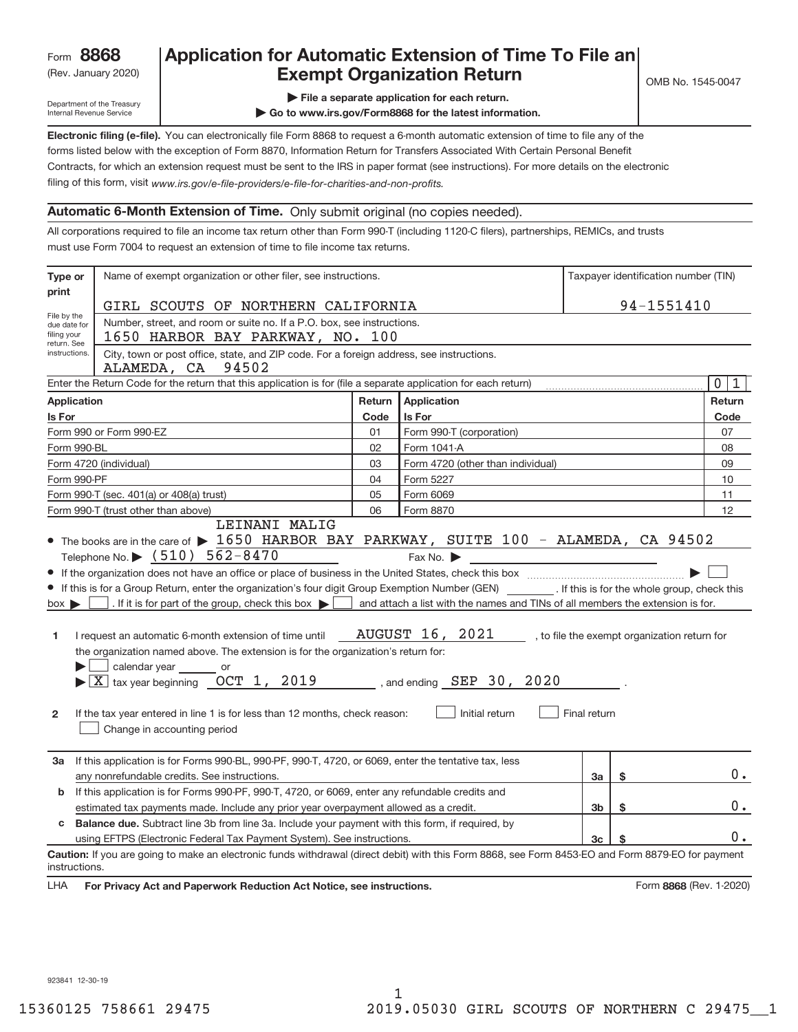# Rev. January 2020) **Cxempt Organization Return** Manuary 2020 and the Sea of the Sea of the Sea of the Sea of the S **Application for Automatic Extension of Time To File an**

Department of the Treasury Internal Revenue Service

- **| File a separate application for each return.**
- **| Go to www.irs.gov/Form8868 for the latest information.**

**Electronic filing (e‐file).**  You can electronically file Form 8868 to request a 6‐month automatic extension of time to file any of the filing of this form, visit www.irs.gov/e-file-providers/e-file-for-charities-and-non-profits. forms listed below with the exception of Form 8870, Information Return for Transfers Associated With Certain Personal Benefit Contracts, for which an extension request must be sent to the IRS in paper format (see instructions). For more details on the electronic

#### **Automatic 6‐Month Extension of Time.** Only submit original (no copies needed).

All corporations required to file an income tax return other than Form 990‐T (including 1120‐C filers), partnerships, REMICs, and trusts must use Form 7004 to request an extension of time to file income tax returns.

| print<br>File by the                                                                                                           |                                                                                                                                                                                                                                                                                                                                                                                                                                                                                                                                                                                                                  |                                                  |                                                                                                                                                           |                |    |                                              |  |  |  |  |  |
|--------------------------------------------------------------------------------------------------------------------------------|------------------------------------------------------------------------------------------------------------------------------------------------------------------------------------------------------------------------------------------------------------------------------------------------------------------------------------------------------------------------------------------------------------------------------------------------------------------------------------------------------------------------------------------------------------------------------------------------------------------|--------------------------------------------------|-----------------------------------------------------------------------------------------------------------------------------------------------------------|----------------|----|----------------------------------------------|--|--|--|--|--|
|                                                                                                                                |                                                                                                                                                                                                                                                                                                                                                                                                                                                                                                                                                                                                                  | 94-1551410<br>GIRL SCOUTS OF NORTHERN CALIFORNIA |                                                                                                                                                           |                |    |                                              |  |  |  |  |  |
| Number, street, and room or suite no. If a P.O. box, see instructions.<br>due date for                                         |                                                                                                                                                                                                                                                                                                                                                                                                                                                                                                                                                                                                                  |                                                  |                                                                                                                                                           |                |    |                                              |  |  |  |  |  |
| filing your<br>1650 HARBOR BAY PARKWAY, NO. 100<br>return. See                                                                 |                                                                                                                                                                                                                                                                                                                                                                                                                                                                                                                                                                                                                  |                                                  |                                                                                                                                                           |                |    |                                              |  |  |  |  |  |
| City, town or post office, state, and ZIP code. For a foreign address, see instructions.<br>instructions.<br>ALAMEDA, CA 94502 |                                                                                                                                                                                                                                                                                                                                                                                                                                                                                                                                                                                                                  |                                                  |                                                                                                                                                           |                |    |                                              |  |  |  |  |  |
|                                                                                                                                | Enter the Return Code for the return that this application is for (file a separate application for each return)                                                                                                                                                                                                                                                                                                                                                                                                                                                                                                  |                                                  |                                                                                                                                                           |                |    | 0 <sup>1</sup><br>$\mathbf{1}$               |  |  |  |  |  |
| <b>Application</b>                                                                                                             |                                                                                                                                                                                                                                                                                                                                                                                                                                                                                                                                                                                                                  |                                                  | Return Application                                                                                                                                        |                |    | Return                                       |  |  |  |  |  |
| Is For                                                                                                                         |                                                                                                                                                                                                                                                                                                                                                                                                                                                                                                                                                                                                                  | Code                                             | Is For                                                                                                                                                    |                |    | Code                                         |  |  |  |  |  |
|                                                                                                                                | Form 990 or Form 990-EZ                                                                                                                                                                                                                                                                                                                                                                                                                                                                                                                                                                                          | 01                                               | Form 990-T (corporation)                                                                                                                                  |                |    | 07                                           |  |  |  |  |  |
| Form 990-BL                                                                                                                    |                                                                                                                                                                                                                                                                                                                                                                                                                                                                                                                                                                                                                  | 02                                               | Form 1041-A                                                                                                                                               |                |    | 08                                           |  |  |  |  |  |
|                                                                                                                                | Form 4720 (individual)                                                                                                                                                                                                                                                                                                                                                                                                                                                                                                                                                                                           | 03                                               | Form 4720 (other than individual)                                                                                                                         |                |    | 09                                           |  |  |  |  |  |
| Form 990-PF                                                                                                                    |                                                                                                                                                                                                                                                                                                                                                                                                                                                                                                                                                                                                                  | 04                                               | Form 5227                                                                                                                                                 |                |    | 10                                           |  |  |  |  |  |
|                                                                                                                                | Form 990-T (sec. 401(a) or 408(a) trust)                                                                                                                                                                                                                                                                                                                                                                                                                                                                                                                                                                         | 05                                               | Form 6069                                                                                                                                                 |                |    | 11                                           |  |  |  |  |  |
|                                                                                                                                | Form 990-T (trust other than above)<br>LEINANI MALIG                                                                                                                                                                                                                                                                                                                                                                                                                                                                                                                                                             | 06                                               | Form 8870                                                                                                                                                 |                |    | 12                                           |  |  |  |  |  |
| $box \blacktriangleright$<br>1<br>2                                                                                            | • If this is for a Group Return, enter the organization's four digit Group Exemption Number (GEN) _________. If this is for the whole group, check this<br>. If it is for part of the group, check this box $\blacktriangleright$<br>I request an automatic 6-month extension of time until<br>the organization named above. The extension is for the organization's return for:<br>calendar year _______ or<br>$\blacktriangleright$ $\underline{X}$ tax year beginning $\underline{OCT}$ 1, 2019<br>If the tax year entered in line 1 is for less than 12 months, check reason:<br>Change in accounting period |                                                  | and attach a list with the names and TINs of all members the extension is for.<br><b>AUGUST 16, 2021</b><br>, and ending $SEP$ 30, 2020<br>Initial return | Final return   |    | , to file the exempt organization return for |  |  |  |  |  |
| За                                                                                                                             | If this application is for Forms 990-BL, 990-PF, 990-T, 4720, or 6069, enter the tentative tax, less<br>any nonrefundable credits. See instructions.                                                                                                                                                                                                                                                                                                                                                                                                                                                             |                                                  |                                                                                                                                                           | За             | \$ | 0.                                           |  |  |  |  |  |
| b                                                                                                                              | If this application is for Forms 990-PF, 990-T, 4720, or 6069, enter any refundable credits and                                                                                                                                                                                                                                                                                                                                                                                                                                                                                                                  |                                                  |                                                                                                                                                           |                |    |                                              |  |  |  |  |  |
| 3b<br>\$<br>estimated tax payments made. Include any prior year overpayment allowed as a credit.                               |                                                                                                                                                                                                                                                                                                                                                                                                                                                                                                                                                                                                                  |                                                  |                                                                                                                                                           |                |    |                                              |  |  |  |  |  |
| Balance due. Subtract line 3b from line 3a. Include your payment with this form, if required, by<br>C                          |                                                                                                                                                                                                                                                                                                                                                                                                                                                                                                                                                                                                                  |                                                  |                                                                                                                                                           |                |    |                                              |  |  |  |  |  |
|                                                                                                                                | using EFTPS (Electronic Federal Tax Payment System). See instructions.                                                                                                                                                                                                                                                                                                                                                                                                                                                                                                                                           |                                                  |                                                                                                                                                           | 3 <sub>c</sub> | S  | 0.                                           |  |  |  |  |  |
| instructions.<br><b>LHA</b>                                                                                                    | Caution: If you are going to make an electronic funds withdrawal (direct debit) with this Form 8868, see Form 8453-EO and Form 8879-EO for payment<br>For Privacy Act and Paperwork Reduction Act Notice, see instructions.                                                                                                                                                                                                                                                                                                                                                                                      |                                                  |                                                                                                                                                           |                |    | Form 8868 (Rev. 1-2020)                      |  |  |  |  |  |

923841 12‐30‐19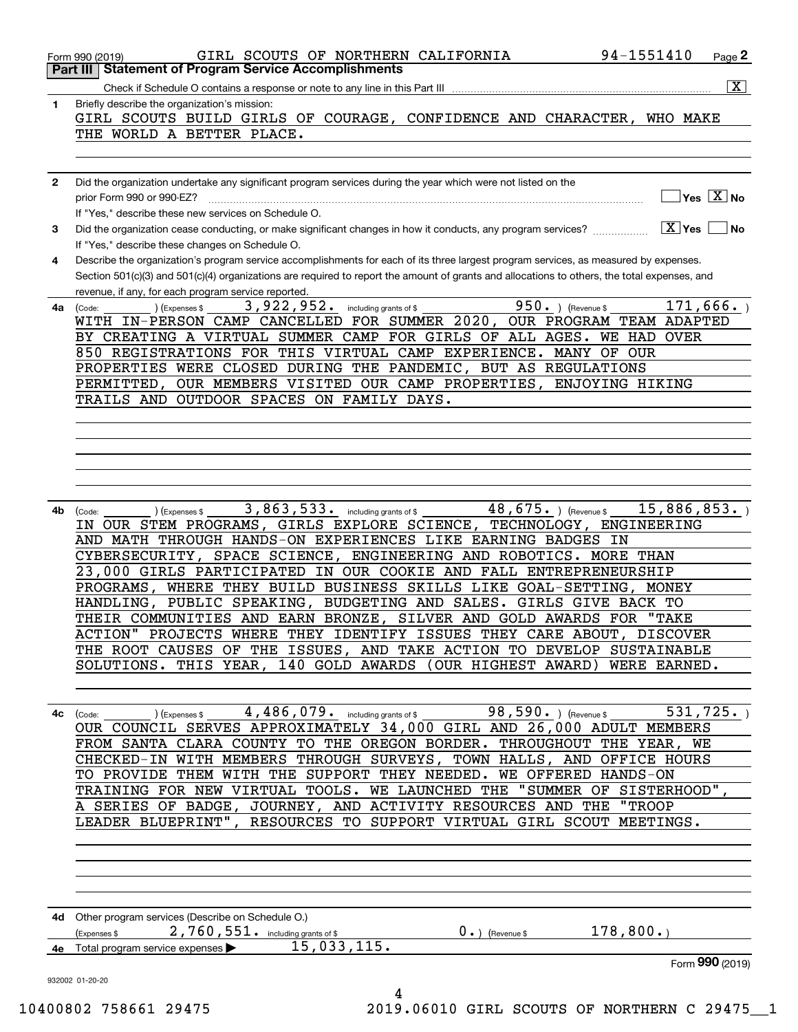| 1  | $\overline{\mathbf{X}}$<br>Briefly describe the organization's mission:                                                                                                                               |
|----|-------------------------------------------------------------------------------------------------------------------------------------------------------------------------------------------------------|
|    | GIRL SCOUTS BUILD GIRLS OF COURAGE, CONFIDENCE AND CHARACTER, WHO MAKE                                                                                                                                |
|    | THE WORLD A BETTER PLACE.                                                                                                                                                                             |
|    |                                                                                                                                                                                                       |
|    |                                                                                                                                                                                                       |
| 2  | Did the organization undertake any significant program services during the year which were not listed on the                                                                                          |
|    | $]$ Yes $[\overline{\mathrm{X}}]$ No                                                                                                                                                                  |
| 3  | If "Yes," describe these new services on Schedule O.<br>Did the organization cease conducting, or make significant changes in how it conducts, any program services?<br>$ \underline{X} $ Yes<br>l No |
|    | If "Yes," describe these changes on Schedule O.                                                                                                                                                       |
| 4  | Describe the organization's program service accomplishments for each of its three largest program services, as measured by expenses.                                                                  |
|    | Section 501(c)(3) and 501(c)(4) organizations are required to report the amount of grants and allocations to others, the total expenses, and                                                          |
|    | revenue, if any, for each program service reported.                                                                                                                                                   |
| 4a | 3,922,952. including grants of \$<br>950. ) (Revenue \$<br>171,666.<br>(Expenses \$<br>(Code:                                                                                                         |
|    | WITH IN-PERSON CAMP CANCELLED FOR SUMMER 2020, OUR PROGRAM TEAM ADAPTED<br>BY CREATING A VIRTUAL SUMMER CAMP FOR GIRLS OF ALL AGES. WE HAD OVER                                                       |
|    | 850 REGISTRATIONS FOR THIS VIRTUAL CAMP EXPERIENCE. MANY OF OUR                                                                                                                                       |
|    | PROPERTIES WERE CLOSED DURING THE PANDEMIC, BUT AS REGULATIONS                                                                                                                                        |
|    | OUR MEMBERS VISITED OUR CAMP PROPERTIES, ENJOYING HIKING<br>PERMITTED,                                                                                                                                |
|    | TRAILS AND OUTDOOR SPACES ON FAMILY DAYS.                                                                                                                                                             |
|    |                                                                                                                                                                                                       |
|    |                                                                                                                                                                                                       |
|    |                                                                                                                                                                                                       |
|    |                                                                                                                                                                                                       |
|    |                                                                                                                                                                                                       |
| 4b | $48,675.$ ) (Revenue \$<br>3,863,533. including grants of \$<br>15,886,853.<br>(Code:<br>(Expenses \$                                                                                                 |
|    | IN OUR STEM PROGRAMS, GIRLS EXPLORE SCIENCE, TECHNOLOGY, ENGINEERING                                                                                                                                  |
|    | AND MATH THROUGH HANDS-ON EXPERIENCES LIKE EARNING BADGES IN                                                                                                                                          |
|    | CYBERSECURITY, SPACE SCIENCE, ENGINEERING AND ROBOTICS. MORE THAN                                                                                                                                     |
|    | 23,000 GIRLS PARTICIPATED IN OUR COOKIE AND FALL ENTREPRENEURSHIP                                                                                                                                     |
|    | PROGRAMS, WHERE THEY BUILD BUSINESS SKILLS LIKE GOAL-SETTING, MONEY                                                                                                                                   |
|    | HANDLING, PUBLIC SPEAKING, BUDGETING AND SALES. GIRLS GIVE BACK TO<br>THEIR COMMUNITIES AND EARN BRONZE, SILVER AND GOLD AWARDS FOR "TAKE                                                             |
|    | ACTION" PROJECTS WHERE THEY IDENTIFY ISSUES THEY CARE ABOUT, DISCOVER                                                                                                                                 |
|    | THE ROOT CAUSES OF THE ISSUES, AND TAKE ACTION TO DEVELOP SUSTAINABLE                                                                                                                                 |
|    | SOLUTIONS. THIS YEAR, 140 GOLD AWARDS (OUR HIGHEST AWARD) WERE EARNED.                                                                                                                                |
|    |                                                                                                                                                                                                       |
|    |                                                                                                                                                                                                       |
| 4с | $\overline{531,725}$ .<br>OUR COUNCIL SERVES APPROXIMATELY 34,000 GIRL AND 26,000 ADULT MEMBERS                                                                                                       |
|    | FROM SANTA CLARA COUNTY TO THE OREGON BORDER. THROUGHOUT THE YEAR, WE                                                                                                                                 |
|    | CHECKED-IN WITH MEMBERS THROUGH SURVEYS, TOWN HALLS, AND OFFICE HOURS                                                                                                                                 |
|    | TO PROVIDE THEM WITH THE SUPPORT THEY NEEDED. WE OFFERED HANDS-ON                                                                                                                                     |
|    | TRAINING FOR NEW VIRTUAL TOOLS. WE LAUNCHED THE "SUMMER OF SISTERHOOD",                                                                                                                               |
|    | A SERIES OF BADGE, JOURNEY, AND ACTIVITY RESOURCES AND THE "TROOP                                                                                                                                     |
|    | LEADER BLUEPRINT", RESOURCES TO SUPPORT VIRTUAL GIRL SCOUT MEETINGS.                                                                                                                                  |
|    |                                                                                                                                                                                                       |
|    |                                                                                                                                                                                                       |
|    |                                                                                                                                                                                                       |
|    |                                                                                                                                                                                                       |
|    | 4d Other program services (Describe on Schedule O.)                                                                                                                                                   |
|    |                                                                                                                                                                                                       |
|    | 178,800.<br>(Expenses \$ $2,760,551$ . including grants of \$<br>$0 \cdot$ ) (Revenue \$                                                                                                              |
|    | 4e Total program service expenses <b>15,033,115.</b><br>Form 990 (2019)                                                                                                                               |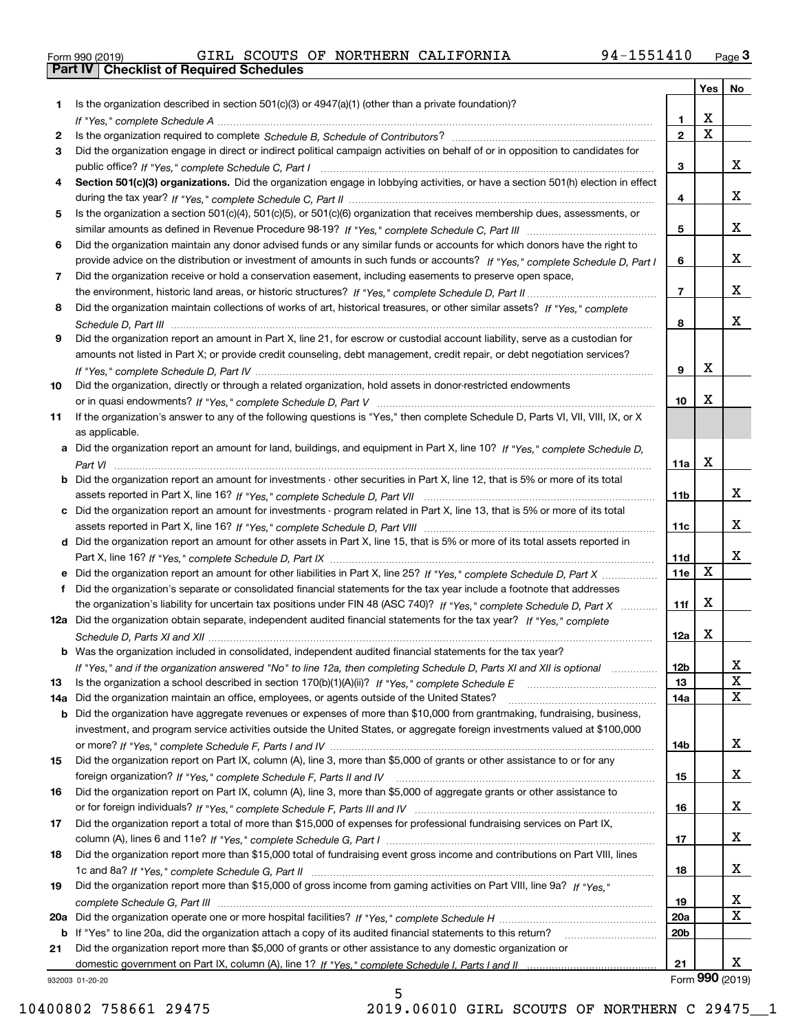| Form 990 (2019) |  |  |
|-----------------|--|--|

| Is the organization described in section $501(c)(3)$ or $4947(a)(1)$ (other than a private foundation)?<br>1<br>X<br>1.<br>$\overline{\mathbf{x}}$<br>$\overline{2}$<br>2<br>Did the organization engage in direct or indirect political campaign activities on behalf of or in opposition to candidates for<br>3<br>x<br>3<br>Section 501(c)(3) organizations. Did the organization engage in lobbying activities, or have a section 501(h) election in effect<br>4<br>x<br>4<br>Is the organization a section 501(c)(4), 501(c)(5), or 501(c)(6) organization that receives membership dues, assessments, or<br>5<br>x<br>5<br>Did the organization maintain any donor advised funds or any similar funds or accounts for which donors have the right to<br>6<br>x<br>provide advice on the distribution or investment of amounts in such funds or accounts? If "Yes," complete Schedule D, Part I<br>6<br>Did the organization receive or hold a conservation easement, including easements to preserve open space,<br>7<br>x<br>$\overline{7}$<br>Did the organization maintain collections of works of art, historical treasures, or other similar assets? If "Yes," complete<br>8<br>x<br>8<br>Did the organization report an amount in Part X, line 21, for escrow or custodial account liability, serve as a custodian for<br>9<br>amounts not listed in Part X; or provide credit counseling, debt management, credit repair, or debt negotiation services?<br>X<br>9<br>Did the organization, directly or through a related organization, hold assets in donor-restricted endowments<br>X<br>10<br>If the organization's answer to any of the following questions is "Yes," then complete Schedule D, Parts VI, VII, VIII, IX, or X<br>as applicable.<br>Did the organization report an amount for land, buildings, and equipment in Part X, line 10? If "Yes," complete Schedule D,<br>a<br>X<br>11a<br>Did the organization report an amount for investments - other securities in Part X, line 12, that is 5% or more of its total<br>b<br>x<br>11 <sub>b</sub><br>Did the organization report an amount for investments - program related in Part X, line 13, that is 5% or more of its total<br>c<br>x<br>11c<br>d Did the organization report an amount for other assets in Part X, line 15, that is 5% or more of its total assets reported in<br>x<br>11d<br>$\mathbf X$<br>11e<br>Did the organization report an amount for other liabilities in Part X, line 25? If "Yes," complete Schedule D, Part X<br>Did the organization's separate or consolidated financial statements for the tax year include a footnote that addresses<br>f<br>X<br>the organization's liability for uncertain tax positions under FIN 48 (ASC 740)? If "Yes," complete Schedule D, Part X<br>11f<br>12a Did the organization obtain separate, independent audited financial statements for the tax year? If "Yes," complete<br>X<br>12a<br><b>b</b> Was the organization included in consolidated, independent audited financial statements for the tax year?<br>If "Yes," and if the organization answered "No" to line 12a, then completing Schedule D, Parts XI and XII is optional<br>12D<br>ᅀ<br>X<br>13<br>13<br>X<br>Did the organization maintain an office, employees, or agents outside of the United States?<br>14a<br>14a<br>Did the organization have aggregate revenues or expenses of more than \$10,000 from grantmaking, fundraising, business,<br>b<br>investment, and program service activities outside the United States, or aggregate foreign investments valued at \$100,000<br>x<br>14b<br>Did the organization report on Part IX, column (A), line 3, more than \$5,000 of grants or other assistance to or for any<br>x<br>15<br>Did the organization report on Part IX, column (A), line 3, more than \$5,000 of aggregate grants or other assistance to<br>x<br>16<br>Did the organization report a total of more than \$15,000 of expenses for professional fundraising services on Part IX,<br>x<br>17<br>Did the organization report more than \$15,000 total of fundraising event gross income and contributions on Part VIII, lines<br>x<br>18<br>Did the organization report more than \$15,000 of gross income from gaming activities on Part VIII, line 9a? If "Yes."<br>x<br>19<br>$\mathbf X$<br>20a<br>20 <sub>b</sub><br>If "Yes" to line 20a, did the organization attach a copy of its audited financial statements to this return?<br>b<br>Did the organization report more than \$5,000 of grants or other assistance to any domestic organization or<br>21<br>x<br>21<br>Form 990 (2019)<br>932003 01-20-20 |     |  | Yes | No |
|----------------------------------------------------------------------------------------------------------------------------------------------------------------------------------------------------------------------------------------------------------------------------------------------------------------------------------------------------------------------------------------------------------------------------------------------------------------------------------------------------------------------------------------------------------------------------------------------------------------------------------------------------------------------------------------------------------------------------------------------------------------------------------------------------------------------------------------------------------------------------------------------------------------------------------------------------------------------------------------------------------------------------------------------------------------------------------------------------------------------------------------------------------------------------------------------------------------------------------------------------------------------------------------------------------------------------------------------------------------------------------------------------------------------------------------------------------------------------------------------------------------------------------------------------------------------------------------------------------------------------------------------------------------------------------------------------------------------------------------------------------------------------------------------------------------------------------------------------------------------------------------------------------------------------------------------------------------------------------------------------------------------------------------------------------------------------------------------------------------------------------------------------------------------------------------------------------------------------------------------------------------------------------------------------------------------------------------------------------------------------------------------------------------------------------------------------------------------------------------------------------------------------------------------------------------------------------------------------------------------------------------------------------------------------------------------------------------------------------------------------------------------------------------------------------------------------------------------------------------------------------------------------------------------------------------------------------------------------------------------------------------------------------------------------------------------------------------------------------------------------------------------------------------------------------------------------------------------------------------------------------------------------------------------------------------------------------------------------------------------------------------------------------------------------------------------------------------------------------------------------------------------------------------------------------------------------------------------------------------------------------------------------------------------------------------------------------------------------------------------------------------------------------------------------------------------------------------------------------------------------------------------------------------------------------------------------------------------------------------------------------------------------------------------------------------------------------------------------------------------------------------------------------------------------------------------------------------------------------------------------------------------------------------------------------------------------------------------------------------------------------------------------------------------------------------------------------------------------------------------------------------------------------------------------------------------------------------------------------------------------------------------------------|-----|--|-----|----|
|                                                                                                                                                                                                                                                                                                                                                                                                                                                                                                                                                                                                                                                                                                                                                                                                                                                                                                                                                                                                                                                                                                                                                                                                                                                                                                                                                                                                                                                                                                                                                                                                                                                                                                                                                                                                                                                                                                                                                                                                                                                                                                                                                                                                                                                                                                                                                                                                                                                                                                                                                                                                                                                                                                                                                                                                                                                                                                                                                                                                                                                                                                                                                                                                                                                                                                                                                                                                                                                                                                                                                                                                                                                                                                                                                                                                                                                                                                                                                                                                                                                                                                                                                                                                                                                                                                                                                                                                                                                                                                                                                                                                                                                          |     |  |     |    |
|                                                                                                                                                                                                                                                                                                                                                                                                                                                                                                                                                                                                                                                                                                                                                                                                                                                                                                                                                                                                                                                                                                                                                                                                                                                                                                                                                                                                                                                                                                                                                                                                                                                                                                                                                                                                                                                                                                                                                                                                                                                                                                                                                                                                                                                                                                                                                                                                                                                                                                                                                                                                                                                                                                                                                                                                                                                                                                                                                                                                                                                                                                                                                                                                                                                                                                                                                                                                                                                                                                                                                                                                                                                                                                                                                                                                                                                                                                                                                                                                                                                                                                                                                                                                                                                                                                                                                                                                                                                                                                                                                                                                                                                          |     |  |     |    |
|                                                                                                                                                                                                                                                                                                                                                                                                                                                                                                                                                                                                                                                                                                                                                                                                                                                                                                                                                                                                                                                                                                                                                                                                                                                                                                                                                                                                                                                                                                                                                                                                                                                                                                                                                                                                                                                                                                                                                                                                                                                                                                                                                                                                                                                                                                                                                                                                                                                                                                                                                                                                                                                                                                                                                                                                                                                                                                                                                                                                                                                                                                                                                                                                                                                                                                                                                                                                                                                                                                                                                                                                                                                                                                                                                                                                                                                                                                                                                                                                                                                                                                                                                                                                                                                                                                                                                                                                                                                                                                                                                                                                                                                          |     |  |     |    |
|                                                                                                                                                                                                                                                                                                                                                                                                                                                                                                                                                                                                                                                                                                                                                                                                                                                                                                                                                                                                                                                                                                                                                                                                                                                                                                                                                                                                                                                                                                                                                                                                                                                                                                                                                                                                                                                                                                                                                                                                                                                                                                                                                                                                                                                                                                                                                                                                                                                                                                                                                                                                                                                                                                                                                                                                                                                                                                                                                                                                                                                                                                                                                                                                                                                                                                                                                                                                                                                                                                                                                                                                                                                                                                                                                                                                                                                                                                                                                                                                                                                                                                                                                                                                                                                                                                                                                                                                                                                                                                                                                                                                                                                          |     |  |     |    |
|                                                                                                                                                                                                                                                                                                                                                                                                                                                                                                                                                                                                                                                                                                                                                                                                                                                                                                                                                                                                                                                                                                                                                                                                                                                                                                                                                                                                                                                                                                                                                                                                                                                                                                                                                                                                                                                                                                                                                                                                                                                                                                                                                                                                                                                                                                                                                                                                                                                                                                                                                                                                                                                                                                                                                                                                                                                                                                                                                                                                                                                                                                                                                                                                                                                                                                                                                                                                                                                                                                                                                                                                                                                                                                                                                                                                                                                                                                                                                                                                                                                                                                                                                                                                                                                                                                                                                                                                                                                                                                                                                                                                                                                          |     |  |     |    |
|                                                                                                                                                                                                                                                                                                                                                                                                                                                                                                                                                                                                                                                                                                                                                                                                                                                                                                                                                                                                                                                                                                                                                                                                                                                                                                                                                                                                                                                                                                                                                                                                                                                                                                                                                                                                                                                                                                                                                                                                                                                                                                                                                                                                                                                                                                                                                                                                                                                                                                                                                                                                                                                                                                                                                                                                                                                                                                                                                                                                                                                                                                                                                                                                                                                                                                                                                                                                                                                                                                                                                                                                                                                                                                                                                                                                                                                                                                                                                                                                                                                                                                                                                                                                                                                                                                                                                                                                                                                                                                                                                                                                                                                          |     |  |     |    |
|                                                                                                                                                                                                                                                                                                                                                                                                                                                                                                                                                                                                                                                                                                                                                                                                                                                                                                                                                                                                                                                                                                                                                                                                                                                                                                                                                                                                                                                                                                                                                                                                                                                                                                                                                                                                                                                                                                                                                                                                                                                                                                                                                                                                                                                                                                                                                                                                                                                                                                                                                                                                                                                                                                                                                                                                                                                                                                                                                                                                                                                                                                                                                                                                                                                                                                                                                                                                                                                                                                                                                                                                                                                                                                                                                                                                                                                                                                                                                                                                                                                                                                                                                                                                                                                                                                                                                                                                                                                                                                                                                                                                                                                          |     |  |     |    |
|                                                                                                                                                                                                                                                                                                                                                                                                                                                                                                                                                                                                                                                                                                                                                                                                                                                                                                                                                                                                                                                                                                                                                                                                                                                                                                                                                                                                                                                                                                                                                                                                                                                                                                                                                                                                                                                                                                                                                                                                                                                                                                                                                                                                                                                                                                                                                                                                                                                                                                                                                                                                                                                                                                                                                                                                                                                                                                                                                                                                                                                                                                                                                                                                                                                                                                                                                                                                                                                                                                                                                                                                                                                                                                                                                                                                                                                                                                                                                                                                                                                                                                                                                                                                                                                                                                                                                                                                                                                                                                                                                                                                                                                          |     |  |     |    |
|                                                                                                                                                                                                                                                                                                                                                                                                                                                                                                                                                                                                                                                                                                                                                                                                                                                                                                                                                                                                                                                                                                                                                                                                                                                                                                                                                                                                                                                                                                                                                                                                                                                                                                                                                                                                                                                                                                                                                                                                                                                                                                                                                                                                                                                                                                                                                                                                                                                                                                                                                                                                                                                                                                                                                                                                                                                                                                                                                                                                                                                                                                                                                                                                                                                                                                                                                                                                                                                                                                                                                                                                                                                                                                                                                                                                                                                                                                                                                                                                                                                                                                                                                                                                                                                                                                                                                                                                                                                                                                                                                                                                                                                          |     |  |     |    |
|                                                                                                                                                                                                                                                                                                                                                                                                                                                                                                                                                                                                                                                                                                                                                                                                                                                                                                                                                                                                                                                                                                                                                                                                                                                                                                                                                                                                                                                                                                                                                                                                                                                                                                                                                                                                                                                                                                                                                                                                                                                                                                                                                                                                                                                                                                                                                                                                                                                                                                                                                                                                                                                                                                                                                                                                                                                                                                                                                                                                                                                                                                                                                                                                                                                                                                                                                                                                                                                                                                                                                                                                                                                                                                                                                                                                                                                                                                                                                                                                                                                                                                                                                                                                                                                                                                                                                                                                                                                                                                                                                                                                                                                          |     |  |     |    |
|                                                                                                                                                                                                                                                                                                                                                                                                                                                                                                                                                                                                                                                                                                                                                                                                                                                                                                                                                                                                                                                                                                                                                                                                                                                                                                                                                                                                                                                                                                                                                                                                                                                                                                                                                                                                                                                                                                                                                                                                                                                                                                                                                                                                                                                                                                                                                                                                                                                                                                                                                                                                                                                                                                                                                                                                                                                                                                                                                                                                                                                                                                                                                                                                                                                                                                                                                                                                                                                                                                                                                                                                                                                                                                                                                                                                                                                                                                                                                                                                                                                                                                                                                                                                                                                                                                                                                                                                                                                                                                                                                                                                                                                          |     |  |     |    |
|                                                                                                                                                                                                                                                                                                                                                                                                                                                                                                                                                                                                                                                                                                                                                                                                                                                                                                                                                                                                                                                                                                                                                                                                                                                                                                                                                                                                                                                                                                                                                                                                                                                                                                                                                                                                                                                                                                                                                                                                                                                                                                                                                                                                                                                                                                                                                                                                                                                                                                                                                                                                                                                                                                                                                                                                                                                                                                                                                                                                                                                                                                                                                                                                                                                                                                                                                                                                                                                                                                                                                                                                                                                                                                                                                                                                                                                                                                                                                                                                                                                                                                                                                                                                                                                                                                                                                                                                                                                                                                                                                                                                                                                          |     |  |     |    |
|                                                                                                                                                                                                                                                                                                                                                                                                                                                                                                                                                                                                                                                                                                                                                                                                                                                                                                                                                                                                                                                                                                                                                                                                                                                                                                                                                                                                                                                                                                                                                                                                                                                                                                                                                                                                                                                                                                                                                                                                                                                                                                                                                                                                                                                                                                                                                                                                                                                                                                                                                                                                                                                                                                                                                                                                                                                                                                                                                                                                                                                                                                                                                                                                                                                                                                                                                                                                                                                                                                                                                                                                                                                                                                                                                                                                                                                                                                                                                                                                                                                                                                                                                                                                                                                                                                                                                                                                                                                                                                                                                                                                                                                          |     |  |     |    |
|                                                                                                                                                                                                                                                                                                                                                                                                                                                                                                                                                                                                                                                                                                                                                                                                                                                                                                                                                                                                                                                                                                                                                                                                                                                                                                                                                                                                                                                                                                                                                                                                                                                                                                                                                                                                                                                                                                                                                                                                                                                                                                                                                                                                                                                                                                                                                                                                                                                                                                                                                                                                                                                                                                                                                                                                                                                                                                                                                                                                                                                                                                                                                                                                                                                                                                                                                                                                                                                                                                                                                                                                                                                                                                                                                                                                                                                                                                                                                                                                                                                                                                                                                                                                                                                                                                                                                                                                                                                                                                                                                                                                                                                          |     |  |     |    |
|                                                                                                                                                                                                                                                                                                                                                                                                                                                                                                                                                                                                                                                                                                                                                                                                                                                                                                                                                                                                                                                                                                                                                                                                                                                                                                                                                                                                                                                                                                                                                                                                                                                                                                                                                                                                                                                                                                                                                                                                                                                                                                                                                                                                                                                                                                                                                                                                                                                                                                                                                                                                                                                                                                                                                                                                                                                                                                                                                                                                                                                                                                                                                                                                                                                                                                                                                                                                                                                                                                                                                                                                                                                                                                                                                                                                                                                                                                                                                                                                                                                                                                                                                                                                                                                                                                                                                                                                                                                                                                                                                                                                                                                          |     |  |     |    |
|                                                                                                                                                                                                                                                                                                                                                                                                                                                                                                                                                                                                                                                                                                                                                                                                                                                                                                                                                                                                                                                                                                                                                                                                                                                                                                                                                                                                                                                                                                                                                                                                                                                                                                                                                                                                                                                                                                                                                                                                                                                                                                                                                                                                                                                                                                                                                                                                                                                                                                                                                                                                                                                                                                                                                                                                                                                                                                                                                                                                                                                                                                                                                                                                                                                                                                                                                                                                                                                                                                                                                                                                                                                                                                                                                                                                                                                                                                                                                                                                                                                                                                                                                                                                                                                                                                                                                                                                                                                                                                                                                                                                                                                          |     |  |     |    |
|                                                                                                                                                                                                                                                                                                                                                                                                                                                                                                                                                                                                                                                                                                                                                                                                                                                                                                                                                                                                                                                                                                                                                                                                                                                                                                                                                                                                                                                                                                                                                                                                                                                                                                                                                                                                                                                                                                                                                                                                                                                                                                                                                                                                                                                                                                                                                                                                                                                                                                                                                                                                                                                                                                                                                                                                                                                                                                                                                                                                                                                                                                                                                                                                                                                                                                                                                                                                                                                                                                                                                                                                                                                                                                                                                                                                                                                                                                                                                                                                                                                                                                                                                                                                                                                                                                                                                                                                                                                                                                                                                                                                                                                          |     |  |     |    |
|                                                                                                                                                                                                                                                                                                                                                                                                                                                                                                                                                                                                                                                                                                                                                                                                                                                                                                                                                                                                                                                                                                                                                                                                                                                                                                                                                                                                                                                                                                                                                                                                                                                                                                                                                                                                                                                                                                                                                                                                                                                                                                                                                                                                                                                                                                                                                                                                                                                                                                                                                                                                                                                                                                                                                                                                                                                                                                                                                                                                                                                                                                                                                                                                                                                                                                                                                                                                                                                                                                                                                                                                                                                                                                                                                                                                                                                                                                                                                                                                                                                                                                                                                                                                                                                                                                                                                                                                                                                                                                                                                                                                                                                          | 10  |  |     |    |
|                                                                                                                                                                                                                                                                                                                                                                                                                                                                                                                                                                                                                                                                                                                                                                                                                                                                                                                                                                                                                                                                                                                                                                                                                                                                                                                                                                                                                                                                                                                                                                                                                                                                                                                                                                                                                                                                                                                                                                                                                                                                                                                                                                                                                                                                                                                                                                                                                                                                                                                                                                                                                                                                                                                                                                                                                                                                                                                                                                                                                                                                                                                                                                                                                                                                                                                                                                                                                                                                                                                                                                                                                                                                                                                                                                                                                                                                                                                                                                                                                                                                                                                                                                                                                                                                                                                                                                                                                                                                                                                                                                                                                                                          |     |  |     |    |
|                                                                                                                                                                                                                                                                                                                                                                                                                                                                                                                                                                                                                                                                                                                                                                                                                                                                                                                                                                                                                                                                                                                                                                                                                                                                                                                                                                                                                                                                                                                                                                                                                                                                                                                                                                                                                                                                                                                                                                                                                                                                                                                                                                                                                                                                                                                                                                                                                                                                                                                                                                                                                                                                                                                                                                                                                                                                                                                                                                                                                                                                                                                                                                                                                                                                                                                                                                                                                                                                                                                                                                                                                                                                                                                                                                                                                                                                                                                                                                                                                                                                                                                                                                                                                                                                                                                                                                                                                                                                                                                                                                                                                                                          | 11  |  |     |    |
|                                                                                                                                                                                                                                                                                                                                                                                                                                                                                                                                                                                                                                                                                                                                                                                                                                                                                                                                                                                                                                                                                                                                                                                                                                                                                                                                                                                                                                                                                                                                                                                                                                                                                                                                                                                                                                                                                                                                                                                                                                                                                                                                                                                                                                                                                                                                                                                                                                                                                                                                                                                                                                                                                                                                                                                                                                                                                                                                                                                                                                                                                                                                                                                                                                                                                                                                                                                                                                                                                                                                                                                                                                                                                                                                                                                                                                                                                                                                                                                                                                                                                                                                                                                                                                                                                                                                                                                                                                                                                                                                                                                                                                                          |     |  |     |    |
|                                                                                                                                                                                                                                                                                                                                                                                                                                                                                                                                                                                                                                                                                                                                                                                                                                                                                                                                                                                                                                                                                                                                                                                                                                                                                                                                                                                                                                                                                                                                                                                                                                                                                                                                                                                                                                                                                                                                                                                                                                                                                                                                                                                                                                                                                                                                                                                                                                                                                                                                                                                                                                                                                                                                                                                                                                                                                                                                                                                                                                                                                                                                                                                                                                                                                                                                                                                                                                                                                                                                                                                                                                                                                                                                                                                                                                                                                                                                                                                                                                                                                                                                                                                                                                                                                                                                                                                                                                                                                                                                                                                                                                                          |     |  |     |    |
|                                                                                                                                                                                                                                                                                                                                                                                                                                                                                                                                                                                                                                                                                                                                                                                                                                                                                                                                                                                                                                                                                                                                                                                                                                                                                                                                                                                                                                                                                                                                                                                                                                                                                                                                                                                                                                                                                                                                                                                                                                                                                                                                                                                                                                                                                                                                                                                                                                                                                                                                                                                                                                                                                                                                                                                                                                                                                                                                                                                                                                                                                                                                                                                                                                                                                                                                                                                                                                                                                                                                                                                                                                                                                                                                                                                                                                                                                                                                                                                                                                                                                                                                                                                                                                                                                                                                                                                                                                                                                                                                                                                                                                                          |     |  |     |    |
|                                                                                                                                                                                                                                                                                                                                                                                                                                                                                                                                                                                                                                                                                                                                                                                                                                                                                                                                                                                                                                                                                                                                                                                                                                                                                                                                                                                                                                                                                                                                                                                                                                                                                                                                                                                                                                                                                                                                                                                                                                                                                                                                                                                                                                                                                                                                                                                                                                                                                                                                                                                                                                                                                                                                                                                                                                                                                                                                                                                                                                                                                                                                                                                                                                                                                                                                                                                                                                                                                                                                                                                                                                                                                                                                                                                                                                                                                                                                                                                                                                                                                                                                                                                                                                                                                                                                                                                                                                                                                                                                                                                                                                                          |     |  |     |    |
|                                                                                                                                                                                                                                                                                                                                                                                                                                                                                                                                                                                                                                                                                                                                                                                                                                                                                                                                                                                                                                                                                                                                                                                                                                                                                                                                                                                                                                                                                                                                                                                                                                                                                                                                                                                                                                                                                                                                                                                                                                                                                                                                                                                                                                                                                                                                                                                                                                                                                                                                                                                                                                                                                                                                                                                                                                                                                                                                                                                                                                                                                                                                                                                                                                                                                                                                                                                                                                                                                                                                                                                                                                                                                                                                                                                                                                                                                                                                                                                                                                                                                                                                                                                                                                                                                                                                                                                                                                                                                                                                                                                                                                                          |     |  |     |    |
|                                                                                                                                                                                                                                                                                                                                                                                                                                                                                                                                                                                                                                                                                                                                                                                                                                                                                                                                                                                                                                                                                                                                                                                                                                                                                                                                                                                                                                                                                                                                                                                                                                                                                                                                                                                                                                                                                                                                                                                                                                                                                                                                                                                                                                                                                                                                                                                                                                                                                                                                                                                                                                                                                                                                                                                                                                                                                                                                                                                                                                                                                                                                                                                                                                                                                                                                                                                                                                                                                                                                                                                                                                                                                                                                                                                                                                                                                                                                                                                                                                                                                                                                                                                                                                                                                                                                                                                                                                                                                                                                                                                                                                                          |     |  |     |    |
|                                                                                                                                                                                                                                                                                                                                                                                                                                                                                                                                                                                                                                                                                                                                                                                                                                                                                                                                                                                                                                                                                                                                                                                                                                                                                                                                                                                                                                                                                                                                                                                                                                                                                                                                                                                                                                                                                                                                                                                                                                                                                                                                                                                                                                                                                                                                                                                                                                                                                                                                                                                                                                                                                                                                                                                                                                                                                                                                                                                                                                                                                                                                                                                                                                                                                                                                                                                                                                                                                                                                                                                                                                                                                                                                                                                                                                                                                                                                                                                                                                                                                                                                                                                                                                                                                                                                                                                                                                                                                                                                                                                                                                                          |     |  |     |    |
|                                                                                                                                                                                                                                                                                                                                                                                                                                                                                                                                                                                                                                                                                                                                                                                                                                                                                                                                                                                                                                                                                                                                                                                                                                                                                                                                                                                                                                                                                                                                                                                                                                                                                                                                                                                                                                                                                                                                                                                                                                                                                                                                                                                                                                                                                                                                                                                                                                                                                                                                                                                                                                                                                                                                                                                                                                                                                                                                                                                                                                                                                                                                                                                                                                                                                                                                                                                                                                                                                                                                                                                                                                                                                                                                                                                                                                                                                                                                                                                                                                                                                                                                                                                                                                                                                                                                                                                                                                                                                                                                                                                                                                                          |     |  |     |    |
|                                                                                                                                                                                                                                                                                                                                                                                                                                                                                                                                                                                                                                                                                                                                                                                                                                                                                                                                                                                                                                                                                                                                                                                                                                                                                                                                                                                                                                                                                                                                                                                                                                                                                                                                                                                                                                                                                                                                                                                                                                                                                                                                                                                                                                                                                                                                                                                                                                                                                                                                                                                                                                                                                                                                                                                                                                                                                                                                                                                                                                                                                                                                                                                                                                                                                                                                                                                                                                                                                                                                                                                                                                                                                                                                                                                                                                                                                                                                                                                                                                                                                                                                                                                                                                                                                                                                                                                                                                                                                                                                                                                                                                                          |     |  |     |    |
|                                                                                                                                                                                                                                                                                                                                                                                                                                                                                                                                                                                                                                                                                                                                                                                                                                                                                                                                                                                                                                                                                                                                                                                                                                                                                                                                                                                                                                                                                                                                                                                                                                                                                                                                                                                                                                                                                                                                                                                                                                                                                                                                                                                                                                                                                                                                                                                                                                                                                                                                                                                                                                                                                                                                                                                                                                                                                                                                                                                                                                                                                                                                                                                                                                                                                                                                                                                                                                                                                                                                                                                                                                                                                                                                                                                                                                                                                                                                                                                                                                                                                                                                                                                                                                                                                                                                                                                                                                                                                                                                                                                                                                                          |     |  |     |    |
|                                                                                                                                                                                                                                                                                                                                                                                                                                                                                                                                                                                                                                                                                                                                                                                                                                                                                                                                                                                                                                                                                                                                                                                                                                                                                                                                                                                                                                                                                                                                                                                                                                                                                                                                                                                                                                                                                                                                                                                                                                                                                                                                                                                                                                                                                                                                                                                                                                                                                                                                                                                                                                                                                                                                                                                                                                                                                                                                                                                                                                                                                                                                                                                                                                                                                                                                                                                                                                                                                                                                                                                                                                                                                                                                                                                                                                                                                                                                                                                                                                                                                                                                                                                                                                                                                                                                                                                                                                                                                                                                                                                                                                                          |     |  |     |    |
|                                                                                                                                                                                                                                                                                                                                                                                                                                                                                                                                                                                                                                                                                                                                                                                                                                                                                                                                                                                                                                                                                                                                                                                                                                                                                                                                                                                                                                                                                                                                                                                                                                                                                                                                                                                                                                                                                                                                                                                                                                                                                                                                                                                                                                                                                                                                                                                                                                                                                                                                                                                                                                                                                                                                                                                                                                                                                                                                                                                                                                                                                                                                                                                                                                                                                                                                                                                                                                                                                                                                                                                                                                                                                                                                                                                                                                                                                                                                                                                                                                                                                                                                                                                                                                                                                                                                                                                                                                                                                                                                                                                                                                                          |     |  |     |    |
|                                                                                                                                                                                                                                                                                                                                                                                                                                                                                                                                                                                                                                                                                                                                                                                                                                                                                                                                                                                                                                                                                                                                                                                                                                                                                                                                                                                                                                                                                                                                                                                                                                                                                                                                                                                                                                                                                                                                                                                                                                                                                                                                                                                                                                                                                                                                                                                                                                                                                                                                                                                                                                                                                                                                                                                                                                                                                                                                                                                                                                                                                                                                                                                                                                                                                                                                                                                                                                                                                                                                                                                                                                                                                                                                                                                                                                                                                                                                                                                                                                                                                                                                                                                                                                                                                                                                                                                                                                                                                                                                                                                                                                                          |     |  |     |    |
|                                                                                                                                                                                                                                                                                                                                                                                                                                                                                                                                                                                                                                                                                                                                                                                                                                                                                                                                                                                                                                                                                                                                                                                                                                                                                                                                                                                                                                                                                                                                                                                                                                                                                                                                                                                                                                                                                                                                                                                                                                                                                                                                                                                                                                                                                                                                                                                                                                                                                                                                                                                                                                                                                                                                                                                                                                                                                                                                                                                                                                                                                                                                                                                                                                                                                                                                                                                                                                                                                                                                                                                                                                                                                                                                                                                                                                                                                                                                                                                                                                                                                                                                                                                                                                                                                                                                                                                                                                                                                                                                                                                                                                                          |     |  |     |    |
|                                                                                                                                                                                                                                                                                                                                                                                                                                                                                                                                                                                                                                                                                                                                                                                                                                                                                                                                                                                                                                                                                                                                                                                                                                                                                                                                                                                                                                                                                                                                                                                                                                                                                                                                                                                                                                                                                                                                                                                                                                                                                                                                                                                                                                                                                                                                                                                                                                                                                                                                                                                                                                                                                                                                                                                                                                                                                                                                                                                                                                                                                                                                                                                                                                                                                                                                                                                                                                                                                                                                                                                                                                                                                                                                                                                                                                                                                                                                                                                                                                                                                                                                                                                                                                                                                                                                                                                                                                                                                                                                                                                                                                                          |     |  |     |    |
|                                                                                                                                                                                                                                                                                                                                                                                                                                                                                                                                                                                                                                                                                                                                                                                                                                                                                                                                                                                                                                                                                                                                                                                                                                                                                                                                                                                                                                                                                                                                                                                                                                                                                                                                                                                                                                                                                                                                                                                                                                                                                                                                                                                                                                                                                                                                                                                                                                                                                                                                                                                                                                                                                                                                                                                                                                                                                                                                                                                                                                                                                                                                                                                                                                                                                                                                                                                                                                                                                                                                                                                                                                                                                                                                                                                                                                                                                                                                                                                                                                                                                                                                                                                                                                                                                                                                                                                                                                                                                                                                                                                                                                                          |     |  |     |    |
|                                                                                                                                                                                                                                                                                                                                                                                                                                                                                                                                                                                                                                                                                                                                                                                                                                                                                                                                                                                                                                                                                                                                                                                                                                                                                                                                                                                                                                                                                                                                                                                                                                                                                                                                                                                                                                                                                                                                                                                                                                                                                                                                                                                                                                                                                                                                                                                                                                                                                                                                                                                                                                                                                                                                                                                                                                                                                                                                                                                                                                                                                                                                                                                                                                                                                                                                                                                                                                                                                                                                                                                                                                                                                                                                                                                                                                                                                                                                                                                                                                                                                                                                                                                                                                                                                                                                                                                                                                                                                                                                                                                                                                                          |     |  |     |    |
|                                                                                                                                                                                                                                                                                                                                                                                                                                                                                                                                                                                                                                                                                                                                                                                                                                                                                                                                                                                                                                                                                                                                                                                                                                                                                                                                                                                                                                                                                                                                                                                                                                                                                                                                                                                                                                                                                                                                                                                                                                                                                                                                                                                                                                                                                                                                                                                                                                                                                                                                                                                                                                                                                                                                                                                                                                                                                                                                                                                                                                                                                                                                                                                                                                                                                                                                                                                                                                                                                                                                                                                                                                                                                                                                                                                                                                                                                                                                                                                                                                                                                                                                                                                                                                                                                                                                                                                                                                                                                                                                                                                                                                                          |     |  |     |    |
|                                                                                                                                                                                                                                                                                                                                                                                                                                                                                                                                                                                                                                                                                                                                                                                                                                                                                                                                                                                                                                                                                                                                                                                                                                                                                                                                                                                                                                                                                                                                                                                                                                                                                                                                                                                                                                                                                                                                                                                                                                                                                                                                                                                                                                                                                                                                                                                                                                                                                                                                                                                                                                                                                                                                                                                                                                                                                                                                                                                                                                                                                                                                                                                                                                                                                                                                                                                                                                                                                                                                                                                                                                                                                                                                                                                                                                                                                                                                                                                                                                                                                                                                                                                                                                                                                                                                                                                                                                                                                                                                                                                                                                                          |     |  |     |    |
|                                                                                                                                                                                                                                                                                                                                                                                                                                                                                                                                                                                                                                                                                                                                                                                                                                                                                                                                                                                                                                                                                                                                                                                                                                                                                                                                                                                                                                                                                                                                                                                                                                                                                                                                                                                                                                                                                                                                                                                                                                                                                                                                                                                                                                                                                                                                                                                                                                                                                                                                                                                                                                                                                                                                                                                                                                                                                                                                                                                                                                                                                                                                                                                                                                                                                                                                                                                                                                                                                                                                                                                                                                                                                                                                                                                                                                                                                                                                                                                                                                                                                                                                                                                                                                                                                                                                                                                                                                                                                                                                                                                                                                                          |     |  |     |    |
|                                                                                                                                                                                                                                                                                                                                                                                                                                                                                                                                                                                                                                                                                                                                                                                                                                                                                                                                                                                                                                                                                                                                                                                                                                                                                                                                                                                                                                                                                                                                                                                                                                                                                                                                                                                                                                                                                                                                                                                                                                                                                                                                                                                                                                                                                                                                                                                                                                                                                                                                                                                                                                                                                                                                                                                                                                                                                                                                                                                                                                                                                                                                                                                                                                                                                                                                                                                                                                                                                                                                                                                                                                                                                                                                                                                                                                                                                                                                                                                                                                                                                                                                                                                                                                                                                                                                                                                                                                                                                                                                                                                                                                                          | 15  |  |     |    |
|                                                                                                                                                                                                                                                                                                                                                                                                                                                                                                                                                                                                                                                                                                                                                                                                                                                                                                                                                                                                                                                                                                                                                                                                                                                                                                                                                                                                                                                                                                                                                                                                                                                                                                                                                                                                                                                                                                                                                                                                                                                                                                                                                                                                                                                                                                                                                                                                                                                                                                                                                                                                                                                                                                                                                                                                                                                                                                                                                                                                                                                                                                                                                                                                                                                                                                                                                                                                                                                                                                                                                                                                                                                                                                                                                                                                                                                                                                                                                                                                                                                                                                                                                                                                                                                                                                                                                                                                                                                                                                                                                                                                                                                          |     |  |     |    |
|                                                                                                                                                                                                                                                                                                                                                                                                                                                                                                                                                                                                                                                                                                                                                                                                                                                                                                                                                                                                                                                                                                                                                                                                                                                                                                                                                                                                                                                                                                                                                                                                                                                                                                                                                                                                                                                                                                                                                                                                                                                                                                                                                                                                                                                                                                                                                                                                                                                                                                                                                                                                                                                                                                                                                                                                                                                                                                                                                                                                                                                                                                                                                                                                                                                                                                                                                                                                                                                                                                                                                                                                                                                                                                                                                                                                                                                                                                                                                                                                                                                                                                                                                                                                                                                                                                                                                                                                                                                                                                                                                                                                                                                          | 16  |  |     |    |
|                                                                                                                                                                                                                                                                                                                                                                                                                                                                                                                                                                                                                                                                                                                                                                                                                                                                                                                                                                                                                                                                                                                                                                                                                                                                                                                                                                                                                                                                                                                                                                                                                                                                                                                                                                                                                                                                                                                                                                                                                                                                                                                                                                                                                                                                                                                                                                                                                                                                                                                                                                                                                                                                                                                                                                                                                                                                                                                                                                                                                                                                                                                                                                                                                                                                                                                                                                                                                                                                                                                                                                                                                                                                                                                                                                                                                                                                                                                                                                                                                                                                                                                                                                                                                                                                                                                                                                                                                                                                                                                                                                                                                                                          |     |  |     |    |
|                                                                                                                                                                                                                                                                                                                                                                                                                                                                                                                                                                                                                                                                                                                                                                                                                                                                                                                                                                                                                                                                                                                                                                                                                                                                                                                                                                                                                                                                                                                                                                                                                                                                                                                                                                                                                                                                                                                                                                                                                                                                                                                                                                                                                                                                                                                                                                                                                                                                                                                                                                                                                                                                                                                                                                                                                                                                                                                                                                                                                                                                                                                                                                                                                                                                                                                                                                                                                                                                                                                                                                                                                                                                                                                                                                                                                                                                                                                                                                                                                                                                                                                                                                                                                                                                                                                                                                                                                                                                                                                                                                                                                                                          | 17  |  |     |    |
|                                                                                                                                                                                                                                                                                                                                                                                                                                                                                                                                                                                                                                                                                                                                                                                                                                                                                                                                                                                                                                                                                                                                                                                                                                                                                                                                                                                                                                                                                                                                                                                                                                                                                                                                                                                                                                                                                                                                                                                                                                                                                                                                                                                                                                                                                                                                                                                                                                                                                                                                                                                                                                                                                                                                                                                                                                                                                                                                                                                                                                                                                                                                                                                                                                                                                                                                                                                                                                                                                                                                                                                                                                                                                                                                                                                                                                                                                                                                                                                                                                                                                                                                                                                                                                                                                                                                                                                                                                                                                                                                                                                                                                                          |     |  |     |    |
|                                                                                                                                                                                                                                                                                                                                                                                                                                                                                                                                                                                                                                                                                                                                                                                                                                                                                                                                                                                                                                                                                                                                                                                                                                                                                                                                                                                                                                                                                                                                                                                                                                                                                                                                                                                                                                                                                                                                                                                                                                                                                                                                                                                                                                                                                                                                                                                                                                                                                                                                                                                                                                                                                                                                                                                                                                                                                                                                                                                                                                                                                                                                                                                                                                                                                                                                                                                                                                                                                                                                                                                                                                                                                                                                                                                                                                                                                                                                                                                                                                                                                                                                                                                                                                                                                                                                                                                                                                                                                                                                                                                                                                                          | 18  |  |     |    |
|                                                                                                                                                                                                                                                                                                                                                                                                                                                                                                                                                                                                                                                                                                                                                                                                                                                                                                                                                                                                                                                                                                                                                                                                                                                                                                                                                                                                                                                                                                                                                                                                                                                                                                                                                                                                                                                                                                                                                                                                                                                                                                                                                                                                                                                                                                                                                                                                                                                                                                                                                                                                                                                                                                                                                                                                                                                                                                                                                                                                                                                                                                                                                                                                                                                                                                                                                                                                                                                                                                                                                                                                                                                                                                                                                                                                                                                                                                                                                                                                                                                                                                                                                                                                                                                                                                                                                                                                                                                                                                                                                                                                                                                          |     |  |     |    |
|                                                                                                                                                                                                                                                                                                                                                                                                                                                                                                                                                                                                                                                                                                                                                                                                                                                                                                                                                                                                                                                                                                                                                                                                                                                                                                                                                                                                                                                                                                                                                                                                                                                                                                                                                                                                                                                                                                                                                                                                                                                                                                                                                                                                                                                                                                                                                                                                                                                                                                                                                                                                                                                                                                                                                                                                                                                                                                                                                                                                                                                                                                                                                                                                                                                                                                                                                                                                                                                                                                                                                                                                                                                                                                                                                                                                                                                                                                                                                                                                                                                                                                                                                                                                                                                                                                                                                                                                                                                                                                                                                                                                                                                          | 19  |  |     |    |
|                                                                                                                                                                                                                                                                                                                                                                                                                                                                                                                                                                                                                                                                                                                                                                                                                                                                                                                                                                                                                                                                                                                                                                                                                                                                                                                                                                                                                                                                                                                                                                                                                                                                                                                                                                                                                                                                                                                                                                                                                                                                                                                                                                                                                                                                                                                                                                                                                                                                                                                                                                                                                                                                                                                                                                                                                                                                                                                                                                                                                                                                                                                                                                                                                                                                                                                                                                                                                                                                                                                                                                                                                                                                                                                                                                                                                                                                                                                                                                                                                                                                                                                                                                                                                                                                                                                                                                                                                                                                                                                                                                                                                                                          |     |  |     |    |
|                                                                                                                                                                                                                                                                                                                                                                                                                                                                                                                                                                                                                                                                                                                                                                                                                                                                                                                                                                                                                                                                                                                                                                                                                                                                                                                                                                                                                                                                                                                                                                                                                                                                                                                                                                                                                                                                                                                                                                                                                                                                                                                                                                                                                                                                                                                                                                                                                                                                                                                                                                                                                                                                                                                                                                                                                                                                                                                                                                                                                                                                                                                                                                                                                                                                                                                                                                                                                                                                                                                                                                                                                                                                                                                                                                                                                                                                                                                                                                                                                                                                                                                                                                                                                                                                                                                                                                                                                                                                                                                                                                                                                                                          | 20a |  |     |    |
|                                                                                                                                                                                                                                                                                                                                                                                                                                                                                                                                                                                                                                                                                                                                                                                                                                                                                                                                                                                                                                                                                                                                                                                                                                                                                                                                                                                                                                                                                                                                                                                                                                                                                                                                                                                                                                                                                                                                                                                                                                                                                                                                                                                                                                                                                                                                                                                                                                                                                                                                                                                                                                                                                                                                                                                                                                                                                                                                                                                                                                                                                                                                                                                                                                                                                                                                                                                                                                                                                                                                                                                                                                                                                                                                                                                                                                                                                                                                                                                                                                                                                                                                                                                                                                                                                                                                                                                                                                                                                                                                                                                                                                                          |     |  |     |    |
|                                                                                                                                                                                                                                                                                                                                                                                                                                                                                                                                                                                                                                                                                                                                                                                                                                                                                                                                                                                                                                                                                                                                                                                                                                                                                                                                                                                                                                                                                                                                                                                                                                                                                                                                                                                                                                                                                                                                                                                                                                                                                                                                                                                                                                                                                                                                                                                                                                                                                                                                                                                                                                                                                                                                                                                                                                                                                                                                                                                                                                                                                                                                                                                                                                                                                                                                                                                                                                                                                                                                                                                                                                                                                                                                                                                                                                                                                                                                                                                                                                                                                                                                                                                                                                                                                                                                                                                                                                                                                                                                                                                                                                                          |     |  |     |    |
|                                                                                                                                                                                                                                                                                                                                                                                                                                                                                                                                                                                                                                                                                                                                                                                                                                                                                                                                                                                                                                                                                                                                                                                                                                                                                                                                                                                                                                                                                                                                                                                                                                                                                                                                                                                                                                                                                                                                                                                                                                                                                                                                                                                                                                                                                                                                                                                                                                                                                                                                                                                                                                                                                                                                                                                                                                                                                                                                                                                                                                                                                                                                                                                                                                                                                                                                                                                                                                                                                                                                                                                                                                                                                                                                                                                                                                                                                                                                                                                                                                                                                                                                                                                                                                                                                                                                                                                                                                                                                                                                                                                                                                                          |     |  |     |    |

5

932003 01-20-20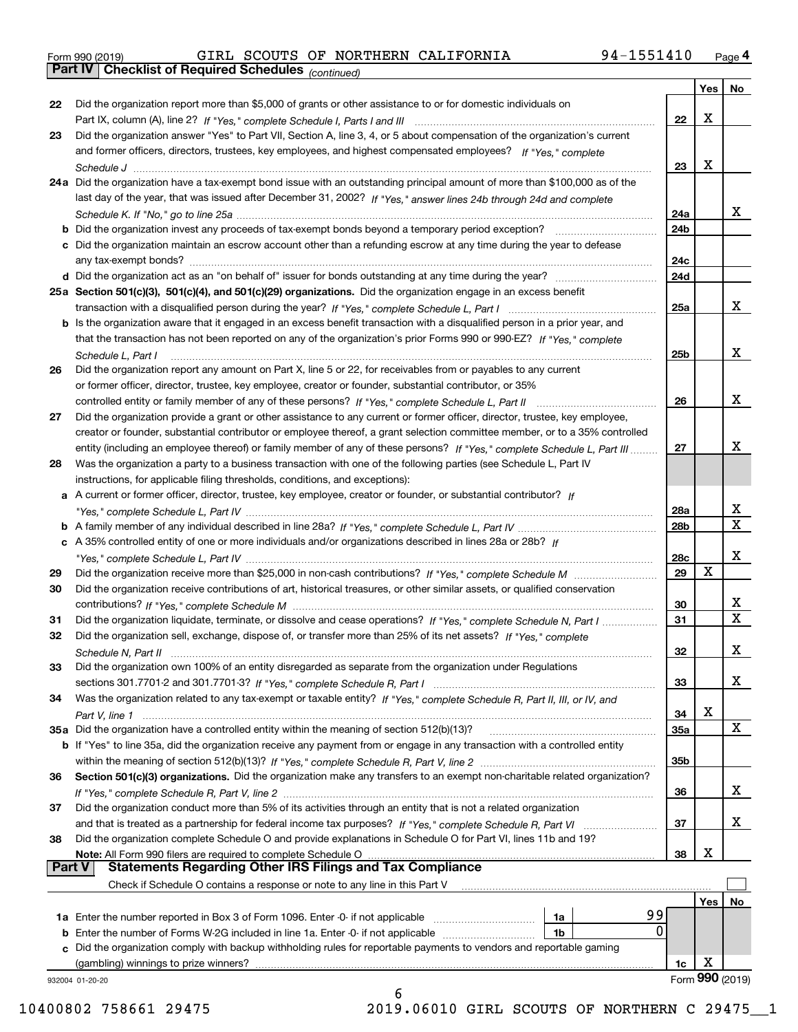*(continued)*

| Did the organization report more than \$5,000 of grants or other assistance to or for domestic individuals on<br>22<br>X<br>22<br>Did the organization answer "Yes" to Part VII, Section A, line 3, 4, or 5 about compensation of the organization's current<br>23<br>and former officers, directors, trustees, key employees, and highest compensated employees? If "Yes," complete<br>X<br>23<br>24a Did the organization have a tax-exempt bond issue with an outstanding principal amount of more than \$100,000 as of the<br>last day of the year, that was issued after December 31, 2002? If "Yes," answer lines 24b through 24d and complete<br>x<br>24a<br><b>b</b> Did the organization invest any proceeds of tax-exempt bonds beyond a temporary period exception?<br>24b<br>c Did the organization maintain an escrow account other than a refunding escrow at any time during the year to defease<br>24c<br>24d<br>25a Section 501(c)(3), 501(c)(4), and 501(c)(29) organizations. Did the organization engage in an excess benefit<br>x<br>25a<br><b>b</b> Is the organization aware that it engaged in an excess benefit transaction with a disqualified person in a prior year, and<br>that the transaction has not been reported on any of the organization's prior Forms 990 or 990-EZ? If "Yes," complete<br>x<br>25 <sub>b</sub><br>Schedule L, Part I<br>Did the organization report any amount on Part X, line 5 or 22, for receivables from or payables to any current<br>26<br>or former officer, director, trustee, key employee, creator or founder, substantial contributor, or 35%<br>x<br>26<br>Did the organization provide a grant or other assistance to any current or former officer, director, trustee, key employee,<br>27<br>creator or founder, substantial contributor or employee thereof, a grant selection committee member, or to a 35% controlled<br>х<br>entity (including an employee thereof) or family member of any of these persons? If "Yes," complete Schedule L, Part III<br>27<br>Was the organization a party to a business transaction with one of the following parties (see Schedule L, Part IV<br>28<br>instructions, for applicable filing thresholds, conditions, and exceptions):<br>a A current or former officer, director, trustee, key employee, creator or founder, or substantial contributor? If<br>x<br>28a<br>$\overline{\mathbf{X}}$<br>28 <sub>b</sub><br>c A 35% controlled entity of one or more individuals and/or organizations described in lines 28a or 28b? If<br>x<br>28c<br>X<br>29<br>29<br>Did the organization receive contributions of art, historical treasures, or other similar assets, or qualified conservation<br>30<br>x<br>30<br>$\overline{\mathbf{x}}$<br>31<br>Did the organization liquidate, terminate, or dissolve and cease operations? If "Yes," complete Schedule N, Part I<br>31<br>Did the organization sell, exchange, dispose of, or transfer more than 25% of its net assets? If "Yes," complete<br>32<br>X<br>32<br>Schedule N, Part II<br>Did the organization own 100% of an entity disregarded as separate from the organization under Regulations<br>33<br>X<br>33<br>Was the organization related to any tax-exempt or taxable entity? If "Yes," complete Schedule R, Part II, III, or IV, and<br>34<br>X<br>34<br>X<br>35a Did the organization have a controlled entity within the meaning of section 512(b)(13)?<br><b>35a</b><br>b If "Yes" to line 35a, did the organization receive any payment from or engage in any transaction with a controlled entity<br>35b<br>Section 501(c)(3) organizations. Did the organization make any transfers to an exempt non-charitable related organization?<br>36<br>x<br>36<br>Did the organization conduct more than 5% of its activities through an entity that is not a related organization<br>37<br>x<br>37<br>and that is treated as a partnership for federal income tax purposes? If "Yes," complete Schedule R, Part VI<br>Did the organization complete Schedule O and provide explanations in Schedule O for Part VI, lines 11b and 19?<br>38<br>X<br>Note: All Form 990 filers are required to complete Schedule O<br>38<br><b>Statements Regarding Other IRS Filings and Tax Compliance</b><br><b>Part V</b><br>Check if Schedule O contains a response or note to any line in this Part V<br>Yes<br>No<br>99<br>1a Enter the number reported in Box 3 of Form 1096. Enter -0- if not applicable<br>1a<br>0<br>1b<br>c Did the organization comply with backup withholding rules for reportable payments to vendors and reportable gaming<br>X<br>(gambling) winnings to prize winners?<br>1c<br>932004 01-20-20<br>6 |  |  | Yes   No |
|--------------------------------------------------------------------------------------------------------------------------------------------------------------------------------------------------------------------------------------------------------------------------------------------------------------------------------------------------------------------------------------------------------------------------------------------------------------------------------------------------------------------------------------------------------------------------------------------------------------------------------------------------------------------------------------------------------------------------------------------------------------------------------------------------------------------------------------------------------------------------------------------------------------------------------------------------------------------------------------------------------------------------------------------------------------------------------------------------------------------------------------------------------------------------------------------------------------------------------------------------------------------------------------------------------------------------------------------------------------------------------------------------------------------------------------------------------------------------------------------------------------------------------------------------------------------------------------------------------------------------------------------------------------------------------------------------------------------------------------------------------------------------------------------------------------------------------------------------------------------------------------------------------------------------------------------------------------------------------------------------------------------------------------------------------------------------------------------------------------------------------------------------------------------------------------------------------------------------------------------------------------------------------------------------------------------------------------------------------------------------------------------------------------------------------------------------------------------------------------------------------------------------------------------------------------------------------------------------------------------------------------------------------------------------------------------------------------------------------------------------------------------------------------------------------------------------------------------------------------------------------------------------------------------------------------------------------------------------------------------------------------------------------------------------------------------------------------------------------------------------------------------------------------------------------------------------------------------------------------------------------------------------------------------------------------------------------------------------------------------------------------------------------------------------------------------------------------------------------------------------------------------------------------------------------------------------------------------------------------------------------------------------------------------------------------------------------------------------------------------------------------------------------------------------------------------------------------------------------------------------------------------------------------------------------------------------------------------------------------------------------------------------------------------------------------------------------------------------------------------------------------------------------------------------------------------------------------------------------------------------------------------------------------------------------------------------------------------------------------------------------------------------------------------------------------------------------------------------------------------------------------------------------------------------------------------------------------------------------------------------------------------------------------------------------------------------|--|--|----------|
|                                                                                                                                                                                                                                                                                                                                                                                                                                                                                                                                                                                                                                                                                                                                                                                                                                                                                                                                                                                                                                                                                                                                                                                                                                                                                                                                                                                                                                                                                                                                                                                                                                                                                                                                                                                                                                                                                                                                                                                                                                                                                                                                                                                                                                                                                                                                                                                                                                                                                                                                                                                                                                                                                                                                                                                                                                                                                                                                                                                                                                                                                                                                                                                                                                                                                                                                                                                                                                                                                                                                                                                                                                                                                                                                                                                                                                                                                                                                                                                                                                                                                                                                                                                                                                                                                                                                                                                                                                                                                                                                                                                                                                                                                                  |  |  |          |
|                                                                                                                                                                                                                                                                                                                                                                                                                                                                                                                                                                                                                                                                                                                                                                                                                                                                                                                                                                                                                                                                                                                                                                                                                                                                                                                                                                                                                                                                                                                                                                                                                                                                                                                                                                                                                                                                                                                                                                                                                                                                                                                                                                                                                                                                                                                                                                                                                                                                                                                                                                                                                                                                                                                                                                                                                                                                                                                                                                                                                                                                                                                                                                                                                                                                                                                                                                                                                                                                                                                                                                                                                                                                                                                                                                                                                                                                                                                                                                                                                                                                                                                                                                                                                                                                                                                                                                                                                                                                                                                                                                                                                                                                                                  |  |  |          |
| Form 990 (2019)                                                                                                                                                                                                                                                                                                                                                                                                                                                                                                                                                                                                                                                                                                                                                                                                                                                                                                                                                                                                                                                                                                                                                                                                                                                                                                                                                                                                                                                                                                                                                                                                                                                                                                                                                                                                                                                                                                                                                                                                                                                                                                                                                                                                                                                                                                                                                                                                                                                                                                                                                                                                                                                                                                                                                                                                                                                                                                                                                                                                                                                                                                                                                                                                                                                                                                                                                                                                                                                                                                                                                                                                                                                                                                                                                                                                                                                                                                                                                                                                                                                                                                                                                                                                                                                                                                                                                                                                                                                                                                                                                                                                                                                                                  |  |  |          |
|                                                                                                                                                                                                                                                                                                                                                                                                                                                                                                                                                                                                                                                                                                                                                                                                                                                                                                                                                                                                                                                                                                                                                                                                                                                                                                                                                                                                                                                                                                                                                                                                                                                                                                                                                                                                                                                                                                                                                                                                                                                                                                                                                                                                                                                                                                                                                                                                                                                                                                                                                                                                                                                                                                                                                                                                                                                                                                                                                                                                                                                                                                                                                                                                                                                                                                                                                                                                                                                                                                                                                                                                                                                                                                                                                                                                                                                                                                                                                                                                                                                                                                                                                                                                                                                                                                                                                                                                                                                                                                                                                                                                                                                                                                  |  |  |          |
|                                                                                                                                                                                                                                                                                                                                                                                                                                                                                                                                                                                                                                                                                                                                                                                                                                                                                                                                                                                                                                                                                                                                                                                                                                                                                                                                                                                                                                                                                                                                                                                                                                                                                                                                                                                                                                                                                                                                                                                                                                                                                                                                                                                                                                                                                                                                                                                                                                                                                                                                                                                                                                                                                                                                                                                                                                                                                                                                                                                                                                                                                                                                                                                                                                                                                                                                                                                                                                                                                                                                                                                                                                                                                                                                                                                                                                                                                                                                                                                                                                                                                                                                                                                                                                                                                                                                                                                                                                                                                                                                                                                                                                                                                                  |  |  |          |
|                                                                                                                                                                                                                                                                                                                                                                                                                                                                                                                                                                                                                                                                                                                                                                                                                                                                                                                                                                                                                                                                                                                                                                                                                                                                                                                                                                                                                                                                                                                                                                                                                                                                                                                                                                                                                                                                                                                                                                                                                                                                                                                                                                                                                                                                                                                                                                                                                                                                                                                                                                                                                                                                                                                                                                                                                                                                                                                                                                                                                                                                                                                                                                                                                                                                                                                                                                                                                                                                                                                                                                                                                                                                                                                                                                                                                                                                                                                                                                                                                                                                                                                                                                                                                                                                                                                                                                                                                                                                                                                                                                                                                                                                                                  |  |  |          |
|                                                                                                                                                                                                                                                                                                                                                                                                                                                                                                                                                                                                                                                                                                                                                                                                                                                                                                                                                                                                                                                                                                                                                                                                                                                                                                                                                                                                                                                                                                                                                                                                                                                                                                                                                                                                                                                                                                                                                                                                                                                                                                                                                                                                                                                                                                                                                                                                                                                                                                                                                                                                                                                                                                                                                                                                                                                                                                                                                                                                                                                                                                                                                                                                                                                                                                                                                                                                                                                                                                                                                                                                                                                                                                                                                                                                                                                                                                                                                                                                                                                                                                                                                                                                                                                                                                                                                                                                                                                                                                                                                                                                                                                                                                  |  |  |          |
|                                                                                                                                                                                                                                                                                                                                                                                                                                                                                                                                                                                                                                                                                                                                                                                                                                                                                                                                                                                                                                                                                                                                                                                                                                                                                                                                                                                                                                                                                                                                                                                                                                                                                                                                                                                                                                                                                                                                                                                                                                                                                                                                                                                                                                                                                                                                                                                                                                                                                                                                                                                                                                                                                                                                                                                                                                                                                                                                                                                                                                                                                                                                                                                                                                                                                                                                                                                                                                                                                                                                                                                                                                                                                                                                                                                                                                                                                                                                                                                                                                                                                                                                                                                                                                                                                                                                                                                                                                                                                                                                                                                                                                                                                                  |  |  |          |
|                                                                                                                                                                                                                                                                                                                                                                                                                                                                                                                                                                                                                                                                                                                                                                                                                                                                                                                                                                                                                                                                                                                                                                                                                                                                                                                                                                                                                                                                                                                                                                                                                                                                                                                                                                                                                                                                                                                                                                                                                                                                                                                                                                                                                                                                                                                                                                                                                                                                                                                                                                                                                                                                                                                                                                                                                                                                                                                                                                                                                                                                                                                                                                                                                                                                                                                                                                                                                                                                                                                                                                                                                                                                                                                                                                                                                                                                                                                                                                                                                                                                                                                                                                                                                                                                                                                                                                                                                                                                                                                                                                                                                                                                                                  |  |  |          |
|                                                                                                                                                                                                                                                                                                                                                                                                                                                                                                                                                                                                                                                                                                                                                                                                                                                                                                                                                                                                                                                                                                                                                                                                                                                                                                                                                                                                                                                                                                                                                                                                                                                                                                                                                                                                                                                                                                                                                                                                                                                                                                                                                                                                                                                                                                                                                                                                                                                                                                                                                                                                                                                                                                                                                                                                                                                                                                                                                                                                                                                                                                                                                                                                                                                                                                                                                                                                                                                                                                                                                                                                                                                                                                                                                                                                                                                                                                                                                                                                                                                                                                                                                                                                                                                                                                                                                                                                                                                                                                                                                                                                                                                                                                  |  |  |          |
|                                                                                                                                                                                                                                                                                                                                                                                                                                                                                                                                                                                                                                                                                                                                                                                                                                                                                                                                                                                                                                                                                                                                                                                                                                                                                                                                                                                                                                                                                                                                                                                                                                                                                                                                                                                                                                                                                                                                                                                                                                                                                                                                                                                                                                                                                                                                                                                                                                                                                                                                                                                                                                                                                                                                                                                                                                                                                                                                                                                                                                                                                                                                                                                                                                                                                                                                                                                                                                                                                                                                                                                                                                                                                                                                                                                                                                                                                                                                                                                                                                                                                                                                                                                                                                                                                                                                                                                                                                                                                                                                                                                                                                                                                                  |  |  |          |
|                                                                                                                                                                                                                                                                                                                                                                                                                                                                                                                                                                                                                                                                                                                                                                                                                                                                                                                                                                                                                                                                                                                                                                                                                                                                                                                                                                                                                                                                                                                                                                                                                                                                                                                                                                                                                                                                                                                                                                                                                                                                                                                                                                                                                                                                                                                                                                                                                                                                                                                                                                                                                                                                                                                                                                                                                                                                                                                                                                                                                                                                                                                                                                                                                                                                                                                                                                                                                                                                                                                                                                                                                                                                                                                                                                                                                                                                                                                                                                                                                                                                                                                                                                                                                                                                                                                                                                                                                                                                                                                                                                                                                                                                                                  |  |  |          |
|                                                                                                                                                                                                                                                                                                                                                                                                                                                                                                                                                                                                                                                                                                                                                                                                                                                                                                                                                                                                                                                                                                                                                                                                                                                                                                                                                                                                                                                                                                                                                                                                                                                                                                                                                                                                                                                                                                                                                                                                                                                                                                                                                                                                                                                                                                                                                                                                                                                                                                                                                                                                                                                                                                                                                                                                                                                                                                                                                                                                                                                                                                                                                                                                                                                                                                                                                                                                                                                                                                                                                                                                                                                                                                                                                                                                                                                                                                                                                                                                                                                                                                                                                                                                                                                                                                                                                                                                                                                                                                                                                                                                                                                                                                  |  |  |          |
|                                                                                                                                                                                                                                                                                                                                                                                                                                                                                                                                                                                                                                                                                                                                                                                                                                                                                                                                                                                                                                                                                                                                                                                                                                                                                                                                                                                                                                                                                                                                                                                                                                                                                                                                                                                                                                                                                                                                                                                                                                                                                                                                                                                                                                                                                                                                                                                                                                                                                                                                                                                                                                                                                                                                                                                                                                                                                                                                                                                                                                                                                                                                                                                                                                                                                                                                                                                                                                                                                                                                                                                                                                                                                                                                                                                                                                                                                                                                                                                                                                                                                                                                                                                                                                                                                                                                                                                                                                                                                                                                                                                                                                                                                                  |  |  |          |
|                                                                                                                                                                                                                                                                                                                                                                                                                                                                                                                                                                                                                                                                                                                                                                                                                                                                                                                                                                                                                                                                                                                                                                                                                                                                                                                                                                                                                                                                                                                                                                                                                                                                                                                                                                                                                                                                                                                                                                                                                                                                                                                                                                                                                                                                                                                                                                                                                                                                                                                                                                                                                                                                                                                                                                                                                                                                                                                                                                                                                                                                                                                                                                                                                                                                                                                                                                                                                                                                                                                                                                                                                                                                                                                                                                                                                                                                                                                                                                                                                                                                                                                                                                                                                                                                                                                                                                                                                                                                                                                                                                                                                                                                                                  |  |  |          |
|                                                                                                                                                                                                                                                                                                                                                                                                                                                                                                                                                                                                                                                                                                                                                                                                                                                                                                                                                                                                                                                                                                                                                                                                                                                                                                                                                                                                                                                                                                                                                                                                                                                                                                                                                                                                                                                                                                                                                                                                                                                                                                                                                                                                                                                                                                                                                                                                                                                                                                                                                                                                                                                                                                                                                                                                                                                                                                                                                                                                                                                                                                                                                                                                                                                                                                                                                                                                                                                                                                                                                                                                                                                                                                                                                                                                                                                                                                                                                                                                                                                                                                                                                                                                                                                                                                                                                                                                                                                                                                                                                                                                                                                                                                  |  |  |          |
|                                                                                                                                                                                                                                                                                                                                                                                                                                                                                                                                                                                                                                                                                                                                                                                                                                                                                                                                                                                                                                                                                                                                                                                                                                                                                                                                                                                                                                                                                                                                                                                                                                                                                                                                                                                                                                                                                                                                                                                                                                                                                                                                                                                                                                                                                                                                                                                                                                                                                                                                                                                                                                                                                                                                                                                                                                                                                                                                                                                                                                                                                                                                                                                                                                                                                                                                                                                                                                                                                                                                                                                                                                                                                                                                                                                                                                                                                                                                                                                                                                                                                                                                                                                                                                                                                                                                                                                                                                                                                                                                                                                                                                                                                                  |  |  |          |
|                                                                                                                                                                                                                                                                                                                                                                                                                                                                                                                                                                                                                                                                                                                                                                                                                                                                                                                                                                                                                                                                                                                                                                                                                                                                                                                                                                                                                                                                                                                                                                                                                                                                                                                                                                                                                                                                                                                                                                                                                                                                                                                                                                                                                                                                                                                                                                                                                                                                                                                                                                                                                                                                                                                                                                                                                                                                                                                                                                                                                                                                                                                                                                                                                                                                                                                                                                                                                                                                                                                                                                                                                                                                                                                                                                                                                                                                                                                                                                                                                                                                                                                                                                                                                                                                                                                                                                                                                                                                                                                                                                                                                                                                                                  |  |  |          |
|                                                                                                                                                                                                                                                                                                                                                                                                                                                                                                                                                                                                                                                                                                                                                                                                                                                                                                                                                                                                                                                                                                                                                                                                                                                                                                                                                                                                                                                                                                                                                                                                                                                                                                                                                                                                                                                                                                                                                                                                                                                                                                                                                                                                                                                                                                                                                                                                                                                                                                                                                                                                                                                                                                                                                                                                                                                                                                                                                                                                                                                                                                                                                                                                                                                                                                                                                                                                                                                                                                                                                                                                                                                                                                                                                                                                                                                                                                                                                                                                                                                                                                                                                                                                                                                                                                                                                                                                                                                                                                                                                                                                                                                                                                  |  |  |          |
|                                                                                                                                                                                                                                                                                                                                                                                                                                                                                                                                                                                                                                                                                                                                                                                                                                                                                                                                                                                                                                                                                                                                                                                                                                                                                                                                                                                                                                                                                                                                                                                                                                                                                                                                                                                                                                                                                                                                                                                                                                                                                                                                                                                                                                                                                                                                                                                                                                                                                                                                                                                                                                                                                                                                                                                                                                                                                                                                                                                                                                                                                                                                                                                                                                                                                                                                                                                                                                                                                                                                                                                                                                                                                                                                                                                                                                                                                                                                                                                                                                                                                                                                                                                                                                                                                                                                                                                                                                                                                                                                                                                                                                                                                                  |  |  |          |
|                                                                                                                                                                                                                                                                                                                                                                                                                                                                                                                                                                                                                                                                                                                                                                                                                                                                                                                                                                                                                                                                                                                                                                                                                                                                                                                                                                                                                                                                                                                                                                                                                                                                                                                                                                                                                                                                                                                                                                                                                                                                                                                                                                                                                                                                                                                                                                                                                                                                                                                                                                                                                                                                                                                                                                                                                                                                                                                                                                                                                                                                                                                                                                                                                                                                                                                                                                                                                                                                                                                                                                                                                                                                                                                                                                                                                                                                                                                                                                                                                                                                                                                                                                                                                                                                                                                                                                                                                                                                                                                                                                                                                                                                                                  |  |  |          |
|                                                                                                                                                                                                                                                                                                                                                                                                                                                                                                                                                                                                                                                                                                                                                                                                                                                                                                                                                                                                                                                                                                                                                                                                                                                                                                                                                                                                                                                                                                                                                                                                                                                                                                                                                                                                                                                                                                                                                                                                                                                                                                                                                                                                                                                                                                                                                                                                                                                                                                                                                                                                                                                                                                                                                                                                                                                                                                                                                                                                                                                                                                                                                                                                                                                                                                                                                                                                                                                                                                                                                                                                                                                                                                                                                                                                                                                                                                                                                                                                                                                                                                                                                                                                                                                                                                                                                                                                                                                                                                                                                                                                                                                                                                  |  |  |          |
|                                                                                                                                                                                                                                                                                                                                                                                                                                                                                                                                                                                                                                                                                                                                                                                                                                                                                                                                                                                                                                                                                                                                                                                                                                                                                                                                                                                                                                                                                                                                                                                                                                                                                                                                                                                                                                                                                                                                                                                                                                                                                                                                                                                                                                                                                                                                                                                                                                                                                                                                                                                                                                                                                                                                                                                                                                                                                                                                                                                                                                                                                                                                                                                                                                                                                                                                                                                                                                                                                                                                                                                                                                                                                                                                                                                                                                                                                                                                                                                                                                                                                                                                                                                                                                                                                                                                                                                                                                                                                                                                                                                                                                                                                                  |  |  |          |
|                                                                                                                                                                                                                                                                                                                                                                                                                                                                                                                                                                                                                                                                                                                                                                                                                                                                                                                                                                                                                                                                                                                                                                                                                                                                                                                                                                                                                                                                                                                                                                                                                                                                                                                                                                                                                                                                                                                                                                                                                                                                                                                                                                                                                                                                                                                                                                                                                                                                                                                                                                                                                                                                                                                                                                                                                                                                                                                                                                                                                                                                                                                                                                                                                                                                                                                                                                                                                                                                                                                                                                                                                                                                                                                                                                                                                                                                                                                                                                                                                                                                                                                                                                                                                                                                                                                                                                                                                                                                                                                                                                                                                                                                                                  |  |  |          |
|                                                                                                                                                                                                                                                                                                                                                                                                                                                                                                                                                                                                                                                                                                                                                                                                                                                                                                                                                                                                                                                                                                                                                                                                                                                                                                                                                                                                                                                                                                                                                                                                                                                                                                                                                                                                                                                                                                                                                                                                                                                                                                                                                                                                                                                                                                                                                                                                                                                                                                                                                                                                                                                                                                                                                                                                                                                                                                                                                                                                                                                                                                                                                                                                                                                                                                                                                                                                                                                                                                                                                                                                                                                                                                                                                                                                                                                                                                                                                                                                                                                                                                                                                                                                                                                                                                                                                                                                                                                                                                                                                                                                                                                                                                  |  |  |          |
|                                                                                                                                                                                                                                                                                                                                                                                                                                                                                                                                                                                                                                                                                                                                                                                                                                                                                                                                                                                                                                                                                                                                                                                                                                                                                                                                                                                                                                                                                                                                                                                                                                                                                                                                                                                                                                                                                                                                                                                                                                                                                                                                                                                                                                                                                                                                                                                                                                                                                                                                                                                                                                                                                                                                                                                                                                                                                                                                                                                                                                                                                                                                                                                                                                                                                                                                                                                                                                                                                                                                                                                                                                                                                                                                                                                                                                                                                                                                                                                                                                                                                                                                                                                                                                                                                                                                                                                                                                                                                                                                                                                                                                                                                                  |  |  |          |
|                                                                                                                                                                                                                                                                                                                                                                                                                                                                                                                                                                                                                                                                                                                                                                                                                                                                                                                                                                                                                                                                                                                                                                                                                                                                                                                                                                                                                                                                                                                                                                                                                                                                                                                                                                                                                                                                                                                                                                                                                                                                                                                                                                                                                                                                                                                                                                                                                                                                                                                                                                                                                                                                                                                                                                                                                                                                                                                                                                                                                                                                                                                                                                                                                                                                                                                                                                                                                                                                                                                                                                                                                                                                                                                                                                                                                                                                                                                                                                                                                                                                                                                                                                                                                                                                                                                                                                                                                                                                                                                                                                                                                                                                                                  |  |  |          |
|                                                                                                                                                                                                                                                                                                                                                                                                                                                                                                                                                                                                                                                                                                                                                                                                                                                                                                                                                                                                                                                                                                                                                                                                                                                                                                                                                                                                                                                                                                                                                                                                                                                                                                                                                                                                                                                                                                                                                                                                                                                                                                                                                                                                                                                                                                                                                                                                                                                                                                                                                                                                                                                                                                                                                                                                                                                                                                                                                                                                                                                                                                                                                                                                                                                                                                                                                                                                                                                                                                                                                                                                                                                                                                                                                                                                                                                                                                                                                                                                                                                                                                                                                                                                                                                                                                                                                                                                                                                                                                                                                                                                                                                                                                  |  |  |          |
|                                                                                                                                                                                                                                                                                                                                                                                                                                                                                                                                                                                                                                                                                                                                                                                                                                                                                                                                                                                                                                                                                                                                                                                                                                                                                                                                                                                                                                                                                                                                                                                                                                                                                                                                                                                                                                                                                                                                                                                                                                                                                                                                                                                                                                                                                                                                                                                                                                                                                                                                                                                                                                                                                                                                                                                                                                                                                                                                                                                                                                                                                                                                                                                                                                                                                                                                                                                                                                                                                                                                                                                                                                                                                                                                                                                                                                                                                                                                                                                                                                                                                                                                                                                                                                                                                                                                                                                                                                                                                                                                                                                                                                                                                                  |  |  |          |
|                                                                                                                                                                                                                                                                                                                                                                                                                                                                                                                                                                                                                                                                                                                                                                                                                                                                                                                                                                                                                                                                                                                                                                                                                                                                                                                                                                                                                                                                                                                                                                                                                                                                                                                                                                                                                                                                                                                                                                                                                                                                                                                                                                                                                                                                                                                                                                                                                                                                                                                                                                                                                                                                                                                                                                                                                                                                                                                                                                                                                                                                                                                                                                                                                                                                                                                                                                                                                                                                                                                                                                                                                                                                                                                                                                                                                                                                                                                                                                                                                                                                                                                                                                                                                                                                                                                                                                                                                                                                                                                                                                                                                                                                                                  |  |  |          |
|                                                                                                                                                                                                                                                                                                                                                                                                                                                                                                                                                                                                                                                                                                                                                                                                                                                                                                                                                                                                                                                                                                                                                                                                                                                                                                                                                                                                                                                                                                                                                                                                                                                                                                                                                                                                                                                                                                                                                                                                                                                                                                                                                                                                                                                                                                                                                                                                                                                                                                                                                                                                                                                                                                                                                                                                                                                                                                                                                                                                                                                                                                                                                                                                                                                                                                                                                                                                                                                                                                                                                                                                                                                                                                                                                                                                                                                                                                                                                                                                                                                                                                                                                                                                                                                                                                                                                                                                                                                                                                                                                                                                                                                                                                  |  |  |          |
|                                                                                                                                                                                                                                                                                                                                                                                                                                                                                                                                                                                                                                                                                                                                                                                                                                                                                                                                                                                                                                                                                                                                                                                                                                                                                                                                                                                                                                                                                                                                                                                                                                                                                                                                                                                                                                                                                                                                                                                                                                                                                                                                                                                                                                                                                                                                                                                                                                                                                                                                                                                                                                                                                                                                                                                                                                                                                                                                                                                                                                                                                                                                                                                                                                                                                                                                                                                                                                                                                                                                                                                                                                                                                                                                                                                                                                                                                                                                                                                                                                                                                                                                                                                                                                                                                                                                                                                                                                                                                                                                                                                                                                                                                                  |  |  |          |
|                                                                                                                                                                                                                                                                                                                                                                                                                                                                                                                                                                                                                                                                                                                                                                                                                                                                                                                                                                                                                                                                                                                                                                                                                                                                                                                                                                                                                                                                                                                                                                                                                                                                                                                                                                                                                                                                                                                                                                                                                                                                                                                                                                                                                                                                                                                                                                                                                                                                                                                                                                                                                                                                                                                                                                                                                                                                                                                                                                                                                                                                                                                                                                                                                                                                                                                                                                                                                                                                                                                                                                                                                                                                                                                                                                                                                                                                                                                                                                                                                                                                                                                                                                                                                                                                                                                                                                                                                                                                                                                                                                                                                                                                                                  |  |  |          |
|                                                                                                                                                                                                                                                                                                                                                                                                                                                                                                                                                                                                                                                                                                                                                                                                                                                                                                                                                                                                                                                                                                                                                                                                                                                                                                                                                                                                                                                                                                                                                                                                                                                                                                                                                                                                                                                                                                                                                                                                                                                                                                                                                                                                                                                                                                                                                                                                                                                                                                                                                                                                                                                                                                                                                                                                                                                                                                                                                                                                                                                                                                                                                                                                                                                                                                                                                                                                                                                                                                                                                                                                                                                                                                                                                                                                                                                                                                                                                                                                                                                                                                                                                                                                                                                                                                                                                                                                                                                                                                                                                                                                                                                                                                  |  |  |          |
|                                                                                                                                                                                                                                                                                                                                                                                                                                                                                                                                                                                                                                                                                                                                                                                                                                                                                                                                                                                                                                                                                                                                                                                                                                                                                                                                                                                                                                                                                                                                                                                                                                                                                                                                                                                                                                                                                                                                                                                                                                                                                                                                                                                                                                                                                                                                                                                                                                                                                                                                                                                                                                                                                                                                                                                                                                                                                                                                                                                                                                                                                                                                                                                                                                                                                                                                                                                                                                                                                                                                                                                                                                                                                                                                                                                                                                                                                                                                                                                                                                                                                                                                                                                                                                                                                                                                                                                                                                                                                                                                                                                                                                                                                                  |  |  |          |
|                                                                                                                                                                                                                                                                                                                                                                                                                                                                                                                                                                                                                                                                                                                                                                                                                                                                                                                                                                                                                                                                                                                                                                                                                                                                                                                                                                                                                                                                                                                                                                                                                                                                                                                                                                                                                                                                                                                                                                                                                                                                                                                                                                                                                                                                                                                                                                                                                                                                                                                                                                                                                                                                                                                                                                                                                                                                                                                                                                                                                                                                                                                                                                                                                                                                                                                                                                                                                                                                                                                                                                                                                                                                                                                                                                                                                                                                                                                                                                                                                                                                                                                                                                                                                                                                                                                                                                                                                                                                                                                                                                                                                                                                                                  |  |  |          |
|                                                                                                                                                                                                                                                                                                                                                                                                                                                                                                                                                                                                                                                                                                                                                                                                                                                                                                                                                                                                                                                                                                                                                                                                                                                                                                                                                                                                                                                                                                                                                                                                                                                                                                                                                                                                                                                                                                                                                                                                                                                                                                                                                                                                                                                                                                                                                                                                                                                                                                                                                                                                                                                                                                                                                                                                                                                                                                                                                                                                                                                                                                                                                                                                                                                                                                                                                                                                                                                                                                                                                                                                                                                                                                                                                                                                                                                                                                                                                                                                                                                                                                                                                                                                                                                                                                                                                                                                                                                                                                                                                                                                                                                                                                  |  |  |          |
|                                                                                                                                                                                                                                                                                                                                                                                                                                                                                                                                                                                                                                                                                                                                                                                                                                                                                                                                                                                                                                                                                                                                                                                                                                                                                                                                                                                                                                                                                                                                                                                                                                                                                                                                                                                                                                                                                                                                                                                                                                                                                                                                                                                                                                                                                                                                                                                                                                                                                                                                                                                                                                                                                                                                                                                                                                                                                                                                                                                                                                                                                                                                                                                                                                                                                                                                                                                                                                                                                                                                                                                                                                                                                                                                                                                                                                                                                                                                                                                                                                                                                                                                                                                                                                                                                                                                                                                                                                                                                                                                                                                                                                                                                                  |  |  |          |
|                                                                                                                                                                                                                                                                                                                                                                                                                                                                                                                                                                                                                                                                                                                                                                                                                                                                                                                                                                                                                                                                                                                                                                                                                                                                                                                                                                                                                                                                                                                                                                                                                                                                                                                                                                                                                                                                                                                                                                                                                                                                                                                                                                                                                                                                                                                                                                                                                                                                                                                                                                                                                                                                                                                                                                                                                                                                                                                                                                                                                                                                                                                                                                                                                                                                                                                                                                                                                                                                                                                                                                                                                                                                                                                                                                                                                                                                                                                                                                                                                                                                                                                                                                                                                                                                                                                                                                                                                                                                                                                                                                                                                                                                                                  |  |  |          |
|                                                                                                                                                                                                                                                                                                                                                                                                                                                                                                                                                                                                                                                                                                                                                                                                                                                                                                                                                                                                                                                                                                                                                                                                                                                                                                                                                                                                                                                                                                                                                                                                                                                                                                                                                                                                                                                                                                                                                                                                                                                                                                                                                                                                                                                                                                                                                                                                                                                                                                                                                                                                                                                                                                                                                                                                                                                                                                                                                                                                                                                                                                                                                                                                                                                                                                                                                                                                                                                                                                                                                                                                                                                                                                                                                                                                                                                                                                                                                                                                                                                                                                                                                                                                                                                                                                                                                                                                                                                                                                                                                                                                                                                                                                  |  |  |          |
|                                                                                                                                                                                                                                                                                                                                                                                                                                                                                                                                                                                                                                                                                                                                                                                                                                                                                                                                                                                                                                                                                                                                                                                                                                                                                                                                                                                                                                                                                                                                                                                                                                                                                                                                                                                                                                                                                                                                                                                                                                                                                                                                                                                                                                                                                                                                                                                                                                                                                                                                                                                                                                                                                                                                                                                                                                                                                                                                                                                                                                                                                                                                                                                                                                                                                                                                                                                                                                                                                                                                                                                                                                                                                                                                                                                                                                                                                                                                                                                                                                                                                                                                                                                                                                                                                                                                                                                                                                                                                                                                                                                                                                                                                                  |  |  |          |
|                                                                                                                                                                                                                                                                                                                                                                                                                                                                                                                                                                                                                                                                                                                                                                                                                                                                                                                                                                                                                                                                                                                                                                                                                                                                                                                                                                                                                                                                                                                                                                                                                                                                                                                                                                                                                                                                                                                                                                                                                                                                                                                                                                                                                                                                                                                                                                                                                                                                                                                                                                                                                                                                                                                                                                                                                                                                                                                                                                                                                                                                                                                                                                                                                                                                                                                                                                                                                                                                                                                                                                                                                                                                                                                                                                                                                                                                                                                                                                                                                                                                                                                                                                                                                                                                                                                                                                                                                                                                                                                                                                                                                                                                                                  |  |  |          |
|                                                                                                                                                                                                                                                                                                                                                                                                                                                                                                                                                                                                                                                                                                                                                                                                                                                                                                                                                                                                                                                                                                                                                                                                                                                                                                                                                                                                                                                                                                                                                                                                                                                                                                                                                                                                                                                                                                                                                                                                                                                                                                                                                                                                                                                                                                                                                                                                                                                                                                                                                                                                                                                                                                                                                                                                                                                                                                                                                                                                                                                                                                                                                                                                                                                                                                                                                                                                                                                                                                                                                                                                                                                                                                                                                                                                                                                                                                                                                                                                                                                                                                                                                                                                                                                                                                                                                                                                                                                                                                                                                                                                                                                                                                  |  |  |          |
|                                                                                                                                                                                                                                                                                                                                                                                                                                                                                                                                                                                                                                                                                                                                                                                                                                                                                                                                                                                                                                                                                                                                                                                                                                                                                                                                                                                                                                                                                                                                                                                                                                                                                                                                                                                                                                                                                                                                                                                                                                                                                                                                                                                                                                                                                                                                                                                                                                                                                                                                                                                                                                                                                                                                                                                                                                                                                                                                                                                                                                                                                                                                                                                                                                                                                                                                                                                                                                                                                                                                                                                                                                                                                                                                                                                                                                                                                                                                                                                                                                                                                                                                                                                                                                                                                                                                                                                                                                                                                                                                                                                                                                                                                                  |  |  |          |
|                                                                                                                                                                                                                                                                                                                                                                                                                                                                                                                                                                                                                                                                                                                                                                                                                                                                                                                                                                                                                                                                                                                                                                                                                                                                                                                                                                                                                                                                                                                                                                                                                                                                                                                                                                                                                                                                                                                                                                                                                                                                                                                                                                                                                                                                                                                                                                                                                                                                                                                                                                                                                                                                                                                                                                                                                                                                                                                                                                                                                                                                                                                                                                                                                                                                                                                                                                                                                                                                                                                                                                                                                                                                                                                                                                                                                                                                                                                                                                                                                                                                                                                                                                                                                                                                                                                                                                                                                                                                                                                                                                                                                                                                                                  |  |  |          |
|                                                                                                                                                                                                                                                                                                                                                                                                                                                                                                                                                                                                                                                                                                                                                                                                                                                                                                                                                                                                                                                                                                                                                                                                                                                                                                                                                                                                                                                                                                                                                                                                                                                                                                                                                                                                                                                                                                                                                                                                                                                                                                                                                                                                                                                                                                                                                                                                                                                                                                                                                                                                                                                                                                                                                                                                                                                                                                                                                                                                                                                                                                                                                                                                                                                                                                                                                                                                                                                                                                                                                                                                                                                                                                                                                                                                                                                                                                                                                                                                                                                                                                                                                                                                                                                                                                                                                                                                                                                                                                                                                                                                                                                                                                  |  |  |          |
|                                                                                                                                                                                                                                                                                                                                                                                                                                                                                                                                                                                                                                                                                                                                                                                                                                                                                                                                                                                                                                                                                                                                                                                                                                                                                                                                                                                                                                                                                                                                                                                                                                                                                                                                                                                                                                                                                                                                                                                                                                                                                                                                                                                                                                                                                                                                                                                                                                                                                                                                                                                                                                                                                                                                                                                                                                                                                                                                                                                                                                                                                                                                                                                                                                                                                                                                                                                                                                                                                                                                                                                                                                                                                                                                                                                                                                                                                                                                                                                                                                                                                                                                                                                                                                                                                                                                                                                                                                                                                                                                                                                                                                                                                                  |  |  |          |
|                                                                                                                                                                                                                                                                                                                                                                                                                                                                                                                                                                                                                                                                                                                                                                                                                                                                                                                                                                                                                                                                                                                                                                                                                                                                                                                                                                                                                                                                                                                                                                                                                                                                                                                                                                                                                                                                                                                                                                                                                                                                                                                                                                                                                                                                                                                                                                                                                                                                                                                                                                                                                                                                                                                                                                                                                                                                                                                                                                                                                                                                                                                                                                                                                                                                                                                                                                                                                                                                                                                                                                                                                                                                                                                                                                                                                                                                                                                                                                                                                                                                                                                                                                                                                                                                                                                                                                                                                                                                                                                                                                                                                                                                                                  |  |  |          |
|                                                                                                                                                                                                                                                                                                                                                                                                                                                                                                                                                                                                                                                                                                                                                                                                                                                                                                                                                                                                                                                                                                                                                                                                                                                                                                                                                                                                                                                                                                                                                                                                                                                                                                                                                                                                                                                                                                                                                                                                                                                                                                                                                                                                                                                                                                                                                                                                                                                                                                                                                                                                                                                                                                                                                                                                                                                                                                                                                                                                                                                                                                                                                                                                                                                                                                                                                                                                                                                                                                                                                                                                                                                                                                                                                                                                                                                                                                                                                                                                                                                                                                                                                                                                                                                                                                                                                                                                                                                                                                                                                                                                                                                                                                  |  |  |          |
|                                                                                                                                                                                                                                                                                                                                                                                                                                                                                                                                                                                                                                                                                                                                                                                                                                                                                                                                                                                                                                                                                                                                                                                                                                                                                                                                                                                                                                                                                                                                                                                                                                                                                                                                                                                                                                                                                                                                                                                                                                                                                                                                                                                                                                                                                                                                                                                                                                                                                                                                                                                                                                                                                                                                                                                                                                                                                                                                                                                                                                                                                                                                                                                                                                                                                                                                                                                                                                                                                                                                                                                                                                                                                                                                                                                                                                                                                                                                                                                                                                                                                                                                                                                                                                                                                                                                                                                                                                                                                                                                                                                                                                                                                                  |  |  |          |
|                                                                                                                                                                                                                                                                                                                                                                                                                                                                                                                                                                                                                                                                                                                                                                                                                                                                                                                                                                                                                                                                                                                                                                                                                                                                                                                                                                                                                                                                                                                                                                                                                                                                                                                                                                                                                                                                                                                                                                                                                                                                                                                                                                                                                                                                                                                                                                                                                                                                                                                                                                                                                                                                                                                                                                                                                                                                                                                                                                                                                                                                                                                                                                                                                                                                                                                                                                                                                                                                                                                                                                                                                                                                                                                                                                                                                                                                                                                                                                                                                                                                                                                                                                                                                                                                                                                                                                                                                                                                                                                                                                                                                                                                                                  |  |  |          |
|                                                                                                                                                                                                                                                                                                                                                                                                                                                                                                                                                                                                                                                                                                                                                                                                                                                                                                                                                                                                                                                                                                                                                                                                                                                                                                                                                                                                                                                                                                                                                                                                                                                                                                                                                                                                                                                                                                                                                                                                                                                                                                                                                                                                                                                                                                                                                                                                                                                                                                                                                                                                                                                                                                                                                                                                                                                                                                                                                                                                                                                                                                                                                                                                                                                                                                                                                                                                                                                                                                                                                                                                                                                                                                                                                                                                                                                                                                                                                                                                                                                                                                                                                                                                                                                                                                                                                                                                                                                                                                                                                                                                                                                                                                  |  |  |          |
|                                                                                                                                                                                                                                                                                                                                                                                                                                                                                                                                                                                                                                                                                                                                                                                                                                                                                                                                                                                                                                                                                                                                                                                                                                                                                                                                                                                                                                                                                                                                                                                                                                                                                                                                                                                                                                                                                                                                                                                                                                                                                                                                                                                                                                                                                                                                                                                                                                                                                                                                                                                                                                                                                                                                                                                                                                                                                                                                                                                                                                                                                                                                                                                                                                                                                                                                                                                                                                                                                                                                                                                                                                                                                                                                                                                                                                                                                                                                                                                                                                                                                                                                                                                                                                                                                                                                                                                                                                                                                                                                                                                                                                                                                                  |  |  |          |
|                                                                                                                                                                                                                                                                                                                                                                                                                                                                                                                                                                                                                                                                                                                                                                                                                                                                                                                                                                                                                                                                                                                                                                                                                                                                                                                                                                                                                                                                                                                                                                                                                                                                                                                                                                                                                                                                                                                                                                                                                                                                                                                                                                                                                                                                                                                                                                                                                                                                                                                                                                                                                                                                                                                                                                                                                                                                                                                                                                                                                                                                                                                                                                                                                                                                                                                                                                                                                                                                                                                                                                                                                                                                                                                                                                                                                                                                                                                                                                                                                                                                                                                                                                                                                                                                                                                                                                                                                                                                                                                                                                                                                                                                                                  |  |  |          |
|                                                                                                                                                                                                                                                                                                                                                                                                                                                                                                                                                                                                                                                                                                                                                                                                                                                                                                                                                                                                                                                                                                                                                                                                                                                                                                                                                                                                                                                                                                                                                                                                                                                                                                                                                                                                                                                                                                                                                                                                                                                                                                                                                                                                                                                                                                                                                                                                                                                                                                                                                                                                                                                                                                                                                                                                                                                                                                                                                                                                                                                                                                                                                                                                                                                                                                                                                                                                                                                                                                                                                                                                                                                                                                                                                                                                                                                                                                                                                                                                                                                                                                                                                                                                                                                                                                                                                                                                                                                                                                                                                                                                                                                                                                  |  |  |          |
|                                                                                                                                                                                                                                                                                                                                                                                                                                                                                                                                                                                                                                                                                                                                                                                                                                                                                                                                                                                                                                                                                                                                                                                                                                                                                                                                                                                                                                                                                                                                                                                                                                                                                                                                                                                                                                                                                                                                                                                                                                                                                                                                                                                                                                                                                                                                                                                                                                                                                                                                                                                                                                                                                                                                                                                                                                                                                                                                                                                                                                                                                                                                                                                                                                                                                                                                                                                                                                                                                                                                                                                                                                                                                                                                                                                                                                                                                                                                                                                                                                                                                                                                                                                                                                                                                                                                                                                                                                                                                                                                                                                                                                                                                                  |  |  |          |
|                                                                                                                                                                                                                                                                                                                                                                                                                                                                                                                                                                                                                                                                                                                                                                                                                                                                                                                                                                                                                                                                                                                                                                                                                                                                                                                                                                                                                                                                                                                                                                                                                                                                                                                                                                                                                                                                                                                                                                                                                                                                                                                                                                                                                                                                                                                                                                                                                                                                                                                                                                                                                                                                                                                                                                                                                                                                                                                                                                                                                                                                                                                                                                                                                                                                                                                                                                                                                                                                                                                                                                                                                                                                                                                                                                                                                                                                                                                                                                                                                                                                                                                                                                                                                                                                                                                                                                                                                                                                                                                                                                                                                                                                                                  |  |  |          |
|                                                                                                                                                                                                                                                                                                                                                                                                                                                                                                                                                                                                                                                                                                                                                                                                                                                                                                                                                                                                                                                                                                                                                                                                                                                                                                                                                                                                                                                                                                                                                                                                                                                                                                                                                                                                                                                                                                                                                                                                                                                                                                                                                                                                                                                                                                                                                                                                                                                                                                                                                                                                                                                                                                                                                                                                                                                                                                                                                                                                                                                                                                                                                                                                                                                                                                                                                                                                                                                                                                                                                                                                                                                                                                                                                                                                                                                                                                                                                                                                                                                                                                                                                                                                                                                                                                                                                                                                                                                                                                                                                                                                                                                                                                  |  |  |          |

10400802 758661 29475 2019.06010 GIRL SCOUTS OF NORTHERN C 29475\_\_1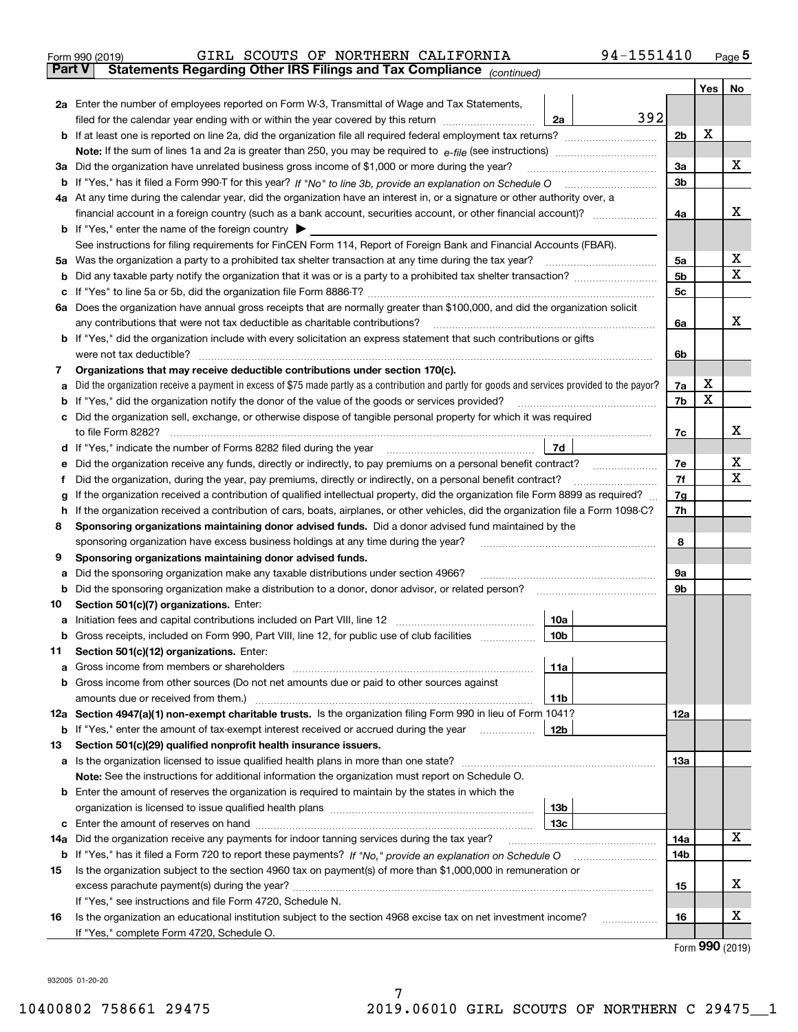|        | 94-1551410<br>GIRL SCOUTS OF NORTHERN CALIFORNIA<br>Form 990 (2019)                                                                                                                                                                  |                |     | $_{\text{Page}}$ 5 |  |  |  |  |  |  |  |
|--------|--------------------------------------------------------------------------------------------------------------------------------------------------------------------------------------------------------------------------------------|----------------|-----|--------------------|--|--|--|--|--|--|--|
| Part V | Statements Regarding Other IRS Filings and Tax Compliance (continued)                                                                                                                                                                |                |     |                    |  |  |  |  |  |  |  |
|        |                                                                                                                                                                                                                                      |                | Yes | No                 |  |  |  |  |  |  |  |
|        | 2a Enter the number of employees reported on Form W-3, Transmittal of Wage and Tax Statements,                                                                                                                                       |                |     |                    |  |  |  |  |  |  |  |
|        | 392<br>filed for the calendar year ending with or within the year covered by this return<br>2a                                                                                                                                       |                |     |                    |  |  |  |  |  |  |  |
|        |                                                                                                                                                                                                                                      |                |     |                    |  |  |  |  |  |  |  |
|        |                                                                                                                                                                                                                                      |                |     |                    |  |  |  |  |  |  |  |
| За     | Did the organization have unrelated business gross income of \$1,000 or more during the year?                                                                                                                                        | 3a             |     | x                  |  |  |  |  |  |  |  |
|        |                                                                                                                                                                                                                                      | 3 <sub>b</sub> |     |                    |  |  |  |  |  |  |  |
|        | 4a At any time during the calendar year, did the organization have an interest in, or a signature or other authority over, a                                                                                                         |                |     |                    |  |  |  |  |  |  |  |
|        |                                                                                                                                                                                                                                      | 4a             |     | х                  |  |  |  |  |  |  |  |
|        | <b>b</b> If "Yes," enter the name of the foreign country $\blacktriangleright$                                                                                                                                                       |                |     |                    |  |  |  |  |  |  |  |
|        | See instructions for filing requirements for FinCEN Form 114, Report of Foreign Bank and Financial Accounts (FBAR).                                                                                                                  |                |     |                    |  |  |  |  |  |  |  |
| 5a     | Was the organization a party to a prohibited tax shelter transaction at any time during the tax year?                                                                                                                                | 5а             |     | х                  |  |  |  |  |  |  |  |
| b      |                                                                                                                                                                                                                                      | 5 <sub>b</sub> |     | X                  |  |  |  |  |  |  |  |
| с      |                                                                                                                                                                                                                                      | 5c             |     |                    |  |  |  |  |  |  |  |
|        | 6a Does the organization have annual gross receipts that are normally greater than \$100,000, and did the organization solicit                                                                                                       |                |     |                    |  |  |  |  |  |  |  |
|        | any contributions that were not tax deductible as charitable contributions?                                                                                                                                                          | 6a             |     | x                  |  |  |  |  |  |  |  |
|        | <b>b</b> If "Yes," did the organization include with every solicitation an express statement that such contributions or gifts                                                                                                        |                |     |                    |  |  |  |  |  |  |  |
|        | were not tax deductible?                                                                                                                                                                                                             | 6b             |     |                    |  |  |  |  |  |  |  |
| 7      | Organizations that may receive deductible contributions under section 170(c).                                                                                                                                                        |                |     |                    |  |  |  |  |  |  |  |
| а      | Did the organization receive a payment in excess of \$75 made partly as a contribution and partly for goods and services provided to the payor?                                                                                      | 7a             | х   |                    |  |  |  |  |  |  |  |
| b      | If "Yes," did the organization notify the donor of the value of the goods or services provided?                                                                                                                                      | 7b             | X   |                    |  |  |  |  |  |  |  |
| с      | Did the organization sell, exchange, or otherwise dispose of tangible personal property for which it was required                                                                                                                    |                |     |                    |  |  |  |  |  |  |  |
|        |                                                                                                                                                                                                                                      | 7c             |     | х                  |  |  |  |  |  |  |  |
|        | 7d<br>d If "Yes," indicate the number of Forms 8282 filed during the year manufactured in the second of the second structure of Forms 8282 filed during the year manufactured in the Second Structure of the Second Structure of the |                |     | х                  |  |  |  |  |  |  |  |
| е      |                                                                                                                                                                                                                                      |                |     |                    |  |  |  |  |  |  |  |
| f      | Did the organization, during the year, pay premiums, directly or indirectly, on a personal benefit contract?                                                                                                                         | 7f             |     | х                  |  |  |  |  |  |  |  |
| g      | If the organization received a contribution of qualified intellectual property, did the organization file Form 8899 as required?                                                                                                     |                |     |                    |  |  |  |  |  |  |  |
| h      | If the organization received a contribution of cars, boats, airplanes, or other vehicles, did the organization file a Form 1098-C?                                                                                                   |                |     |                    |  |  |  |  |  |  |  |
| 8      | Sponsoring organizations maintaining donor advised funds. Did a donor advised fund maintained by the                                                                                                                                 |                |     |                    |  |  |  |  |  |  |  |
|        | sponsoring organization have excess business holdings at any time during the year?                                                                                                                                                   | 8              |     |                    |  |  |  |  |  |  |  |
| 9      | Sponsoring organizations maintaining donor advised funds.                                                                                                                                                                            |                |     |                    |  |  |  |  |  |  |  |
| а      | Did the sponsoring organization make any taxable distributions under section 4966?                                                                                                                                                   | 9а             |     |                    |  |  |  |  |  |  |  |
| b      | Did the sponsoring organization make a distribution to a donor, donor advisor, or related person?                                                                                                                                    | 9b             |     |                    |  |  |  |  |  |  |  |
| 10     | Section 501(c)(7) organizations. Enter:                                                                                                                                                                                              |                |     |                    |  |  |  |  |  |  |  |
| а      | 10a<br>Initiation fees and capital contributions included on Part VIII, line 12 [111] [11] [12] [11] [12] [11] [12] [                                                                                                                |                |     |                    |  |  |  |  |  |  |  |
|        | 10b <br>Gross receipts, included on Form 990, Part VIII, line 12, for public use of club facilities                                                                                                                                  |                |     |                    |  |  |  |  |  |  |  |
| 11     | Section 501(c)(12) organizations. Enter:                                                                                                                                                                                             |                |     |                    |  |  |  |  |  |  |  |
| a      | Gross income from members or shareholders<br>11a                                                                                                                                                                                     |                |     |                    |  |  |  |  |  |  |  |
| b      | Gross income from other sources (Do not net amounts due or paid to other sources against                                                                                                                                             |                |     |                    |  |  |  |  |  |  |  |
|        | 11 <sub>b</sub>                                                                                                                                                                                                                      |                |     |                    |  |  |  |  |  |  |  |
|        | 12a Section 4947(a)(1) non-exempt charitable trusts. Is the organization filing Form 990 in lieu of Form 1041?                                                                                                                       | 12a            |     |                    |  |  |  |  |  |  |  |
|        | 12b<br><b>b</b> If "Yes," enter the amount of tax-exempt interest received or accrued during the year <i>manument</i>                                                                                                                |                |     |                    |  |  |  |  |  |  |  |
| 13     | Section 501(c)(29) qualified nonprofit health insurance issuers.                                                                                                                                                                     |                |     |                    |  |  |  |  |  |  |  |
|        | a Is the organization licensed to issue qualified health plans in more than one state?                                                                                                                                               | <b>13a</b>     |     |                    |  |  |  |  |  |  |  |
|        | Note: See the instructions for additional information the organization must report on Schedule O.                                                                                                                                    |                |     |                    |  |  |  |  |  |  |  |
| b      | Enter the amount of reserves the organization is required to maintain by the states in which the                                                                                                                                     |                |     |                    |  |  |  |  |  |  |  |
|        | 13 <sub>b</sub>                                                                                                                                                                                                                      |                |     |                    |  |  |  |  |  |  |  |
| с      | 13c                                                                                                                                                                                                                                  | 14a            |     | x                  |  |  |  |  |  |  |  |
| 14a    | Did the organization receive any payments for indoor tanning services during the tax year?                                                                                                                                           |                |     |                    |  |  |  |  |  |  |  |
|        | <b>b</b> If "Yes," has it filed a Form 720 to report these payments? If "No," provide an explanation on Schedule O                                                                                                                   | 14b            |     |                    |  |  |  |  |  |  |  |
| 15     | Is the organization subject to the section 4960 tax on payment(s) of more than \$1,000,000 in remuneration or                                                                                                                        |                |     | х                  |  |  |  |  |  |  |  |
|        |                                                                                                                                                                                                                                      | 15             |     |                    |  |  |  |  |  |  |  |
| 16     | If "Yes," see instructions and file Form 4720, Schedule N.                                                                                                                                                                           |                |     | х                  |  |  |  |  |  |  |  |
|        | Is the organization an educational institution subject to the section 4968 excise tax on net investment income?<br>If "Yes," complete Form 4720, Schedule O.                                                                         | 16             |     |                    |  |  |  |  |  |  |  |
|        |                                                                                                                                                                                                                                      |                |     |                    |  |  |  |  |  |  |  |

Form (2019) **990**

932005 01-20-20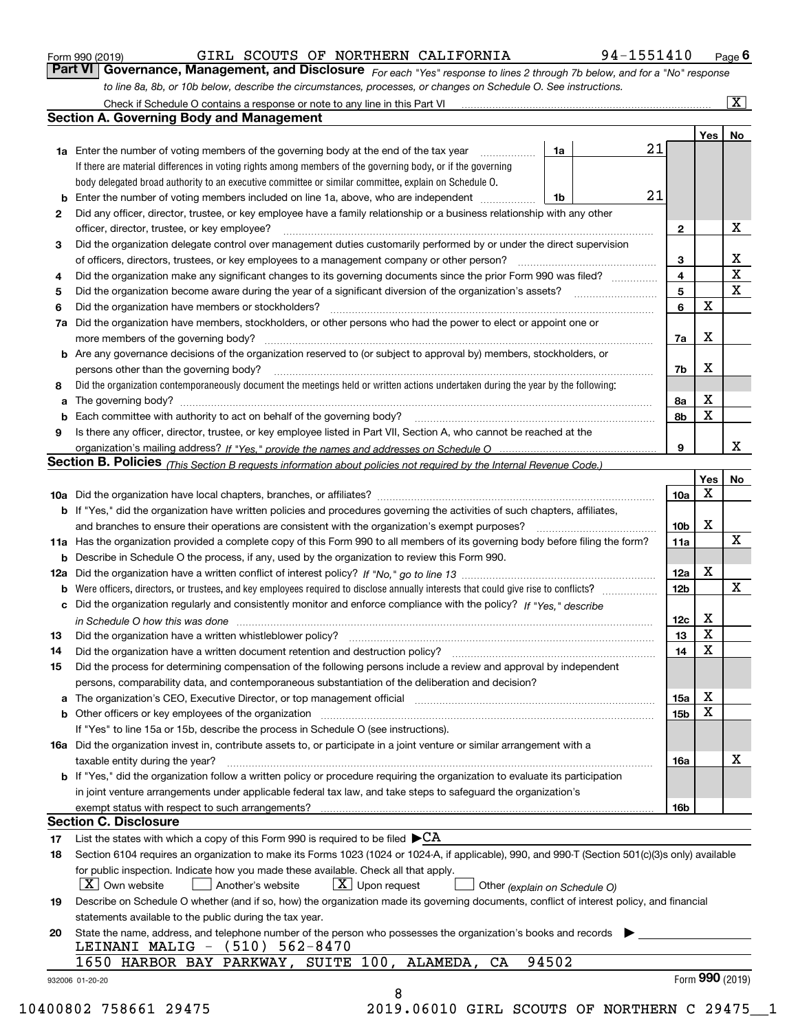|  | Form 990 (2019) |
|--|-----------------|
|  |                 |

GIRL SCOUTS OF NORTHERN CALIFORNIA 94-1551410

*For each "Yes" response to lines 2 through 7b below, and for a "No" response to line 8a, 8b, or 10b below, describe the circumstances, processes, or changes on Schedule O. See instructions.* Form 990 (2019) **CIRL SCOUTS OF NORTHERN CALIFORNIA** 94-1551410 Page 6<br>**Part VI Governance, Management, and Disclosure** *For each "Yes" response to lines 2 through 7b below, and for a "No" response* 

|    |                                                                                                                                                                               |       |    |                 | Yes   No    |             |
|----|-------------------------------------------------------------------------------------------------------------------------------------------------------------------------------|-------|----|-----------------|-------------|-------------|
|    | <b>1a</b> Enter the number of voting members of the governing body at the end of the tax year                                                                                 | 1a    | 21 |                 |             |             |
|    | If there are material differences in voting rights among members of the governing body, or if the governing                                                                   |       |    |                 |             |             |
|    | body delegated broad authority to an executive committee or similar committee, explain on Schedule O.                                                                         |       |    |                 |             |             |
|    | <b>b</b> Enter the number of voting members included on line 1a, above, who are independent <i>manumum</i>                                                                    | 1b    | 21 |                 |             |             |
| 2  | Did any officer, director, trustee, or key employee have a family relationship or a business relationship with any other                                                      |       |    |                 |             |             |
|    | officer, director, trustee, or key employee?                                                                                                                                  |       |    | $\mathbf{2}$    |             | X           |
| 3  | Did the organization delegate control over management duties customarily performed by or under the direct supervision                                                         |       |    |                 |             |             |
|    |                                                                                                                                                                               |       |    | 3               |             | X           |
| 4  | Did the organization make any significant changes to its governing documents since the prior Form 990 was filed?                                                              |       |    | $\overline{4}$  |             | $\mathbf X$ |
| 5  |                                                                                                                                                                               |       |    | 5               |             | $\mathbf X$ |
| 6  | Did the organization have members or stockholders?                                                                                                                            |       |    | 6               | $\mathbf X$ |             |
| 7a | Did the organization have members, stockholders, or other persons who had the power to elect or appoint one or                                                                |       |    |                 |             |             |
|    |                                                                                                                                                                               |       |    | 7a              | Х           |             |
|    | <b>b</b> Are any governance decisions of the organization reserved to (or subject to approval by) members, stockholders, or                                                   |       |    |                 |             |             |
|    | persons other than the governing body?                                                                                                                                        |       |    | 7b              | Х           |             |
| 8  | Did the organization contemporaneously document the meetings held or written actions undertaken during the year by the following:                                             |       |    |                 |             |             |
| a  |                                                                                                                                                                               |       |    | 8a              | X           |             |
|    |                                                                                                                                                                               |       |    | 8b              | X           |             |
|    |                                                                                                                                                                               |       |    |                 |             |             |
| 9  | Is there any officer, director, trustee, or key employee listed in Part VII, Section A, who cannot be reached at the                                                          |       |    |                 |             | x           |
|    |                                                                                                                                                                               |       |    | 9               |             |             |
|    | Section B. Policies (This Section B requests information about policies not required by the Internal Revenue Code.)                                                           |       |    |                 |             |             |
|    |                                                                                                                                                                               |       |    |                 | Yes         | No          |
|    |                                                                                                                                                                               |       |    | 10a             | Х           |             |
|    | <b>b</b> If "Yes," did the organization have written policies and procedures governing the activities of such chapters, affiliates,                                           |       |    |                 |             |             |
|    |                                                                                                                                                                               |       |    | 10 <sub>b</sub> | X           |             |
|    | 11a Has the organization provided a complete copy of this Form 990 to all members of its governing body before filing the form?                                               |       |    | 11a             |             | X           |
|    | <b>b</b> Describe in Schedule O the process, if any, used by the organization to review this Form 990.                                                                        |       |    |                 |             |             |
|    |                                                                                                                                                                               |       |    | 12a             | X           |             |
| b  |                                                                                                                                                                               |       |    | 12 <sub>b</sub> |             | X           |
|    | c Did the organization regularly and consistently monitor and enforce compliance with the policy? If "Yes." describe                                                          |       |    |                 |             |             |
|    | in Schedule O how this was done manufactured and continuum control of the Schedule O how this was done manufactured and continuum control of the Schedule O how this was done |       |    | 12c             | х           |             |
| 13 |                                                                                                                                                                               |       |    | 13              | X           |             |
| 14 | Did the organization have a written document retention and destruction policy? manufactured and the organization have a written document retention and destruction policy?    |       |    | 14              | X           |             |
| 15 | Did the process for determining compensation of the following persons include a review and approval by independent                                                            |       |    |                 |             |             |
|    | persons, comparability data, and contemporaneous substantiation of the deliberation and decision?                                                                             |       |    |                 |             |             |
|    |                                                                                                                                                                               |       |    | 15a             | X           |             |
|    |                                                                                                                                                                               |       |    | 15 <sub>b</sub> | X           |             |
|    | If "Yes" to line 15a or 15b, describe the process in Schedule O (see instructions).                                                                                           |       |    |                 |             |             |
|    |                                                                                                                                                                               |       |    |                 |             |             |
|    | 16a Did the organization invest in, contribute assets to, or participate in a joint venture or similar arrangement with a                                                     |       |    |                 |             | X           |
|    | taxable entity during the year?                                                                                                                                               |       |    | 16a             |             |             |
|    | <b>b</b> If "Yes," did the organization follow a written policy or procedure requiring the organization to evaluate its participation                                         |       |    |                 |             |             |
|    | in joint venture arrangements under applicable federal tax law, and take steps to safequard the organization's                                                                |       |    |                 |             |             |
|    | exempt status with respect to such arrangements?                                                                                                                              |       |    | 16 <sub>b</sub> |             |             |
|    | <b>Section C. Disclosure</b>                                                                                                                                                  |       |    |                 |             |             |
| 17 | List the states with which a copy of this Form 990 is required to be filed $\blacktriangleright$ CA                                                                           |       |    |                 |             |             |
| 18 | Section 6104 requires an organization to make its Forms 1023 (1024 or 1024-A, if applicable), 990, and 990-T (Section 501(c)(3)s only) available                              |       |    |                 |             |             |
|    | for public inspection. Indicate how you made these available. Check all that apply.                                                                                           |       |    |                 |             |             |
|    | $\lfloor x \rfloor$ Own website<br>$\lfloor x \rfloor$ Upon request<br>Another's website<br>Other (explain on Schedule O)                                                     |       |    |                 |             |             |
| 19 | Describe on Schedule O whether (and if so, how) the organization made its governing documents, conflict of interest policy, and financial                                     |       |    |                 |             |             |
|    | statements available to the public during the tax year.                                                                                                                       |       |    |                 |             |             |
| 20 | State the name, address, and telephone number of the person who possesses the organization's books and records                                                                |       |    |                 |             |             |
|    | LEINANI MALIG - (510)<br>$562 - 8470$                                                                                                                                         |       |    |                 |             |             |
|    |                                                                                                                                                                               |       |    |                 |             |             |
|    | 1650 HARBOR BAY PARKWAY, SUITE 100, ALAMEDA,<br>CA                                                                                                                            | 94502 |    |                 |             |             |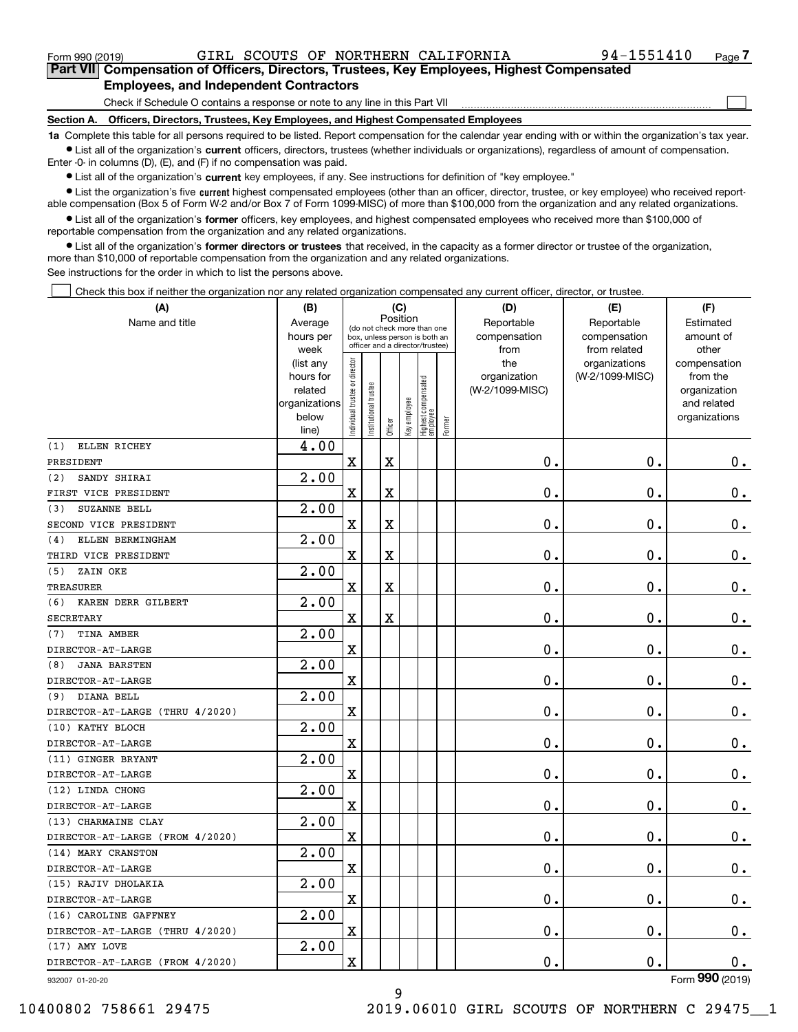$\mathcal{L}^{\text{max}}$ 

| Form 990 (2019) |                                               |  |  | GIRL SCOUTS OF NORTHERN CALIFORNIA                                                         | 94-1551410 | Page 7 |
|-----------------|-----------------------------------------------|--|--|--------------------------------------------------------------------------------------------|------------|--------|
|                 |                                               |  |  | Part VII Compensation of Officers, Directors, Trustees, Key Employees, Highest Compensated |            |        |
|                 | <b>Employees, and Independent Contractors</b> |  |  |                                                                                            |            |        |

Check if Schedule O contains a response or note to any line in this Part VII

**Section A. Officers, Directors, Trustees, Key Employees, and Highest Compensated Employees**

**1a**  Complete this table for all persons required to be listed. Report compensation for the calendar year ending with or within the organization's tax year. **•** List all of the organization's current officers, directors, trustees (whether individuals or organizations), regardless of amount of compensation.

Enter -0- in columns (D), (E), and (F) if no compensation was paid.

 $\bullet$  List all of the organization's  $\,$ current key employees, if any. See instructions for definition of "key employee."

**•** List the organization's five current highest compensated employees (other than an officer, director, trustee, or key employee) who received reportable compensation (Box 5 of Form W-2 and/or Box 7 of Form 1099-MISC) of more than \$100,000 from the organization and any related organizations.

**•** List all of the organization's former officers, key employees, and highest compensated employees who received more than \$100,000 of reportable compensation from the organization and any related organizations.

**former directors or trustees**  ¥ List all of the organization's that received, in the capacity as a former director or trustee of the organization, more than \$10,000 of reportable compensation from the organization and any related organizations.

See instructions for the order in which to list the persons above.

Check this box if neither the organization nor any related organization compensated any current officer, director, or trustee.  $\mathcal{L}^{\text{max}}$ 

| (A)                             | (B)                      |                                |                       | (C)         |              |                                  |        | (D)             | (E)                | (F)                         |
|---------------------------------|--------------------------|--------------------------------|-----------------------|-------------|--------------|----------------------------------|--------|-----------------|--------------------|-----------------------------|
| Name and title                  | Average                  |                                |                       | Position    |              | (do not check more than one      |        | Reportable      | Reportable         | Estimated                   |
|                                 | hours per                |                                |                       |             |              | box, unless person is both an    |        | compensation    | compensation       | amount of                   |
|                                 | week                     |                                |                       |             |              | officer and a director/trustee)  |        | from            | from related       | other                       |
|                                 | (list any                |                                |                       |             |              |                                  |        | the             | organizations      | compensation                |
|                                 | hours for                |                                |                       |             |              |                                  |        | organization    | (W-2/1099-MISC)    | from the                    |
|                                 | related<br>organizations |                                |                       |             |              |                                  |        | (W-2/1099-MISC) |                    | organization<br>and related |
|                                 | below                    |                                |                       |             |              |                                  |        |                 |                    | organizations               |
|                                 | line)                    | Individual trustee or director | Institutional trustee | Officer     | Key employee | Highest compensated<br> employee | Former |                 |                    |                             |
| ELLEN RICHEY<br>(1)             | $\overline{4.00}$        |                                |                       |             |              |                                  |        |                 |                    |                             |
| PRESIDENT                       |                          | $\overline{\mathbf{X}}$        |                       | $\mathbf X$ |              |                                  |        | 0.              | 0.                 | 0.                          |
| SANDY SHIRAI<br>(2)             | 2.00                     |                                |                       |             |              |                                  |        |                 |                    |                             |
| FIRST VICE PRESIDENT            |                          | X                              |                       | $\mathbf X$ |              |                                  |        | 0.              | 0.                 | 0.                          |
| SUZANNE BELL<br>(3)             | 2.00                     |                                |                       |             |              |                                  |        |                 |                    |                             |
| SECOND VICE PRESIDENT           |                          | X                              |                       | $\mathbf X$ |              |                                  |        | 0.              | 0.                 | 0.                          |
| ELLEN BERMINGHAM<br>(4)         | 2.00                     |                                |                       |             |              |                                  |        |                 |                    |                             |
| THIRD VICE PRESIDENT            |                          | X                              |                       | $\mathbf X$ |              |                                  |        | 0.              | 0.                 | $\mathbf 0$ .               |
| ZAIN OKE<br>(5)                 | 2.00                     |                                |                       |             |              |                                  |        |                 |                    |                             |
| <b>TREASURER</b>                |                          | X                              |                       | $\mathbf X$ |              |                                  |        | 0.              | 0.                 | $0$ .                       |
| KAREN DERR GILBERT<br>(6)       | 2.00                     |                                |                       |             |              |                                  |        |                 |                    |                             |
| <b>SECRETARY</b>                |                          | X                              |                       | $\mathbf X$ |              |                                  |        | 0.              | 0.                 | $0$ .                       |
| TINA AMBER<br>(7)               | 2.00                     |                                |                       |             |              |                                  |        |                 |                    |                             |
| DIRECTOR-AT-LARGE               |                          | X                              |                       |             |              |                                  |        | 0.              | 0.                 | $\mathbf 0$ .               |
| <b>JANA BARSTEN</b><br>(8)      | 2.00                     |                                |                       |             |              |                                  |        |                 |                    |                             |
| DIRECTOR-AT-LARGE               |                          | X                              |                       |             |              |                                  |        | 0.              | 0.                 | $\mathbf 0$ .               |
| DIANA BELL<br>(9)               | 2.00                     |                                |                       |             |              |                                  |        |                 |                    |                             |
| DIRECTOR-AT-LARGE (THRU 4/2020) |                          | X                              |                       |             |              |                                  |        | 0.              | 0.                 | $0$ .                       |
| (10) KATHY BLOCH                | 2.00                     |                                |                       |             |              |                                  |        |                 |                    |                             |
| DIRECTOR-AT-LARGE               |                          | X                              |                       |             |              |                                  |        | 0.              | 0.                 | $\mathbf 0$ .               |
| (11) GINGER BRYANT              | 2.00                     |                                |                       |             |              |                                  |        |                 |                    |                             |
| DIRECTOR-AT-LARGE               |                          | X                              |                       |             |              |                                  |        | 0.              | 0.                 | 0.                          |
| (12) LINDA CHONG                | 2.00                     |                                |                       |             |              |                                  |        |                 |                    |                             |
| DIRECTOR-AT-LARGE               |                          | X                              |                       |             |              |                                  |        | 0.              | 0.                 | 0.                          |
| (13) CHARMAINE CLAY             | 2.00                     |                                |                       |             |              |                                  |        |                 |                    |                             |
| DIRECTOR-AT-LARGE (FROM 4/2020) |                          | X                              |                       |             |              |                                  |        | 0.              | 0.                 | 0.                          |
| (14) MARY CRANSTON              | 2.00                     |                                |                       |             |              |                                  |        |                 |                    |                             |
| DIRECTOR-AT-LARGE               |                          | $\mathbf X$                    |                       |             |              |                                  |        | 0.              | $\mathbf 0$ .      | 0.                          |
| (15) RAJIV DHOLAKIA             | 2.00                     |                                |                       |             |              |                                  |        |                 |                    |                             |
| DIRECTOR-AT-LARGE               |                          | X                              |                       |             |              |                                  |        | 0.              | $\boldsymbol{0}$ . | 0.                          |
| (16) CAROLINE GAFFNEY           | 2.00                     |                                |                       |             |              |                                  |        |                 |                    |                             |
| DIRECTOR-AT-LARGE (THRU 4/2020) |                          | $\mathbf X$                    |                       |             |              |                                  |        | 0.              | $\mathfrak o$ .    | 0.                          |
| (17) AMY LOVE                   | 2.00                     |                                |                       |             |              |                                  |        |                 |                    |                             |
| DIRECTOR-AT-LARGE (FROM 4/2020) |                          | X                              |                       |             |              |                                  |        | 0.              | $\mathbf 0$ .      | 0.                          |
| 932007 01-20-20                 |                          |                                |                       |             |              |                                  |        |                 |                    | Form 990 (2019)             |

932007 01-20-20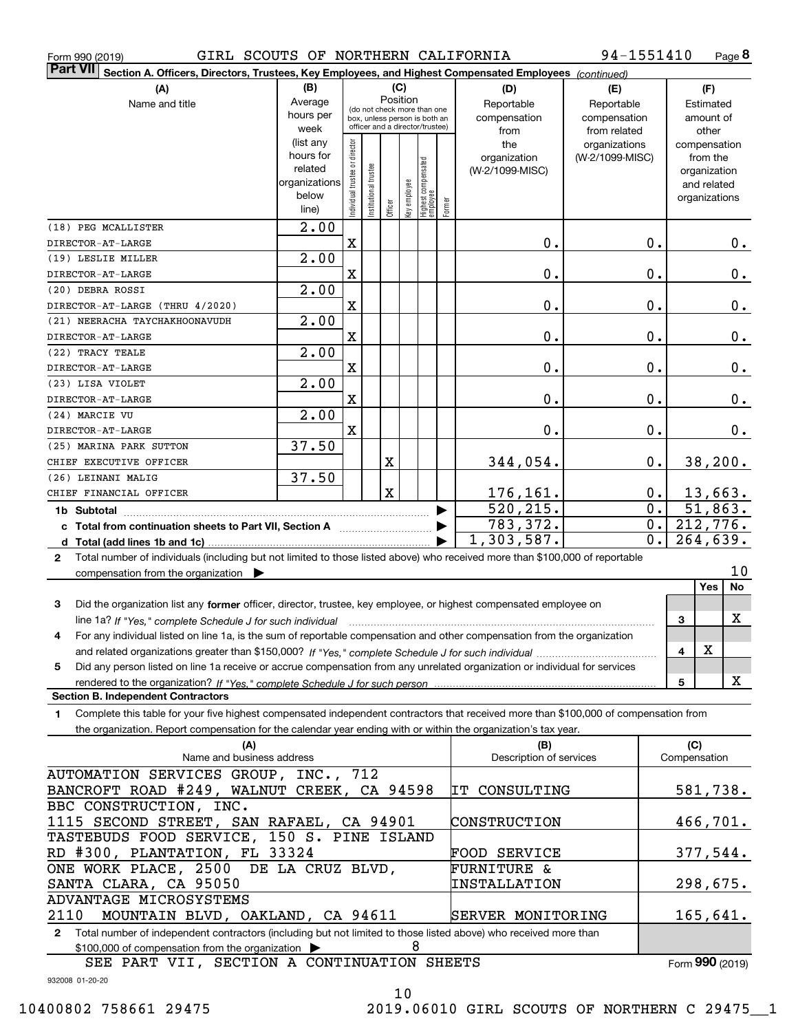|  | Form 990 (2019) |
|--|-----------------|
|  |                 |

Form 990 (2019) GIRL SCOUTS OF NORTHERN CALIFORNIA 94-1551410 Page

**8** 94-1551410

| <b>Part VII</b>                                                                                                                           | Section A. Officers, Directors, Trustees, Key Employees, and Highest Compensated Employees (continued) |                                |                                                              |         |              |                                  |                        |                          |                 |                  |                         |               |
|-------------------------------------------------------------------------------------------------------------------------------------------|--------------------------------------------------------------------------------------------------------|--------------------------------|--------------------------------------------------------------|---------|--------------|----------------------------------|------------------------|--------------------------|-----------------|------------------|-------------------------|---------------|
| (A)                                                                                                                                       | (B)                                                                                                    |                                |                                                              | (C)     |              |                                  |                        | (D)                      | (E)             |                  | (F)                     |               |
| Name and title                                                                                                                            | Average                                                                                                |                                |                                                              |         | Position     |                                  |                        | Reportable               | Reportable      |                  | Estimated               |               |
|                                                                                                                                           | hours per                                                                                              |                                | (do not check more than one<br>box, unless person is both an |         |              |                                  |                        | compensation             | compensation    |                  | amount of               |               |
|                                                                                                                                           | week                                                                                                   |                                | officer and a director/trustee)                              |         |              |                                  |                        | from                     | from related    |                  | other                   |               |
|                                                                                                                                           | (list any                                                                                              |                                |                                                              |         |              |                                  |                        | the                      | organizations   |                  | compensation            |               |
|                                                                                                                                           | hours for                                                                                              |                                |                                                              |         |              |                                  |                        | organization             | (W-2/1099-MISC) |                  | from the                |               |
|                                                                                                                                           | related                                                                                                | Individual trustee or director | Institutional trustee                                        |         |              | Highest compensated<br> employee |                        | (W-2/1099-MISC)          |                 |                  | organization            |               |
|                                                                                                                                           | organizations                                                                                          |                                |                                                              |         | Key employee |                                  |                        |                          |                 |                  | and related             |               |
|                                                                                                                                           | below<br>line)                                                                                         |                                |                                                              | Officer |              |                                  | Former                 |                          |                 |                  | organizations           |               |
|                                                                                                                                           |                                                                                                        |                                |                                                              |         |              |                                  |                        |                          |                 |                  |                         |               |
| (18) PEG MCALLISTER                                                                                                                       | $\overline{2.00}$                                                                                      |                                |                                                              |         |              |                                  |                        |                          |                 |                  |                         |               |
| DIRECTOR-AT-LARGE                                                                                                                         |                                                                                                        | $\mathbf X$                    |                                                              |         |              |                                  |                        | $\mathbf 0$ .            |                 | 0.               |                         | $0$ .         |
| (19) LESLIE MILLER                                                                                                                        | 2.00                                                                                                   |                                |                                                              |         |              |                                  |                        |                          |                 |                  |                         |               |
| DIRECTOR-AT-LARGE                                                                                                                         |                                                                                                        | $\mathbf X$                    |                                                              |         |              |                                  |                        | $\mathbf 0$ .            |                 | 0.               |                         | 0.            |
| (20) DEBRA ROSSI                                                                                                                          | 2.00                                                                                                   |                                |                                                              |         |              |                                  |                        |                          |                 |                  |                         |               |
| DIRECTOR-AT-LARGE (THRU 4/2020)                                                                                                           |                                                                                                        | $\mathbf X$                    |                                                              |         |              |                                  |                        | $\mathbf 0$ .            |                 | $\mathbf 0$ .    |                         | 0.            |
| (21) NEERACHA TAYCHAKHOONAVUDH                                                                                                            | 2.00                                                                                                   |                                |                                                              |         |              |                                  |                        |                          |                 |                  |                         |               |
| DIRECTOR-AT-LARGE                                                                                                                         |                                                                                                        | $\mathbf X$                    |                                                              |         |              |                                  |                        | $\mathbf 0$ .            |                 | $\mathbf 0$ .    |                         | 0.            |
| (22) TRACY TEALE                                                                                                                          | 2.00                                                                                                   |                                |                                                              |         |              |                                  |                        |                          |                 |                  |                         |               |
| DIRECTOR-AT-LARGE                                                                                                                         |                                                                                                        | $\mathbf X$                    |                                                              |         |              |                                  |                        | $\mathbf 0$ .            |                 | $\mathbf 0$ .    |                         | 0.            |
| (23) LISA VIOLET                                                                                                                          | 2.00                                                                                                   |                                |                                                              |         |              |                                  |                        |                          |                 |                  |                         |               |
| DIRECTOR-AT-LARGE                                                                                                                         |                                                                                                        | $\mathbf X$                    |                                                              |         |              |                                  |                        | $\mathbf 0$ .            |                 | $\mathbf 0$ .    |                         | $\mathbf 0$ . |
| (24) MARCIE VU                                                                                                                            | 2.00                                                                                                   |                                |                                                              |         |              |                                  |                        |                          |                 |                  |                         |               |
| DIRECTOR-AT-LARGE                                                                                                                         |                                                                                                        | $\mathbf X$                    |                                                              |         |              |                                  |                        | 0.                       |                 | $\mathbf 0$ .    |                         | 0.            |
| (25) MARINA PARK SUTTON                                                                                                                   | 37.50                                                                                                  |                                |                                                              |         |              |                                  |                        |                          |                 |                  |                         |               |
| CHIEF EXECUTIVE OFFICER                                                                                                                   |                                                                                                        |                                |                                                              | X       |              |                                  |                        | 344,054.                 |                 | 0.               | 38, 200.                |               |
| (26) LEINANI MALIG                                                                                                                        | 37.50                                                                                                  |                                |                                                              |         |              |                                  |                        |                          |                 |                  |                         |               |
| CHIEF FINANCIAL OFFICER                                                                                                                   |                                                                                                        |                                |                                                              | X       |              |                                  |                        | 176, 161.                |                 | $0$ .            |                         |               |
|                                                                                                                                           |                                                                                                        |                                |                                                              |         |              |                                  |                        | 520, 215.                |                 | $\overline{0}$ . | $\frac{13,663}{51,863}$ |               |
| 1b Subtotal<br>0.                                                                                                                         |                                                                                                        |                                |                                                              |         |              |                                  | $\overline{212,776}$ . |                          |                 |                  |                         |               |
| 783, 372.<br>c Total from continuation sheets to Part VII, Section A [111] [12] Total from continuation sheets to Part VII, Section A     |                                                                                                        |                                |                                                              |         |              |                                  |                        |                          |                 |                  |                         |               |
|                                                                                                                                           |                                                                                                        |                                |                                                              |         |              |                                  |                        | 1,303,587.               |                 | $\overline{0}$ . | 264,639.                |               |
| Total number of individuals (including but not limited to those listed above) who received more than \$100,000 of reportable<br>2         |                                                                                                        |                                |                                                              |         |              |                                  |                        |                          |                 |                  |                         |               |
| compensation from the organization $\blacktriangleright$                                                                                  |                                                                                                        |                                |                                                              |         |              |                                  |                        |                          |                 |                  |                         | 10            |
|                                                                                                                                           |                                                                                                        |                                |                                                              |         |              |                                  |                        |                          |                 |                  | Yes                     | No            |
| Did the organization list any former officer, director, trustee, key employee, or highest compensated employee on<br>3                    |                                                                                                        |                                |                                                              |         |              |                                  |                        |                          |                 |                  |                         |               |
|                                                                                                                                           |                                                                                                        |                                |                                                              |         |              |                                  |                        |                          |                 |                  | 3                       | х             |
| For any individual listed on line 1a, is the sum of reportable compensation and other compensation from the organization<br>4             |                                                                                                        |                                |                                                              |         |              |                                  |                        |                          |                 |                  |                         |               |
|                                                                                                                                           |                                                                                                        |                                |                                                              |         |              |                                  |                        |                          |                 |                  | X<br>4                  |               |
| Did any person listed on line 1a receive or accrue compensation from any unrelated organization or individual for services<br>5           |                                                                                                        |                                |                                                              |         |              |                                  |                        |                          |                 |                  |                         |               |
|                                                                                                                                           |                                                                                                        |                                |                                                              |         |              |                                  |                        |                          |                 |                  | 5                       | X             |
| <b>Section B. Independent Contractors</b>                                                                                                 |                                                                                                        |                                |                                                              |         |              |                                  |                        |                          |                 |                  |                         |               |
| Complete this table for your five highest compensated independent contractors that received more than \$100,000 of compensation from<br>1 |                                                                                                        |                                |                                                              |         |              |                                  |                        |                          |                 |                  |                         |               |
| the organization. Report compensation for the calendar year ending with or within the organization's tax year.                            |                                                                                                        |                                |                                                              |         |              |                                  |                        |                          |                 |                  |                         |               |
| (A)                                                                                                                                       |                                                                                                        |                                |                                                              |         |              |                                  |                        | (B)                      |                 |                  | (C)                     |               |
| Name and business address                                                                                                                 |                                                                                                        |                                |                                                              |         |              |                                  |                        | Description of services  |                 |                  | Compensation            |               |
| AUTOMATION SERVICES GROUP, INC., 712                                                                                                      |                                                                                                        |                                |                                                              |         |              |                                  |                        |                          |                 |                  |                         |               |
| BANCROFT ROAD #249, WALNUT CREEK, CA 94598                                                                                                |                                                                                                        |                                |                                                              |         |              |                                  |                        | IT CONSULTING            |                 |                  | 581,738.                |               |
| BBC CONSTRUCTION, INC.                                                                                                                    |                                                                                                        |                                |                                                              |         |              |                                  |                        |                          |                 |                  |                         |               |
| 1115 SECOND STREET, SAN RAFAEL, CA 94901                                                                                                  |                                                                                                        |                                |                                                              |         |              |                                  |                        | CONSTRUCTION             |                 |                  | 466,701.                |               |
| TASTEBUDS FOOD SERVICE, 150 S. PINE ISLAND                                                                                                |                                                                                                        |                                |                                                              |         |              |                                  |                        |                          |                 |                  |                         |               |
| RD #300, PLANTATION, FL 33324                                                                                                             |                                                                                                        |                                |                                                              |         |              |                                  |                        | FOOD SERVICE             |                 |                  | 377,544.                |               |
| ONE WORK PLACE, 2500                                                                                                                      | DE LA CRUZ BLVD,<br><b>FURNITURE &amp;</b>                                                             |                                |                                                              |         |              |                                  |                        |                          |                 |                  |                         |               |
| SANTA CLARA, CA 95050<br><b>INSTALLATION</b><br>298,675.                                                                                  |                                                                                                        |                                |                                                              |         |              |                                  |                        |                          |                 |                  |                         |               |
| ADVANTAGE MICROSYSTEMS                                                                                                                    |                                                                                                        |                                |                                                              |         |              |                                  |                        |                          |                 |                  |                         |               |
| 2110<br>MOUNTAIN BLVD, OAKLAND, CA 94611                                                                                                  |                                                                                                        |                                |                                                              |         |              |                                  |                        | <b>SERVER MONITORING</b> |                 |                  | 165,641.                |               |
| 2                                                                                                                                         |                                                                                                        |                                |                                                              |         |              |                                  |                        |                          |                 |                  |                         |               |
| Total number of independent contractors (including but not limited to those listed above) who received more than                          |                                                                                                        |                                |                                                              |         |              |                                  |                        |                          |                 |                  |                         |               |

\$100,000 of compensation from the organization | 8

SEE PART VII, SECTION A CONTINUATION SHEETS

Form (2019) **990**

932008 01-20-20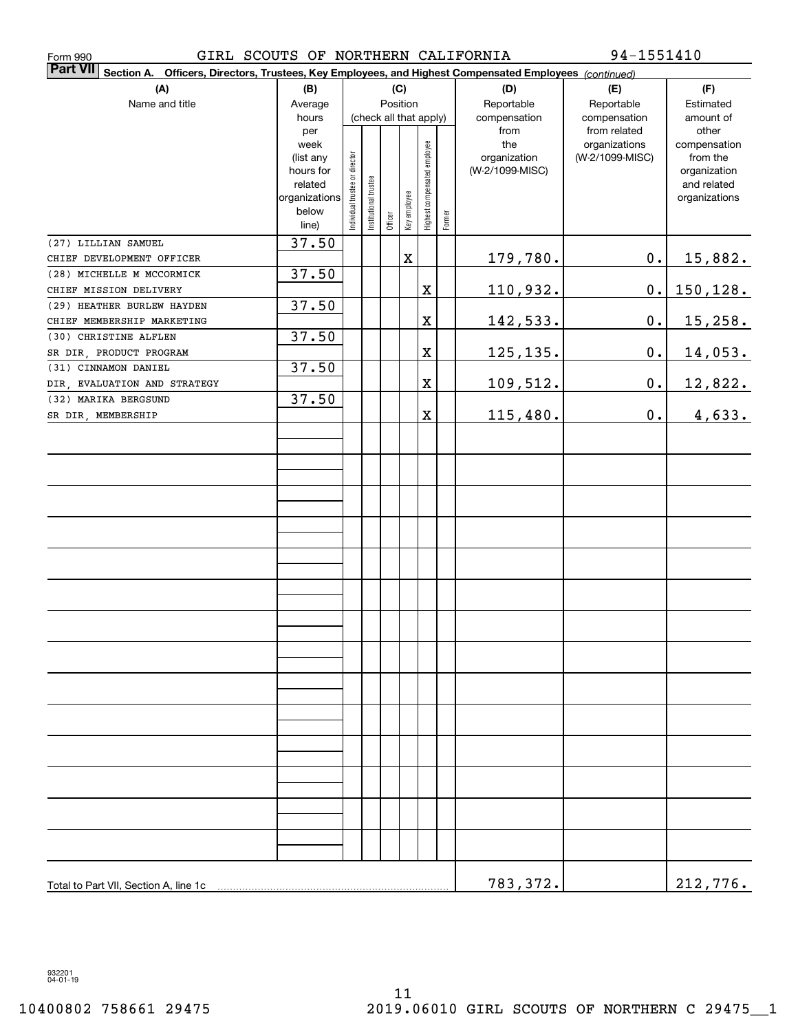| GIRL SCOUTS OF NORTHERN CALIFORNIA<br>Form 990                                                                               |                   |                                |                       |          |              |                              |        |                     | 94-1551410                       |                          |
|------------------------------------------------------------------------------------------------------------------------------|-------------------|--------------------------------|-----------------------|----------|--------------|------------------------------|--------|---------------------|----------------------------------|--------------------------|
| <b>Part VII</b><br>Section A.<br>Officers, Directors, Trustees, Key Employees, and Highest Compensated Employees (continued) |                   |                                |                       |          |              |                              |        |                     |                                  |                          |
| (A)                                                                                                                          | (B)               |                                |                       |          | (C)          |                              |        | (D)                 | (E)                              | (F)                      |
| Name and title                                                                                                               | Average           |                                |                       | Position |              |                              |        | Reportable          | Reportable                       | Estimated                |
|                                                                                                                              | hours             |                                |                       |          |              | (check all that apply)       |        | compensation        | compensation                     | amount of                |
|                                                                                                                              | per               |                                |                       |          |              |                              |        | from                | from related                     | other                    |
|                                                                                                                              | week<br>(list any |                                |                       |          |              |                              |        | the<br>organization | organizations<br>(W-2/1099-MISC) | compensation<br>from the |
|                                                                                                                              | hours for         |                                |                       |          |              |                              |        | (W-2/1099-MISC)     |                                  | organization             |
|                                                                                                                              | related           |                                |                       |          |              |                              |        |                     |                                  | and related              |
|                                                                                                                              | organizations     | Individual trustee or director | Institutional trustee |          | Key employee | Highest compensated employee |        |                     |                                  | organizations            |
|                                                                                                                              | below             |                                |                       | Officer  |              |                              | Former |                     |                                  |                          |
|                                                                                                                              | line)             |                                |                       |          |              |                              |        |                     |                                  |                          |
| (27) LILLIAN SAMUEL                                                                                                          | 37.50             |                                |                       |          |              |                              |        |                     |                                  |                          |
| CHIEF DEVELOPMENT OFFICER                                                                                                    |                   |                                |                       |          | $\mathbf X$  |                              |        | 179,780.            | $0$ .                            | <u>15,882.</u>           |
| (28) MICHELLE M MCCORMICK                                                                                                    | 37.50             |                                |                       |          |              |                              |        |                     |                                  |                          |
| CHIEF MISSION DELIVERY                                                                                                       |                   |                                |                       |          |              | X                            |        | 110,932.            | $\mathbf 0$ .                    | 150,128.                 |
| (29) HEATHER BURLEW HAYDEN<br>CHIEF MEMBERSHIP MARKETING                                                                     | 37.50             |                                |                       |          |              | $\overline{\textbf{X}}$      |        |                     | 0.                               |                          |
| (30) CHRISTINE ALFLEN                                                                                                        | 37.50             |                                |                       |          |              |                              |        | 142,533.            |                                  | 15, 258.                 |
| SR DIR PRODUCT PROGRAM                                                                                                       |                   |                                |                       |          |              | X                            |        | 125, 135.           | 0.                               |                          |
| (31) CINNAMON DANIEL                                                                                                         | 37.50             |                                |                       |          |              |                              |        |                     |                                  | <u>14,053.</u>           |
| DIR, EVALUATION AND STRATEGY                                                                                                 |                   |                                |                       |          |              | X                            |        | 109,512.            | 0.                               | 12,822.                  |
| (32) MARIKA BERGSUND                                                                                                         | 37.50             |                                |                       |          |              |                              |        |                     |                                  |                          |
| SR DIR, MEMBERSHIP                                                                                                           |                   |                                |                       |          |              | X                            |        | 115,480.            | 0.                               | 4,633.                   |
|                                                                                                                              |                   |                                |                       |          |              |                              |        |                     |                                  |                          |
|                                                                                                                              |                   |                                |                       |          |              |                              |        |                     |                                  |                          |
|                                                                                                                              |                   |                                |                       |          |              |                              |        |                     |                                  |                          |
|                                                                                                                              |                   |                                |                       |          |              |                              |        |                     |                                  |                          |
|                                                                                                                              |                   |                                |                       |          |              |                              |        |                     |                                  |                          |
|                                                                                                                              |                   |                                |                       |          |              |                              |        |                     |                                  |                          |
|                                                                                                                              |                   |                                |                       |          |              |                              |        |                     |                                  |                          |
|                                                                                                                              |                   |                                |                       |          |              |                              |        |                     |                                  |                          |
|                                                                                                                              |                   |                                |                       |          |              |                              |        |                     |                                  |                          |
|                                                                                                                              |                   |                                |                       |          |              |                              |        |                     |                                  |                          |
|                                                                                                                              |                   |                                |                       |          |              |                              |        |                     |                                  |                          |
|                                                                                                                              |                   |                                |                       |          |              |                              |        |                     |                                  |                          |
|                                                                                                                              |                   |                                |                       |          |              |                              |        |                     |                                  |                          |
|                                                                                                                              |                   |                                |                       |          |              |                              |        |                     |                                  |                          |
|                                                                                                                              |                   |                                |                       |          |              |                              |        |                     |                                  |                          |
|                                                                                                                              |                   |                                |                       |          |              |                              |        |                     |                                  |                          |
|                                                                                                                              |                   |                                |                       |          |              |                              |        |                     |                                  |                          |
|                                                                                                                              |                   |                                |                       |          |              |                              |        |                     |                                  |                          |
|                                                                                                                              |                   |                                |                       |          |              |                              |        |                     |                                  |                          |
|                                                                                                                              |                   |                                |                       |          |              |                              |        |                     |                                  |                          |
|                                                                                                                              |                   |                                |                       |          |              |                              |        |                     |                                  |                          |
|                                                                                                                              |                   |                                |                       |          |              |                              |        |                     |                                  |                          |
|                                                                                                                              |                   |                                |                       |          |              |                              |        |                     |                                  |                          |
|                                                                                                                              |                   |                                |                       |          |              |                              |        |                     |                                  |                          |
|                                                                                                                              |                   |                                |                       |          |              |                              |        |                     |                                  |                          |
|                                                                                                                              |                   |                                |                       |          |              |                              |        |                     |                                  |                          |
| Total to Part VII, Section A, line 1c                                                                                        |                   |                                |                       |          |              |                              |        | 783,372.            |                                  | 212,776.                 |

932201 04-01-19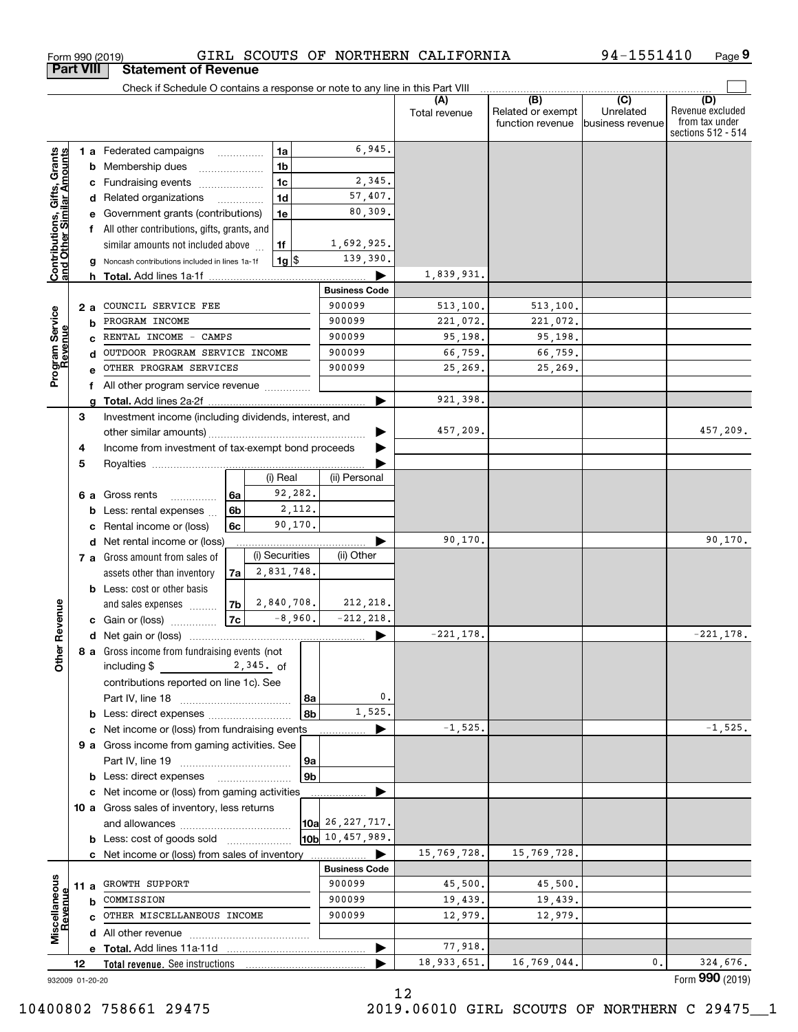| <b>Part VIII</b>                                          |    |      | <b>Statement of Revenue</b>                                                   |    |                    |                |                      |                      |                                              |                                      |                                                                 |
|-----------------------------------------------------------|----|------|-------------------------------------------------------------------------------|----|--------------------|----------------|----------------------|----------------------|----------------------------------------------|--------------------------------------|-----------------------------------------------------------------|
|                                                           |    |      | Check if Schedule O contains a response or note to any line in this Part VIII |    |                    |                |                      |                      |                                              |                                      |                                                                 |
|                                                           |    |      |                                                                               |    |                    |                |                      | (A)<br>Total revenue | (B)<br>Related or exempt<br>function revenue | (C)<br>Unrelated<br>business revenue | (D)<br>Revenue excluded<br>from tax under<br>sections 512 - 514 |
|                                                           |    |      | <b>1 a</b> Federated campaigns                                                |    | 1a                 |                | 6,945.               |                      |                                              |                                      |                                                                 |
|                                                           |    | b    | Membership dues                                                               |    | 1 <sub>b</sub>     |                |                      |                      |                                              |                                      |                                                                 |
|                                                           |    | c    | Fundraising events                                                            |    | 1 <sub>c</sub>     |                | 2,345.               |                      |                                              |                                      |                                                                 |
|                                                           |    |      | d Related organizations                                                       |    | 1 <sub>d</sub>     |                | 57,407.              |                      |                                              |                                      |                                                                 |
|                                                           |    |      | Government grants (contributions)                                             |    | 1e                 |                | 80,309.              |                      |                                              |                                      |                                                                 |
|                                                           |    |      | All other contributions, gifts, grants, and                                   |    |                    |                |                      |                      |                                              |                                      |                                                                 |
|                                                           |    |      | similar amounts not included above                                            |    | 1f                 |                | 1,692,925.           |                      |                                              |                                      |                                                                 |
| Contributions, Gifts, Grants<br>and Other Similar Amounts |    |      | Noncash contributions included in lines 1a-1f                                 |    | $1g$ $\frac{1}{3}$ |                | 139,390.             |                      |                                              |                                      |                                                                 |
|                                                           |    |      |                                                                               |    |                    |                |                      | 1,839,931.           |                                              |                                      |                                                                 |
|                                                           |    |      |                                                                               |    |                    |                | <b>Business Code</b> |                      |                                              |                                      |                                                                 |
|                                                           |    | 2a   | COUNCIL SERVICE FEE                                                           |    |                    |                | 900099               | 513,100.             | 513,100.                                     |                                      |                                                                 |
|                                                           |    | b    | PROGRAM INCOME                                                                |    |                    |                | 900099               | 221,072.             | 221,072.                                     |                                      |                                                                 |
|                                                           |    |      | RENTAL INCOME - CAMPS                                                         |    |                    |                | 900099               | 95,198.              | 95,198.                                      |                                      |                                                                 |
|                                                           |    |      | OUTDOOR PROGRAM SERVICE INCOME                                                |    |                    |                | 900099               | 66,759.              | 66,759.                                      |                                      |                                                                 |
| Program Service<br>Revenue                                |    |      | OTHER PROGRAM SERVICES                                                        |    |                    |                | 900099               | 25,269.              | 25,269.                                      |                                      |                                                                 |
|                                                           |    | f    | All other program service revenue                                             |    |                    |                |                      |                      |                                              |                                      |                                                                 |
|                                                           |    |      |                                                                               |    |                    |                |                      | 921,398.             |                                              |                                      |                                                                 |
|                                                           | 3  |      | Investment income (including dividends, interest, and                         |    |                    |                |                      | 457,209.             |                                              |                                      | 457,209.                                                        |
|                                                           |    |      |                                                                               |    |                    |                |                      |                      |                                              |                                      |                                                                 |
|                                                           | 4  |      | Income from investment of tax-exempt bond proceeds                            |    |                    |                |                      |                      |                                              |                                      |                                                                 |
|                                                           | 5  |      |                                                                               |    | (i) Real           |                | (ii) Personal        |                      |                                              |                                      |                                                                 |
|                                                           |    | 6а   | Gross rents                                                                   | 6а | 92,282.            |                |                      |                      |                                              |                                      |                                                                 |
|                                                           |    | b    | .<br>Less: rental expenses                                                    | 6b |                    | 2,112.         |                      |                      |                                              |                                      |                                                                 |
|                                                           |    | с    | Rental income or (loss)                                                       | 6c | 90,170.            |                |                      |                      |                                              |                                      |                                                                 |
|                                                           |    |      | d Net rental income or (loss)                                                 |    |                    |                |                      | 90,170.              |                                              |                                      | 90,170.                                                         |
|                                                           |    |      | 7 a Gross amount from sales of                                                |    | (i) Securities     |                | (ii) Other           |                      |                                              |                                      |                                                                 |
|                                                           |    |      | assets other than inventory                                                   | 7a | 2,831,748.         |                |                      |                      |                                              |                                      |                                                                 |
|                                                           |    |      | <b>b</b> Less: cost or other basis                                            |    |                    |                |                      |                      |                                              |                                      |                                                                 |
|                                                           |    |      | and sales expenses                                                            | 7b | 2,840,708.         |                | 212,218.             |                      |                                              |                                      |                                                                 |
| Revenue                                                   |    |      | c Gain or (loss)                                                              | 7c | $-8,960.$          |                | $-212, 218.$         |                      |                                              |                                      |                                                                 |
|                                                           |    |      |                                                                               |    |                    |                |                      | $-221,178.$          |                                              |                                      | $-221,178.$                                                     |
|                                                           |    |      | 8 a Gross income from fundraising events (not                                 |    |                    |                |                      |                      |                                              |                                      |                                                                 |
| <b>Other</b>                                              |    |      | including \$                                                                  |    | $2,345.$ of        |                |                      |                      |                                              |                                      |                                                                 |
|                                                           |    |      | contributions reported on line 1c). See                                       |    |                    |                |                      |                      |                                              |                                      |                                                                 |
|                                                           |    |      |                                                                               |    |                    | 8a             | $\mathfrak o$ .      |                      |                                              |                                      |                                                                 |
|                                                           |    |      | <b>b</b> Less: direct expenses <i>manually contained</i>                      |    |                    | 8b             | 1,525.               |                      |                                              |                                      |                                                                 |
|                                                           |    |      | c Net income or (loss) from fundraising events                                |    |                    |                |                      | $-1,525.$            |                                              |                                      | $-1,525.$                                                       |
|                                                           |    |      | 9 a Gross income from gaming activities. See                                  |    |                    |                |                      |                      |                                              |                                      |                                                                 |
|                                                           |    |      |                                                                               |    |                    | 9a             |                      |                      |                                              |                                      |                                                                 |
|                                                           |    |      | <b>b</b> Less: direct expenses                                                |    |                    | 9 <sub>b</sub> |                      |                      |                                              |                                      |                                                                 |
|                                                           |    |      | c Net income or (loss) from gaming activities                                 |    |                    |                |                      |                      |                                              |                                      |                                                                 |
|                                                           |    |      | 10 a Gross sales of inventory, less returns                                   |    |                    |                |                      |                      |                                              |                                      |                                                                 |
|                                                           |    |      |                                                                               |    |                    |                | 10a 26, 227, 717.    |                      |                                              |                                      |                                                                 |
|                                                           |    |      | <b>b</b> Less: cost of goods sold                                             |    |                    |                | 10b 10, 457, 989.    |                      |                                              |                                      |                                                                 |
|                                                           |    |      | c Net income or (loss) from sales of inventory                                |    |                    |                | <b>Business Code</b> | 15,769,728.          | 15,769,728.                                  |                                      |                                                                 |
|                                                           |    |      | GROWTH SUPPORT                                                                |    |                    |                | 900099               | 45,500.              | 45,500.                                      |                                      |                                                                 |
|                                                           |    | 11 a | COMMISSION                                                                    |    |                    |                | 900099               | 19,439.              | 19,439.                                      |                                      |                                                                 |
|                                                           |    | b    | OTHER MISCELLANEOUS INCOME                                                    |    |                    |                | 900099               | 12,979.              | 12,979.                                      |                                      |                                                                 |
| Miscellaneous<br>Revenue                                  |    |      |                                                                               |    |                    |                |                      |                      |                                              |                                      |                                                                 |
|                                                           |    |      |                                                                               |    |                    |                |                      | 77,918.              |                                              |                                      |                                                                 |
|                                                           | 12 |      | Total revenue. See instructions                                               |    |                    |                |                      | 18,933,651.          | 16,769,044.                                  | 0.                                   | 324,676.                                                        |
| 932009 01-20-20                                           |    |      |                                                                               |    |                    |                |                      |                      |                                              |                                      | Form 990 (2019)                                                 |

12

Form 990 (2019) GIRL SCOUTS OF NORTHERN CALIFORNIA 94-1551410 Page

GIRL SCOUTS OF NORTHERN CALIFORNIA

**9** 94-1551410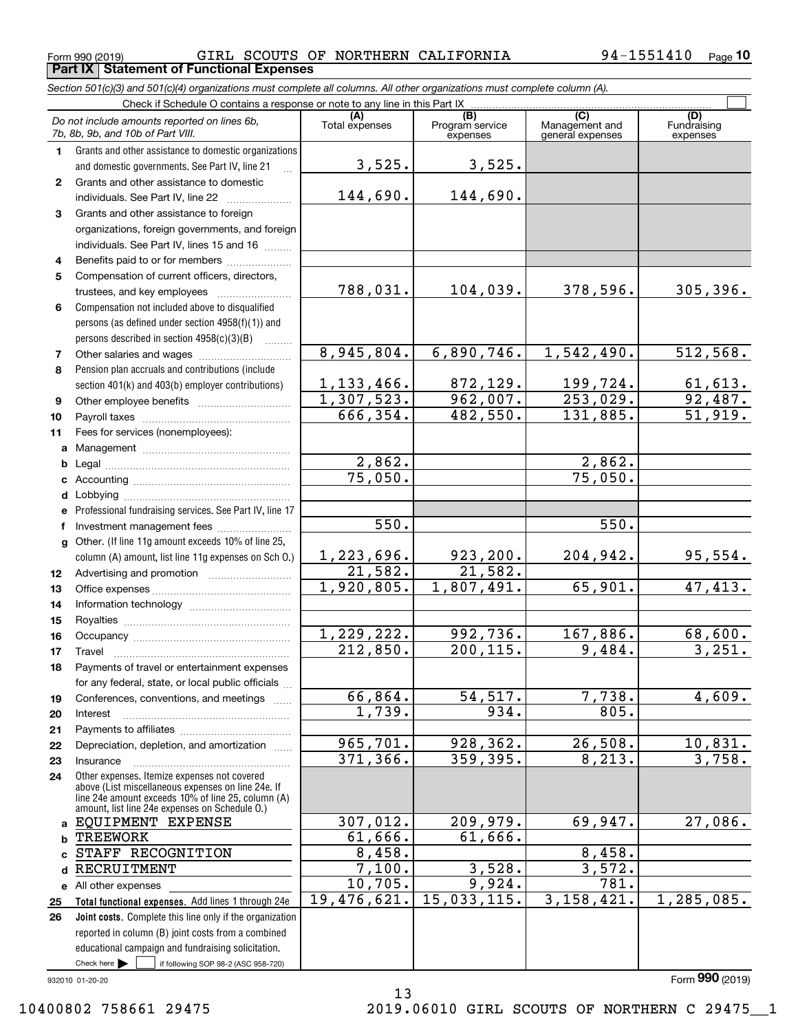Form 990 (2019) Page **Part IX Statement of Functional Expenses** GIRL SCOUTS OF NORTHERN CALIFORNIA 94-1551410

*Section 501(c)(3) and 501(c)(4) organizations must complete all columns. All other organizations must complete column (A).*

|              | Do not include amounts reported on lines 6b,<br>7b, 8b, 9b, and 10b of Part VIII.                  | (A)<br>Total expenses   | (B)<br>Program service<br>expenses | (C)<br>Management and<br>general expenses | (D)<br>Fundraising<br>expenses |  |  |  |  |  |  |
|--------------|----------------------------------------------------------------------------------------------------|-------------------------|------------------------------------|-------------------------------------------|--------------------------------|--|--|--|--|--|--|
| 1.           | Grants and other assistance to domestic organizations                                              |                         |                                    |                                           |                                |  |  |  |  |  |  |
|              | and domestic governments. See Part IV, line 21                                                     | 3,525.                  | 3,525.                             |                                           |                                |  |  |  |  |  |  |
| $\mathbf{2}$ | Grants and other assistance to domestic                                                            |                         |                                    |                                           |                                |  |  |  |  |  |  |
|              | individuals. See Part IV, line 22                                                                  | 144,690.                | 144,690.                           |                                           |                                |  |  |  |  |  |  |
| 3            | Grants and other assistance to foreign                                                             |                         |                                    |                                           |                                |  |  |  |  |  |  |
|              | organizations, foreign governments, and foreign                                                    |                         |                                    |                                           |                                |  |  |  |  |  |  |
|              | individuals. See Part IV, lines 15 and 16                                                          |                         |                                    |                                           |                                |  |  |  |  |  |  |
| 4            | Benefits paid to or for members                                                                    |                         |                                    |                                           |                                |  |  |  |  |  |  |
| 5            | Compensation of current officers, directors,                                                       |                         |                                    |                                           |                                |  |  |  |  |  |  |
|              | trustees, and key employees                                                                        | 788,031.                | 104,039.                           | 378,596.                                  | 305, 396.                      |  |  |  |  |  |  |
| 6            | Compensation not included above to disqualified                                                    |                         |                                    |                                           |                                |  |  |  |  |  |  |
|              | persons (as defined under section 4958(f)(1)) and                                                  |                         |                                    |                                           |                                |  |  |  |  |  |  |
|              | persons described in section $4958(c)(3)(B)$                                                       |                         |                                    |                                           |                                |  |  |  |  |  |  |
| 7            | Other salaries and wages                                                                           | 8,945,804.              | 6,890,746.                         | 1,542,490.                                | 512, 568.                      |  |  |  |  |  |  |
| 8            | Pension plan accruals and contributions (include                                                   |                         |                                    |                                           |                                |  |  |  |  |  |  |
|              | section 401(k) and 403(b) employer contributions)                                                  | 1, 133, 466.            | 872,129.                           | 199,724.                                  | 61,613.                        |  |  |  |  |  |  |
| 9            |                                                                                                    | $\overline{1,307,523.}$ | 962,007.                           | 253,029.                                  | 92,487.                        |  |  |  |  |  |  |
| 10           |                                                                                                    | 666,354.                | 482,550.                           | 131,885.                                  | 51,919.                        |  |  |  |  |  |  |
| 11           | Fees for services (nonemployees):                                                                  |                         |                                    |                                           |                                |  |  |  |  |  |  |
| a            |                                                                                                    |                         |                                    |                                           |                                |  |  |  |  |  |  |
| b            |                                                                                                    | 2,862.                  |                                    | 2,862.                                    |                                |  |  |  |  |  |  |
| c            |                                                                                                    | 75,050.                 |                                    | 75,050.                                   |                                |  |  |  |  |  |  |
| d            |                                                                                                    |                         |                                    |                                           |                                |  |  |  |  |  |  |
| е            | Professional fundraising services. See Part IV, line 17                                            |                         |                                    |                                           |                                |  |  |  |  |  |  |
| f            | Investment management fees                                                                         | 550.                    |                                    | 550.                                      |                                |  |  |  |  |  |  |
| g            | Other. (If line 11g amount exceeds 10% of line 25,                                                 |                         |                                    |                                           |                                |  |  |  |  |  |  |
|              | column (A) amount, list line 11g expenses on Sch O.)                                               | 1,223,696.              | 923, 200.                          | 204,942.                                  | 95,554.                        |  |  |  |  |  |  |
| 12           |                                                                                                    | 21,582.                 | 21,582.                            |                                           |                                |  |  |  |  |  |  |
| 13           |                                                                                                    | 1,920,805.              | 1,807,491.                         | 65,901.                                   | 47,413.                        |  |  |  |  |  |  |
| 14           |                                                                                                    |                         |                                    |                                           |                                |  |  |  |  |  |  |
| 15           |                                                                                                    |                         |                                    |                                           |                                |  |  |  |  |  |  |
| 16           |                                                                                                    | 1,229,222.              | 992,736.                           | 167,886.                                  | 68,600.                        |  |  |  |  |  |  |
| 17           | Travel                                                                                             | 212,850.                | 200, 115.                          | 9,484.                                    | 3,251.                         |  |  |  |  |  |  |
| 18           | Payments of travel or entertainment expenses                                                       |                         |                                    |                                           |                                |  |  |  |  |  |  |
|              | for any federal, state, or local public officials                                                  |                         |                                    |                                           |                                |  |  |  |  |  |  |
| 19           | Conferences, conventions, and meetings                                                             | 66,864.                 | 54, 517.                           | 7,738.                                    | 4,609.                         |  |  |  |  |  |  |
| 20           | Interest                                                                                           | 1,739.                  | 934.                               | 805.                                      |                                |  |  |  |  |  |  |
| 21           |                                                                                                    |                         |                                    |                                           |                                |  |  |  |  |  |  |
| 22           | Depreciation, depletion, and amortization                                                          | 965,701.                | 928,362.                           | 26,508.                                   | 10,831.                        |  |  |  |  |  |  |
| 23           | Insurance                                                                                          | 371,366.                | 359,395.                           | 8, 213.                                   | 3,758.                         |  |  |  |  |  |  |
| 24           | Other expenses. Itemize expenses not covered<br>above (List miscellaneous expenses on line 24e. If |                         |                                    |                                           |                                |  |  |  |  |  |  |
|              | line 24e amount exceeds 10% of line 25, column (A)                                                 |                         |                                    |                                           |                                |  |  |  |  |  |  |
|              | amount, list line 24e expenses on Schedule 0.)                                                     |                         | 209,979.                           | 69,947.                                   | 27,086.                        |  |  |  |  |  |  |
| a            | EQUIPMENT EXPENSE                                                                                  | 307,012.<br>61,666.     | 61,666.                            |                                           |                                |  |  |  |  |  |  |
| b            | <b>TREEWORK</b><br>STAFF RECOGNITION                                                               | 8,458.                  |                                    | 8,458.                                    |                                |  |  |  |  |  |  |
| c            | RECRUITMENT                                                                                        | 7,100.                  | 3,528.                             | 3,572.                                    |                                |  |  |  |  |  |  |
| d            |                                                                                                    | 10,705.                 | 9,924.                             | $\overline{781}$ .                        |                                |  |  |  |  |  |  |
|              | e All other expenses<br>Total functional expenses. Add lines 1 through 24e                         | 19,476,621.             | 15,033,115.                        | 3, 158, 421.                              | 1,285,085.                     |  |  |  |  |  |  |
| 25<br>26     | Joint costs. Complete this line only if the organization                                           |                         |                                    |                                           |                                |  |  |  |  |  |  |
|              | reported in column (B) joint costs from a combined                                                 |                         |                                    |                                           |                                |  |  |  |  |  |  |
|              | educational campaign and fundraising solicitation.                                                 |                         |                                    |                                           |                                |  |  |  |  |  |  |
|              | Check here $\blacktriangleright$<br>if following SOP 98-2 (ASC 958-720)                            |                         |                                    |                                           |                                |  |  |  |  |  |  |

13

932010 01-20-20

Form (2019) **990**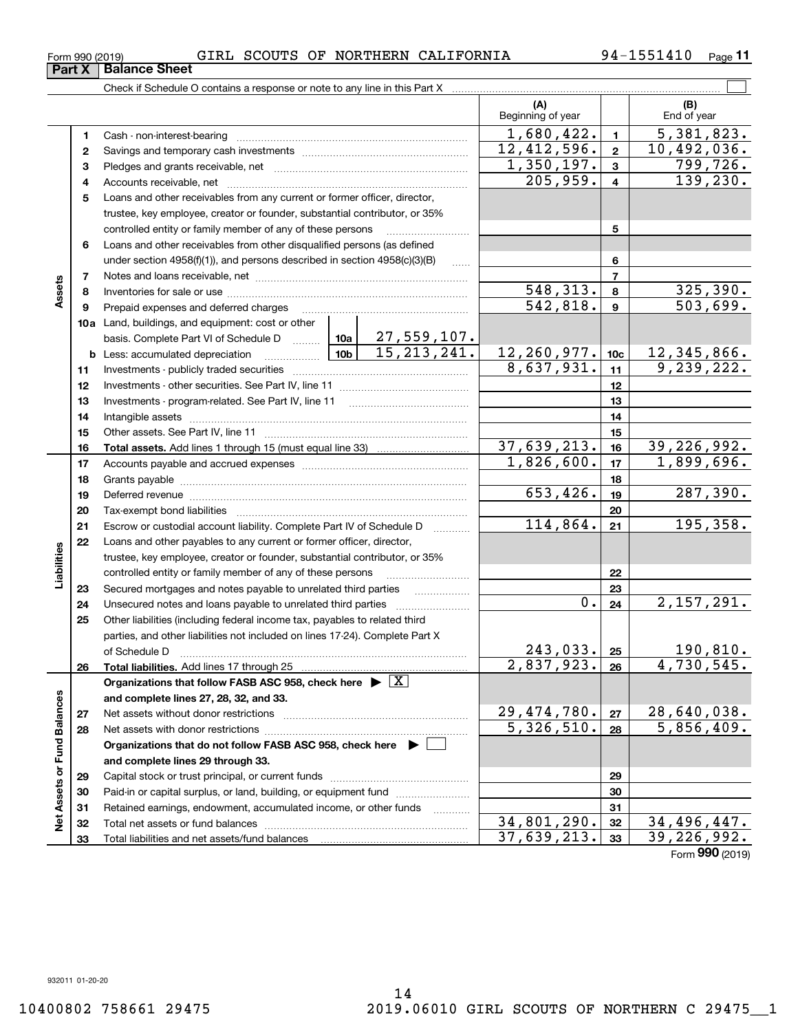| Asset                | 8  |                                                                                                                                                                                                                                |  |                    |                         | 548,313.  | 8               | 325, 390.                   |
|----------------------|----|--------------------------------------------------------------------------------------------------------------------------------------------------------------------------------------------------------------------------------|--|--------------------|-------------------------|-----------|-----------------|-----------------------------|
|                      | 9  | Prepaid expenses and deferred charges                                                                                                                                                                                          |  |                    |                         | 542,818.  | 9               | 503,699.                    |
|                      |    | 10a Land, buildings, and equipment: cost or other                                                                                                                                                                              |  |                    |                         |           |                 |                             |
|                      |    | basis. Complete Part VI of Schedule D  10a                                                                                                                                                                                     |  | <u>27,559,107.</u> |                         |           |                 |                             |
|                      |    |                                                                                                                                                                                                                                |  | 15, 213, 241.      | 12, 260, 977.           |           | 10 <sub>c</sub> | 12, 345, 866.               |
|                      | 11 |                                                                                                                                                                                                                                |  |                    | 8,637,931.              |           | 11              | 9,239,222.                  |
|                      | 12 |                                                                                                                                                                                                                                |  |                    |                         |           | 12              |                             |
|                      | 13 | Investments - program-related. See Part IV, line 11                                                                                                                                                                            |  |                    |                         |           | 13              |                             |
|                      | 14 |                                                                                                                                                                                                                                |  |                    |                         |           | 14              |                             |
|                      | 15 |                                                                                                                                                                                                                                |  |                    |                         |           | 15              |                             |
|                      | 16 |                                                                                                                                                                                                                                |  |                    | 37,639,213.             |           | 16              | $\overline{39}$ , 226, 992. |
|                      | 17 |                                                                                                                                                                                                                                |  |                    | 1,826,600.              |           | 17              | 1,899,696.                  |
|                      | 18 |                                                                                                                                                                                                                                |  |                    |                         |           | 18              |                             |
|                      | 19 | Deferred revenue information and contact the contract of the contract of the contract of the contract of the contract of the contract of the contract of the contract of the contract of the contract of the contract of the c |  |                    |                         | 653, 426. | 19              | 287,390.                    |
|                      | 20 |                                                                                                                                                                                                                                |  |                    |                         |           | 20              |                             |
|                      | 21 | Escrow or custodial account liability. Complete Part IV of Schedule D                                                                                                                                                          |  |                    |                         | 114,864.  | 21              | 195,358.                    |
|                      | 22 | Loans and other payables to any current or former officer, director,                                                                                                                                                           |  |                    |                         |           |                 |                             |
|                      |    | trustee, key employee, creator or founder, substantial contributor, or 35%                                                                                                                                                     |  |                    |                         |           |                 |                             |
| Liabilities          |    | controlled entity or family member of any of these persons                                                                                                                                                                     |  |                    |                         |           | 22              |                             |
|                      | 23 | Secured mortgages and notes payable to unrelated third parties                                                                                                                                                                 |  |                    |                         | 23        |                 |                             |
|                      | 24 |                                                                                                                                                                                                                                |  |                    |                         | $0$ .     | 24              | 2,157,291.                  |
|                      | 25 | Other liabilities (including federal income tax, payables to related third                                                                                                                                                     |  |                    |                         |           |                 |                             |
|                      |    | parties, and other liabilities not included on lines 17-24). Complete Part X                                                                                                                                                   |  |                    |                         |           |                 |                             |
|                      |    | of Schedule D                                                                                                                                                                                                                  |  |                    |                         | 243,033.  | 25              | 190,810.                    |
|                      | 26 |                                                                                                                                                                                                                                |  |                    | 2,837,923.              |           | 26              | 4,730,545.                  |
|                      |    | Organizations that follow FASB ASC 958, check here $\blacktriangleright \lfloor X \rfloor$                                                                                                                                     |  |                    |                         |           |                 |                             |
| <b>Fund Balances</b> |    | and complete lines 27, 28, 32, and 33.                                                                                                                                                                                         |  |                    |                         |           |                 |                             |
|                      | 27 |                                                                                                                                                                                                                                |  |                    | 29, 474, 780.           |           | 27              | 28,640,038.                 |
|                      | 28 |                                                                                                                                                                                                                                |  |                    | $\overline{5,326},510.$ |           | 28              | 5,856,409.                  |
|                      |    | Organizations that do not follow FASB ASC 958, check here ▶ □                                                                                                                                                                  |  |                    |                         |           |                 |                             |
|                      |    | and complete lines 29 through 33.                                                                                                                                                                                              |  |                    |                         |           |                 |                             |
|                      | 29 |                                                                                                                                                                                                                                |  |                    |                         |           | 29              |                             |
| <b>Net Assets or</b> | 30 | Paid-in or capital surplus, or land, building, or equipment fund                                                                                                                                                               |  |                    |                         |           | 30              |                             |
|                      | 31 | Retained earnings, endowment, accumulated income, or other funds                                                                                                                                                               |  | 1.1.1.1.1.1.1.1.1  |                         |           | 31              |                             |
|                      | 32 |                                                                                                                                                                                                                                |  |                    | 34,801,290.             |           | 32              | 34,496,447.                 |
|                      | 33 |                                                                                                                                                                                                                                |  |                    | 37,639,213.             |           | 33              | 39,226,992.                 |
|                      |    |                                                                                                                                                                                                                                |  |                    |                         |           |                 | Form 990 (2019)             |

14

Cash - non-interest-bearing ~~~~~~~~~~~~~~~~~~~~~~~~~ Savings and temporary cash investments ~~~~~~~~~~~~~~~~~~ Pledges and grants receivable, net  $\ldots$  **multimes contained and grants receivable**, net **multimes contained and grants receivable**, net **multimes contained and grants receivable** Accounts receivable, net ~~~~~~~~~~~~~~~~~~~~~~~~~~ Loans and other receivables from any current or former officer, director,

trustee, key employee, creator or founder, substantial contributor, or 35% controlled entity or family member of any of these persons ~~~~~~~~~

under section 4958(f)(1)), and persons described in section  $4958(c)(3)(B)$  ...... Notes and loans receivable, net ~~~~~~~~~~~~~~~~~~~~~~~

Check if Schedule O contains a response or note to any line in this Part X

**6**Loans and other receivables from other disqualified persons (as defined

**11**

 $\mathcal{L}^{\text{max}}$ 

**(A) (B)**

Beginning of year | | End of year

 $1,680,422.$   $1 \mid 5,381,823.$ 

 $12,412,596.$   $2 \mid 10,492,036.$ 

 $205,959.$  4 139,230.  $1,350,197.$  3 799,726.

**5**

**67**

**78**

**Assets**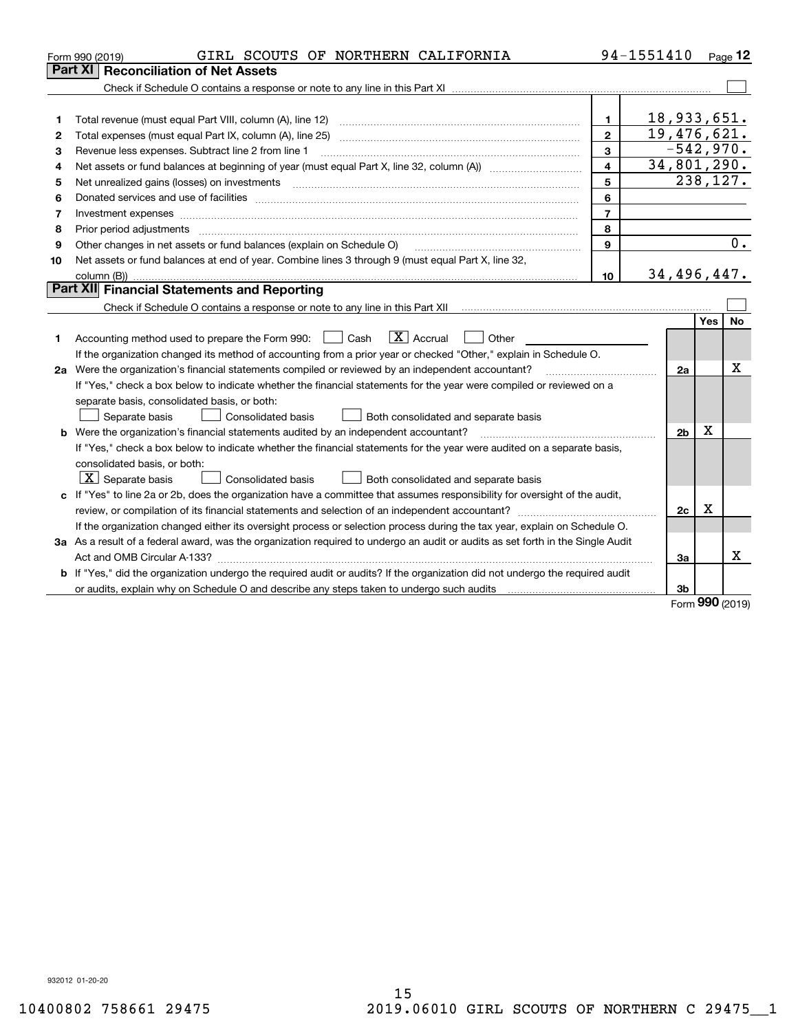|    | GIRL SCOUTS OF NORTHERN CALIFORNIA<br>Form 990 (2019)                                                                                                                                                                          |                         | 94-1551410     |             | Page $12$        |
|----|--------------------------------------------------------------------------------------------------------------------------------------------------------------------------------------------------------------------------------|-------------------------|----------------|-------------|------------------|
|    | Part XI<br><b>Reconciliation of Net Assets</b>                                                                                                                                                                                 |                         |                |             |                  |
|    |                                                                                                                                                                                                                                |                         |                |             |                  |
|    |                                                                                                                                                                                                                                |                         |                |             |                  |
| 1  |                                                                                                                                                                                                                                | 1                       | 18,933,651.    |             |                  |
| 2  |                                                                                                                                                                                                                                | $\mathbf{2}$            | 19,476,621.    |             |                  |
| 3  | Revenue less expenses. Subtract line 2 from line 1                                                                                                                                                                             | 3                       |                | $-542,970.$ |                  |
| 4  | Net assets or fund balances at beginning of year (must equal Part X, line 32, column (A)) [[[[[[[[[[[[[[[[[[[                                                                                                                  | $\overline{\mathbf{4}}$ | 34,801,290.    |             |                  |
| 5  |                                                                                                                                                                                                                                | 5                       |                | 238, 127.   |                  |
| 6  |                                                                                                                                                                                                                                | 6                       |                |             |                  |
| 7  | Investment expenses www.communication.com/www.communication.com/www.communication.com/www.communication.com                                                                                                                    | $\overline{7}$          |                |             |                  |
| 8  | Prior period adjustments material contents and content of the content of the content of the content of the content of the content of the content of the content of the content of the content of the content of the content of | 8                       |                |             |                  |
| 9  | Other changes in net assets or fund balances (explain on Schedule O)                                                                                                                                                           | 9                       |                |             | $\overline{0}$ . |
| 10 | Net assets or fund balances at end of year. Combine lines 3 through 9 (must equal Part X, line 32,                                                                                                                             |                         |                |             |                  |
|    |                                                                                                                                                                                                                                | 10                      | 34,496,447.    |             |                  |
|    | Part XII Financial Statements and Reporting                                                                                                                                                                                    |                         |                |             |                  |
|    |                                                                                                                                                                                                                                |                         |                |             |                  |
|    |                                                                                                                                                                                                                                |                         |                | <b>Yes</b>  | <b>No</b>        |
| 1  | $\boxed{\mathbf{X}}$ Accrual<br>Accounting method used to prepare the Form 990: <u>[</u> Cash<br>Other                                                                                                                         |                         |                |             |                  |
|    | If the organization changed its method of accounting from a prior year or checked "Other," explain in Schedule O.                                                                                                              |                         |                |             |                  |
|    | 2a Were the organization's financial statements compiled or reviewed by an independent accountant?                                                                                                                             |                         | 2a             |             | $\mathbf X$      |
|    | If "Yes," check a box below to indicate whether the financial statements for the year were compiled or reviewed on a                                                                                                           |                         |                |             |                  |
|    | separate basis, consolidated basis, or both:                                                                                                                                                                                   |                         |                |             |                  |
|    | Separate basis<br><b>Consolidated basis</b><br>Both consolidated and separate basis                                                                                                                                            |                         |                |             |                  |
|    | <b>b</b> Were the organization's financial statements audited by an independent accountant?                                                                                                                                    |                         | 2 <sub>b</sub> | $\mathbf X$ |                  |
|    | If "Yes," check a box below to indicate whether the financial statements for the year were audited on a separate basis,                                                                                                        |                         |                |             |                  |
|    | consolidated basis, or both:                                                                                                                                                                                                   |                         |                |             |                  |
|    | $\boxed{\textbf{X}}$ Separate basis<br>Consolidated basis<br>Both consolidated and separate basis                                                                                                                              |                         |                |             |                  |
|    | c If "Yes" to line 2a or 2b, does the organization have a committee that assumes responsibility for oversight of the audit,                                                                                                    |                         |                |             |                  |
|    |                                                                                                                                                                                                                                |                         | 2c             | х           |                  |
|    | If the organization changed either its oversight process or selection process during the tax year, explain on Schedule O.                                                                                                      |                         |                |             |                  |
|    | 3a As a result of a federal award, was the organization required to undergo an audit or audits as set forth in the Single Audit                                                                                                |                         |                |             |                  |
|    |                                                                                                                                                                                                                                |                         | 3a             |             | x                |
|    | b If "Yes," did the organization undergo the required audit or audits? If the organization did not undergo the required audit                                                                                                  |                         |                |             |                  |
|    |                                                                                                                                                                                                                                |                         | 3b             | nnn.        |                  |

Form (2019) **990**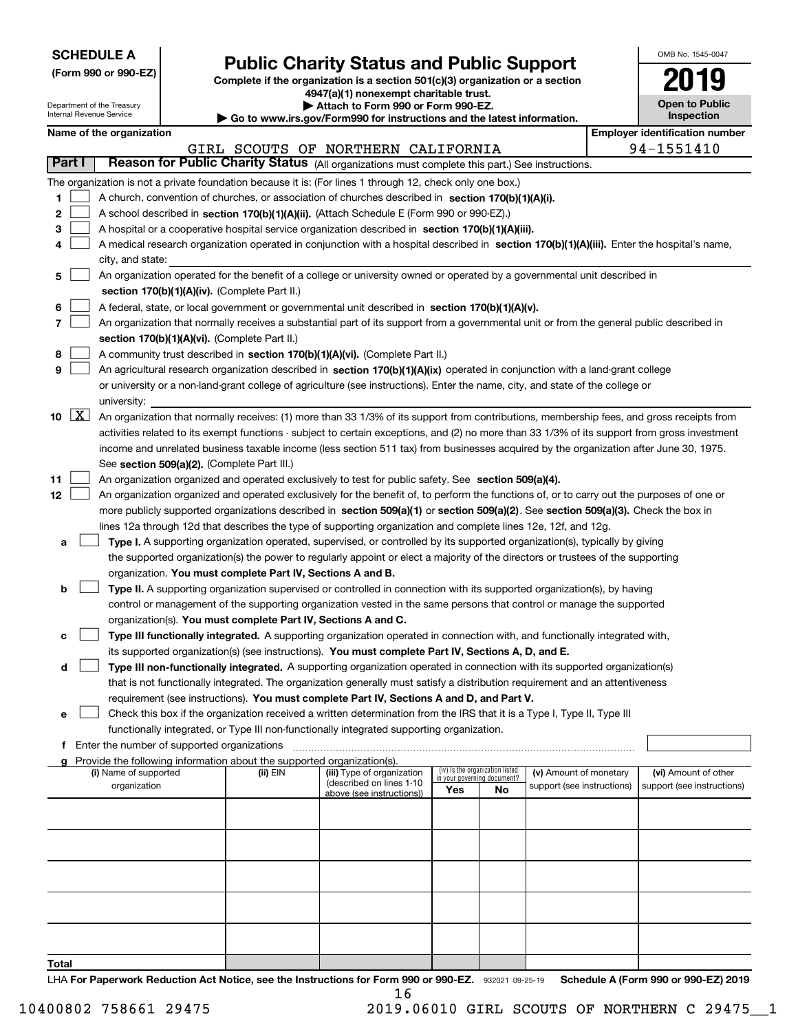| <b>SCHEDULE A</b> |
|-------------------|
|-------------------|

Department of the Treasury

**(Form 990 or 990-EZ)**

# **Public Charity Status and Public Support**

**Complete if the organization is a section 501(c)(3) organization or a section 4947(a)(1) nonexempt charitable trust. | Attach to Form 990 or Form 990-EZ.** 

|  | www.irs.gov/Form990 for instructions and the latest information. |  |
|--|------------------------------------------------------------------|--|
|  |                                                                  |  |

| OMB No 1545-0047                    |
|-------------------------------------|
| 2019                                |
| <b>Open to Public</b><br>Inspection |

|        |                                                                                                                               | Internal Revenue Service                                                                                                       |                                               |                                                                                    | $\blacktriangleright$ Go to www.irs.gov/Form990 for instructions and the latest information.                                                  |                                    |                                 |                            |  |  | <b>Inspection</b>                     |  |
|--------|-------------------------------------------------------------------------------------------------------------------------------|--------------------------------------------------------------------------------------------------------------------------------|-----------------------------------------------|------------------------------------------------------------------------------------|-----------------------------------------------------------------------------------------------------------------------------------------------|------------------------------------|---------------------------------|----------------------------|--|--|---------------------------------------|--|
|        |                                                                                                                               | Name of the organization                                                                                                       |                                               |                                                                                    |                                                                                                                                               |                                    |                                 |                            |  |  | <b>Employer identification number</b> |  |
|        |                                                                                                                               |                                                                                                                                |                                               |                                                                                    | GIRL SCOUTS OF NORTHERN CALIFORNIA                                                                                                            |                                    |                                 |                            |  |  | 94-1551410                            |  |
| Part I |                                                                                                                               |                                                                                                                                |                                               |                                                                                    | Reason for Public Charity Status (All organizations must complete this part.) See instructions.                                               |                                    |                                 |                            |  |  |                                       |  |
|        |                                                                                                                               |                                                                                                                                |                                               |                                                                                    | The organization is not a private foundation because it is: (For lines 1 through 12, check only one box.)                                     |                                    |                                 |                            |  |  |                                       |  |
| 1.     |                                                                                                                               |                                                                                                                                |                                               |                                                                                    | A church, convention of churches, or association of churches described in section 170(b)(1)(A)(i).                                            |                                    |                                 |                            |  |  |                                       |  |
| 2      |                                                                                                                               |                                                                                                                                |                                               |                                                                                    | A school described in section 170(b)(1)(A)(ii). (Attach Schedule E (Form 990 or 990-EZ).)                                                     |                                    |                                 |                            |  |  |                                       |  |
| 3      |                                                                                                                               |                                                                                                                                |                                               |                                                                                    | A hospital or a cooperative hospital service organization described in section 170(b)(1)(A)(iii).                                             |                                    |                                 |                            |  |  |                                       |  |
| 4      |                                                                                                                               |                                                                                                                                |                                               |                                                                                    | A medical research organization operated in conjunction with a hospital described in section 170(b)(1)(A)(iii). Enter the hospital's name,    |                                    |                                 |                            |  |  |                                       |  |
|        |                                                                                                                               | city, and state:                                                                                                               |                                               |                                                                                    |                                                                                                                                               |                                    |                                 |                            |  |  |                                       |  |
| 5.     |                                                                                                                               |                                                                                                                                |                                               |                                                                                    | An organization operated for the benefit of a college or university owned or operated by a governmental unit described in                     |                                    |                                 |                            |  |  |                                       |  |
|        |                                                                                                                               |                                                                                                                                |                                               | section 170(b)(1)(A)(iv). (Complete Part II.)                                      |                                                                                                                                               |                                    |                                 |                            |  |  |                                       |  |
| 6      |                                                                                                                               |                                                                                                                                |                                               |                                                                                    | A federal, state, or local government or governmental unit described in section 170(b)(1)(A)(v).                                              |                                    |                                 |                            |  |  |                                       |  |
| 7      |                                                                                                                               |                                                                                                                                |                                               |                                                                                    | An organization that normally receives a substantial part of its support from a governmental unit or from the general public described in     |                                    |                                 |                            |  |  |                                       |  |
|        |                                                                                                                               |                                                                                                                                |                                               | section 170(b)(1)(A)(vi). (Complete Part II.)                                      |                                                                                                                                               |                                    |                                 |                            |  |  |                                       |  |
| 8      |                                                                                                                               |                                                                                                                                |                                               |                                                                                    | A community trust described in section 170(b)(1)(A)(vi). (Complete Part II.)                                                                  |                                    |                                 |                            |  |  |                                       |  |
| 9      | An agricultural research organization described in section 170(b)(1)(A)(ix) operated in conjunction with a land-grant college |                                                                                                                                |                                               |                                                                                    |                                                                                                                                               |                                    |                                 |                            |  |  |                                       |  |
|        |                                                                                                                               | or university or a non-land-grant college of agriculture (see instructions). Enter the name, city, and state of the college or |                                               |                                                                                    |                                                                                                                                               |                                    |                                 |                            |  |  |                                       |  |
|        |                                                                                                                               | university:                                                                                                                    |                                               |                                                                                    |                                                                                                                                               |                                    |                                 |                            |  |  |                                       |  |
| 10     | $\lfloor x \rfloor$                                                                                                           |                                                                                                                                |                                               |                                                                                    | An organization that normally receives: (1) more than 33 1/3% of its support from contributions, membership fees, and gross receipts from     |                                    |                                 |                            |  |  |                                       |  |
|        |                                                                                                                               |                                                                                                                                |                                               |                                                                                    | activities related to its exempt functions - subject to certain exceptions, and (2) no more than 33 1/3% of its support from gross investment |                                    |                                 |                            |  |  |                                       |  |
|        |                                                                                                                               |                                                                                                                                |                                               |                                                                                    | income and unrelated business taxable income (less section 511 tax) from businesses acquired by the organization after June 30, 1975.         |                                    |                                 |                            |  |  |                                       |  |
|        |                                                                                                                               |                                                                                                                                |                                               | See section 509(a)(2). (Complete Part III.)                                        |                                                                                                                                               |                                    |                                 |                            |  |  |                                       |  |
| 11     |                                                                                                                               |                                                                                                                                |                                               |                                                                                    | An organization organized and operated exclusively to test for public safety. See section 509(a)(4).                                          |                                    |                                 |                            |  |  |                                       |  |
| 12     |                                                                                                                               |                                                                                                                                |                                               |                                                                                    | An organization organized and operated exclusively for the benefit of, to perform the functions of, or to carry out the purposes of one or    |                                    |                                 |                            |  |  |                                       |  |
|        |                                                                                                                               |                                                                                                                                |                                               |                                                                                    | more publicly supported organizations described in section 509(a)(1) or section 509(a)(2). See section 509(a)(3). Check the box in            |                                    |                                 |                            |  |  |                                       |  |
|        |                                                                                                                               |                                                                                                                                |                                               |                                                                                    | lines 12a through 12d that describes the type of supporting organization and complete lines 12e, 12f, and 12g.                                |                                    |                                 |                            |  |  |                                       |  |
| а      |                                                                                                                               |                                                                                                                                |                                               |                                                                                    | Type I. A supporting organization operated, supervised, or controlled by its supported organization(s), typically by giving                   |                                    |                                 |                            |  |  |                                       |  |
|        |                                                                                                                               |                                                                                                                                |                                               |                                                                                    | the supported organization(s) the power to regularly appoint or elect a majority of the directors or trustees of the supporting               |                                    |                                 |                            |  |  |                                       |  |
|        |                                                                                                                               |                                                                                                                                |                                               | organization. You must complete Part IV, Sections A and B.                         |                                                                                                                                               |                                    |                                 |                            |  |  |                                       |  |
| b      |                                                                                                                               |                                                                                                                                |                                               |                                                                                    | Type II. A supporting organization supervised or controlled in connection with its supported organization(s), by having                       |                                    |                                 |                            |  |  |                                       |  |
|        |                                                                                                                               |                                                                                                                                |                                               |                                                                                    | control or management of the supporting organization vested in the same persons that control or manage the supported                          |                                    |                                 |                            |  |  |                                       |  |
|        |                                                                                                                               |                                                                                                                                |                                               | organization(s). You must complete Part IV, Sections A and C.                      |                                                                                                                                               |                                    |                                 |                            |  |  |                                       |  |
|        |                                                                                                                               |                                                                                                                                |                                               |                                                                                    | Type III functionally integrated. A supporting organization operated in connection with, and functionally integrated with,                    |                                    |                                 |                            |  |  |                                       |  |
| с      |                                                                                                                               |                                                                                                                                |                                               |                                                                                    |                                                                                                                                               |                                    |                                 |                            |  |  |                                       |  |
|        |                                                                                                                               |                                                                                                                                |                                               |                                                                                    | its supported organization(s) (see instructions). You must complete Part IV, Sections A, D, and E.                                            |                                    |                                 |                            |  |  |                                       |  |
| d      |                                                                                                                               |                                                                                                                                |                                               |                                                                                    | Type III non-functionally integrated. A supporting organization operated in connection with its supported organization(s)                     |                                    |                                 |                            |  |  |                                       |  |
|        |                                                                                                                               |                                                                                                                                |                                               |                                                                                    | that is not functionally integrated. The organization generally must satisfy a distribution requirement and an attentiveness                  |                                    |                                 |                            |  |  |                                       |  |
|        |                                                                                                                               |                                                                                                                                |                                               |                                                                                    | requirement (see instructions). You must complete Part IV, Sections A and D, and Part V.                                                      |                                    |                                 |                            |  |  |                                       |  |
| е      |                                                                                                                               |                                                                                                                                |                                               |                                                                                    | Check this box if the organization received a written determination from the IRS that it is a Type I, Type II, Type III                       |                                    |                                 |                            |  |  |                                       |  |
|        |                                                                                                                               |                                                                                                                                |                                               |                                                                                    | functionally integrated, or Type III non-functionally integrated supporting organization.                                                     |                                    |                                 |                            |  |  |                                       |  |
|        |                                                                                                                               |                                                                                                                                | f Enter the number of supported organizations |                                                                                    |                                                                                                                                               |                                    |                                 |                            |  |  |                                       |  |
|        |                                                                                                                               | (i) Name of supported                                                                                                          |                                               | Provide the following information about the supported organization(s).<br>(ii) EIN | (iii) Type of organization                                                                                                                    |                                    | (iv) Is the organization listed | (v) Amount of monetary     |  |  | (vi) Amount of other                  |  |
|        |                                                                                                                               | organization                                                                                                                   |                                               |                                                                                    | (described on lines 1-10                                                                                                                      | in your governing document?<br>Yes | No                              | support (see instructions) |  |  | support (see instructions)            |  |
|        |                                                                                                                               |                                                                                                                                |                                               |                                                                                    | above (see instructions))                                                                                                                     |                                    |                                 |                            |  |  |                                       |  |
|        |                                                                                                                               |                                                                                                                                |                                               |                                                                                    |                                                                                                                                               |                                    |                                 |                            |  |  |                                       |  |
|        |                                                                                                                               |                                                                                                                                |                                               |                                                                                    |                                                                                                                                               |                                    |                                 |                            |  |  |                                       |  |
|        |                                                                                                                               |                                                                                                                                |                                               |                                                                                    |                                                                                                                                               |                                    |                                 |                            |  |  |                                       |  |
|        |                                                                                                                               |                                                                                                                                |                                               |                                                                                    |                                                                                                                                               |                                    |                                 |                            |  |  |                                       |  |
|        |                                                                                                                               |                                                                                                                                |                                               |                                                                                    |                                                                                                                                               |                                    |                                 |                            |  |  |                                       |  |
|        |                                                                                                                               |                                                                                                                                |                                               |                                                                                    |                                                                                                                                               |                                    |                                 |                            |  |  |                                       |  |
|        |                                                                                                                               |                                                                                                                                |                                               |                                                                                    |                                                                                                                                               |                                    |                                 |                            |  |  |                                       |  |
|        |                                                                                                                               |                                                                                                                                |                                               |                                                                                    |                                                                                                                                               |                                    |                                 |                            |  |  |                                       |  |
|        |                                                                                                                               |                                                                                                                                |                                               |                                                                                    |                                                                                                                                               |                                    |                                 |                            |  |  |                                       |  |
|        |                                                                                                                               |                                                                                                                                |                                               |                                                                                    |                                                                                                                                               |                                    |                                 |                            |  |  |                                       |  |
| Total  |                                                                                                                               |                                                                                                                                |                                               |                                                                                    |                                                                                                                                               |                                    |                                 |                            |  |  |                                       |  |

LHA For Paperwork Reduction Act Notice, see the Instructions for Form 990 or 990-EZ. 932021 09-25-19 Schedule A (Form 990 or 990-EZ) 2019 16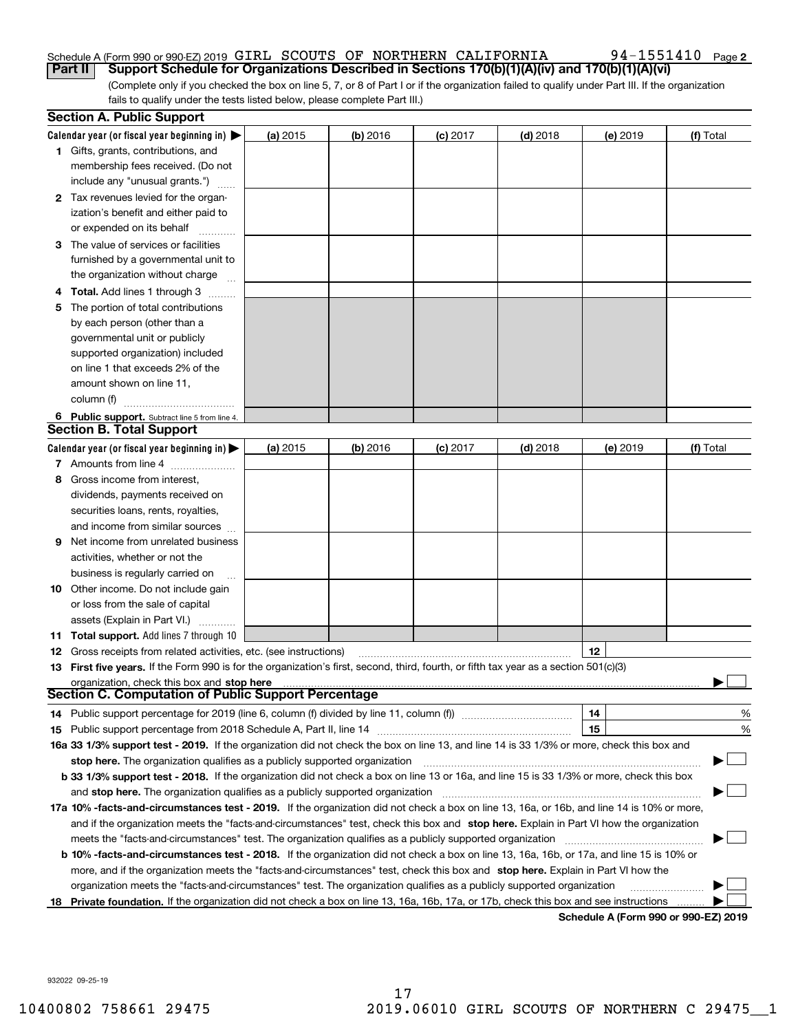#### Schedule A (Form 990 or 990-EZ) 2019 Page GIRL SCOUTS OF NORTHERN CALIFORNIA 94-1551410 **Part II Support Schedule for Organizations Described in Sections 170(b)(1)(A)(iv) and 170(b)(1)(A)(vi)**

(Complete only if you checked the box on line 5, 7, or 8 of Part I or if the organization failed to qualify under Part III. If the organization fails to qualify under the tests listed below, please complete Part III.)

|    | <b>Section A. Public Support</b>                                                                                                               |            |            |            |            |          |           |
|----|------------------------------------------------------------------------------------------------------------------------------------------------|------------|------------|------------|------------|----------|-----------|
|    | Calendar year (or fiscal year beginning in) $\blacktriangleright$                                                                              | (a) 2015   | $(b)$ 2016 | $(c)$ 2017 | $(d)$ 2018 | (e) 2019 | (f) Total |
|    | <b>1</b> Gifts, grants, contributions, and                                                                                                     |            |            |            |            |          |           |
|    | membership fees received. (Do not                                                                                                              |            |            |            |            |          |           |
|    | include any "unusual grants.")                                                                                                                 |            |            |            |            |          |           |
|    | 2 Tax revenues levied for the organ-                                                                                                           |            |            |            |            |          |           |
|    | ization's benefit and either paid to                                                                                                           |            |            |            |            |          |           |
|    | or expended on its behalf                                                                                                                      |            |            |            |            |          |           |
|    | 3 The value of services or facilities                                                                                                          |            |            |            |            |          |           |
|    | furnished by a governmental unit to                                                                                                            |            |            |            |            |          |           |
|    | the organization without charge                                                                                                                |            |            |            |            |          |           |
|    | <b>4 Total.</b> Add lines 1 through 3                                                                                                          |            |            |            |            |          |           |
| 5. | The portion of total contributions                                                                                                             |            |            |            |            |          |           |
|    | by each person (other than a                                                                                                                   |            |            |            |            |          |           |
|    | governmental unit or publicly                                                                                                                  |            |            |            |            |          |           |
|    | supported organization) included                                                                                                               |            |            |            |            |          |           |
|    | on line 1 that exceeds 2% of the                                                                                                               |            |            |            |            |          |           |
|    | amount shown on line 11,                                                                                                                       |            |            |            |            |          |           |
|    | column (f)                                                                                                                                     |            |            |            |            |          |           |
|    | 6 Public support. Subtract line 5 from line 4.                                                                                                 |            |            |            |            |          |           |
|    | <b>Section B. Total Support</b>                                                                                                                |            |            |            |            |          |           |
|    | Calendar year (or fiscal year beginning in) $\blacktriangleright$                                                                              | (a) $2015$ | $(b)$ 2016 | $(c)$ 2017 | $(d)$ 2018 | (e) 2019 | (f) Total |
|    | 7 Amounts from line 4                                                                                                                          |            |            |            |            |          |           |
| 8  | Gross income from interest,                                                                                                                    |            |            |            |            |          |           |
|    | dividends, payments received on                                                                                                                |            |            |            |            |          |           |
|    | securities loans, rents, royalties,                                                                                                            |            |            |            |            |          |           |
|    | and income from similar sources                                                                                                                |            |            |            |            |          |           |
| 9  | Net income from unrelated business                                                                                                             |            |            |            |            |          |           |
|    | activities, whether or not the                                                                                                                 |            |            |            |            |          |           |
|    | business is regularly carried on                                                                                                               |            |            |            |            |          |           |
|    | <b>10</b> Other income. Do not include gain                                                                                                    |            |            |            |            |          |           |
|    | or loss from the sale of capital                                                                                                               |            |            |            |            |          |           |
|    | assets (Explain in Part VI.)                                                                                                                   |            |            |            |            |          |           |
|    | <b>11 Total support.</b> Add lines 7 through 10                                                                                                |            |            |            |            |          |           |
|    | <b>12</b> Gross receipts from related activities, etc. (see instructions)                                                                      |            |            |            |            | 12       |           |
|    | 13 First five years. If the Form 990 is for the organization's first, second, third, fourth, or fifth tax year as a section 501(c)(3)          |            |            |            |            |          |           |
|    | organization, check this box and stop here                                                                                                     |            |            |            |            |          |           |
|    | Section C. Computation of Public Support Percentage                                                                                            |            |            |            |            |          |           |
|    | 14 Public support percentage for 2019 (line 6, column (f) divided by line 11, column (f)                                                       |            |            |            |            | 14       | %         |
|    |                                                                                                                                                |            |            |            |            | 15       | $\%$      |
|    | 16a 33 1/3% support test - 2019. If the organization did not check the box on line 13, and line 14 is 33 1/3% or more, check this box and      |            |            |            |            |          |           |
|    | stop here. The organization qualifies as a publicly supported organization                                                                     |            |            |            |            |          |           |
|    | b 33 1/3% support test - 2018. If the organization did not check a box on line 13 or 16a, and line 15 is 33 1/3% or more, check this box       |            |            |            |            |          |           |
|    | and stop here. The organization qualifies as a publicly supported organization                                                                 |            |            |            |            |          |           |
|    | 17a 10% -facts-and-circumstances test - 2019. If the organization did not check a box on line 13, 16a, or 16b, and line 14 is 10% or more,     |            |            |            |            |          |           |
|    | and if the organization meets the "facts-and-circumstances" test, check this box and stop here. Explain in Part VI how the organization        |            |            |            |            |          |           |
|    | meets the "facts-and-circumstances" test. The organization qualifies as a publicly supported organization                                      |            |            |            |            |          |           |
|    | <b>b 10% -facts-and-circumstances test - 2018.</b> If the organization did not check a box on line 13, 16a, 16b, or 17a, and line 15 is 10% or |            |            |            |            |          |           |
|    | more, and if the organization meets the "facts-and-circumstances" test, check this box and stop here. Explain in Part VI how the               |            |            |            |            |          |           |
|    | organization meets the "facts-and-circumstances" test. The organization qualifies as a publicly supported organization                         |            |            |            |            |          |           |
|    | 18 Private foundation. If the organization did not check a box on line 13, 16a, 16b, 17a, or 17b, check this box and see instructions          |            |            |            |            |          |           |
|    |                                                                                                                                                |            |            |            |            |          |           |

**Schedule A (Form 990 or 990-EZ) 2019**

932022 09-25-19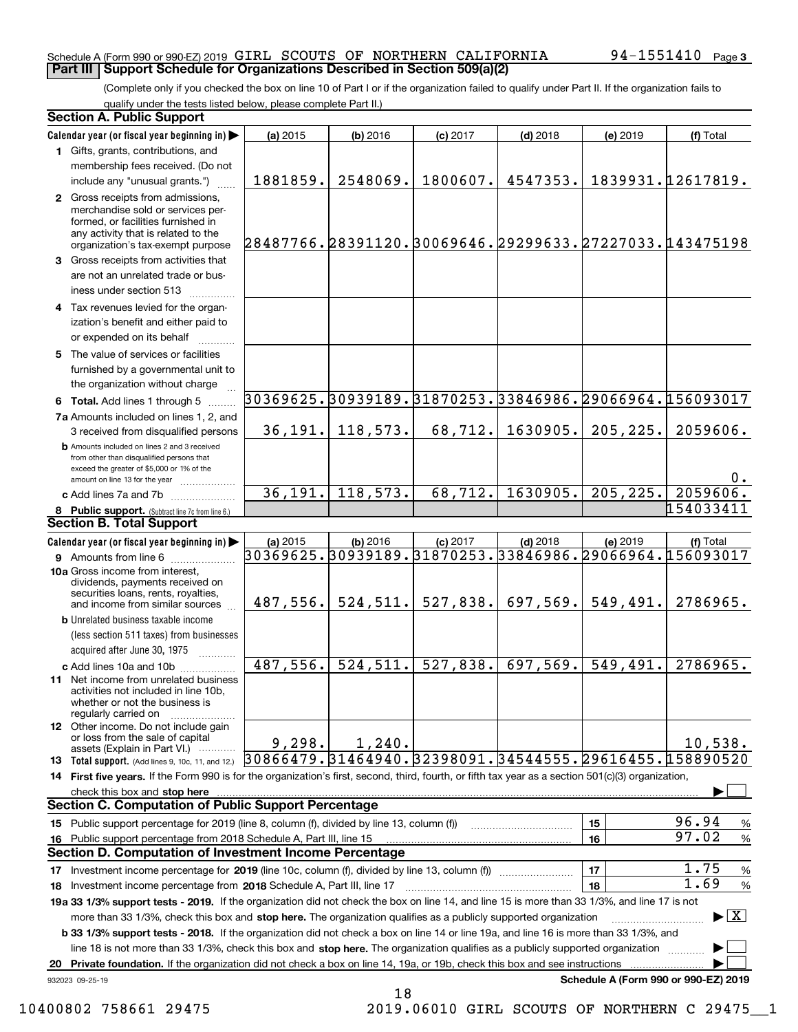#### Schedule A (Form 990 or 990-EZ) 2019 Page GIRL SCOUTS OF NORTHERN CALIFORNIA 94-1551410 **Part III Support Schedule for Organizations Described in Section 509(a)(2)**

(Complete only if you checked the box on line 10 of Part I or if the organization failed to qualify under Part II. If the organization fails to qualify under the tests listed below, please complete Part II.)

#### **8 Public support.** (Subtract line 7c from line 6.) **b** Amounts included on lines 2 and 3 received from other than disqualified persons that exceed the greater of \$5,000 or 1% of the amount on line 13 for the year  $\ldots$ ............... **13 Total support.** (Add lines 9, 10c, 11, and 12.) 932023 09-25-19 **Calendar year (or fiscal year beginning in) | Calendar year (or fiscal year beginning in) | (a)** 2015 **| (b)** 2016 **| (c)** 2017 **| (d)** 2018 **| (e)** 2019 **| (f) 1**Gifts, grants, contributions, and **2** Gross receipts from admissions, **3** Gross receipts from activities that **4**Tax revenues levied for the organ-**5** The value of services or facilities **6 Total.** Add lines 1 through 5  $\ldots$ ... **7a**Amounts included on lines 1, 2, and **c** Add lines 7a and 7b  $\ldots$   $\ldots$   $\ldots$  ... **(a)** 2015 **| (b)** 2016 **| (c)** 2017 **| (d)** 2018 **| (e)** 2019 **| (f) 9** Amounts from line 6  $^{10}$ **10a**Gross income from interest, **b** Unrelated business taxable income **c** Add lines 10a and 10b  $^{100}$ **11** Net income from unrelated business **12** Other income. Do not include gain **14 First five years.** If the Form 990 is for the organization's first, second, third, fourth, or fifth tax year as a section 501(c)(3) organization, **check this box and stop here with the construction of the construction of the check this box and stop here** with the check of the check of the check this box and stop here with the check of the check of the check of the c **1516151617**18 Investment income percentage from 2018 Schedule A, Part III, line 17 *www.communitionalism*.com **19a 33 1/3% support tests - 2019.** If the organization did not check the box on line 14, and line 15 is more than 33 1/3%, and line 17 is not **20Private foundation.**  If the organization did not check a box on line 14, 19a, or 19b, check this box and see instructions | Investment income percentage for 2019 (line 10c, column (f), divided by line 13, column (f)) **1718b33 1/3% support tests - 2018.**  If the organization did not check a box on line 14 or line 19a, and line 16 is more than 33 1/3%, and more than 33 1/3%, check this box and stop here. The organization qualifies as a publicly supported organization *manimumment* line 18 is not more than 33 1/3%, check this box and stop here. The organization qualifies as a publicly supported organization  $\Box$ **Schedule A (Form 990 or 990-EZ) 2019** (less section 511 taxes) from businesses acquired after June 30, 1975 (a) 2015 15 **| (b)** 2016 **| (c)** 2017 **| (d)** 2018 **| (e)** 2019 **| (f)** Total membership fees received. (Do not include any "unusual grants.") merchandise sold or services performed, or facilities furnished in any activity that is related to the organization's tax-exempt purpose are not an unrelated trade or business under section 513  $\quad$ ization's benefit and either paid to or expended on its behalf ~~~~furnished by a governmental unit to the organization without charge 3 received from disqualified persons (a) 2015 15 **| (b)** 2016 **| (c)** 2017 **| (d)** 2018 **| (e)** 2019 **| (f)** Total dividends, payments received on securities loans, rents, royalties, and income from similar sources activities not included in line 10b, whether or not the business is regularly carried on or loss from the sale of capital assets (Explain in Part VI.) ........... Public support percentage for 2019 (line 8, column (f), divided by line 13, column (f)) Public support percentage from 2018 Schedule A, Part III, line 15 % 96.94 % 97.02 % 1.75 % 1.69 **Section A. Public Support Section B. Total Support Section C. Computation of Public Support Percentage Section D. Computation of Investment Income Percentage**  $\mathcal{L}^{\text{max}}$  $\boxed{\text{X}}$  $\mathcal{L}^{\text{max}}$  $\mathcal{L}^{\text{max}}$ 1881859. 2548069. 1800607. 4547353. 1839931.12617819. 28487766.28391120.30069646.29299633.27227033.143475198 30369625.30939189.31870253.33846986.29066964.156093017 30369625.30939189.31870253.33846986.29066964.156093017 36,191. 118,573. 68,712. 1630905. 205,225. 2059606. 0. 36,191. 118,573. 68,712. 1630905. 205,225. 2059606. 154033411 487,556. 524,511. 527,838. 697,569. 549,491. 2786965. 487,556. 524,511. 527,838. 697,569. 549,491. 2786965. 9,298. 1,240. 10,538. 30866479.B1464940.B2398091.B4544555.29616455.158890520 18

10400802 758661 29475 2019.06010 GIRL SCOUTS OF NORTHERN C 29475\_\_1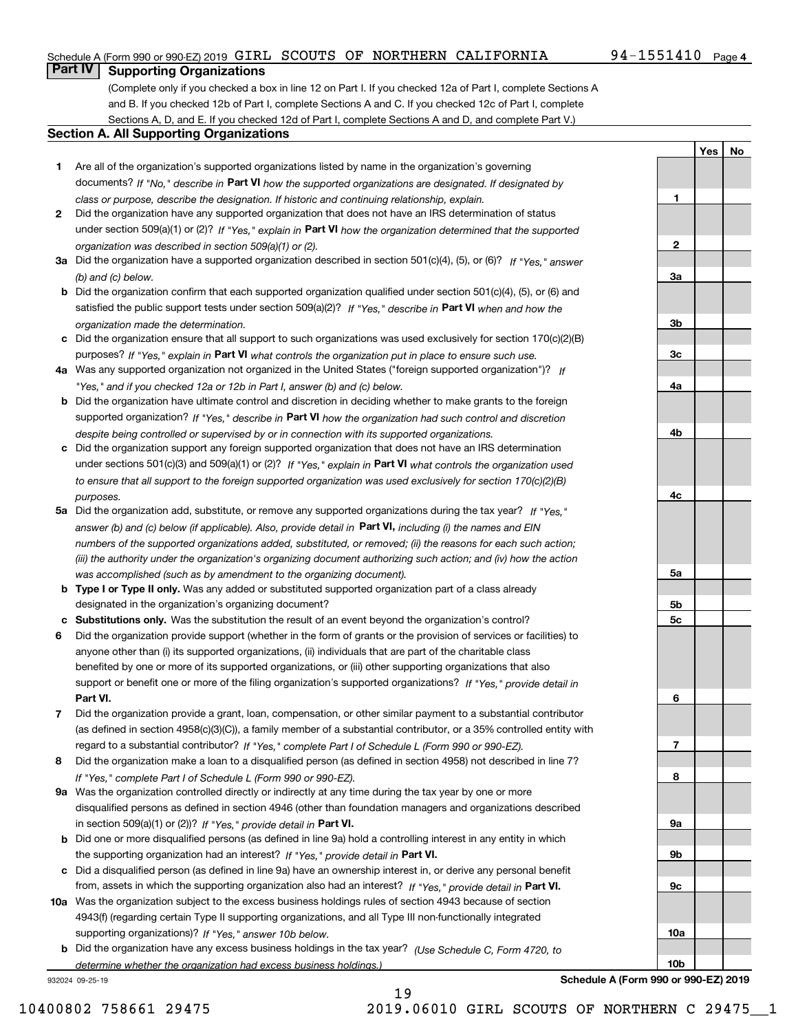**1**

**2**

**3a**

**3b**

**3c**

**4a**

**4b**

**4c**

**5a**

**5b5c**

**6**

**7**

**YesNo**

# **Part IV Supporting Organizations**

(Complete only if you checked a box in line 12 on Part I. If you checked 12a of Part I, complete Sections A and B. If you checked 12b of Part I, complete Sections A and C. If you checked 12c of Part I, complete Sections A, D, and E. If you checked 12d of Part I, complete Sections A and D, and complete Part V.)

#### **Section A. All Supporting Organizations**

- **1** Are all of the organization's supported organizations listed by name in the organization's governing documents? If "No," describe in **Part VI** how the supported organizations are designated. If designated by *class or purpose, describe the designation. If historic and continuing relationship, explain.*
- **2** Did the organization have any supported organization that does not have an IRS determination of status under section 509(a)(1) or (2)? If "Yes," explain in Part VI how the organization determined that the supported *organization was described in section 509(a)(1) or (2).*
- **3a** Did the organization have a supported organization described in section 501(c)(4), (5), or (6)? If "Yes," answer *(b) and (c) below.*
- **b** Did the organization confirm that each supported organization qualified under section 501(c)(4), (5), or (6) and satisfied the public support tests under section 509(a)(2)? If "Yes," describe in **Part VI** when and how the *organization made the determination.*
- **c**Did the organization ensure that all support to such organizations was used exclusively for section 170(c)(2)(B) purposes? If "Yes," explain in **Part VI** what controls the organization put in place to ensure such use.
- **4a***If* Was any supported organization not organized in the United States ("foreign supported organization")? *"Yes," and if you checked 12a or 12b in Part I, answer (b) and (c) below.*
- **b** Did the organization have ultimate control and discretion in deciding whether to make grants to the foreign supported organization? If "Yes," describe in **Part VI** how the organization had such control and discretion *despite being controlled or supervised by or in connection with its supported organizations.*
- **c** Did the organization support any foreign supported organization that does not have an IRS determination under sections 501(c)(3) and 509(a)(1) or (2)? If "Yes," explain in **Part VI** what controls the organization used *to ensure that all support to the foreign supported organization was used exclusively for section 170(c)(2)(B) purposes.*
- **5a** Did the organization add, substitute, or remove any supported organizations during the tax year? If "Yes," answer (b) and (c) below (if applicable). Also, provide detail in **Part VI,** including (i) the names and EIN *numbers of the supported organizations added, substituted, or removed; (ii) the reasons for each such action; (iii) the authority under the organization's organizing document authorizing such action; and (iv) how the action was accomplished (such as by amendment to the organizing document).*
- **b** Type I or Type II only. Was any added or substituted supported organization part of a class already designated in the organization's organizing document?
- **cSubstitutions only.**  Was the substitution the result of an event beyond the organization's control?
- **6** Did the organization provide support (whether in the form of grants or the provision of services or facilities) to **Part VI.** *If "Yes," provide detail in* support or benefit one or more of the filing organization's supported organizations? anyone other than (i) its supported organizations, (ii) individuals that are part of the charitable class benefited by one or more of its supported organizations, or (iii) other supporting organizations that also
- **7**Did the organization provide a grant, loan, compensation, or other similar payment to a substantial contributor *If "Yes," complete Part I of Schedule L (Form 990 or 990-EZ).* regard to a substantial contributor? (as defined in section 4958(c)(3)(C)), a family member of a substantial contributor, or a 35% controlled entity with
- **8** Did the organization make a loan to a disqualified person (as defined in section 4958) not described in line 7? *If "Yes," complete Part I of Schedule L (Form 990 or 990-EZ).*
- **9a** Was the organization controlled directly or indirectly at any time during the tax year by one or more in section 509(a)(1) or (2))? If "Yes," *provide detail in* <code>Part VI.</code> disqualified persons as defined in section 4946 (other than foundation managers and organizations described
- **b** Did one or more disqualified persons (as defined in line 9a) hold a controlling interest in any entity in which the supporting organization had an interest? If "Yes," provide detail in P**art VI**.
- **c**Did a disqualified person (as defined in line 9a) have an ownership interest in, or derive any personal benefit from, assets in which the supporting organization also had an interest? If "Yes," provide detail in P**art VI.**
- **10a** Was the organization subject to the excess business holdings rules of section 4943 because of section supporting organizations)? If "Yes," answer 10b below. 4943(f) (regarding certain Type II supporting organizations, and all Type III non-functionally integrated
- **b** Did the organization have any excess business holdings in the tax year? (Use Schedule C, Form 4720, to *determine whether the organization had excess business holdings.)*

932024 09-25-19



**Schedule A (Form 990 or 990-EZ) 2019**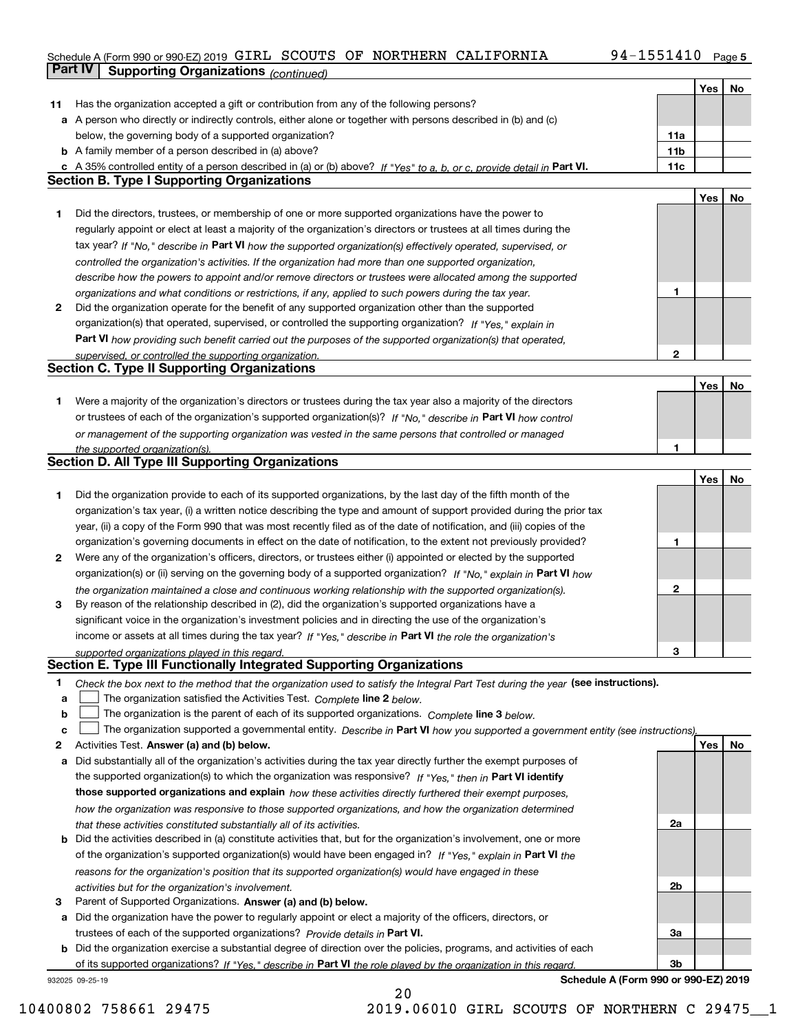#### Schedule A (Form 990 or 990-EZ) 2019 GIRL SCOUTS OF NORTHERN CALIFORNIA 94-1551410 Page 5 **Part IV Supporting Organizations** *(continued)* GIRL SCOUTS OF NORTHERN CALIFORNIA 94-1551410

|    |                                                                                                                                                                                                             |                 | Yes | No |
|----|-------------------------------------------------------------------------------------------------------------------------------------------------------------------------------------------------------------|-----------------|-----|----|
| 11 | Has the organization accepted a gift or contribution from any of the following persons?                                                                                                                     |                 |     |    |
|    | a A person who directly or indirectly controls, either alone or together with persons described in (b) and (c)                                                                                              |                 |     |    |
|    | below, the governing body of a supported organization?                                                                                                                                                      | 11a             |     |    |
|    | <b>b</b> A family member of a person described in (a) above?                                                                                                                                                | 11 <sub>b</sub> |     |    |
|    | A 35% controlled entity of a person described in (a) or (b) above? If "Yes" to a, b, or c, provide detail in Part VI.                                                                                       | 11c             |     |    |
|    | <b>Section B. Type I Supporting Organizations</b>                                                                                                                                                           |                 |     |    |
|    |                                                                                                                                                                                                             |                 | Yes | No |
| 1  | Did the directors, trustees, or membership of one or more supported organizations have the power to                                                                                                         |                 |     |    |
|    | regularly appoint or elect at least a majority of the organization's directors or trustees at all times during the                                                                                          |                 |     |    |
|    | tax year? If "No," describe in Part VI how the supported organization(s) effectively operated, supervised, or                                                                                               |                 |     |    |
|    | controlled the organization's activities. If the organization had more than one supported organization,                                                                                                     |                 |     |    |
|    | describe how the powers to appoint and/or remove directors or trustees were allocated among the supported                                                                                                   |                 |     |    |
|    | organizations and what conditions or restrictions, if any, applied to such powers during the tax year.                                                                                                      | 1               |     |    |
| 2  | Did the organization operate for the benefit of any supported organization other than the supported                                                                                                         |                 |     |    |
|    | organization(s) that operated, supervised, or controlled the supporting organization? If "Yes," explain in                                                                                                  |                 |     |    |
|    | Part VI how providing such benefit carried out the purposes of the supported organization(s) that operated,                                                                                                 |                 |     |    |
|    | supervised, or controlled the supporting organization.                                                                                                                                                      | 2               |     |    |
|    | <b>Section C. Type II Supporting Organizations</b>                                                                                                                                                          |                 |     |    |
|    |                                                                                                                                                                                                             |                 | Yes | No |
| 1. | Were a majority of the organization's directors or trustees during the tax year also a majority of the directors                                                                                            |                 |     |    |
|    | or trustees of each of the organization's supported organization(s)? If "No," describe in Part VI how control                                                                                               |                 |     |    |
|    | or management of the supporting organization was vested in the same persons that controlled or managed                                                                                                      |                 |     |    |
|    | the supported organization(s).                                                                                                                                                                              | 1               |     |    |
|    | <b>Section D. All Type III Supporting Organizations</b>                                                                                                                                                     |                 |     |    |
|    |                                                                                                                                                                                                             |                 | Yes | No |
| 1  | Did the organization provide to each of its supported organizations, by the last day of the fifth month of the                                                                                              |                 |     |    |
|    | organization's tax year, (i) a written notice describing the type and amount of support provided during the prior tax                                                                                       |                 |     |    |
|    | year, (ii) a copy of the Form 990 that was most recently filed as of the date of notification, and (iii) copies of the                                                                                      |                 |     |    |
|    | organization's governing documents in effect on the date of notification, to the extent not previously provided?                                                                                            | 1               |     |    |
| 2  | Were any of the organization's officers, directors, or trustees either (i) appointed or elected by the supported                                                                                            |                 |     |    |
|    | organization(s) or (ii) serving on the governing body of a supported organization? If "No," explain in Part VI how                                                                                          |                 |     |    |
|    | the organization maintained a close and continuous working relationship with the supported organization(s).                                                                                                 | 2               |     |    |
| 3  | By reason of the relationship described in (2), did the organization's supported organizations have a                                                                                                       |                 |     |    |
|    | significant voice in the organization's investment policies and in directing the use of the organization's                                                                                                  |                 |     |    |
|    | income or assets at all times during the tax year? If "Yes," describe in Part VI the role the organization's                                                                                                |                 |     |    |
|    | supported organizations played in this regard.<br>Section E. Type III Functionally Integrated Supporting Organizations                                                                                      | 3               |     |    |
| 1  |                                                                                                                                                                                                             |                 |     |    |
| а  | Check the box next to the method that the organization used to satisfy the Integral Part Test during the year (see instructions).<br>The organization satisfied the Activities Test. Complete line 2 below. |                 |     |    |
| b  | The organization is the parent of each of its supported organizations. Complete line 3 below.                                                                                                               |                 |     |    |
| c  | The organization supported a governmental entity. Describe in Part VI how you supported a government entity (see instructions).                                                                             |                 |     |    |
| 2  | Activities Test. Answer (a) and (b) below.                                                                                                                                                                  |                 | Yes | No |
| а  | Did substantially all of the organization's activities during the tax year directly further the exempt purposes of                                                                                          |                 |     |    |
|    | the supported organization(s) to which the organization was responsive? If "Yes," then in Part VI identify                                                                                                  |                 |     |    |
|    | those supported organizations and explain how these activities directly furthered their exempt purposes,                                                                                                    |                 |     |    |
|    | how the organization was responsive to those supported organizations, and how the organization determined                                                                                                   |                 |     |    |
|    | that these activities constituted substantially all of its activities.                                                                                                                                      | 2a              |     |    |
|    | <b>b</b> Did the activities described in (a) constitute activities that, but for the organization's involvement, one or more                                                                                |                 |     |    |
|    | of the organization's supported organization(s) would have been engaged in? If "Yes," explain in Part VI the                                                                                                |                 |     |    |
|    | reasons for the organization's position that its supported organization(s) would have engaged in these                                                                                                      |                 |     |    |
|    | activities but for the organization's involvement.                                                                                                                                                          | 2b              |     |    |
| З  | Parent of Supported Organizations. Answer (a) and (b) below.                                                                                                                                                |                 |     |    |
| а  | Did the organization have the power to regularly appoint or elect a majority of the officers, directors, or                                                                                                 |                 |     |    |
|    | trustees of each of the supported organizations? Provide details in Part VI.                                                                                                                                | За              |     |    |
|    | <b>b</b> Did the organization exercise a substantial degree of direction over the policies, programs, and activities of each                                                                                |                 |     |    |
|    | of its supported organizations? If "Yes," describe in Part VI the role played by the organization in this regard.                                                                                           | 3b              |     |    |

20

932025 09-25-19

**Schedule A (Form 990 or 990-EZ) 2019**

10400802 758661 29475 2019.06010 GIRL SCOUTS OF NORTHERN C 29475\_\_1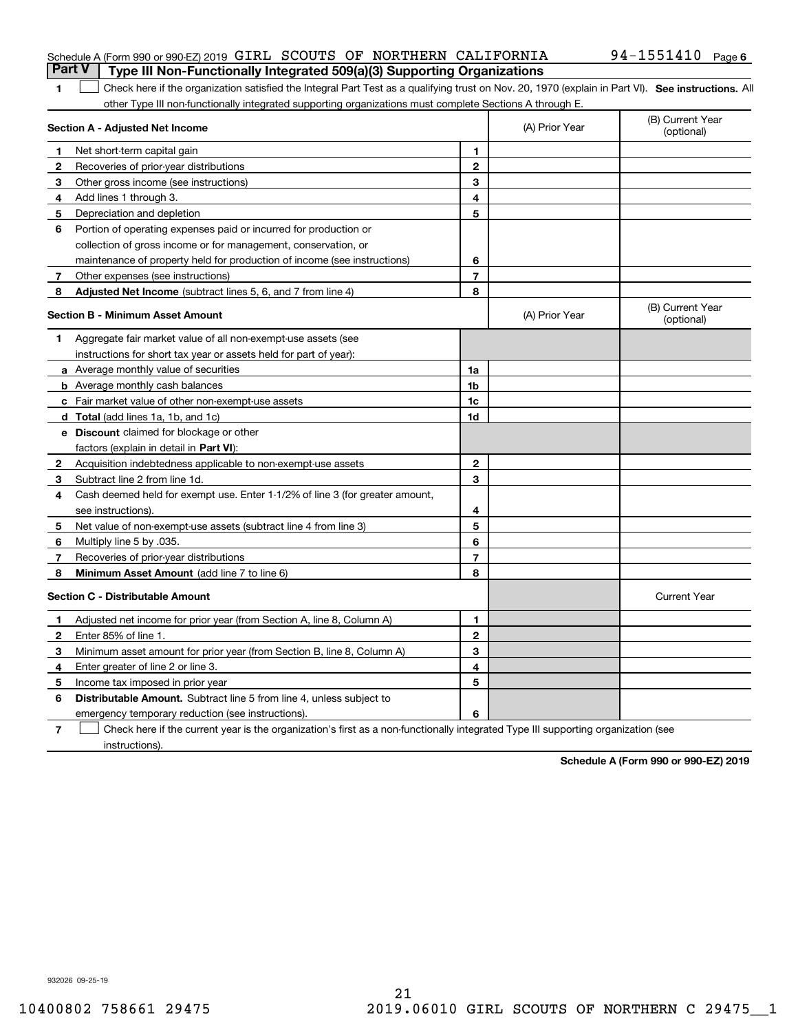#### Schedule A (Form 990 or 990-EZ) 2019 Page GIRL SCOUTS OF NORTHERN CALIFORNIA 94-1551410 **Part V Type III Non-Functionally Integrated 509(a)(3) Supporting Organizations**

# 1 Check here if the organization satisfied the Integral Part Test as a qualifying trust on Nov. 20, 1970 (explain in Part VI). See instructions. All other Type III non-functionally integrated supporting organizations must complete Sections A through E.

| Section A - Adjusted Net Income |                                                                              | (A) Prior Year | (B) Current Year<br>(optional) |                                |
|---------------------------------|------------------------------------------------------------------------------|----------------|--------------------------------|--------------------------------|
| 1.                              | Net short-term capital gain                                                  | 1              |                                |                                |
| 2                               | Recoveries of prior-year distributions                                       | $\mathbf{2}$   |                                |                                |
| 3                               | Other gross income (see instructions)                                        | 3              |                                |                                |
| 4                               | Add lines 1 through 3.                                                       | 4              |                                |                                |
| 5                               | Depreciation and depletion                                                   | 5              |                                |                                |
| 6                               | Portion of operating expenses paid or incurred for production or             |                |                                |                                |
|                                 | collection of gross income or for management, conservation, or               |                |                                |                                |
|                                 | maintenance of property held for production of income (see instructions)     | 6              |                                |                                |
| 7                               | Other expenses (see instructions)                                            | $\overline{7}$ |                                |                                |
| 8                               | Adjusted Net Income (subtract lines 5, 6, and 7 from line 4)                 | 8              |                                |                                |
|                                 | <b>Section B - Minimum Asset Amount</b>                                      |                | (A) Prior Year                 | (B) Current Year<br>(optional) |
| 1                               | Aggregate fair market value of all non-exempt-use assets (see                |                |                                |                                |
|                                 | instructions for short tax year or assets held for part of year):            |                |                                |                                |
|                                 | a Average monthly value of securities                                        | 1a             |                                |                                |
|                                 | <b>b</b> Average monthly cash balances                                       | 1 <sub>b</sub> |                                |                                |
|                                 | c Fair market value of other non-exempt-use assets                           | 1c             |                                |                                |
|                                 | d Total (add lines 1a, 1b, and 1c)                                           | 1d             |                                |                                |
|                                 | <b>e</b> Discount claimed for blockage or other                              |                |                                |                                |
|                                 | factors (explain in detail in <b>Part VI</b> ):                              |                |                                |                                |
| 2                               | Acquisition indebtedness applicable to non-exempt-use assets                 | $\mathbf{2}$   |                                |                                |
| 3                               | Subtract line 2 from line 1d.                                                | 3              |                                |                                |
| 4                               | Cash deemed held for exempt use. Enter 1-1/2% of line 3 (for greater amount, |                |                                |                                |
|                                 | see instructions).                                                           | 4              |                                |                                |
| 5                               | Net value of non-exempt-use assets (subtract line 4 from line 3)             | 5              |                                |                                |
| 6                               | Multiply line 5 by .035.                                                     | 6              |                                |                                |
| 7                               | Recoveries of prior-year distributions                                       | $\overline{7}$ |                                |                                |
| 8                               | <b>Minimum Asset Amount</b> (add line 7 to line 6)                           | 8              |                                |                                |
|                                 | <b>Section C - Distributable Amount</b>                                      |                |                                | <b>Current Year</b>            |
| 1                               | Adjusted net income for prior year (from Section A, line 8, Column A)        | 1              |                                |                                |
| $\mathbf{2}$                    | Enter 85% of line 1.                                                         | $\overline{2}$ |                                |                                |
| 3                               | Minimum asset amount for prior year (from Section B, line 8, Column A)       | 3              |                                |                                |
| 4                               | Enter greater of line 2 or line 3.                                           | 4              |                                |                                |
| 5                               | Income tax imposed in prior year                                             | 5              |                                |                                |
| 6                               | <b>Distributable Amount.</b> Subtract line 5 from line 4, unless subject to  |                |                                |                                |
|                                 | emergency temporary reduction (see instructions).                            | 6              |                                |                                |
|                                 |                                                                              |                |                                |                                |

**7**Check here if the current year is the organization's first as a non-functionally integrated Type III supporting organization (see instructions).

**Schedule A (Form 990 or 990-EZ) 2019**

932026 09-25-19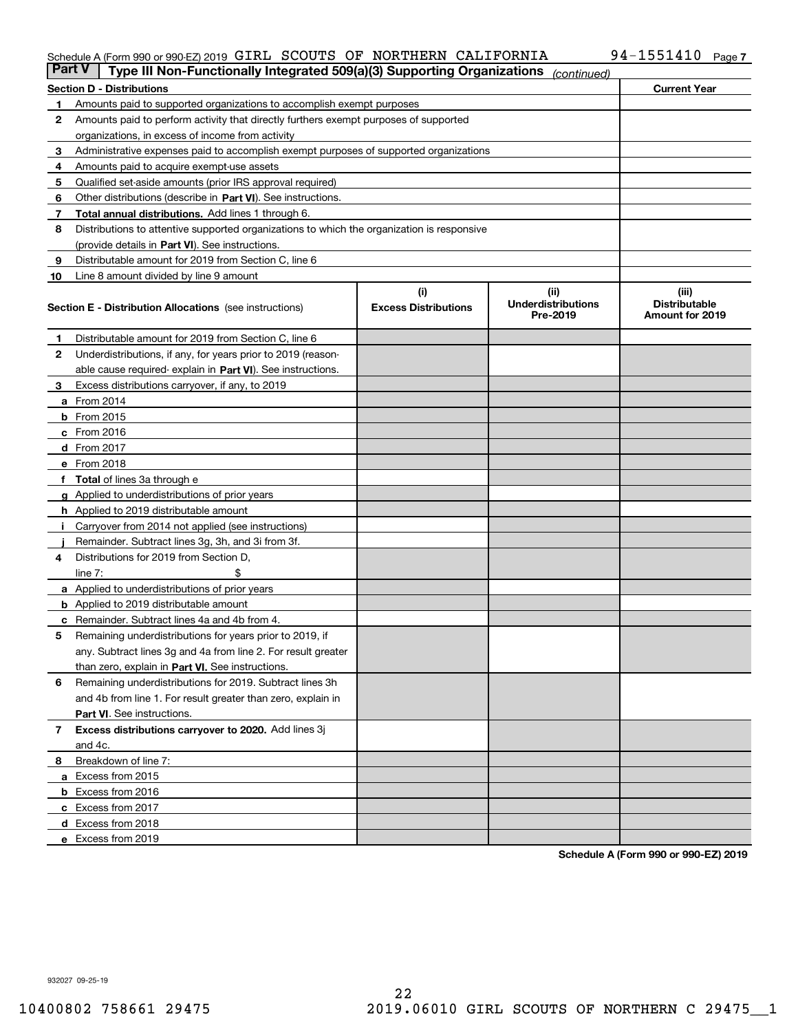#### Schedule A (Form 990 or 990-EZ) 2019 Page GIRL SCOUTS OF NORTHERN CALIFORNIA 94-1551410

| <b>Part V</b> | Type III Non-Functionally Integrated 509(a)(3) Supporting Organizations                    |                             | (continued)                    |                                         |
|---------------|--------------------------------------------------------------------------------------------|-----------------------------|--------------------------------|-----------------------------------------|
|               | <b>Section D - Distributions</b>                                                           |                             |                                | <b>Current Year</b>                     |
| 1             | Amounts paid to supported organizations to accomplish exempt purposes                      |                             |                                |                                         |
| 2             | Amounts paid to perform activity that directly furthers exempt purposes of supported       |                             |                                |                                         |
|               | organizations, in excess of income from activity                                           |                             |                                |                                         |
| 3             | Administrative expenses paid to accomplish exempt purposes of supported organizations      |                             |                                |                                         |
| 4             | Amounts paid to acquire exempt-use assets                                                  |                             |                                |                                         |
| 5             | Qualified set-aside amounts (prior IRS approval required)                                  |                             |                                |                                         |
| 6             | Other distributions (describe in Part VI). See instructions.                               |                             |                                |                                         |
| 7             | <b>Total annual distributions.</b> Add lines 1 through 6.                                  |                             |                                |                                         |
| 8             | Distributions to attentive supported organizations to which the organization is responsive |                             |                                |                                         |
|               | (provide details in Part VI). See instructions.                                            |                             |                                |                                         |
| 9             | Distributable amount for 2019 from Section C, line 6                                       |                             |                                |                                         |
| 10            | Line 8 amount divided by line 9 amount                                                     |                             |                                |                                         |
|               |                                                                                            | (i)                         | (ii)                           | (iii)                                   |
|               | <b>Section E - Distribution Allocations</b> (see instructions)                             | <b>Excess Distributions</b> | Underdistributions<br>Pre-2019 | <b>Distributable</b><br>Amount for 2019 |
| 1             | Distributable amount for 2019 from Section C, line 6                                       |                             |                                |                                         |
| 2             | Underdistributions, if any, for years prior to 2019 (reason-                               |                             |                                |                                         |
|               | able cause required- explain in Part VI). See instructions.                                |                             |                                |                                         |
| З             | Excess distributions carryover, if any, to 2019                                            |                             |                                |                                         |
|               | <b>a</b> From 2014                                                                         |                             |                                |                                         |
|               | <b>b</b> From 2015                                                                         |                             |                                |                                         |
|               | $c$ From 2016                                                                              |                             |                                |                                         |
|               | d From 2017                                                                                |                             |                                |                                         |
|               | e From 2018                                                                                |                             |                                |                                         |
|               | Total of lines 3a through e                                                                |                             |                                |                                         |
| g             | Applied to underdistributions of prior years                                               |                             |                                |                                         |
|               | <b>h</b> Applied to 2019 distributable amount                                              |                             |                                |                                         |
|               | Carryover from 2014 not applied (see instructions)                                         |                             |                                |                                         |
|               | Remainder. Subtract lines 3g, 3h, and 3i from 3f.                                          |                             |                                |                                         |
| 4             | Distributions for 2019 from Section D,                                                     |                             |                                |                                         |
|               | line $7:$                                                                                  |                             |                                |                                         |
|               | <b>a</b> Applied to underdistributions of prior years                                      |                             |                                |                                         |
|               | <b>b</b> Applied to 2019 distributable amount                                              |                             |                                |                                         |
|               | c Remainder. Subtract lines 4a and 4b from 4.                                              |                             |                                |                                         |
| 5             | Remaining underdistributions for years prior to 2019, if                                   |                             |                                |                                         |
|               | any. Subtract lines 3g and 4a from line 2. For result greater                              |                             |                                |                                         |
|               | than zero, explain in Part VI. See instructions.                                           |                             |                                |                                         |
| 6             | Remaining underdistributions for 2019. Subtract lines 3h                                   |                             |                                |                                         |
|               | and 4b from line 1. For result greater than zero, explain in                               |                             |                                |                                         |
|               |                                                                                            |                             |                                |                                         |
|               | Part VI. See instructions.                                                                 |                             |                                |                                         |
| 7             | Excess distributions carryover to 2020. Add lines 3j                                       |                             |                                |                                         |
|               | and 4c.                                                                                    |                             |                                |                                         |
| 8             | Breakdown of line 7:                                                                       |                             |                                |                                         |
|               | a Excess from 2015                                                                         |                             |                                |                                         |
|               | <b>b</b> Excess from 2016                                                                  |                             |                                |                                         |
|               | c Excess from 2017                                                                         |                             |                                |                                         |
|               | d Excess from 2018                                                                         |                             |                                |                                         |
|               | e Excess from 2019                                                                         |                             |                                |                                         |

**Schedule A (Form 990 or 990-EZ) 2019**

932027 09-25-19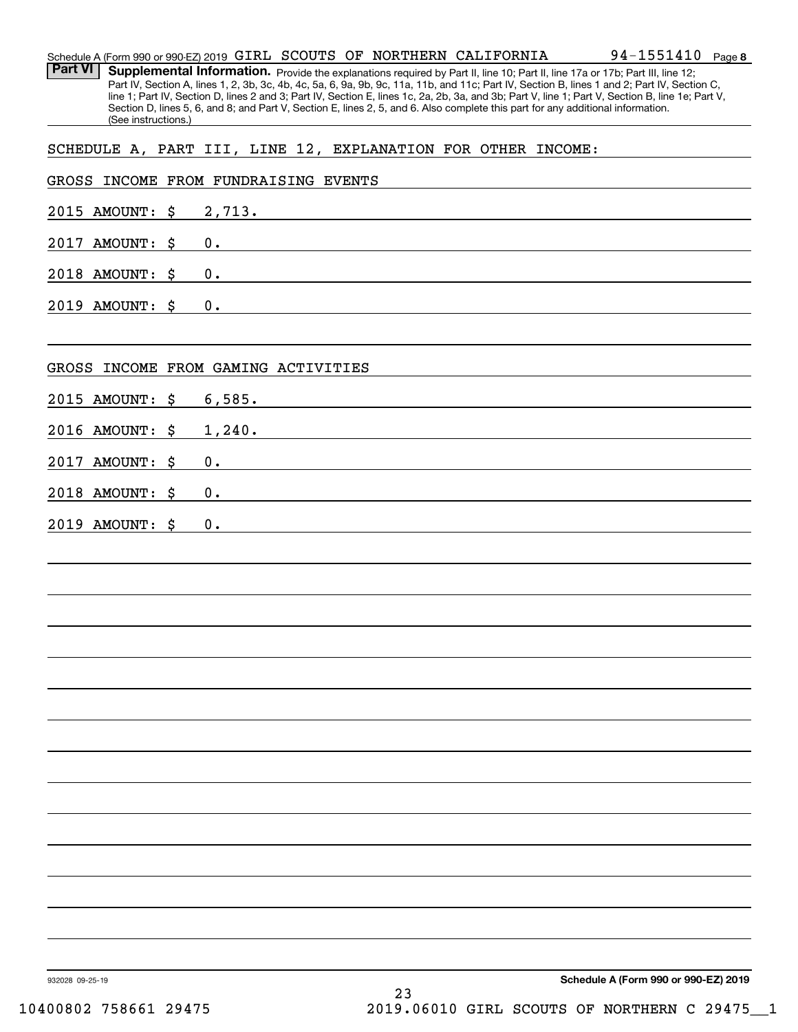|                     | 94-1551410<br>Schedule A (Form 990 or 990-EZ) 2019 GIRL SCOUTS OF NORTHERN CALIFORNIA<br>Page 8                                                                                                                                                                                                                                                                                                                                                                                                                                                                      |
|---------------------|----------------------------------------------------------------------------------------------------------------------------------------------------------------------------------------------------------------------------------------------------------------------------------------------------------------------------------------------------------------------------------------------------------------------------------------------------------------------------------------------------------------------------------------------------------------------|
| <b>Part VI</b>      | Supplemental Information. Provide the explanations required by Part II, line 10; Part II, line 17a or 17b; Part III, line 12;<br>Part IV, Section A, lines 1, 2, 3b, 3c, 4b, 4c, 5a, 6, 9a, 9b, 9c, 11a, 11b, and 11c; Part IV, Section B, lines 1 and 2; Part IV, Section C,<br>line 1; Part IV, Section D, lines 2 and 3; Part IV, Section E, lines 1c, 2a, 2b, 3a, and 3b; Part V, line 1; Part V, Section B, line 1e; Part V,<br>Section D, lines 5, 6, and 8; and Part V, Section E, lines 2, 5, and 6. Also complete this part for any additional information. |
| (See instructions.) |                                                                                                                                                                                                                                                                                                                                                                                                                                                                                                                                                                      |
|                     | SCHEDULE A, PART III, LINE 12, EXPLANATION FOR OTHER INCOME:                                                                                                                                                                                                                                                                                                                                                                                                                                                                                                         |
|                     | GROSS INCOME FROM FUNDRAISING EVENTS                                                                                                                                                                                                                                                                                                                                                                                                                                                                                                                                 |
| 2015 AMOUNT:<br>\$  | 2,713.                                                                                                                                                                                                                                                                                                                                                                                                                                                                                                                                                               |
| 2017 AMOUNT:<br>\$  | 0.                                                                                                                                                                                                                                                                                                                                                                                                                                                                                                                                                                   |
| 2018 AMOUNT:<br>\$  | 0.                                                                                                                                                                                                                                                                                                                                                                                                                                                                                                                                                                   |
| 2019 AMOUNT:<br>\$  | 0.                                                                                                                                                                                                                                                                                                                                                                                                                                                                                                                                                                   |
| GROSS               | INCOME FROM GAMING ACTIVITIES                                                                                                                                                                                                                                                                                                                                                                                                                                                                                                                                        |
| 2015 AMOUNT:<br>\$  | 6,585.                                                                                                                                                                                                                                                                                                                                                                                                                                                                                                                                                               |
| 2016 AMOUNT:<br>\$  | 1,240.                                                                                                                                                                                                                                                                                                                                                                                                                                                                                                                                                               |
| 2017 AMOUNT:<br>\$  | 0.                                                                                                                                                                                                                                                                                                                                                                                                                                                                                                                                                                   |
| 2018 AMOUNT:<br>\$  | 0.                                                                                                                                                                                                                                                                                                                                                                                                                                                                                                                                                                   |
| 2019 AMOUNT:<br>\$  | 0.                                                                                                                                                                                                                                                                                                                                                                                                                                                                                                                                                                   |
|                     |                                                                                                                                                                                                                                                                                                                                                                                                                                                                                                                                                                      |
|                     |                                                                                                                                                                                                                                                                                                                                                                                                                                                                                                                                                                      |
|                     |                                                                                                                                                                                                                                                                                                                                                                                                                                                                                                                                                                      |
|                     |                                                                                                                                                                                                                                                                                                                                                                                                                                                                                                                                                                      |
|                     |                                                                                                                                                                                                                                                                                                                                                                                                                                                                                                                                                                      |
|                     |                                                                                                                                                                                                                                                                                                                                                                                                                                                                                                                                                                      |
|                     |                                                                                                                                                                                                                                                                                                                                                                                                                                                                                                                                                                      |
|                     |                                                                                                                                                                                                                                                                                                                                                                                                                                                                                                                                                                      |
|                     |                                                                                                                                                                                                                                                                                                                                                                                                                                                                                                                                                                      |
|                     |                                                                                                                                                                                                                                                                                                                                                                                                                                                                                                                                                                      |
|                     |                                                                                                                                                                                                                                                                                                                                                                                                                                                                                                                                                                      |
|                     |                                                                                                                                                                                                                                                                                                                                                                                                                                                                                                                                                                      |
|                     |                                                                                                                                                                                                                                                                                                                                                                                                                                                                                                                                                                      |
|                     |                                                                                                                                                                                                                                                                                                                                                                                                                                                                                                                                                                      |

932028 09-25-19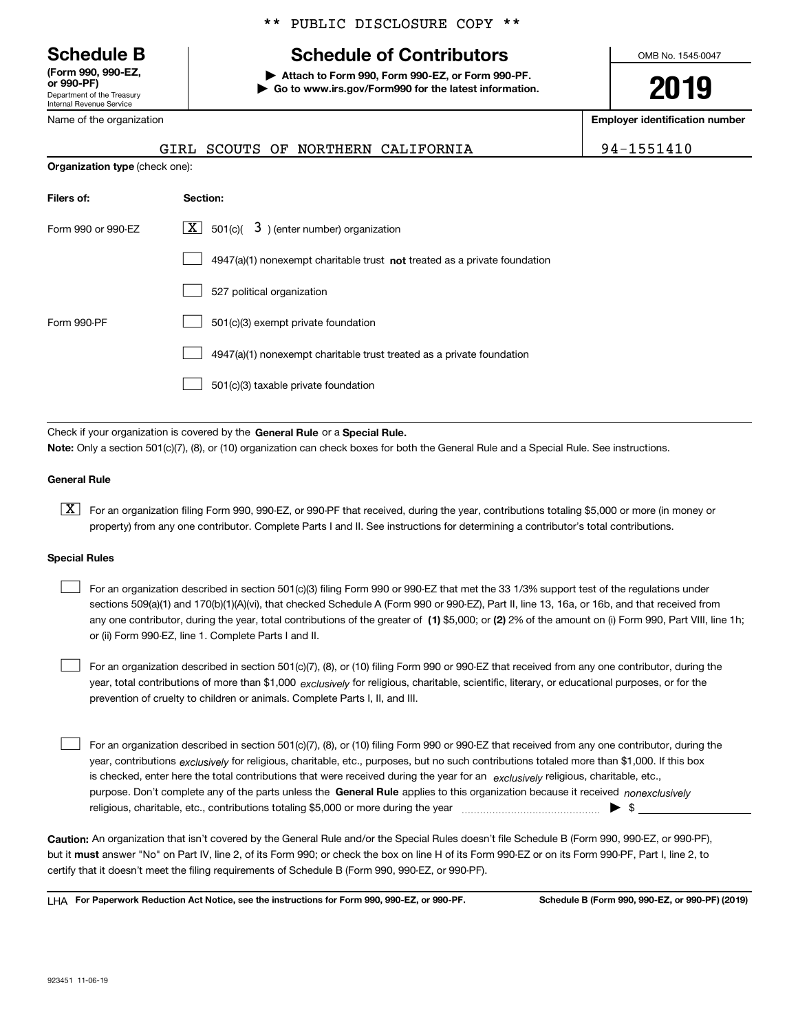Department of the Treasury Internal Revenue Service **(Form 990, 990-EZ, or 990-PF)**

Name of the organization

#### \*\* PUBLIC DISCLOSURE COPY \*\*

# **Schedule B Schedule of Contributors**

**| Attach to Form 990, Form 990-EZ, or Form 990-PF. | Go to www.irs.gov/Form990 for the latest information.** OMB No. 1545-0047

# **2019**

**Employer identification number**

|                                       |          | GIRL SCOUTS OF NORTHERN CALIFORNIA                          |  | 94-1551410 |
|---------------------------------------|----------|-------------------------------------------------------------|--|------------|
| <b>Organization type (check one):</b> |          |                                                             |  |            |
| Filers of:                            | Section: |                                                             |  |            |
| Form 990 or 990-EZ                    |          | $\boxed{\mathbf{X}}$ 501(c)( 3) (enter number) organization |  |            |

|             | 4947(a)(1) nonexempt charitable trust not treated as a private foundation |
|-------------|---------------------------------------------------------------------------|
|             | 527 political organization                                                |
| Form 990-PF | 501(c)(3) exempt private foundation                                       |
|             | 4947(a)(1) nonexempt charitable trust treated as a private foundation     |
|             | 501(c)(3) taxable private foundation                                      |

Check if your organization is covered by the **General Rule** or a **Special Rule. Note:**  Only a section 501(c)(7), (8), or (10) organization can check boxes for both the General Rule and a Special Rule. See instructions.

#### **General Rule**

 $\boxed{\textbf{X}}$  For an organization filing Form 990, 990-EZ, or 990-PF that received, during the year, contributions totaling \$5,000 or more (in money or property) from any one contributor. Complete Parts I and II. See instructions for determining a contributor's total contributions.

#### **Special Rules**

any one contributor, during the year, total contributions of the greater of  $\,$  (1) \$5,000; or **(2)** 2% of the amount on (i) Form 990, Part VIII, line 1h; For an organization described in section 501(c)(3) filing Form 990 or 990-EZ that met the 33 1/3% support test of the regulations under sections 509(a)(1) and 170(b)(1)(A)(vi), that checked Schedule A (Form 990 or 990-EZ), Part II, line 13, 16a, or 16b, and that received from or (ii) Form 990-EZ, line 1. Complete Parts I and II.  $\mathcal{L}^{\text{max}}$ 

year, total contributions of more than \$1,000 *exclusively* for religious, charitable, scientific, literary, or educational purposes, or for the For an organization described in section 501(c)(7), (8), or (10) filing Form 990 or 990-EZ that received from any one contributor, during the prevention of cruelty to children or animals. Complete Parts I, II, and III.  $\mathcal{L}^{\text{max}}$ 

purpose. Don't complete any of the parts unless the **General Rule** applies to this organization because it received *nonexclusively* year, contributions <sub>exclusively</sub> for religious, charitable, etc., purposes, but no such contributions totaled more than \$1,000. If this box is checked, enter here the total contributions that were received during the year for an  $\;$ exclusively religious, charitable, etc., For an organization described in section 501(c)(7), (8), or (10) filing Form 990 or 990-EZ that received from any one contributor, during the religious, charitable, etc., contributions totaling \$5,000 or more during the year  $\Box$ — $\Box$   $\Box$  $\mathcal{L}^{\text{max}}$ 

**Caution:**  An organization that isn't covered by the General Rule and/or the Special Rules doesn't file Schedule B (Form 990, 990-EZ, or 990-PF),  **must** but it answer "No" on Part IV, line 2, of its Form 990; or check the box on line H of its Form 990-EZ or on its Form 990-PF, Part I, line 2, to certify that it doesn't meet the filing requirements of Schedule B (Form 990, 990-EZ, or 990-PF).

**For Paperwork Reduction Act Notice, see the instructions for Form 990, 990-EZ, or 990-PF. Schedule B (Form 990, 990-EZ, or 990-PF) (2019)** LHA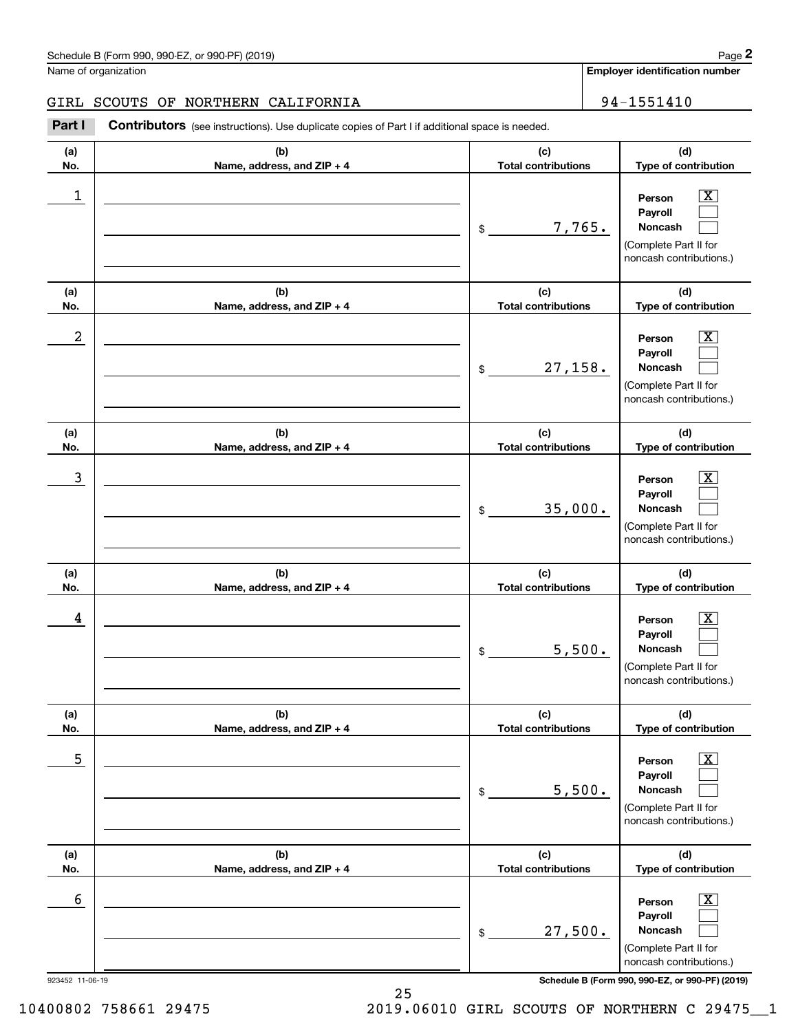# GIRL SCOUTS OF NORTHERN CALIFORNIA | 94-1551410

Chedule B (Form 990, 990-EZ, or 990-PF) (2019)<br> **2018 Columbusher SCOUTS OF NORTHERN CALIFORNIA**<br> **294-1551410**<br> **294-1551410**<br> **294-1551410** 

| (a)<br>No.      | (b)<br>Name, address, and ZIP + 4 | (c)<br><b>Total contributions</b> | (d)<br>Type of contribution                                                                                      |
|-----------------|-----------------------------------|-----------------------------------|------------------------------------------------------------------------------------------------------------------|
| 1               |                                   | 7,765.<br>$\$$                    | $\overline{\text{X}}$<br>Person<br>Payroll<br><b>Noncash</b><br>(Complete Part II for<br>noncash contributions.) |
| (a)<br>No.      | (b)<br>Name, address, and ZIP + 4 | (c)<br><b>Total contributions</b> | (d)<br>Type of contribution                                                                                      |
| 2               |                                   | 27, 158.<br>$\$$                  | x<br>Person<br>Payroll<br>Noncash<br>(Complete Part II for<br>noncash contributions.)                            |
| (a)<br>No.      | (b)<br>Name, address, and ZIP + 4 | (c)<br><b>Total contributions</b> | (d)<br>Type of contribution                                                                                      |
| 3               |                                   | 35,000.<br>\$                     | X<br>Person<br>Payroll<br>Noncash<br>(Complete Part II for<br>noncash contributions.)                            |
| (a)<br>No.      | (b)<br>Name, address, and ZIP + 4 | (c)<br><b>Total contributions</b> | (d)<br>Type of contribution                                                                                      |
| 4               |                                   | 5,500.<br>\$                      | х<br>Person<br>Payroll<br>Noncash<br>(Complete Part II for<br>noncash contributions.)                            |
| (a)<br>No.      | (b)<br>Name, address, and ZIP + 4 | (c)<br><b>Total contributions</b> | (d)<br>Type of contribution                                                                                      |
| 5               |                                   | 5,500.<br>\$                      | x<br>Person<br>Payroll<br>Noncash<br>(Complete Part II for<br>noncash contributions.)                            |
| (a)<br>No.      | (b)<br>Name, address, and ZIP + 4 | (c)<br><b>Total contributions</b> | (d)<br>Type of contribution                                                                                      |
| 6               |                                   | 27,500.<br>\$                     | x<br>Person<br>Payroll<br>Noncash<br>(Complete Part II for<br>noncash contributions.)                            |
| 923452 11-06-19 |                                   |                                   | Schedule B (Form 990, 990-EZ, or 990-PF) (2019)                                                                  |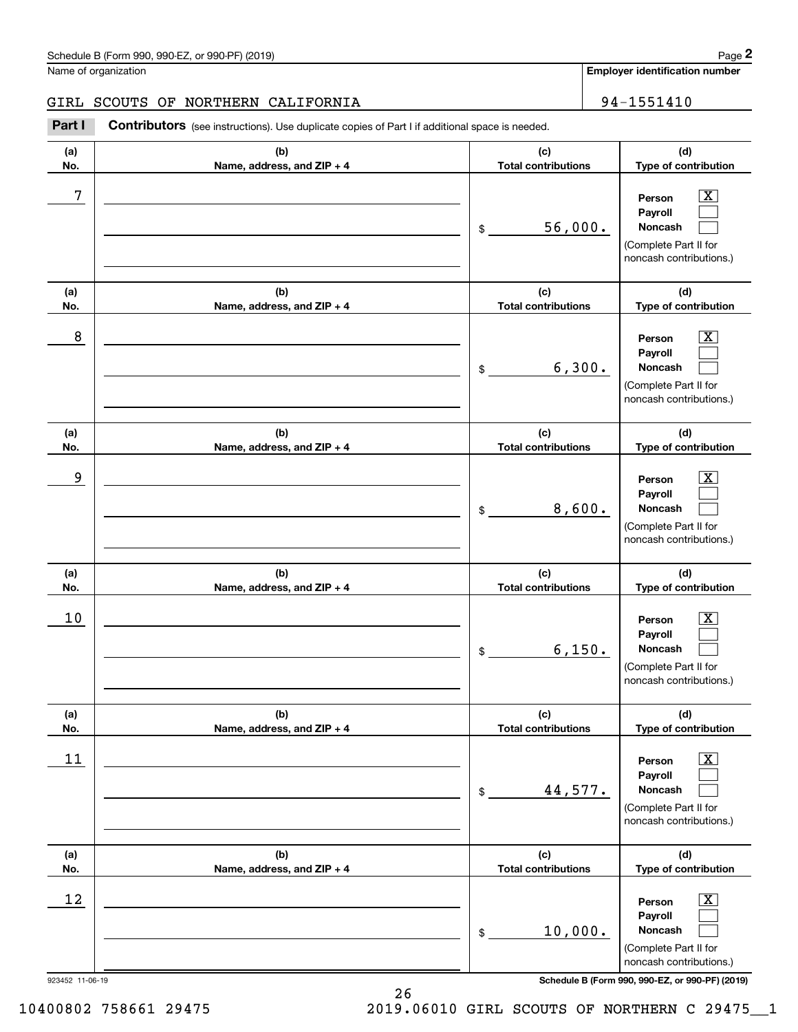# GIRL SCOUTS OF NORTHERN CALIFORNIA | 94-1551410

Chedule B (Form 990, 990-EZ, or 990-PF) (2019)<br> **2018 Columbusher SCOUTS OF NORTHERN CALIFORNIA**<br> **294-1551410**<br> **294-1551410**<br> **294-1551410** 

| (a)<br>No.                   | (b)<br>Name, address, and ZIP + 4 | (c)<br><b>Total contributions</b>           | (d)<br>Type of contribution                                                                                                                                                       |
|------------------------------|-----------------------------------|---------------------------------------------|-----------------------------------------------------------------------------------------------------------------------------------------------------------------------------------|
| 7                            |                                   | 56,000.<br>\$                               | $\overline{\mathbf{X}}$<br>Person<br>Payroll<br>Noncash<br>(Complete Part II for<br>noncash contributions.)                                                                       |
| (a)<br>No.                   | (b)<br>Name, address, and ZIP + 4 | (c)<br><b>Total contributions</b>           | (d)<br>Type of contribution                                                                                                                                                       |
| 8                            |                                   | 6,300.<br>\$                                | $\overline{\mathbf{x}}$<br>Person<br>Payroll<br>Noncash<br>(Complete Part II for<br>noncash contributions.)                                                                       |
| (a)<br>No.                   | (b)<br>Name, address, and ZIP + 4 | (c)<br><b>Total contributions</b>           | (d)<br>Type of contribution                                                                                                                                                       |
| 9                            |                                   | 8,600.<br>\$                                | $\boxed{\text{X}}$<br>Person<br>Payroll<br><b>Noncash</b><br>(Complete Part II for<br>noncash contributions.)                                                                     |
| (a)<br>No.                   | (b)<br>Name, address, and ZIP + 4 | (c)<br><b>Total contributions</b>           | (d)<br>Type of contribution                                                                                                                                                       |
| 10                           |                                   | 6,150.<br>\$                                | $\overline{\mathbf{x}}$<br>Person<br>Payroll<br>Noncash<br>(Complete Part II for<br>noncash contributions.)                                                                       |
| (a)<br>No.                   | (b)<br>Name, address, and ZIP + 4 | (c)<br><b>Total contributions</b>           | (d)<br>Type of contribution                                                                                                                                                       |
|                              |                                   |                                             |                                                                                                                                                                                   |
| 11                           |                                   | 44,577.<br>\$                               | $\boxed{\text{X}}$<br>Person<br>Payroll<br>Noncash<br>(Complete Part II for<br>noncash contributions.)                                                                            |
| (a)                          | (b)                               | (c)                                         | (d)                                                                                                                                                                               |
| No.<br>12<br>923452 11-06-19 | Name, address, and ZIP + 4        | <b>Total contributions</b><br>10,000.<br>\$ | Type of contribution<br>$\boxed{\text{X}}$<br>Person<br>Payroll<br>Noncash<br>(Complete Part II for<br>noncash contributions.)<br>Schedule B (Form 990, 990-EZ, or 990-PF) (2019) |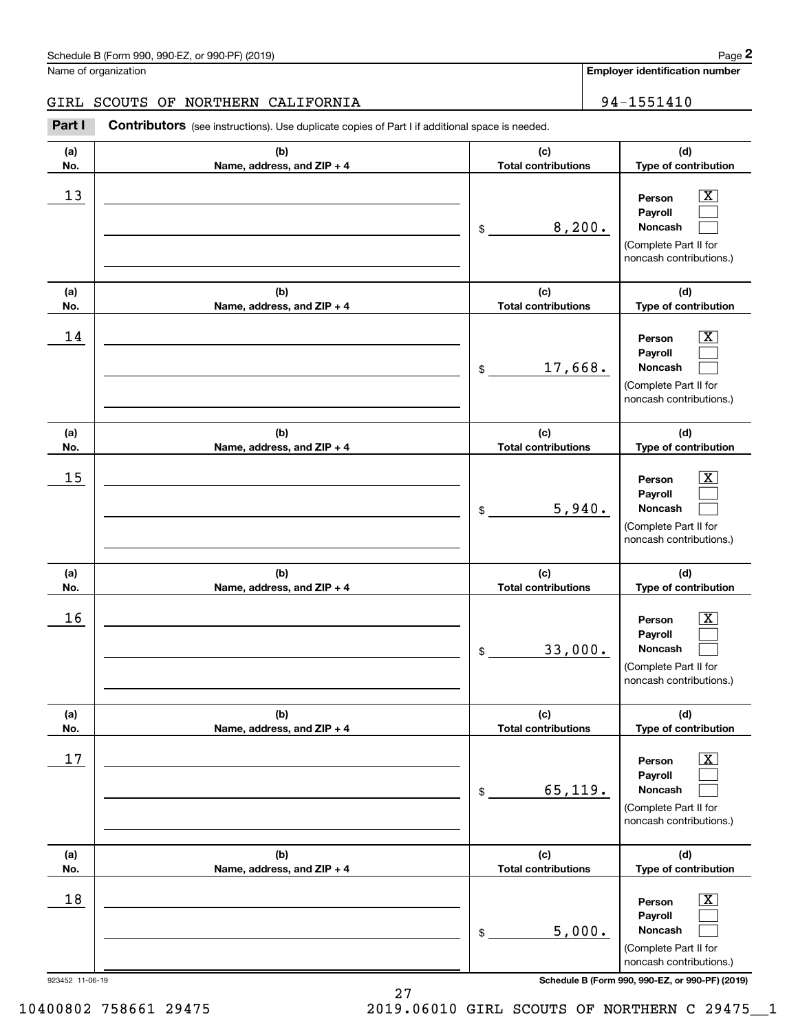# GIRL SCOUTS OF NORTHERN CALIFORNIA | 94-1551410

Chedule B (Form 990, 990-EZ, or 990-PF) (2019)<br> **2018 Columbusher SCOUTS OF NORTHERN CALIFORNIA**<br> **294-1551410**<br> **294-1551410**<br> **294-1551410** 

| (a)                          |                                   |                                                       |                                                                                                                                                                                      |
|------------------------------|-----------------------------------|-------------------------------------------------------|--------------------------------------------------------------------------------------------------------------------------------------------------------------------------------------|
| No.                          | (b)<br>Name, address, and ZIP + 4 | (c)<br><b>Total contributions</b>                     | (d)<br>Type of contribution                                                                                                                                                          |
| 13                           |                                   | 8,200.<br>$\frac{1}{2}$                               | $\overline{\text{X}}$<br>Person<br>Payroll<br>Noncash<br>(Complete Part II for<br>noncash contributions.)                                                                            |
| (a)<br>No.                   | (b)<br>Name, address, and ZIP + 4 | (c)<br><b>Total contributions</b>                     | (d)<br>Type of contribution                                                                                                                                                          |
| 14                           |                                   | 17,668.<br>$\frac{1}{2}$                              | $\overline{\text{X}}$<br>Person<br>Payroll<br>Noncash<br>(Complete Part II for<br>noncash contributions.)                                                                            |
| (a)                          | (b)                               | (c)                                                   | (d)                                                                                                                                                                                  |
| No.<br>15                    | Name, address, and ZIP + 4        | <b>Total contributions</b><br>5,940.<br>$\frac{1}{2}$ | Type of contribution<br>$\overline{\text{X}}$<br>Person<br>Payroll<br>Noncash<br>(Complete Part II for<br>noncash contributions.)                                                    |
| (a)<br>No.                   | (b)<br>Name, address, and ZIP + 4 | (c)<br><b>Total contributions</b>                     | (d)<br>Type of contribution                                                                                                                                                          |
| 16                           |                                   |                                                       | $\overline{\text{X}}$<br>Person<br>Payroll<br>Noncash                                                                                                                                |
|                              |                                   | 33,000.<br>$\frac{1}{2}$                              | (Complete Part II for<br>noncash contributions.)                                                                                                                                     |
| (a)                          | (b)                               | (c)                                                   | (d)                                                                                                                                                                                  |
| No.<br>17                    | Name, address, and ZIP + 4        | <b>Total contributions</b><br>65, 119.<br>\$          | Type of contribution<br>$\overline{\text{X}}$<br>Person<br>Payroll<br>Noncash<br>(Complete Part II for<br>noncash contributions.)                                                    |
| (a)                          | (b)                               | (c)                                                   | (d)                                                                                                                                                                                  |
| No.<br>18<br>923452 11-06-19 | Name, address, and ZIP + 4        | <b>Total contributions</b><br>5,000.<br>\$            | Type of contribution<br>$\overline{\text{X}}$<br>Person<br>Payroll<br>Noncash<br>(Complete Part II for<br>noncash contributions.)<br>Schedule B (Form 990, 990-EZ, or 990-PF) (2019) |

10400802 758661 29475 2019.06010 GIRL SCOUTS OF NORTHERN C 29475\_\_1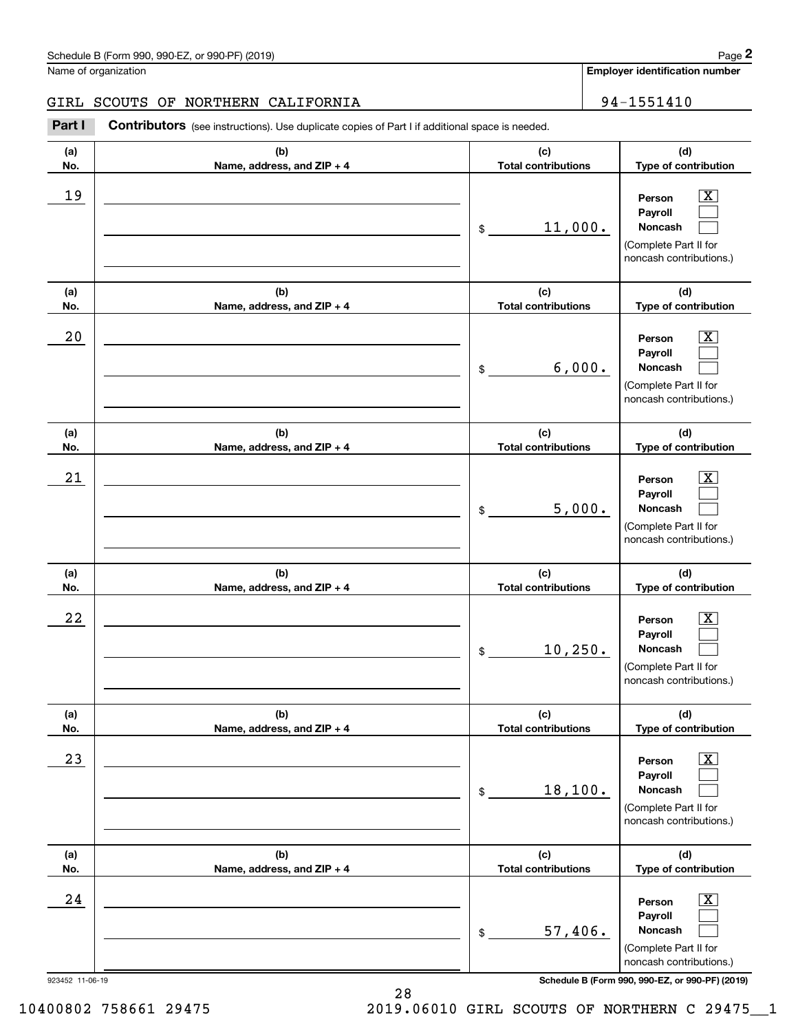# GIRL SCOUTS OF NORTHERN CALIFORNIA | 94-1551410

Chedule B (Form 990, 990-EZ, or 990-PF) (2019)<br> **2018 Columbusher SCOUTS OF NORTHERN CALIFORNIA**<br> **294-1551410**<br> **294-1551410**<br> **294-1551410** 

| (b)<br>(c)<br>(a)<br><b>Total contributions</b><br>No.<br>Name, address, and ZIP + 4<br>19<br>11,000.<br>\$<br>(c)<br>(b)<br>(a)<br><b>Total contributions</b><br>No.<br>Name, address, and ZIP + 4<br>20<br>6,000.<br>\$<br>(b)<br>(c)<br>(a)<br><b>Total contributions</b><br>No.<br>Name, address, and ZIP + 4<br>21<br>5,000.<br>\$<br>(c)<br>(a)<br>(b)<br><b>Total contributions</b><br>No.<br>Name, address, and ZIP + 4<br>22<br>10, 250.<br>\$<br>(b)<br>(c)<br>(a)<br>No.<br><b>Total contributions</b><br>Name, address, and ZIP + 4<br>23<br>18,100.<br>\$<br>(b)<br>(c)<br>(a)<br><b>Total contributions</b><br>No.<br>Name, address, and ZIP + 4<br>24<br>57,406.<br>\$ |  |                                                                                                                                                                |
|---------------------------------------------------------------------------------------------------------------------------------------------------------------------------------------------------------------------------------------------------------------------------------------------------------------------------------------------------------------------------------------------------------------------------------------------------------------------------------------------------------------------------------------------------------------------------------------------------------------------------------------------------------------------------------------|--|----------------------------------------------------------------------------------------------------------------------------------------------------------------|
|                                                                                                                                                                                                                                                                                                                                                                                                                                                                                                                                                                                                                                                                                       |  | (d)<br>Type of contribution                                                                                                                                    |
|                                                                                                                                                                                                                                                                                                                                                                                                                                                                                                                                                                                                                                                                                       |  | $\overline{\mathbf{x}}$<br>Person<br>Payroll<br>Noncash<br>(Complete Part II for<br>noncash contributions.)                                                    |
|                                                                                                                                                                                                                                                                                                                                                                                                                                                                                                                                                                                                                                                                                       |  | (d)<br>Type of contribution                                                                                                                                    |
|                                                                                                                                                                                                                                                                                                                                                                                                                                                                                                                                                                                                                                                                                       |  | $\overline{\mathbf{x}}$<br>Person<br>Payroll<br>Noncash<br>(Complete Part II for<br>noncash contributions.)                                                    |
|                                                                                                                                                                                                                                                                                                                                                                                                                                                                                                                                                                                                                                                                                       |  | (d)<br>Type of contribution                                                                                                                                    |
|                                                                                                                                                                                                                                                                                                                                                                                                                                                                                                                                                                                                                                                                                       |  | $\overline{\text{X}}$<br>Person<br>Payroll<br>Noncash<br>(Complete Part II for<br>noncash contributions.)                                                      |
|                                                                                                                                                                                                                                                                                                                                                                                                                                                                                                                                                                                                                                                                                       |  | (d)<br>Type of contribution                                                                                                                                    |
|                                                                                                                                                                                                                                                                                                                                                                                                                                                                                                                                                                                                                                                                                       |  | $\overline{\text{X}}$<br>Person<br>Payroll<br>Noncash<br>(Complete Part II for<br>noncash contributions.)                                                      |
|                                                                                                                                                                                                                                                                                                                                                                                                                                                                                                                                                                                                                                                                                       |  | (d)<br>Type of contribution                                                                                                                                    |
|                                                                                                                                                                                                                                                                                                                                                                                                                                                                                                                                                                                                                                                                                       |  | $\boxed{\text{X}}$<br>Person<br>Payroll<br>Noncash<br>(Complete Part II for<br>noncash contributions.)                                                         |
|                                                                                                                                                                                                                                                                                                                                                                                                                                                                                                                                                                                                                                                                                       |  | (d)<br>Type of contribution                                                                                                                                    |
| 923452 11-06-19                                                                                                                                                                                                                                                                                                                                                                                                                                                                                                                                                                                                                                                                       |  | $\overline{\mathbf{X}}$<br>Person<br>Payroll<br>Noncash<br>(Complete Part II for<br>noncash contributions.)<br>Schedule B (Form 990, 990-EZ, or 990-PF) (2019) |

28

10400802 758661 29475 2019.06010 GIRL SCOUTS OF NORTHERN C 29475\_\_1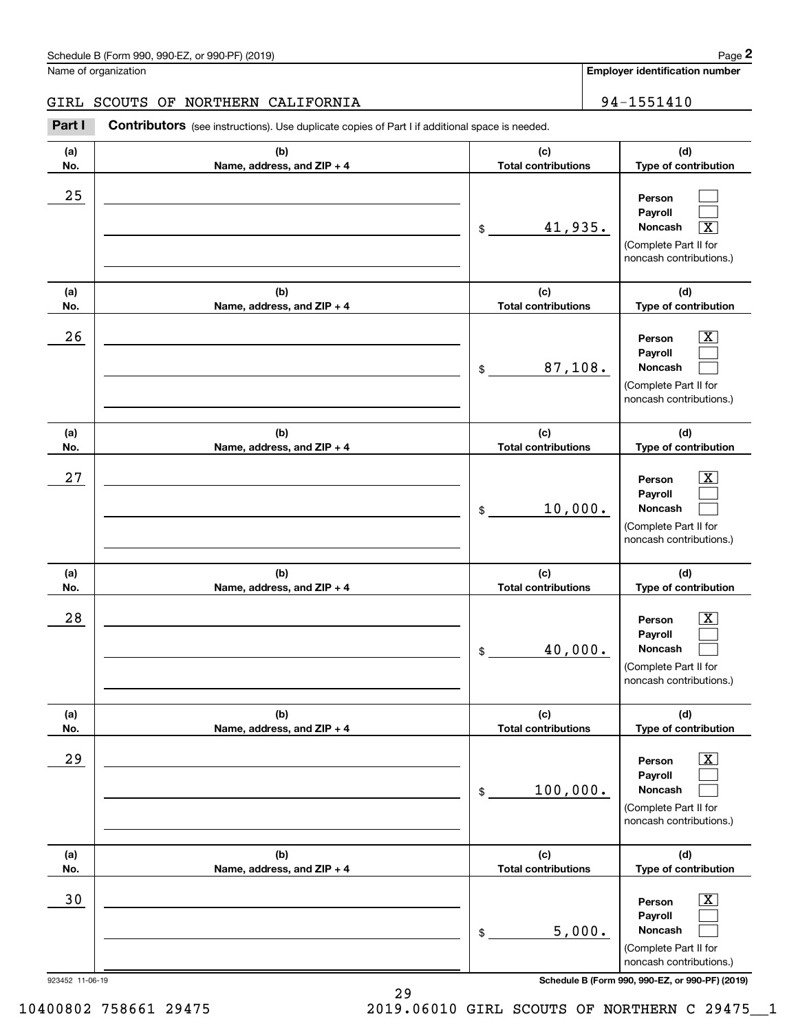# GIRL SCOUTS OF NORTHERN CALIFORNIA | 94-1551410

Chedule B (Form 990, 990-EZ, or 990-PF) (2019)<br> **2018 Columbusher SCOUTS OF NORTHERN CALIFORNIA**<br> **294-1551410**<br> **294-1551410**<br> **294-1551410** 

| 923452 11-06-19 |                                   |                                   | Schedule B (Form 990, 990-EZ, or 990-PF) (2019)                                                           |
|-----------------|-----------------------------------|-----------------------------------|-----------------------------------------------------------------------------------------------------------|
|                 |                                   |                                   | noncash contributions.)                                                                                   |
|                 |                                   | 5,000.<br>\$                      | Noncash<br>(Complete Part II for                                                                          |
| 30              |                                   |                                   | x<br>Person<br>Payroll                                                                                    |
| No.             | Name, address, and ZIP + 4        | <b>Total contributions</b>        | Type of contribution                                                                                      |
| (a)             | (b)                               | (c)                               | noncash contributions.)<br>(d)                                                                            |
|                 |                                   | 100,000.<br>\$                    | Noncash<br>(Complete Part II for                                                                          |
| 29              |                                   |                                   | х<br>Person<br>Payroll                                                                                    |
| (a)<br>No.      | (b)<br>Name, address, and ZIP + 4 | (c)<br><b>Total contributions</b> | (d)<br>Type of contribution                                                                               |
|                 |                                   |                                   | noncash contributions.)                                                                                   |
|                 |                                   | 40,000.<br>\$                     | Payroll<br>Noncash<br>(Complete Part II for                                                               |
| 28              |                                   |                                   | $\overline{\text{X}}$<br>Person                                                                           |
| (a)<br>No.      | (b)<br>Name, address, and ZIP + 4 | (c)<br><b>Total contributions</b> | (d)<br>Type of contribution                                                                               |
|                 |                                   | 10,000.<br>\$                     | (Complete Part II for<br>noncash contributions.)                                                          |
| 27              |                                   |                                   | $\overline{\text{X}}$<br>Person<br>Payroll<br>Noncash                                                     |
| (a)<br>No.      | (b)<br>Name, address, and ZIP + 4 | (c)<br><b>Total contributions</b> | (d)<br>Type of contribution                                                                               |
|                 |                                   | 87,108.<br>$\$$                   | Noncash<br>(Complete Part II for<br>noncash contributions.)                                               |
| 26              |                                   |                                   | $\overline{\textbf{x}}$<br>Person<br>Payroll                                                              |
| (a)<br>No.      | (b)<br>Name, address, and ZIP + 4 | (c)<br><b>Total contributions</b> | (d)<br>Type of contribution                                                                               |
| 25              |                                   | 41,935.<br>$\mathfrak{S}$         | Person<br>Payroll<br>Noncash<br>$\overline{\text{X}}$<br>(Complete Part II for<br>noncash contributions.) |
| No.             | Name, address, and ZIP + 4        | <b>Total contributions</b>        | Type of contribution                                                                                      |
| (a)             | (b)                               | (c)                               | (d)                                                                                                       |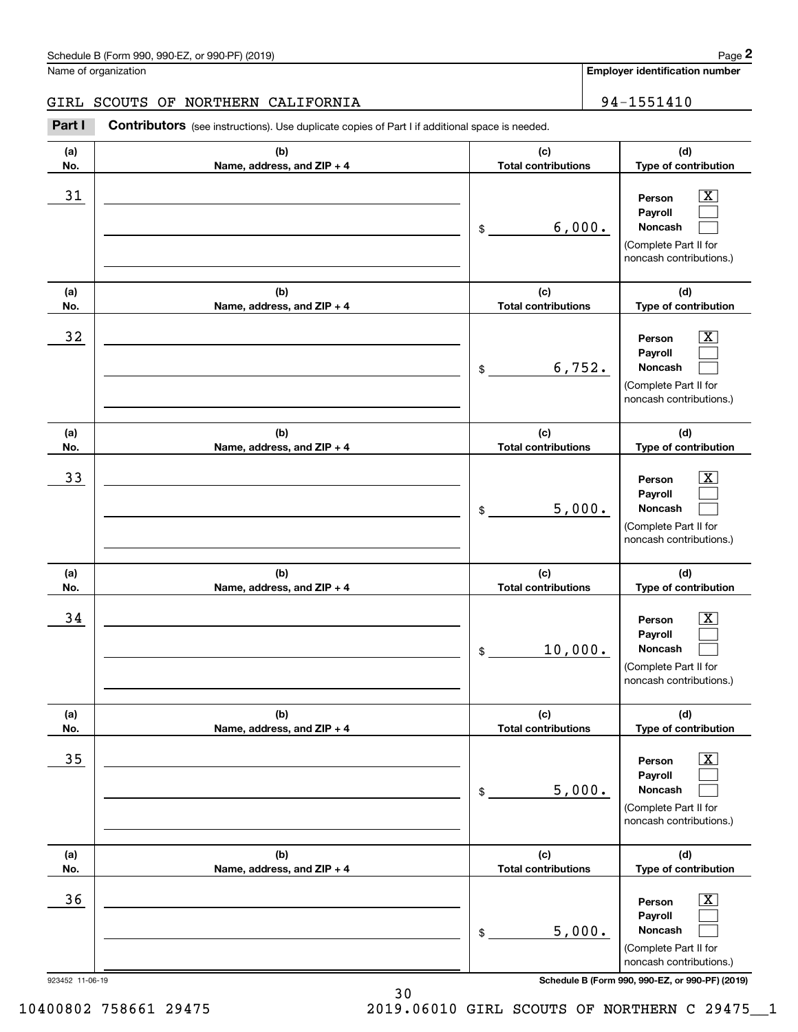# GIRL SCOUTS OF NORTHERN CALIFORNIA | 94-1551410

Chedule B (Form 990, 990-EZ, or 990-PF) (2019)<br> **2018 Columbusher SCOUTS OF NORTHERN CALIFORNIA**<br> **294-1551410**<br> **294-1551410**<br> **294-1551410** 

| 923452 11-06-19 |                                   |                                   | Schedule B (Form 990, 990-EZ, or 990-PF) (2019)                                                             |
|-----------------|-----------------------------------|-----------------------------------|-------------------------------------------------------------------------------------------------------------|
|                 |                                   |                                   | (Complete Part II for<br>noncash contributions.)                                                            |
| 36              |                                   | 5,000.<br>\$                      | x<br>Person<br>Payroll<br>Noncash                                                                           |
| No.             | Name, address, and ZIP + 4        | <b>Total contributions</b>        | Type of contribution                                                                                        |
| (a)             | (b)                               | (c)                               | (d)                                                                                                         |
|                 |                                   | 5,000.<br>\$                      | Noncash<br>(Complete Part II for<br>noncash contributions.)                                                 |
| 35              |                                   |                                   | х<br>Person<br>Payroll                                                                                      |
| (a)<br>No.      | (b)<br>Name, address, and ZIP + 4 | (c)<br><b>Total contributions</b> | (d)<br>Type of contribution                                                                                 |
|                 |                                   | 10,000.<br>\$                     | Payroll<br>Noncash<br>(Complete Part II for<br>noncash contributions.)                                      |
| 34              |                                   |                                   | x<br>Person                                                                                                 |
| (a)<br>No.      | (b)<br>Name, address, and ZIP + 4 | (c)<br><b>Total contributions</b> | (d)<br>Type of contribution                                                                                 |
| 33              |                                   | 5,000.<br>\$                      | x<br>Person<br>Payroll<br>Noncash<br>(Complete Part II for<br>noncash contributions.)                       |
| (a)<br>No.      | (b)<br>Name, address, and ZIP + 4 | (c)<br><b>Total contributions</b> | (d)<br>Type of contribution                                                                                 |
| 32              |                                   | 6,752.<br>\$                      | $\overline{\textbf{x}}$<br>Person<br>Payroll<br>Noncash<br>(Complete Part II for<br>noncash contributions.) |
| (a)<br>No.      | (b)<br>Name, address, and ZIP + 4 | (c)<br><b>Total contributions</b> | (d)<br>Type of contribution                                                                                 |
| 31              |                                   | 6,000.<br>$\$$                    | $\overline{\texttt{X}}$<br>Person<br>Payroll<br>Noncash<br>(Complete Part II for<br>noncash contributions.) |
| (a)<br>No.      | (b)<br>Name, address, and ZIP + 4 | (c)<br><b>Total contributions</b> | (d)<br>Type of contribution                                                                                 |
|                 |                                   |                                   |                                                                                                             |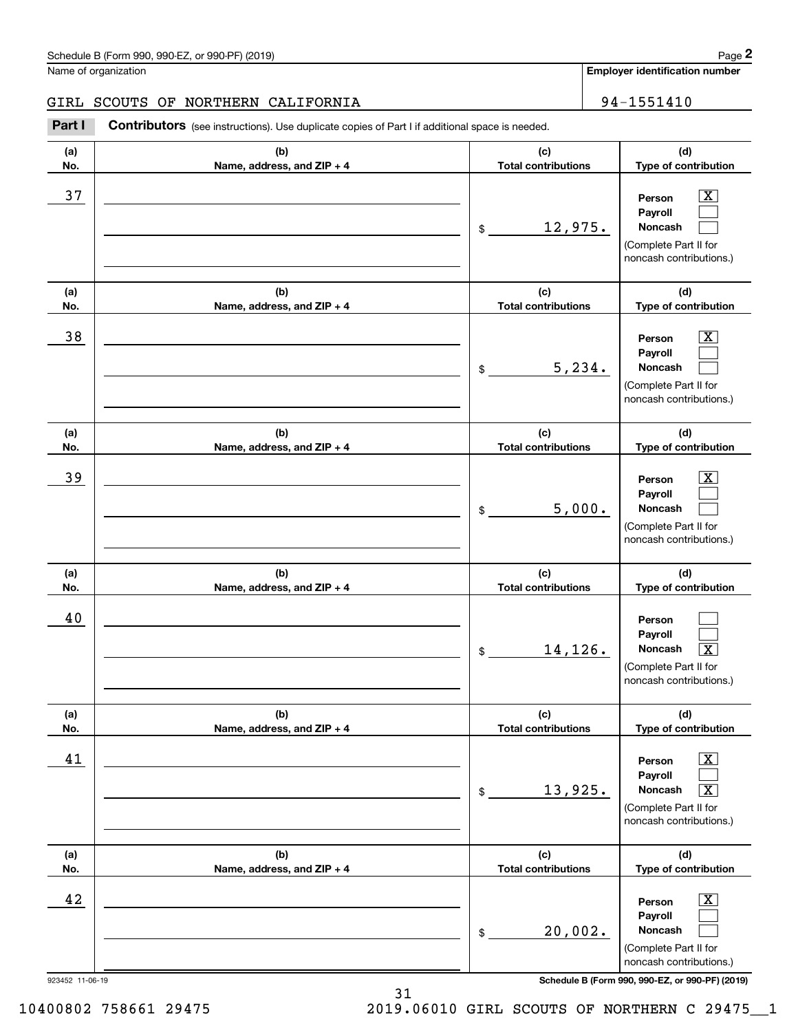# GIRL SCOUTS OF NORTHERN CALIFORNIA | 94-1551410

Chedule B (Form 990, 990-EZ, or 990-PF) (2019)<br> **2018 Columbusher SCOUTS OF NORTHERN CALIFORNIA**<br> **294-1551410**<br> **294-1551410**<br> **294-1551410** 

| (a)<br>No.            | (b)<br>Name, address, and ZIP + 4 | (c)<br><b>Total contributions</b> | (d)<br>Type of contribution                                                                                                                                  |  |
|-----------------------|-----------------------------------|-----------------------------------|--------------------------------------------------------------------------------------------------------------------------------------------------------------|--|
| 37                    |                                   | 12,975.<br>\$                     | $\overline{\text{X}}$<br>Person<br>Payroll<br>Noncash<br>(Complete Part II for<br>noncash contributions.)                                                    |  |
| (a)<br>No.            | (b)<br>Name, address, and ZIP + 4 | (c)<br><b>Total contributions</b> | (d)<br>Type of contribution                                                                                                                                  |  |
| 38                    |                                   | 5,234.<br>\$                      | $\overline{\text{X}}$<br>Person<br>Payroll<br>Noncash<br>(Complete Part II for<br>noncash contributions.)                                                    |  |
| (a)<br>No.            | (b)<br>Name, address, and ZIP + 4 | (c)<br><b>Total contributions</b> | (d)<br>Type of contribution                                                                                                                                  |  |
| 39                    |                                   | 5,000.<br>\$                      | $\overline{\text{X}}$<br>Person<br>Payroll<br><b>Noncash</b><br>(Complete Part II for<br>noncash contributions.)                                             |  |
| (a)<br>No.            | (b)<br>Name, address, and ZIP + 4 | (c)<br><b>Total contributions</b> | (d)<br>Type of contribution                                                                                                                                  |  |
| 40                    |                                   | 14,126.<br>\$                     | Person<br>Payroll<br>Noncash<br>$\overline{\texttt{X}}$<br>(Complete Part II for<br>noncash contributions.)                                                  |  |
| (a)<br>No.            | (b)<br>Name, address, and ZIP + 4 | (c)<br><b>Total contributions</b> | (d)<br>Type of contribution                                                                                                                                  |  |
| 41                    |                                   | 13,925.<br>\$                     | $\overline{\mathbf{X}}$<br>Person<br>Payroll<br>Noncash<br>$\overline{\text{X}}$<br>(Complete Part II for<br>noncash contributions.)                         |  |
| (a)<br>No.            | (b)<br>Name, address, and ZIP + 4 | (c)<br><b>Total contributions</b> | (d)<br>Type of contribution                                                                                                                                  |  |
| 42<br>923452 11-06-19 |                                   | 20,002.<br>\$                     | $\overline{\text{X}}$<br>Person<br>Payroll<br>Noncash<br>(Complete Part II for<br>noncash contributions.)<br>Schedule B (Form 990, 990-EZ, or 990-PF) (2019) |  |

10400802 758661 29475 2019.06010 GIRL SCOUTS OF NORTHERN C 29475\_\_1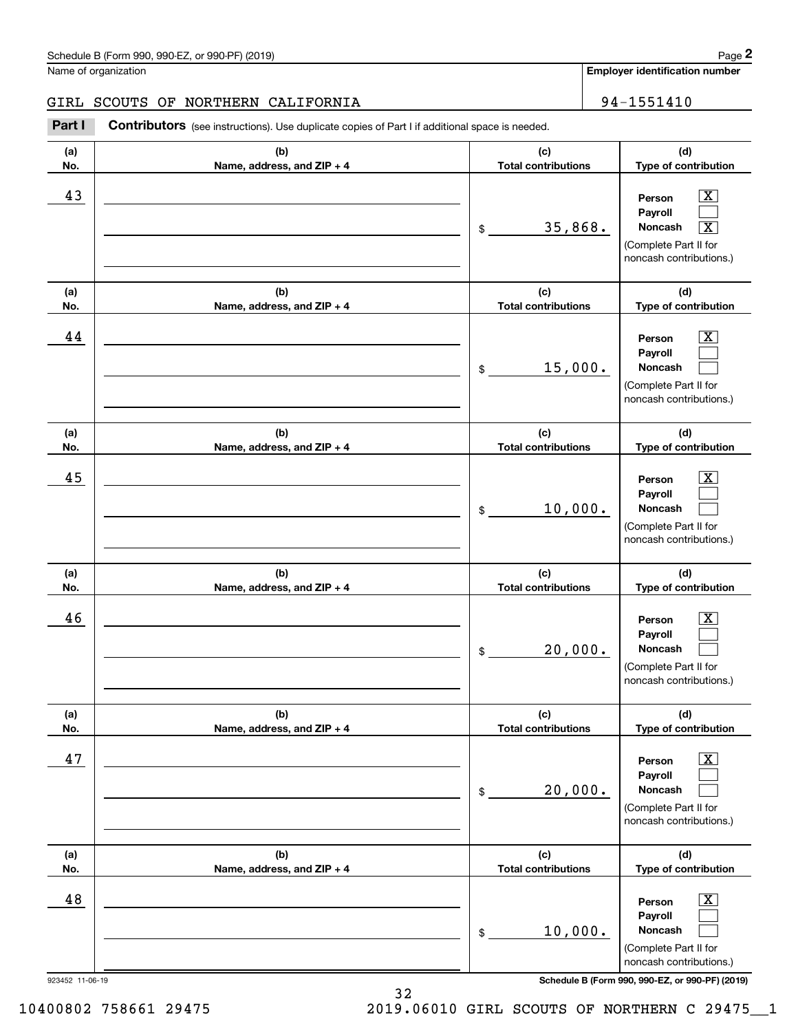# GIRL SCOUTS OF NORTHERN CALIFORNIA | 94-1551410

Chedule B (Form 990, 990-EZ, or 990-PF) (2019)<br> **2018 Columbusher SCOUTS OF NORTHERN CALIFORNIA**<br> **294-1551410**<br> **294-1551410**<br> **294-1551410** 

| (a)<br>No.      | (b)<br>Name, address, and ZIP + 4 | (c)<br><b>Total contributions</b>           | (d)<br>Type of contribution                                                                                                          |
|-----------------|-----------------------------------|---------------------------------------------|--------------------------------------------------------------------------------------------------------------------------------------|
| 43              |                                   | 35,868.<br>$\,$                             | $\overline{\text{X}}$<br>Person<br>Payroll<br>Noncash<br>$\overline{\texttt{X}}$<br>(Complete Part II for<br>noncash contributions.) |
| (a)<br>No.      | (b)<br>Name, address, and ZIP + 4 | (c)<br><b>Total contributions</b>           | (d)<br>Type of contribution                                                                                                          |
| 44              |                                   | 15,000.<br>$\,$                             | X,<br>Person<br>Payroll<br>Noncash<br>(Complete Part II for<br>noncash contributions.)                                               |
| (a)<br>No.      | (b)<br>Name, address, and ZIP + 4 | (c)<br><b>Total contributions</b>           | (d)<br>Type of contribution                                                                                                          |
| 45              |                                   | 10,000.<br>\$                               | X.<br>Person<br>Payroll<br>Noncash<br>(Complete Part II for<br>noncash contributions.)                                               |
| (a)<br>No.      | (b)<br>Name, address, and ZIP + 4 | (c)<br><b>Total contributions</b>           | (d)<br>Type of contribution                                                                                                          |
| 46              |                                   | 20,000.<br>\$                               | x<br>Person<br>Payroll<br>Noncash<br>(Complete Part II for<br>noncash contributions.)                                                |
| (a)<br>No.      | (b)<br>Name, address, and ZIP + 4 | (c)<br><b>Total contributions</b>           | (d)<br>Type of contribution                                                                                                          |
| 47              |                                   | 20,000.<br>\$                               | x<br>Person<br>Payroll<br>Noncash<br>(Complete Part II for<br>noncash contributions.)                                                |
| (a)             | (b)                               | (c)                                         | (d)                                                                                                                                  |
| No.<br>48       | Name, address, and ZIP + 4        | <b>Total contributions</b><br>10,000.<br>\$ | Type of contribution<br>x<br>Person<br>Payroll<br>Noncash<br>(Complete Part II for<br>noncash contributions.)                        |
| 923452 11-06-19 |                                   |                                             | Schedule B (Form 990, 990-EZ, or 990-PF) (2019)                                                                                      |

10400802 758661 29475 2019.06010 GIRL SCOUTS OF NORTHERN C 29475\_\_1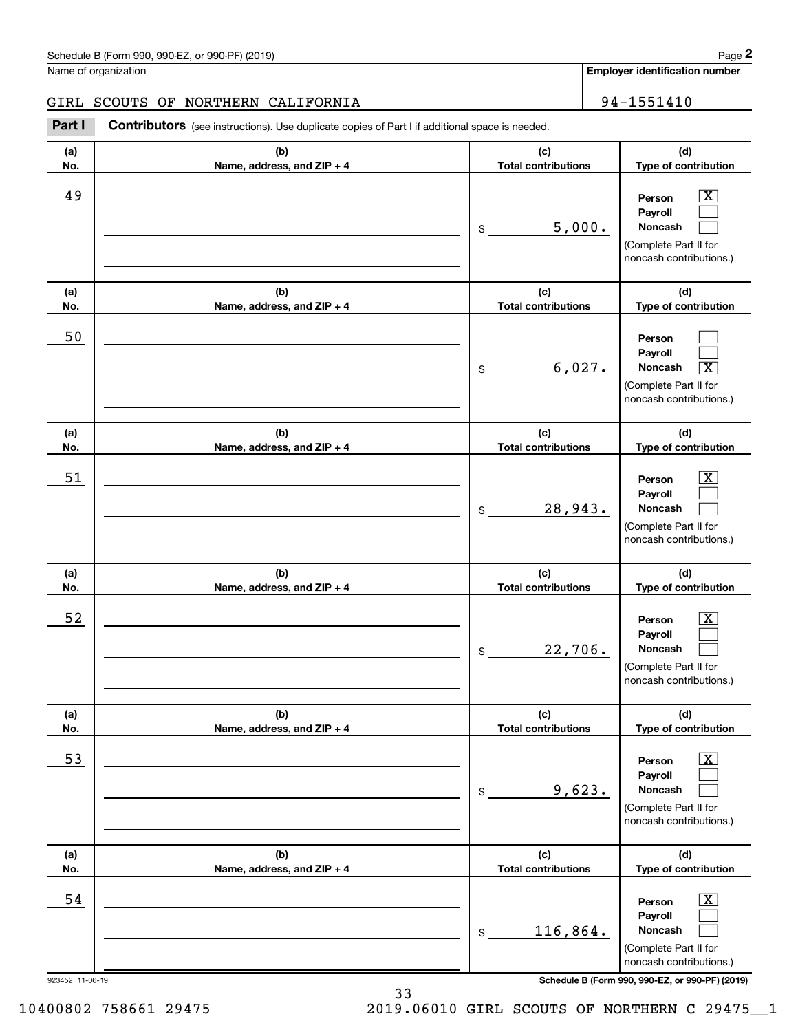# GIRL SCOUTS OF NORTHERN CALIFORNIA | 94-1551410

Chedule B (Form 990, 990-EZ, or 990-PF) (2019)<br> **2018 Columbusher SCOUTS OF NORTHERN CALIFORNIA**<br> **294-1551410**<br> **294-1551410**<br> **294-1551410** 

| (c)                               | (d)                                                                                                         |
|-----------------------------------|-------------------------------------------------------------------------------------------------------------|
| <b>Total contributions</b>        | Type of contribution                                                                                        |
| 5,000.<br>\$                      | $\overline{\text{X}}$<br>Person<br>Payroll<br>Noncash<br>(Complete Part II for<br>noncash contributions.)   |
| (c)<br><b>Total contributions</b> | (d)<br>Type of contribution                                                                                 |
| 6,027.<br>$\$$                    | Person<br>Payroll<br>$\overline{\texttt{x}}$<br>Noncash<br>(Complete Part II for<br>noncash contributions.) |
| (c)<br><b>Total contributions</b> | (d)<br>Type of contribution                                                                                 |
| 28,943.<br>\$                     | X<br>Person<br>Payroll<br>Noncash<br>(Complete Part II for<br>noncash contributions.)                       |
| (c)<br><b>Total contributions</b> | (d)<br>Type of contribution                                                                                 |
| 22,706.<br>\$                     | х<br>Person<br>Payroll<br>Noncash<br>(Complete Part II for<br>noncash contributions.)                       |
| (c)                               | (d)<br>Type of contribution                                                                                 |
| 9,623.<br>\$                      | x<br>Person<br>Payroll<br>Noncash<br>(Complete Part II for<br>noncash contributions.)                       |
| (c)                               | (d)<br>Type of contribution                                                                                 |
| 116,864.<br>$\$$                  | Х,<br>Person<br>Payroll<br>Noncash<br>(Complete Part II for<br>noncash contributions.)                      |
|                                   | <b>Total contributions</b><br><b>Total contributions</b><br>Schedule B (Form 990, 990-EZ, or 990-PF) (2019) |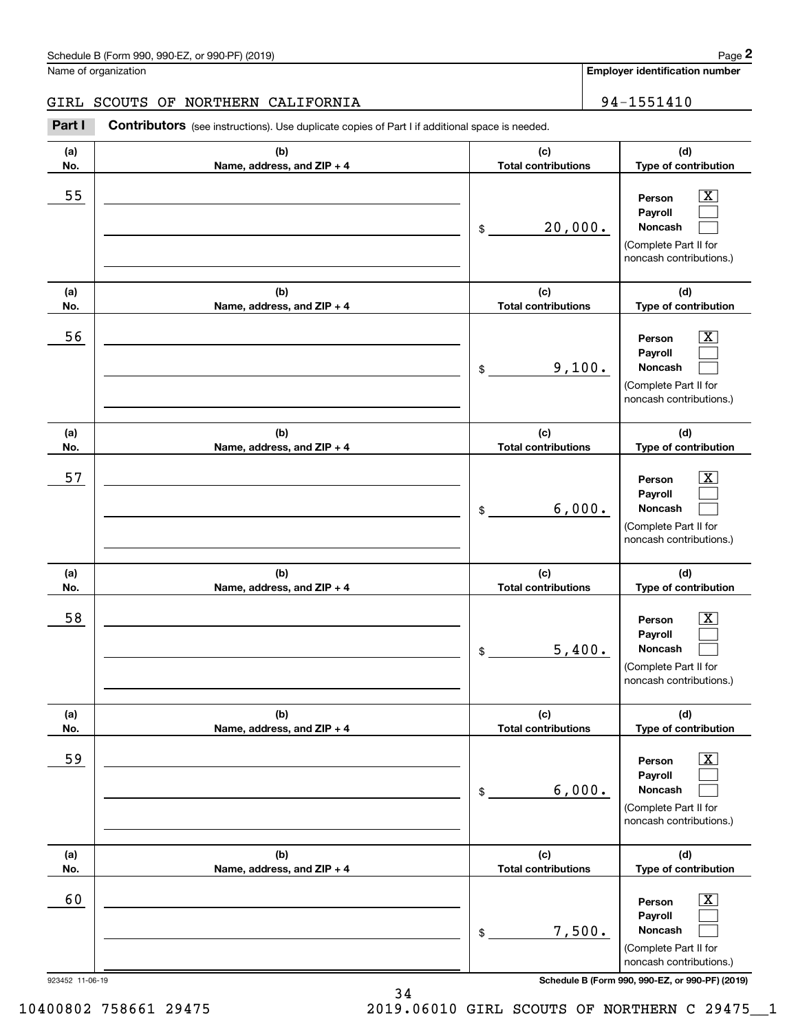# GIRL SCOUTS OF NORTHERN CALIFORNIA | 94-1551410

Chedule B (Form 990, 990-EZ, or 990-PF) (2019)<br> **2018 Columbusher SCOUTS OF NORTHERN CALIFORNIA**<br> **294-1551410**<br> **294-1551410**<br> **294-1551410** 

| (a)<br>No.            | (b)<br>Name, address, and ZIP + 4 | (c)<br><b>Total contributions</b> | (d)<br>Type of contribution                                                                                                                                  |  |
|-----------------------|-----------------------------------|-----------------------------------|--------------------------------------------------------------------------------------------------------------------------------------------------------------|--|
| 55                    |                                   | 20,000.<br>\$                     | $\overline{\text{X}}$<br>Person<br>Payroll<br>Noncash<br>(Complete Part II for<br>noncash contributions.)                                                    |  |
| (a)<br>No.            | (b)<br>Name, address, and ZIP + 4 | (c)<br><b>Total contributions</b> | (d)<br>Type of contribution                                                                                                                                  |  |
| 56                    |                                   | 9,100.<br>\$                      | $\overline{\text{X}}$<br>Person<br>Payroll<br>Noncash<br>(Complete Part II for<br>noncash contributions.)                                                    |  |
| (a)<br>No.            | (b)<br>Name, address, and ZIP + 4 | (c)<br><b>Total contributions</b> | (d)<br>Type of contribution                                                                                                                                  |  |
| 57                    |                                   | 6,000.<br>\$                      | $\overline{\text{X}}$<br>Person<br>Payroll<br><b>Noncash</b><br>(Complete Part II for<br>noncash contributions.)                                             |  |
| (a)<br>No.            | (b)<br>Name, address, and ZIP + 4 | (c)<br><b>Total contributions</b> | (d)<br>Type of contribution                                                                                                                                  |  |
| 58                    |                                   | 5,400.<br>\$                      | $\overline{\text{X}}$<br>Person<br>Payroll<br>Noncash<br>(Complete Part II for<br>noncash contributions.)                                                    |  |
| (a)<br>No.            | (b)<br>Name, address, and ZIP + 4 | (c)<br><b>Total contributions</b> | (d)<br>Type of contribution                                                                                                                                  |  |
| 59                    |                                   | 6,000.<br>\$                      | $\overline{\text{X}}$<br>Person<br>Payroll<br>Noncash<br>(Complete Part II for<br>noncash contributions.)                                                    |  |
| (a)<br>No.            | (b)<br>Name, address, and ZIP + 4 | (c)<br><b>Total contributions</b> | (d)<br>Type of contribution                                                                                                                                  |  |
| 60<br>923452 11-06-19 |                                   | 7,500.<br>\$                      | $\overline{\text{X}}$<br>Person<br>Payroll<br>Noncash<br>(Complete Part II for<br>noncash contributions.)<br>Schedule B (Form 990, 990-EZ, or 990-PF) (2019) |  |
|                       |                                   |                                   |                                                                                                                                                              |  |

10400802 758661 29475 2019.06010 GIRL SCOUTS OF NORTHERN C 29475\_\_1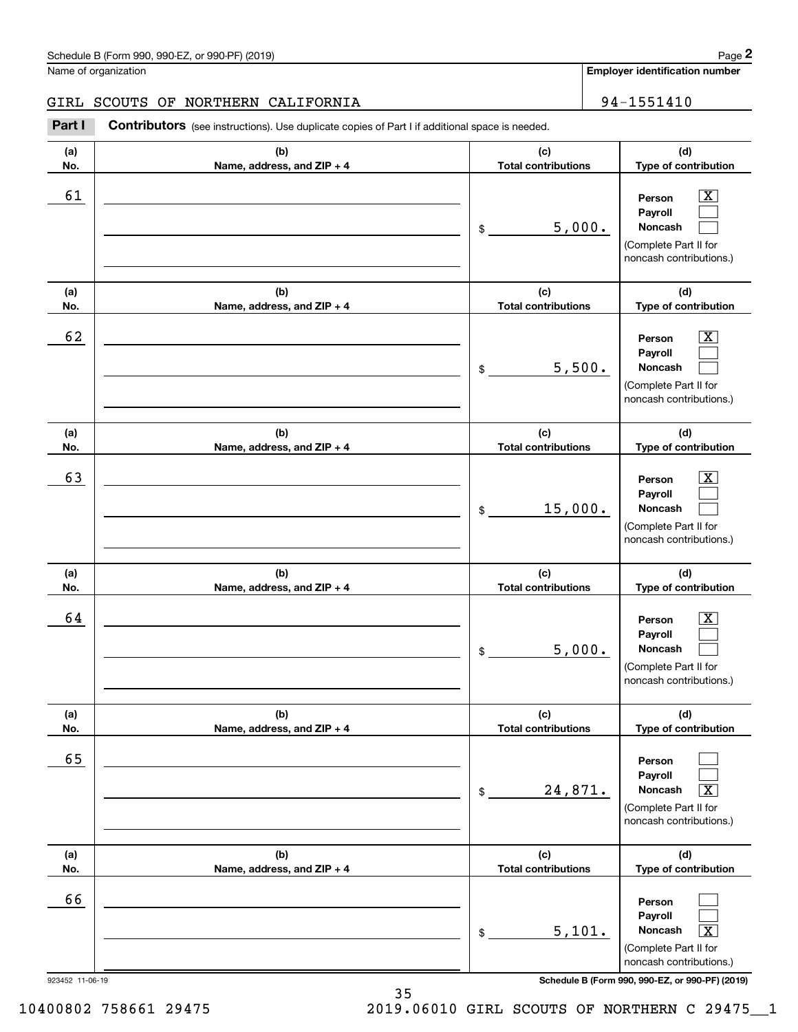# GIRL SCOUTS OF NORTHERN CALIFORNIA | 94-1551410

Chedule B (Form 990, 990-EZ, or 990-PF) (2019)<br> **2018 Columbusher SCOUTS OF NORTHERN CALIFORNIA**<br> **294-1551410**<br> **294-1551410**<br> **294-1551410** 

| 923452 11-06-19 |                                   |                                   | Schedule B (Form 990, 990-EZ, or 990-PF) (2019)                                                             |
|-----------------|-----------------------------------|-----------------------------------|-------------------------------------------------------------------------------------------------------------|
|                 |                                   |                                   | (Complete Part II for<br>noncash contributions.)                                                            |
| 66              |                                   | 5,101.<br>\$                      | Person<br>Payroll<br>Noncash<br>$\overline{\texttt{x}}$                                                     |
| No.             | Name, address, and ZIP + 4        | <b>Total contributions</b>        | Type of contribution                                                                                        |
| (a)             | (b)                               | (c)                               | (Complete Part II for<br>noncash contributions.)<br>(d)                                                     |
| 65              |                                   | 24,871.<br>\$                     | Person<br>Payroll<br>Noncash<br>$\overline{\texttt{x}}$                                                     |
| (a)<br>No.      | (b)<br>Name, address, and ZIP + 4 | (c)<br><b>Total contributions</b> | (d)<br>Type of contribution                                                                                 |
| 64              |                                   | 5,000.<br>\$                      | x<br>Person<br>Payroll<br>Noncash<br>(Complete Part II for<br>noncash contributions.)                       |
| (a)<br>No.      | (b)<br>Name, address, and ZIP + 4 | (c)<br><b>Total contributions</b> | (d)<br>Type of contribution                                                                                 |
| 63              |                                   | 15,000.<br>\$                     | x<br>Person<br>Payroll<br>Noncash<br>(Complete Part II for<br>noncash contributions.)                       |
| (a)<br>No.      | (b)<br>Name, address, and ZIP + 4 | (c)<br><b>Total contributions</b> | (d)<br>Type of contribution                                                                                 |
| 62              |                                   | 5,500.<br>\$                      | $\overline{\textbf{x}}$<br>Person<br>Payroll<br>Noncash<br>(Complete Part II for<br>noncash contributions.) |
| (a)<br>No.      | (b)<br>Name, address, and ZIP + 4 | (c)<br><b>Total contributions</b> | (d)<br>Type of contribution                                                                                 |
| 61              |                                   | 5,000.<br>\$                      | $\overline{\texttt{X}}$<br>Person<br>Payroll<br>Noncash<br>(Complete Part II for<br>noncash contributions.) |
| (a)<br>No.      | (b)<br>Name, address, and ZIP + 4 | (c)<br><b>Total contributions</b> | (d)<br>Type of contribution                                                                                 |
|                 |                                   |                                   |                                                                                                             |

10400802 758661 29475 2019.06010 GIRL SCOUTS OF NORTHERN C 29475\_\_1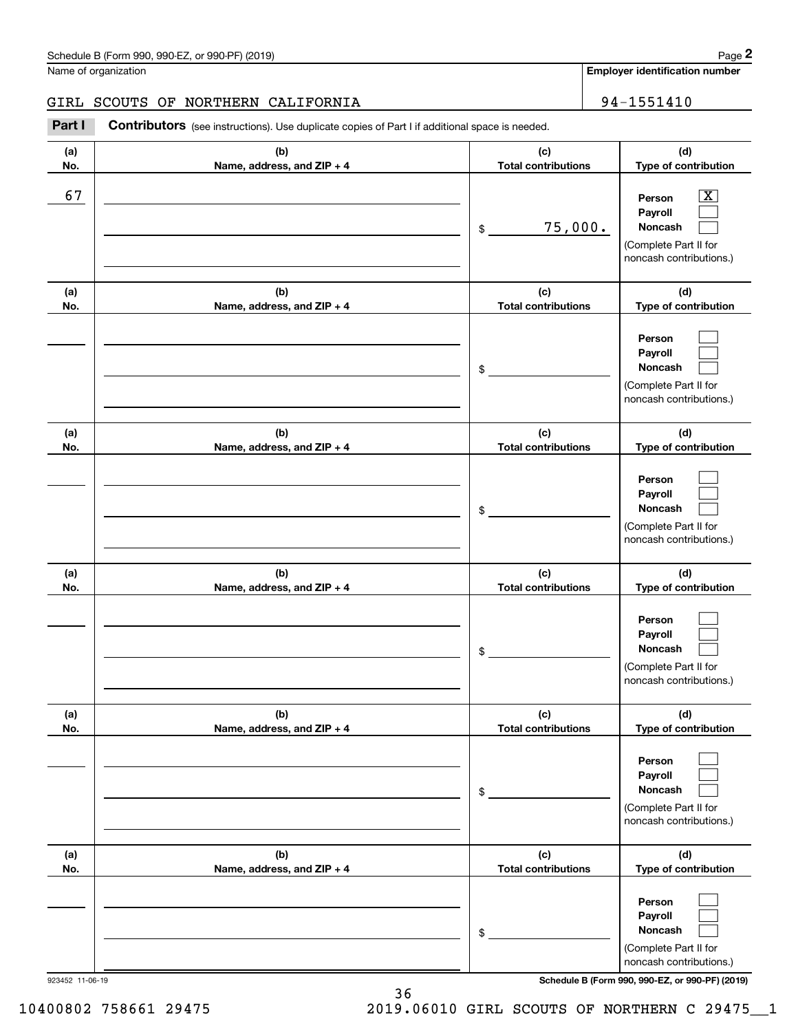# GIRL SCOUTS OF NORTHERN CALIFORNIA | 94-1551410

Chedule B (Form 990, 990-EZ, or 990-PF) (2019)<br> **2018 Columbusher SCOUTS OF NORTHERN CALIFORNIA**<br> **294-1551410**<br> **294-1551410**<br> **294-1551410** 

| (a)<br>No.      | (b)<br>Name, address, and ZIP + 4 | (c)<br><b>Total contributions</b> | (d)<br>Type of contribution                                                                                        |
|-----------------|-----------------------------------|-----------------------------------|--------------------------------------------------------------------------------------------------------------------|
| 67              |                                   | 75,000.<br>\$                     | $\overline{\texttt{x}}$<br>Person<br>Payroll<br><b>Noncash</b><br>(Complete Part II for<br>noncash contributions.) |
| (a)<br>No.      | (b)<br>Name, address, and ZIP + 4 | (c)<br><b>Total contributions</b> | (d)<br>Type of contribution                                                                                        |
|                 |                                   | \$                                | Person<br>Payroll<br>Noncash<br>(Complete Part II for<br>noncash contributions.)                                   |
| (a)<br>No.      | (b)<br>Name, address, and ZIP + 4 | (c)<br><b>Total contributions</b> | (d)<br>Type of contribution                                                                                        |
|                 |                                   | \$                                | Person<br>Payroll<br>Noncash<br>(Complete Part II for<br>noncash contributions.)                                   |
| (a)<br>No.      | (b)<br>Name, address, and ZIP + 4 | (c)<br><b>Total contributions</b> | (d)<br>Type of contribution                                                                                        |
|                 |                                   | \$                                | Person<br>Payroll<br>Noncash<br>(Complete Part II for<br>noncash contributions.)                                   |
| (a)<br>No.      | (b)<br>Name, address, and ZIP + 4 | (c)<br><b>Total contributions</b> | (d)<br>Type of contribution                                                                                        |
|                 |                                   | \$                                | Person<br>Payroll<br>Noncash<br>(Complete Part II for<br>noncash contributions.)                                   |
| (a)<br>No.      | (b)<br>Name, address, and ZIP + 4 | (c)<br><b>Total contributions</b> | (d)<br>Type of contribution                                                                                        |
|                 |                                   | \$                                | Person<br>Payroll<br>Noncash<br>(Complete Part II for<br>noncash contributions.)                                   |
| 923452 11-06-19 |                                   |                                   | Schedule B (Form 990, 990-EZ, or 990-PF) (2019)                                                                    |

10400802 758661 29475 2019.06010 GIRL SCOUTS OF NORTHERN C 29475\_\_1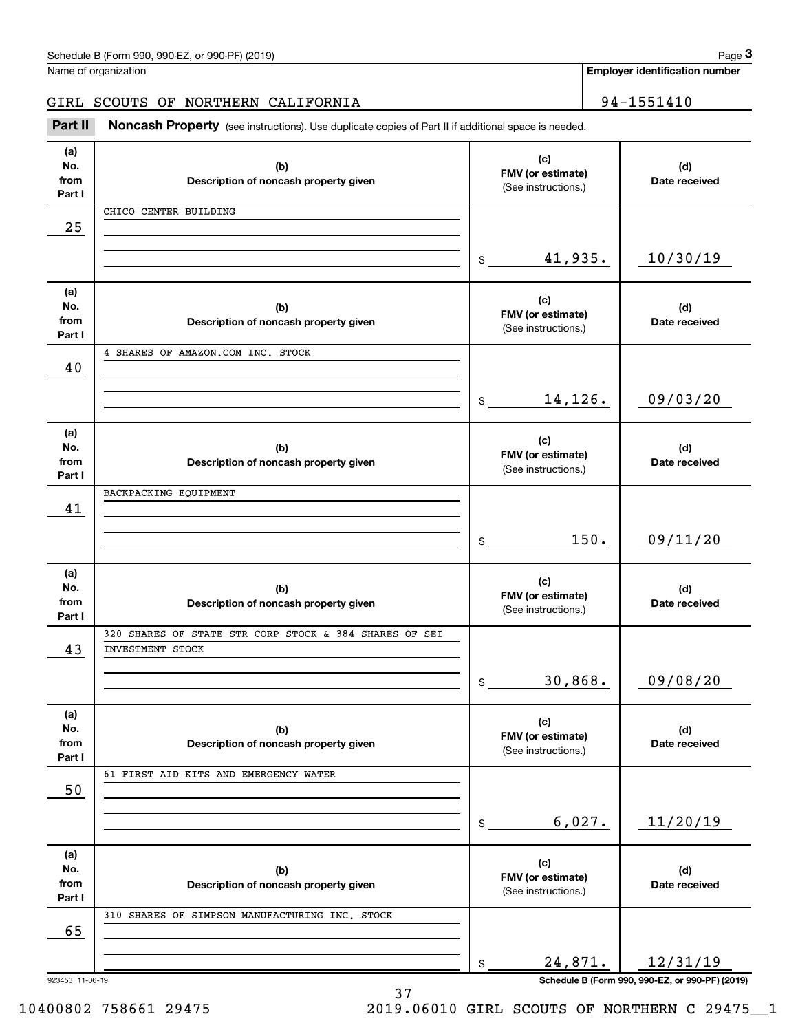GIRL SCOUTS OF NORTHERN CALIFORNIA | 94-1551410

Chedule B (Form 990, 990-EZ, or 990-PF) (2019)<br> **3Page 3** anne of organization<br> **3Part II** SCOUTS OF NORTHERN CALIFORNIA<br> **194-1551410**<br> **194-1551410** 

| (a)<br>No.<br>from<br>Part I | (b)<br>Description of noncash property given           | (c)<br>FMV (or estimate)<br>(See instructions.) | (d)<br>Date received                            |
|------------------------------|--------------------------------------------------------|-------------------------------------------------|-------------------------------------------------|
|                              | CHICO CENTER BUILDING                                  |                                                 |                                                 |
| 25                           |                                                        |                                                 |                                                 |
|                              |                                                        | 41,935.<br>$\frac{1}{2}$                        | 10/30/19                                        |
| (a)<br>No.<br>from<br>Part I | (b)<br>Description of noncash property given           | (c)<br>FMV (or estimate)<br>(See instructions.) | (d)<br>Date received                            |
|                              | 4 SHARES OF AMAZON.COM INC. STOCK                      |                                                 |                                                 |
| 40                           |                                                        |                                                 |                                                 |
|                              |                                                        | 14,126.<br>$\frac{1}{2}$                        | 09/03/20                                        |
| (a)<br>No.<br>from<br>Part I | (b)<br>Description of noncash property given           | (c)<br>FMV (or estimate)<br>(See instructions.) | (d)<br>Date received                            |
|                              | BACKPACKING EQUIPMENT                                  |                                                 |                                                 |
| 41                           |                                                        |                                                 |                                                 |
|                              |                                                        | 150.<br>$\mathsf{\$}$                           | 09/11/20                                        |
|                              |                                                        |                                                 |                                                 |
| (a)<br>No.<br>from<br>Part I | (b)<br>Description of noncash property given           | (c)<br>FMV (or estimate)<br>(See instructions.) | (d)<br>Date received                            |
|                              | 320 SHARES OF STATE STR CORP STOCK & 384 SHARES OF SEI |                                                 |                                                 |
| 43                           | INVESTMENT STOCK                                       |                                                 |                                                 |
|                              |                                                        | 30,868.<br>\$                                   | 09/08/20                                        |
| (a)<br>No.<br>from<br>Part I | (b)<br>Description of noncash property given           | (c)<br>FMV (or estimate)<br>(See instructions.) | (d)<br>Date received                            |
|                              | 61 FIRST AID KITS AND EMERGENCY WATER                  |                                                 |                                                 |
| 50                           |                                                        |                                                 |                                                 |
|                              |                                                        | 6,027.<br>\$                                    | 11/20/19                                        |
| (a)                          |                                                        | (c)                                             |                                                 |
| No.<br>from                  | (b)                                                    | FMV (or estimate)                               | (d)                                             |
| Part I                       | Description of noncash property given                  | (See instructions.)                             | Date received                                   |
|                              | 310 SHARES OF SIMPSON MANUFACTURING INC. STOCK         |                                                 |                                                 |
| 65                           |                                                        |                                                 |                                                 |
|                              |                                                        | 24,871.<br>\$                                   | 12/31/19                                        |
| 923453 11-06-19              |                                                        |                                                 | Schedule B (Form 990, 990-EZ, or 990-PF) (2019) |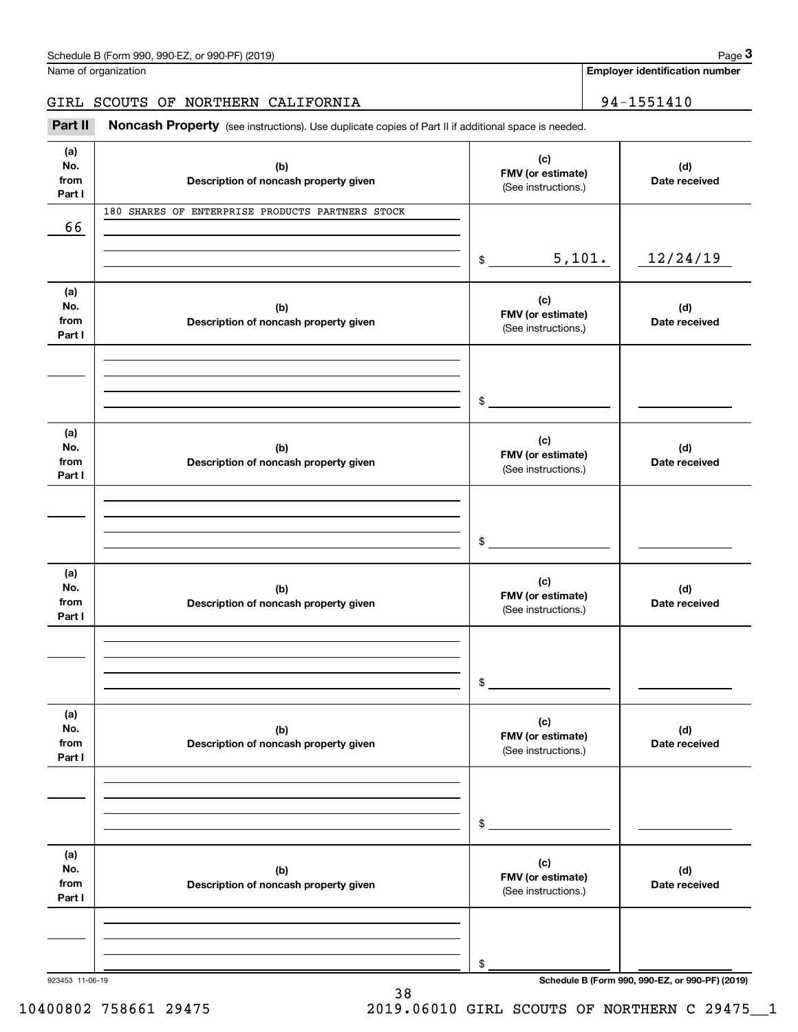# GIRL SCOUTS OF NORTHERN CALIFORNIA | 94-1551410

Chedule B (Form 990, 990-EZ, or 990-PF) (2019)<br> **3Page 3** anne of organization<br> **3Part II** SCOUTS OF NORTHERN CALIFORNIA<br> **194-1551410**<br> **194-1551410** 

| (a)<br>No.<br>from<br>Part I | (b)<br>Description of noncash property given     | (c)<br>FMV (or estimate)<br>(See instructions.) | (d)<br>Date received                            |
|------------------------------|--------------------------------------------------|-------------------------------------------------|-------------------------------------------------|
| 66                           | 180 SHARES OF ENTERPRISE PRODUCTS PARTNERS STOCK |                                                 |                                                 |
|                              |                                                  |                                                 |                                                 |
|                              |                                                  | 5,101.<br>$\frac{1}{2}$                         | 12/24/19                                        |
| (a)<br>No.<br>from<br>Part I | (b)<br>Description of noncash property given     | (c)<br>FMV (or estimate)<br>(See instructions.) | (d)<br>Date received                            |
|                              |                                                  |                                                 |                                                 |
|                              |                                                  |                                                 |                                                 |
|                              |                                                  | $$\overbrace{\hspace{2.5cm}}$                   |                                                 |
| (a)<br>No.<br>from<br>Part I | (b)<br>Description of noncash property given     | (c)<br>FMV (or estimate)<br>(See instructions.) | (d)<br>Date received                            |
|                              |                                                  |                                                 |                                                 |
|                              |                                                  |                                                 |                                                 |
|                              |                                                  | $$\overbrace{\hspace{2.5cm}}$                   |                                                 |
| (a)<br>No.<br>from<br>Part I | (b)<br>Description of noncash property given     | (c)<br>FMV (or estimate)<br>(See instructions.) | (d)<br>Date received                            |
|                              |                                                  |                                                 |                                                 |
|                              |                                                  |                                                 |                                                 |
|                              |                                                  | $$_$                                            |                                                 |
| (a)<br>No.<br>from<br>Part I | (b)<br>Description of noncash property given     | (c)<br>FMV (or estimate)<br>(See instructions.) | (d)<br>Date received                            |
|                              |                                                  |                                                 |                                                 |
|                              |                                                  |                                                 |                                                 |
|                              |                                                  | $$\mathbb{S}$$                                  |                                                 |
| (a)<br>No.<br>from<br>Part I | (b)<br>Description of noncash property given     | (c)<br>FMV (or estimate)<br>(See instructions.) | (d)<br>Date received                            |
|                              |                                                  |                                                 |                                                 |
|                              |                                                  |                                                 |                                                 |
| 923453 11-06-19              |                                                  | \$                                              | Schedule B (Form 990, 990-EZ, or 990-PF) (2019) |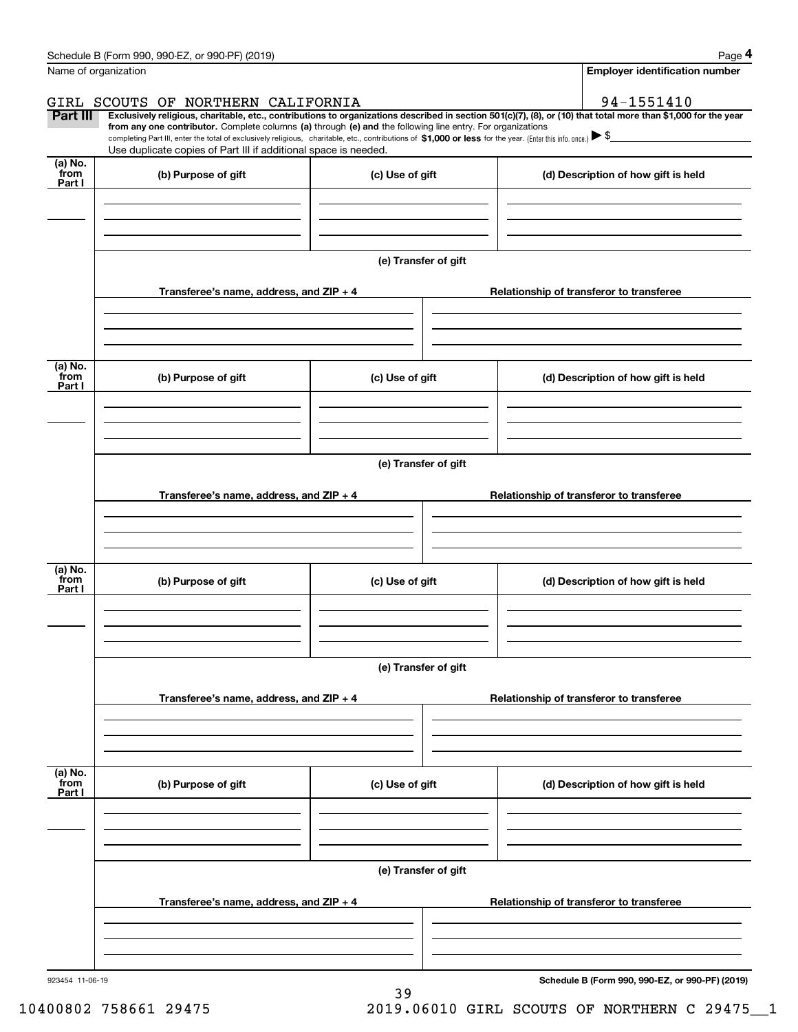|                           | Schedule B (Form 990, 990-EZ, or 990-PF) (2019)                                                                                                                                                                                                                                                                                                                     |                      | Page 4                                                                                                                                                         |  |  |
|---------------------------|---------------------------------------------------------------------------------------------------------------------------------------------------------------------------------------------------------------------------------------------------------------------------------------------------------------------------------------------------------------------|----------------------|----------------------------------------------------------------------------------------------------------------------------------------------------------------|--|--|
| Name of organization      |                                                                                                                                                                                                                                                                                                                                                                     |                      | <b>Employer identification number</b>                                                                                                                          |  |  |
|                           | GIRL SCOUTS OF NORTHERN CALIFORNIA                                                                                                                                                                                                                                                                                                                                  |                      | 94-1551410                                                                                                                                                     |  |  |
| <b>Part III</b>           | from any one contributor. Complete columns (a) through (e) and the following line entry. For organizations<br>completing Part III, enter the total of exclusively religious, charitable, etc., contributions of $$1,000$ or less for the year. (Enter this info. once.) $\blacktriangleright$ \$<br>Use duplicate copies of Part III if additional space is needed. |                      | Exclusively religious, charitable, etc., contributions to organizations described in section 501(c)(7), (8), or (10) that total more than \$1,000 for the year |  |  |
| (a) No.<br>from           |                                                                                                                                                                                                                                                                                                                                                                     |                      |                                                                                                                                                                |  |  |
| Part I                    | (b) Purpose of gift                                                                                                                                                                                                                                                                                                                                                 | (c) Use of gift      | (d) Description of how gift is held                                                                                                                            |  |  |
|                           |                                                                                                                                                                                                                                                                                                                                                                     | (e) Transfer of gift |                                                                                                                                                                |  |  |
|                           | Transferee's name, address, and ZIP + 4                                                                                                                                                                                                                                                                                                                             |                      | Relationship of transferor to transferee                                                                                                                       |  |  |
| (a) No.<br>from<br>Part I | (b) Purpose of gift                                                                                                                                                                                                                                                                                                                                                 | (c) Use of gift      | (d) Description of how gift is held                                                                                                                            |  |  |
|                           |                                                                                                                                                                                                                                                                                                                                                                     |                      |                                                                                                                                                                |  |  |
|                           | (e) Transfer of gift                                                                                                                                                                                                                                                                                                                                                |                      |                                                                                                                                                                |  |  |
|                           | Transferee's name, address, and ZIP + 4                                                                                                                                                                                                                                                                                                                             |                      | Relationship of transferor to transferee                                                                                                                       |  |  |
|                           |                                                                                                                                                                                                                                                                                                                                                                     |                      |                                                                                                                                                                |  |  |
| (a) No.<br>from<br>Part I | (b) Purpose of gift                                                                                                                                                                                                                                                                                                                                                 | (c) Use of gift      | (d) Description of how gift is held                                                                                                                            |  |  |
|                           |                                                                                                                                                                                                                                                                                                                                                                     |                      |                                                                                                                                                                |  |  |
|                           | (e) Transfer of gift                                                                                                                                                                                                                                                                                                                                                |                      |                                                                                                                                                                |  |  |
|                           | Transferee's name, address, and $ZIP + 4$                                                                                                                                                                                                                                                                                                                           |                      | Relationship of transferor to transferee                                                                                                                       |  |  |
|                           |                                                                                                                                                                                                                                                                                                                                                                     |                      |                                                                                                                                                                |  |  |
| (a) No.<br>from<br>Part I | (b) Purpose of gift                                                                                                                                                                                                                                                                                                                                                 | (c) Use of gift      | (d) Description of how gift is held                                                                                                                            |  |  |
|                           |                                                                                                                                                                                                                                                                                                                                                                     |                      |                                                                                                                                                                |  |  |
|                           |                                                                                                                                                                                                                                                                                                                                                                     | (e) Transfer of gift |                                                                                                                                                                |  |  |
|                           | Transferee's name, address, and ZIP + 4                                                                                                                                                                                                                                                                                                                             |                      | Relationship of transferor to transferee                                                                                                                       |  |  |
|                           |                                                                                                                                                                                                                                                                                                                                                                     |                      |                                                                                                                                                                |  |  |

39

**Schedule B (Form 990, 990-EZ, or 990-PF) (2019)**

10400802 758661 29475 2019.06010 GIRL SCOUTS OF NORTHERN C 29475\_\_1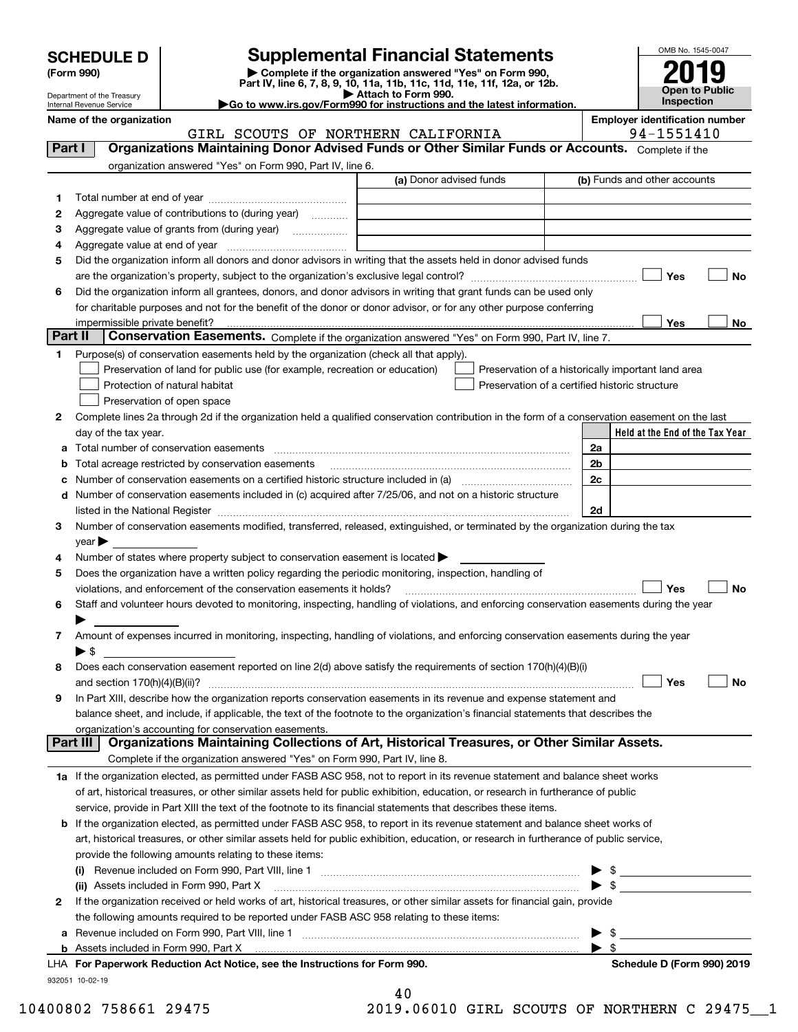| <b>SCHEDULE D</b> |
|-------------------|
|-------------------|

| (Form 990) |  |
|------------|--|
|------------|--|

# **SCHEDULE D Supplemental Financial Statements**

(Form 990)<br>
Pepartment of the Treasury<br>
Department of the Treasury<br>
Department of the Treasury<br>
Department of the Treasury<br> **Co to www.irs.gov/Form990 for instructions and the latest information.**<br> **Co to www.irs.gov/Form9** 



Department of the Treasury Internal Revenue Service

| ►Go to www.irs.gov/Form990 for instructions and the latest informa |  |  |  |
|--------------------------------------------------------------------|--|--|--|
|                                                                    |  |  |  |

|         | Name of the organization                                                                                                                       |                         | <b>Employer identification number</b>              |    |
|---------|------------------------------------------------------------------------------------------------------------------------------------------------|-------------------------|----------------------------------------------------|----|
|         | GIRL SCOUTS OF NORTHERN CALIFORNIA                                                                                                             |                         | 94-1551410                                         |    |
| Part I  | Organizations Maintaining Donor Advised Funds or Other Similar Funds or Accounts. Complete if the                                              |                         |                                                    |    |
|         | organization answered "Yes" on Form 990, Part IV, line 6.                                                                                      |                         |                                                    |    |
|         |                                                                                                                                                | (a) Donor advised funds | (b) Funds and other accounts                       |    |
| 1       |                                                                                                                                                |                         |                                                    |    |
| 2       | Aggregate value of contributions to (during year)                                                                                              |                         |                                                    |    |
| з       | Aggregate value of grants from (during year)                                                                                                   |                         |                                                    |    |
| 4       |                                                                                                                                                |                         |                                                    |    |
| 5       | Did the organization inform all donors and donor advisors in writing that the assets held in donor advised funds                               |                         |                                                    |    |
|         |                                                                                                                                                |                         | Yes                                                | No |
| 6       | Did the organization inform all grantees, donors, and donor advisors in writing that grant funds can be used only                              |                         |                                                    |    |
|         | for charitable purposes and not for the benefit of the donor or donor advisor, or for any other purpose conferring                             |                         |                                                    |    |
| Part II | impermissible private benefit?                                                                                                                 |                         | Yes                                                | No |
|         | Conservation Easements. Complete if the organization answered "Yes" on Form 990, Part IV, line 7.                                              |                         |                                                    |    |
| 1.      | Purpose(s) of conservation easements held by the organization (check all that apply).                                                          |                         |                                                    |    |
|         | Preservation of land for public use (for example, recreation or education)                                                                     |                         | Preservation of a historically important land area |    |
|         | Protection of natural habitat                                                                                                                  |                         | Preservation of a certified historic structure     |    |
|         | Preservation of open space                                                                                                                     |                         |                                                    |    |
| 2       | Complete lines 2a through 2d if the organization held a qualified conservation contribution in the form of a conservation easement on the last |                         |                                                    |    |
|         | day of the tax year.                                                                                                                           |                         | Held at the End of the Tax Year                    |    |
| a       |                                                                                                                                                |                         | 2a                                                 |    |
| b       | Total acreage restricted by conservation easements                                                                                             |                         | 2 <sub>b</sub>                                     |    |
| с       |                                                                                                                                                |                         | 2c                                                 |    |
|         | d Number of conservation easements included in (c) acquired after 7/25/06, and not on a historic structure                                     |                         |                                                    |    |
|         |                                                                                                                                                |                         | 2d                                                 |    |
| 3       | Number of conservation easements modified, transferred, released, extinguished, or terminated by the organization during the tax               |                         |                                                    |    |
|         | $year \blacktriangleright$                                                                                                                     |                         |                                                    |    |
| 4       | Number of states where property subject to conservation easement is located >                                                                  |                         |                                                    |    |
| 5       | Does the organization have a written policy regarding the periodic monitoring, inspection, handling of                                         |                         |                                                    |    |
|         | violations, and enforcement of the conservation easements it holds?                                                                            |                         | Yes                                                | No |
| 6       | Staff and volunteer hours devoted to monitoring, inspecting, handling of violations, and enforcing conservation easements during the year      |                         |                                                    |    |
|         |                                                                                                                                                |                         |                                                    |    |
| 7       | Amount of expenses incurred in monitoring, inspecting, handling of violations, and enforcing conservation easements during the year            |                         |                                                    |    |
|         | $\blacktriangleright$ \$                                                                                                                       |                         |                                                    |    |
| 8       | Does each conservation easement reported on line 2(d) above satisfy the requirements of section 170(h)(4)(B)(i)                                |                         |                                                    |    |
|         |                                                                                                                                                |                         | Yes                                                | No |
|         | In Part XIII, describe how the organization reports conservation easements in its revenue and expense statement and                            |                         |                                                    |    |
|         | balance sheet, and include, if applicable, the text of the footnote to the organization's financial statements that describes the              |                         |                                                    |    |
|         | organization's accounting for conservation easements.                                                                                          |                         |                                                    |    |
|         | Organizations Maintaining Collections of Art, Historical Treasures, or Other Similar Assets.<br>Part III                                       |                         |                                                    |    |
|         | Complete if the organization answered "Yes" on Form 990, Part IV, line 8.                                                                      |                         |                                                    |    |
|         | 1a If the organization elected, as permitted under FASB ASC 958, not to report in its revenue statement and balance sheet works                |                         |                                                    |    |
|         | of art, historical treasures, or other similar assets held for public exhibition, education, or research in furtherance of public              |                         |                                                    |    |
|         | service, provide in Part XIII the text of the footnote to its financial statements that describes these items.                                 |                         |                                                    |    |
|         | <b>b</b> If the organization elected, as permitted under FASB ASC 958, to report in its revenue statement and balance sheet works of           |                         |                                                    |    |
|         | art, historical treasures, or other similar assets held for public exhibition, education, or research in furtherance of public service,        |                         |                                                    |    |
|         | provide the following amounts relating to these items:                                                                                         |                         |                                                    |    |
|         | Revenue included on Form 990, Part VIII, line 1 manual content content content in the content of the set of th                                 |                         | \$                                                 |    |
|         | (ii) Assets included in Form 990, Part X                                                                                                       |                         | - \$                                               |    |
| 2       | If the organization received or held works of art, historical treasures, or other similar assets for financial gain, provide                   |                         |                                                    |    |
|         | the following amounts required to be reported under FASB ASC 958 relating to these items:                                                      |                         |                                                    |    |
|         |                                                                                                                                                |                         | -\$                                                |    |
|         | <b>b</b> Assets included in Form 990, Part X                                                                                                   |                         | $\blacktriangleright$ s                            |    |
|         | LHA For Paperwork Reduction Act Notice, see the Instructions for Form 990.                                                                     |                         | Schedule D (Form 990) 2019                         |    |
|         | 932051 10-02-19                                                                                                                                |                         |                                                    |    |
|         |                                                                                                                                                | 40                      |                                                    |    |

10400802 758661 29475 2019.06010 GIRL SCOUTS OF NORTHERN C 29475\_\_1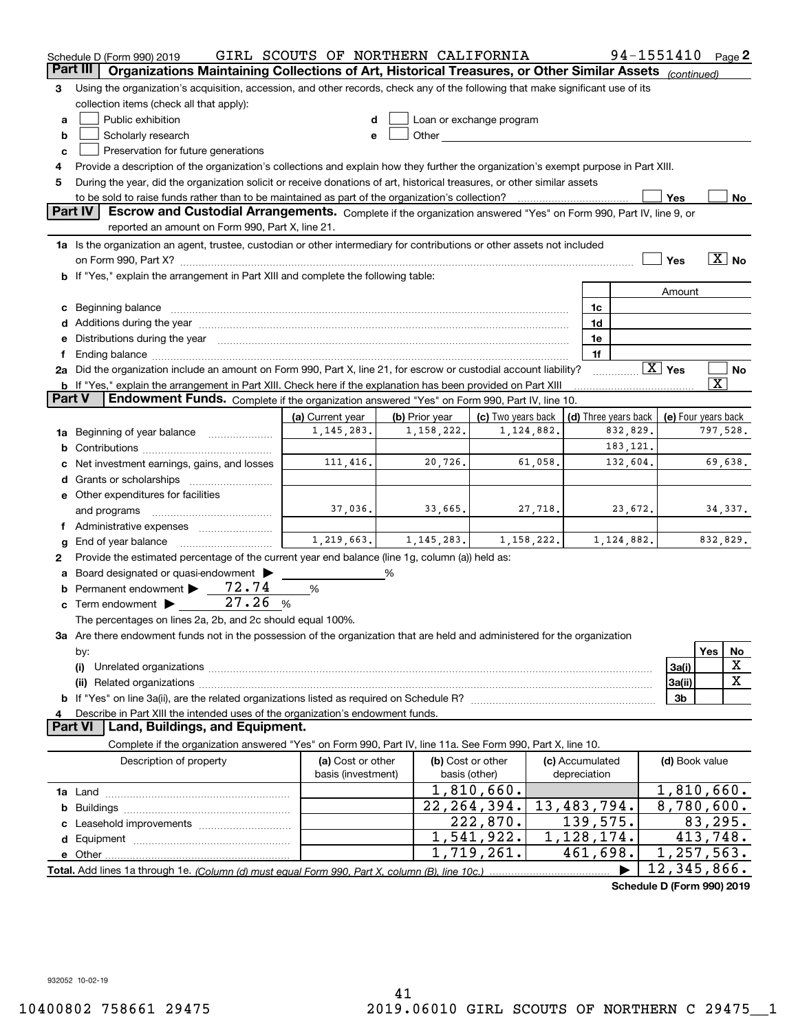|          | Schedule D (Form 990) 2019                                                                                                                                                                                                     | GIRL SCOUTS OF NORTHERN CALIFORNIA |                |                                                                                                                                                                                                                                |            |                 | 94-1551410                 |                    |                             |                       | Page 2            |
|----------|--------------------------------------------------------------------------------------------------------------------------------------------------------------------------------------------------------------------------------|------------------------------------|----------------|--------------------------------------------------------------------------------------------------------------------------------------------------------------------------------------------------------------------------------|------------|-----------------|----------------------------|--------------------|-----------------------------|-----------------------|-------------------|
| Part III | Organizations Maintaining Collections of Art, Historical Treasures, or Other Similar Assets (continued)                                                                                                                        |                                    |                |                                                                                                                                                                                                                                |            |                 |                            |                    |                             |                       |                   |
| 3        | Using the organization's acquisition, accession, and other records, check any of the following that make significant use of its                                                                                                |                                    |                |                                                                                                                                                                                                                                |            |                 |                            |                    |                             |                       |                   |
|          | collection items (check all that apply):                                                                                                                                                                                       |                                    |                |                                                                                                                                                                                                                                |            |                 |                            |                    |                             |                       |                   |
| а        | Public exhibition                                                                                                                                                                                                              | d                                  |                | Loan or exchange program                                                                                                                                                                                                       |            |                 |                            |                    |                             |                       |                   |
| b        | Scholarly research                                                                                                                                                                                                             | e                                  |                | Other and the control of the control of the control of the control of the control of the control of the control of the control of the control of the control of the control of the control of the control of the control of th |            |                 |                            |                    |                             |                       |                   |
| C        | Preservation for future generations                                                                                                                                                                                            |                                    |                |                                                                                                                                                                                                                                |            |                 |                            |                    |                             |                       |                   |
| 4        | Provide a description of the organization's collections and explain how they further the organization's exempt purpose in Part XIII.                                                                                           |                                    |                |                                                                                                                                                                                                                                |            |                 |                            |                    |                             |                       |                   |
| 5        | During the year, did the organization solicit or receive donations of art, historical treasures, or other similar assets                                                                                                       |                                    |                |                                                                                                                                                                                                                                |            |                 |                            |                    |                             |                       |                   |
|          |                                                                                                                                                                                                                                |                                    |                |                                                                                                                                                                                                                                |            |                 |                            |                    | Yes                         |                       | No                |
|          | Part IV<br>Escrow and Custodial Arrangements. Complete if the organization answered "Yes" on Form 990, Part IV, line 9, or                                                                                                     |                                    |                |                                                                                                                                                                                                                                |            |                 |                            |                    |                             |                       |                   |
|          | reported an amount on Form 990, Part X, line 21.                                                                                                                                                                               |                                    |                |                                                                                                                                                                                                                                |            |                 |                            |                    |                             |                       |                   |
|          | 1a Is the organization an agent, trustee, custodian or other intermediary for contributions or other assets not included                                                                                                       |                                    |                |                                                                                                                                                                                                                                |            |                 |                            |                    |                             |                       |                   |
|          |                                                                                                                                                                                                                                |                                    |                |                                                                                                                                                                                                                                |            |                 |                            |                    | Yes                         |                       | $\overline{X}$ No |
|          |                                                                                                                                                                                                                                |                                    |                |                                                                                                                                                                                                                                |            |                 |                            |                    |                             |                       |                   |
|          | b If "Yes," explain the arrangement in Part XIII and complete the following table:                                                                                                                                             |                                    |                |                                                                                                                                                                                                                                |            |                 |                            |                    |                             |                       |                   |
|          |                                                                                                                                                                                                                                |                                    |                |                                                                                                                                                                                                                                |            |                 |                            |                    | Amount                      |                       |                   |
| c        | Beginning balance material content and content and content and content and content and content and content and content and content and content and content and content and content and content and content and content and con |                                    |                |                                                                                                                                                                                                                                |            | 1c              |                            |                    |                             |                       |                   |
|          |                                                                                                                                                                                                                                |                                    |                |                                                                                                                                                                                                                                |            | 1d              |                            |                    |                             |                       |                   |
| е        | Distributions during the year manufactured and an account of the year manufactured and the year manufactured and the year manufactured and the year manufactured and the year manufactured and the year manufactured and the y |                                    |                |                                                                                                                                                                                                                                |            | 1e              |                            |                    |                             |                       |                   |
| f        | Ending balance manufactured and contract the contract of the contract of the contract of the contract of the contract of the contract of the contract of the contract of the contract of the contract of the contract of the c |                                    |                |                                                                                                                                                                                                                                |            |                 | 1f                         |                    |                             |                       |                   |
|          | 2a Did the organization include an amount on Form 990, Part X, line 21, for escrow or custodial account liability?                                                                                                             |                                    |                |                                                                                                                                                                                                                                |            |                 |                            | $\overline{X}$ Yes |                             |                       | No                |
| Part V   | <b>b</b> If "Yes," explain the arrangement in Part XIII. Check here if the explanation has been provided on Part XIII                                                                                                          |                                    |                |                                                                                                                                                                                                                                |            |                 |                            |                    |                             | $\overline{\text{X}}$ |                   |
|          | Endowment Funds. Complete if the organization answered "Yes" on Form 990, Part IV, line 10.                                                                                                                                    |                                    |                |                                                                                                                                                                                                                                |            |                 |                            |                    |                             |                       |                   |
|          |                                                                                                                                                                                                                                | (a) Current year                   | (b) Prior year | (c) Two years back                                                                                                                                                                                                             |            |                 | (d) Three years back       |                    | (e) Four years back         |                       |                   |
| 1a       | Beginning of year balance                                                                                                                                                                                                      | 1, 145, 283.                       | 1,158,222.     |                                                                                                                                                                                                                                | 1,124,882. |                 | 832,829.                   |                    |                             | 797,528.              |                   |
| b        |                                                                                                                                                                                                                                |                                    |                |                                                                                                                                                                                                                                |            |                 | 183, 121.                  |                    |                             |                       |                   |
| c        | Net investment earnings, gains, and losses                                                                                                                                                                                     | 111,416.                           | 20,726.        |                                                                                                                                                                                                                                | 61,058.    |                 | 132,604.                   |                    |                             |                       | 69,638.           |
| d        |                                                                                                                                                                                                                                |                                    |                |                                                                                                                                                                                                                                |            |                 |                            |                    |                             |                       |                   |
|          | <b>e</b> Other expenditures for facilities                                                                                                                                                                                     |                                    |                |                                                                                                                                                                                                                                |            |                 |                            |                    |                             |                       |                   |
|          | and programs                                                                                                                                                                                                                   | 37,036.                            | 33,665.        |                                                                                                                                                                                                                                | 27,718.    |                 | 23,672.                    |                    |                             |                       | 34,337.           |
|          |                                                                                                                                                                                                                                |                                    |                |                                                                                                                                                                                                                                |            |                 |                            |                    |                             |                       |                   |
| g        | End of year balance                                                                                                                                                                                                            | 1,219,663.                         | 1, 145, 283.   |                                                                                                                                                                                                                                | 1,158,222. |                 | 1,124,882.                 |                    |                             | 832,829.              |                   |
| 2        | Provide the estimated percentage of the current year end balance (line 1g, column (a)) held as:                                                                                                                                |                                    |                |                                                                                                                                                                                                                                |            |                 |                            |                    |                             |                       |                   |
| а        | Board designated or quasi-endowment                                                                                                                                                                                            |                                    | %              |                                                                                                                                                                                                                                |            |                 |                            |                    |                             |                       |                   |
| b        | 72.74<br>Permanent endowment                                                                                                                                                                                                   | %                                  |                |                                                                                                                                                                                                                                |            |                 |                            |                    |                             |                       |                   |
| c        | 27.26<br>Term endowment $\blacktriangleright$                                                                                                                                                                                  | %                                  |                |                                                                                                                                                                                                                                |            |                 |                            |                    |                             |                       |                   |
|          | The percentages on lines 2a, 2b, and 2c should equal 100%.                                                                                                                                                                     |                                    |                |                                                                                                                                                                                                                                |            |                 |                            |                    |                             |                       |                   |
|          | 3a Are there endowment funds not in the possession of the organization that are held and administered for the organization                                                                                                     |                                    |                |                                                                                                                                                                                                                                |            |                 |                            |                    |                             |                       |                   |
|          | by:                                                                                                                                                                                                                            |                                    |                |                                                                                                                                                                                                                                |            |                 |                            |                    |                             | Yes                   | No                |
|          | (i)                                                                                                                                                                                                                            |                                    |                |                                                                                                                                                                                                                                |            |                 |                            |                    | 3a(i)                       |                       | х                 |
|          |                                                                                                                                                                                                                                |                                    |                |                                                                                                                                                                                                                                |            |                 |                            |                    | 3a(ii)                      |                       | $\mathbf X$       |
|          |                                                                                                                                                                                                                                |                                    |                |                                                                                                                                                                                                                                |            |                 |                            |                    | 3 <sub>b</sub>              |                       |                   |
| 4        | Describe in Part XIII the intended uses of the organization's endowment funds.                                                                                                                                                 |                                    |                |                                                                                                                                                                                                                                |            |                 |                            |                    |                             |                       |                   |
|          | <b>Part VI</b><br>Land, Buildings, and Equipment.                                                                                                                                                                              |                                    |                |                                                                                                                                                                                                                                |            |                 |                            |                    |                             |                       |                   |
|          | Complete if the organization answered "Yes" on Form 990, Part IV, line 11a. See Form 990, Part X, line 10.                                                                                                                     |                                    |                |                                                                                                                                                                                                                                |            |                 |                            |                    |                             |                       |                   |
|          | Description of property                                                                                                                                                                                                        | (a) Cost or other                  |                | (b) Cost or other                                                                                                                                                                                                              |            | (c) Accumulated |                            |                    | (d) Book value              |                       |                   |
|          |                                                                                                                                                                                                                                | basis (investment)                 |                | basis (other)                                                                                                                                                                                                                  |            | depreciation    |                            |                    |                             |                       |                   |
|          |                                                                                                                                                                                                                                |                                    |                | 1,810,660.                                                                                                                                                                                                                     |            |                 |                            |                    | 1,810,660.                  |                       |                   |
| b        |                                                                                                                                                                                                                                |                                    |                | 22, 264, 394.                                                                                                                                                                                                                  |            |                 | 13,483,794.                |                    | 8,780,600.                  |                       |                   |
|          |                                                                                                                                                                                                                                |                                    |                | 222,870.                                                                                                                                                                                                                       |            |                 | 139,575.                   |                    |                             | 83,295.               |                   |
|          |                                                                                                                                                                                                                                |                                    |                | 1,541,922.                                                                                                                                                                                                                     |            |                 | 1,128,174.                 |                    |                             | 413,748.              |                   |
|          |                                                                                                                                                                                                                                |                                    |                | 1,719,261.                                                                                                                                                                                                                     |            |                 | 461,698.                   |                    | 1,257,563.                  |                       |                   |
|          |                                                                                                                                                                                                                                |                                    |                |                                                                                                                                                                                                                                |            |                 |                            |                    | $\overline{12}$ , 345, 866. |                       |                   |
|          |                                                                                                                                                                                                                                |                                    |                |                                                                                                                                                                                                                                |            |                 | Cabadule D (Faum 000) 0040 |                    |                             |                       |                   |

**Schedule D (Form 990) 2019**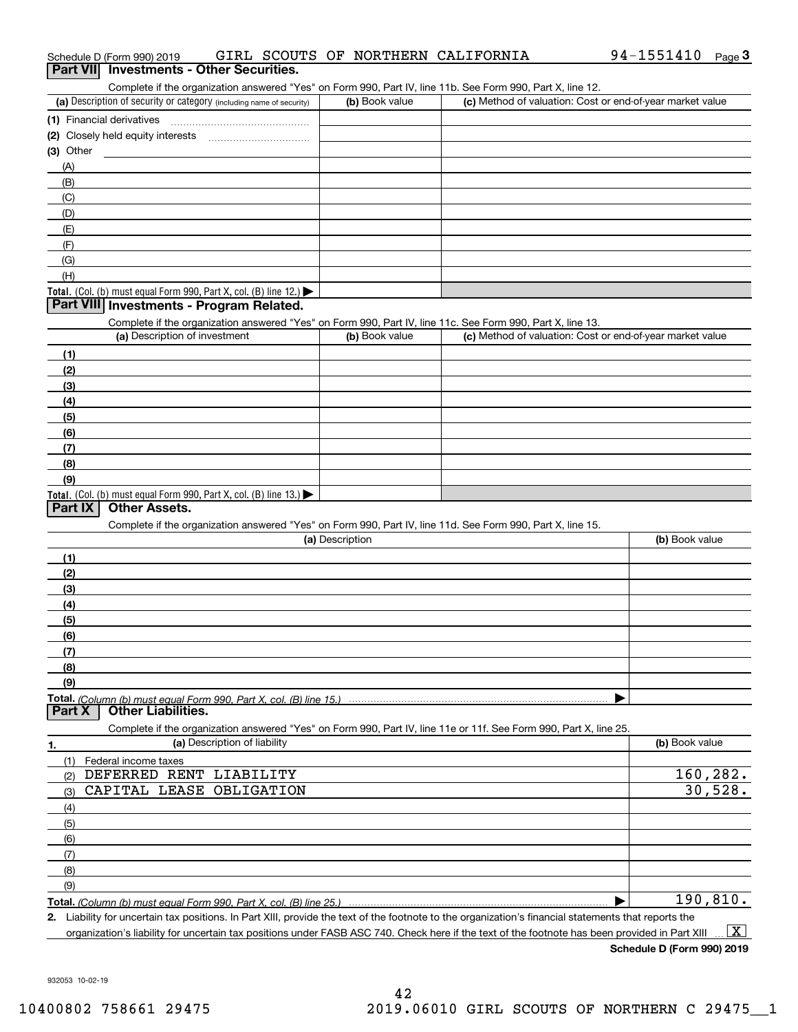| Schedule D (Form 990) 2019                      |  |  | GIRL SCOUTS OF NORTHERN CALIFORNIA | $94 - 1551410$ Page |  |
|-------------------------------------------------|--|--|------------------------------------|---------------------|--|
| <b>Part VII</b> Investments - Other Securities. |  |  |                                    |                     |  |

Complete if the organization answered "Yes" on Form 990, Part IV, line 11b. See Form 990, Part X, line 12.

| (a) Description of security or category (including name of security) | (b) Book value | (c) Method of valuation: Cost or end-of-year market value |
|----------------------------------------------------------------------|----------------|-----------------------------------------------------------|
| (1) Financial derivatives                                            |                |                                                           |
| (2) Closely held equity interests                                    |                |                                                           |
| (3) Other                                                            |                |                                                           |
| (A)                                                                  |                |                                                           |
| (B)                                                                  |                |                                                           |
| (C)                                                                  |                |                                                           |
| (D)                                                                  |                |                                                           |
| (E)                                                                  |                |                                                           |
| (F)                                                                  |                |                                                           |
| (G)                                                                  |                |                                                           |
| (H)                                                                  |                |                                                           |
| Total. (Col. (b) must equal Form 990, Part X, col. (B) line $12$ .)  |                |                                                           |

#### **Part VIII Investments - Program Related.**

Complete if the organization answered "Yes" on Form 990, Part IV, line 11c. See Form 990, Part X, line 13.

| (a) Description of investment                                                          | (b) Book value | (c) Method of valuation: Cost or end-of-year market value |
|----------------------------------------------------------------------------------------|----------------|-----------------------------------------------------------|
| (1)                                                                                    |                |                                                           |
| (2)                                                                                    |                |                                                           |
| $\frac{1}{2}$                                                                          |                |                                                           |
| (4)                                                                                    |                |                                                           |
| (5)                                                                                    |                |                                                           |
| (6)                                                                                    |                |                                                           |
| (7)                                                                                    |                |                                                           |
| (8)                                                                                    |                |                                                           |
| (9)                                                                                    |                |                                                           |
| Total. (Col. (b) must equal Form 990, Part X, col. (B) line 13.) $\blacktriangleright$ |                |                                                           |

#### **Part IX Other Assets.**

Complete if the organization answered "Yes" on Form 990, Part IV, line 11d. See Form 990, Part X, line 15.

| (a) Description                                                                                                   | (b) Book value |
|-------------------------------------------------------------------------------------------------------------------|----------------|
| (1)                                                                                                               |                |
| (2)                                                                                                               |                |
| (3)                                                                                                               |                |
| (4)                                                                                                               |                |
| $\frac{1}{2}$                                                                                                     |                |
| (6)                                                                                                               |                |
| (7)                                                                                                               |                |
| (8)                                                                                                               |                |
| (9)                                                                                                               |                |
|                                                                                                                   |                |
| <b>Part X   Other Liabilities.</b>                                                                                |                |
| Complete if the organization answered "Yes" on Form 990, Part IV, line 11e or 11f. See Form 990, Part X, line 25. |                |

**1. (a)** Description of liability **Book value** Book value Book value Book value Book value **Total.**  *(Column (b) must equal Form 990, Part X, col. (B) line 25.)* (1)Federal income taxes (2)(3)(4)(5) (6)(7)(8)(9) $\blacktriangleright$ DEFERRED RENT LIABILITY CAPITAL LEASE OBLIGATION 160,282. 30,528. 190,810.

**2.**Liability for uncertain tax positions. In Part XIII, provide the text of the footnote to the organization's financial statements that reports the organization's liability for uncertain tax positions under FASB ASC 740. Check here if the text of the footnote has been provided in Part XIII  $\boxed{\text{X}}$ 

**Schedule D (Form 990) 2019**

932053 10-02-19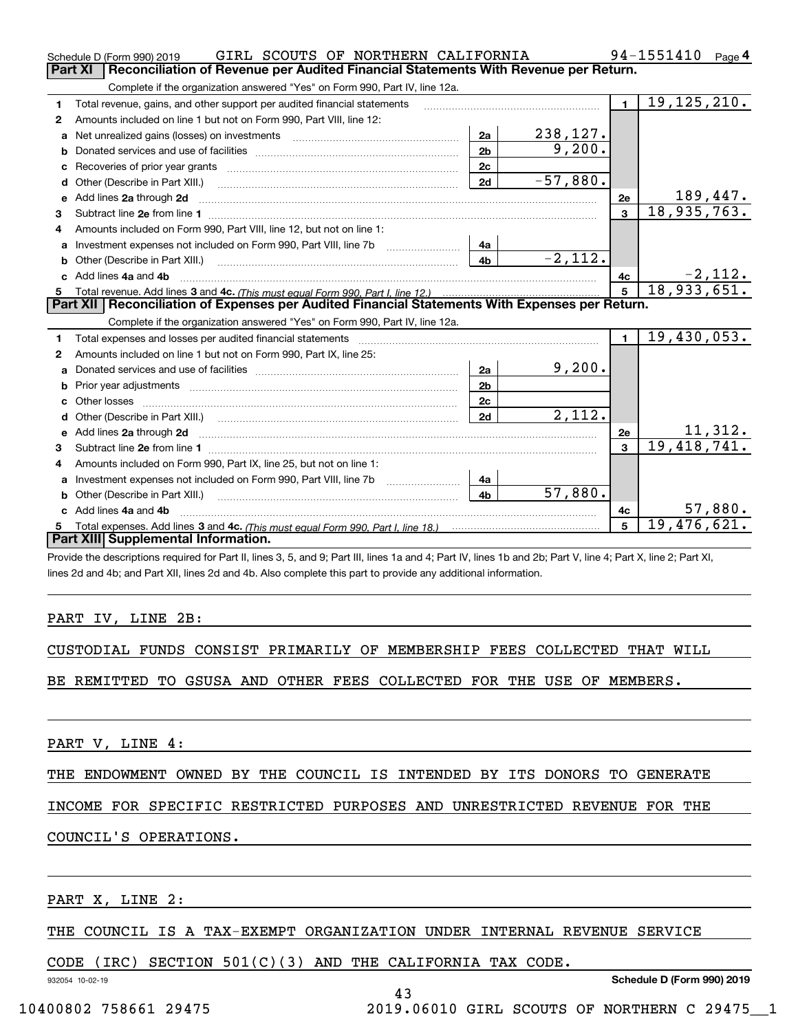|    | GIRL SCOUTS OF NORTHERN CALIFORNIA<br>Schedule D (Form 990) 2019                                                         |                |            |                | 94-1551410<br>Page 4          |
|----|--------------------------------------------------------------------------------------------------------------------------|----------------|------------|----------------|-------------------------------|
|    | Reconciliation of Revenue per Audited Financial Statements With Revenue per Return.<br>Part XI                           |                |            |                |                               |
|    | Complete if the organization answered "Yes" on Form 990, Part IV, line 12a.                                              |                |            |                |                               |
| 1  | Total revenue, gains, and other support per audited financial statements                                                 |                |            | $\blacksquare$ | 19, 125, 210.                 |
| 2  | Amounts included on line 1 but not on Form 990, Part VIII, line 12:                                                      |                |            |                |                               |
| a  |                                                                                                                          | 2a             | 238, 127.  |                |                               |
| b  |                                                                                                                          | 2 <sub>b</sub> | 9,200.     |                |                               |
|    |                                                                                                                          | 2c             |            |                |                               |
| d  | Other (Describe in Part XIII.) <b>Construction Contract Construction</b> Chern Construction Construction Construction    | 2d             | $-57,880.$ |                |                               |
| e  | Add lines 2a through 2d                                                                                                  |                |            | 2e             | <u> 189,447.</u>              |
| З  |                                                                                                                          |                |            | $\mathbf{3}$   | 18,935,763.                   |
| 4  | Amounts included on Form 990. Part VIII. line 12, but not on line 1:                                                     |                |            |                |                               |
| a  |                                                                                                                          | 4a             |            |                |                               |
| b  |                                                                                                                          | 4 <sub>b</sub> | $-2, 112.$ |                |                               |
| c. | Add lines 4a and 4b                                                                                                      |                |            | 4c             | $\frac{-2,112}{18,933,651}$   |
|    |                                                                                                                          | $5^{\circ}$    |            |                |                               |
|    |                                                                                                                          |                |            |                |                               |
|    | Part XII   Reconciliation of Expenses per Audited Financial Statements With Expenses per Return.                         |                |            |                |                               |
|    | Complete if the organization answered "Yes" on Form 990, Part IV, line 12a.                                              |                |            |                |                               |
| 1  | Total expenses and losses per audited financial statements                                                               |                |            | $\blacksquare$ | 19,430,053.                   |
| 2  | Amounts included on line 1 but not on Form 990, Part IX, line 25:                                                        |                |            |                |                               |
| a  |                                                                                                                          | 2a             | 9,200.     |                |                               |
| b  |                                                                                                                          | 2 <sub>b</sub> |            |                |                               |
|    |                                                                                                                          | 2c             |            |                |                               |
| d  |                                                                                                                          | 2d             | 2.112.     |                |                               |
| е  | Add lines 2a through 2d <b>must be a constructed as the constant of the constant of the constant of the construction</b> |                |            | 2e             |                               |
| 3  |                                                                                                                          |                |            | $\mathbf{3}$   | $\frac{11,312.}{19,418,741.}$ |
| 4  | Amounts included on Form 990, Part IX, line 25, but not on line 1:                                                       |                |            |                |                               |
| a  | Investment expenses not included on Form 990, Part VIII, line 7b [11, 111, 111, 111]                                     | 4a             |            |                |                               |
|    | Other (Describe in Part XIII.)                                                                                           | 4 <sub>b</sub> | 57,880.    |                |                               |
| c  | Add lines 4a and 4b                                                                                                      |                |            | 4 <sub>c</sub> | 57,880.                       |
|    | Part XIII Supplemental Information.                                                                                      |                |            | 5              | 19,476,621.                   |

Provide the descriptions required for Part II, lines 3, 5, and 9; Part III, lines 1a and 4; Part IV, lines 1b and 2b; Part V, line 4; Part X, line 2; Part XI, lines 2d and 4b; and Part XII, lines 2d and 4b. Also complete this part to provide any additional information.

#### PART IV, LINE 2B:

|  |  |  |  |  | CUSTODIAL FUNDS CONSIST PRIMARILY OF MEMBERSHIP FEES COLLECTED THAT WILL |  |  |  |  |
|--|--|--|--|--|--------------------------------------------------------------------------|--|--|--|--|
|--|--|--|--|--|--------------------------------------------------------------------------|--|--|--|--|

BE REMITTED TO GSUSA AND OTHER FEES COLLECTED FOR THE USE OF MEMBERS.

PART V, LINE 4:

THE ENDOWMENT OWNED BY THE COUNCIL IS INTENDED BY ITS DONORS TO GENERATE

INCOME FOR SPECIFIC RESTRICTED PURPOSES AND UNRESTRICTED REVENUE FOR THE

# COUNCIL'S OPERATIONS.

PART X, LINE 2:

#### THE COUNCIL IS A TAX-EXEMPT ORGANIZATION UNDER INTERNAL REVENUE SERVICE

43

#### CODE (IRC) SECTION 501(C)(3) AND THE CALIFORNIA TAX CODE.

932054 10-02-19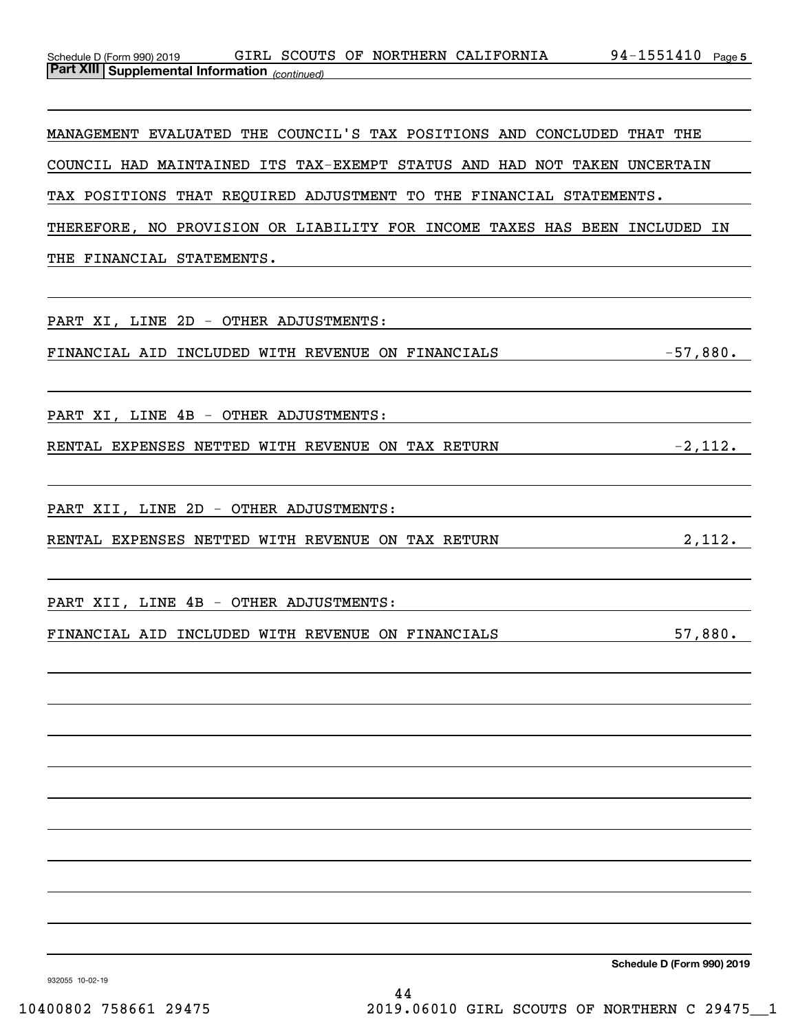| Schedule D (Form 990) 2019                            |  |  | GIRL SCOUTS OF NORTHERN CALIFORNIA | 94-1551410 | Page 5 |
|-------------------------------------------------------|--|--|------------------------------------|------------|--------|
| <b>Part XIII Supplemental Information</b> (continued) |  |  |                                    |            |        |

MANAGEMENT EVALUATED THE COUNCIL'S TAX POSITIONS AND CONCLUDED THAT THE COUNCIL HAD MAINTAINED ITS TAX-EXEMPT STATUS AND HAD NOT TAKEN UNCERTAIN TAX POSITIONS THAT REQUIRED ADJUSTMENT TO THE FINANCIAL STATEMENTS. THEREFORE, NO PROVISION OR LIABILITY FOR INCOME TAXES HAS BEEN INCLUDED IN THE FINANCIAL STATEMENTS.

PART XI, LINE 2D - OTHER ADJUSTMENTS: FINANCIAL AID INCLUDED WITH REVENUE ON FINANCIALS  $-57,880$ . PART XI, LINE 4B - OTHER ADJUSTMENTS: RENTAL EXPENSES NETTED WITH REVENUE ON TAX RETURN  $-2,112$ . PART XII, LINE 2D - OTHER ADJUSTMENTS: RENTAL EXPENSES NETTED WITH REVENUE ON TAX RETURN 2,112. PART XII, LINE 4B - OTHER ADJUSTMENTS: FINANCIAL AID INCLUDED WITH REVENUE ON FINANCIALS 57,880.

**Schedule D (Form 990) 2019**

932055 10-02-19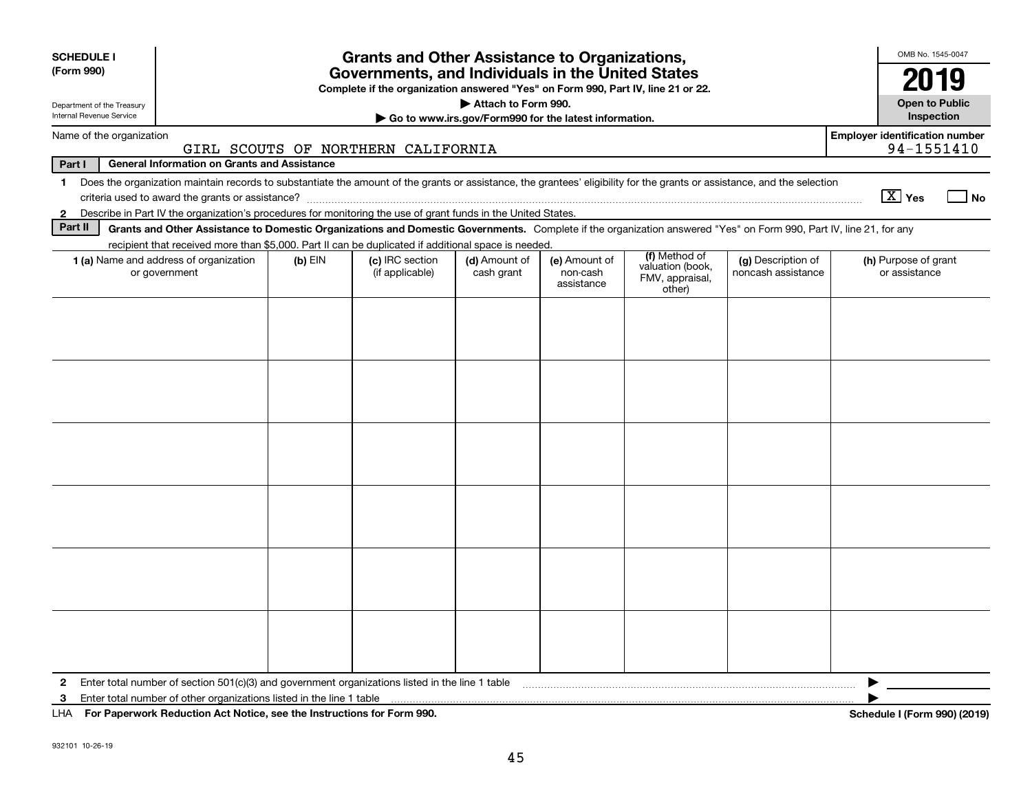| <b>SCHEDULE I</b><br>(Form 990)<br>Department of the Treasury                                                                                                                                                                                                         |                                                                                                                                                                    |           | <b>Grants and Other Assistance to Organizations,</b><br>Governments, and Individuals in the United States<br>Complete if the organization answered "Yes" on Form 990, Part IV, line 21 or 22. | Attach to Form 990.                                   |                                         |                                                                |                                          | OMB No. 1545-0047<br>2019<br><b>Open to Public</b>  |  |
|-----------------------------------------------------------------------------------------------------------------------------------------------------------------------------------------------------------------------------------------------------------------------|--------------------------------------------------------------------------------------------------------------------------------------------------------------------|-----------|-----------------------------------------------------------------------------------------------------------------------------------------------------------------------------------------------|-------------------------------------------------------|-----------------------------------------|----------------------------------------------------------------|------------------------------------------|-----------------------------------------------------|--|
| Internal Revenue Service                                                                                                                                                                                                                                              |                                                                                                                                                                    |           |                                                                                                                                                                                               | Go to www.irs.gov/Form990 for the latest information. |                                         |                                                                |                                          | Inspection                                          |  |
|                                                                                                                                                                                                                                                                       | Name of the organization                                                                                                                                           |           | GIRL SCOUTS OF NORTHERN CALIFORNIA                                                                                                                                                            |                                                       |                                         |                                                                |                                          | <b>Employer identification number</b><br>94-1551410 |  |
| Part I                                                                                                                                                                                                                                                                | <b>General Information on Grants and Assistance</b>                                                                                                                |           |                                                                                                                                                                                               |                                                       |                                         |                                                                |                                          |                                                     |  |
| Does the organization maintain records to substantiate the amount of the grants or assistance, the grantees' eligibility for the grants or assistance, and the selection<br>$\mathbf 1$<br>$\boxed{\text{X}}$ Yes<br>criteria used to award the grants or assistance? |                                                                                                                                                                    |           |                                                                                                                                                                                               |                                                       |                                         |                                                                |                                          |                                                     |  |
| $\mathbf{2}$                                                                                                                                                                                                                                                          | Describe in Part IV the organization's procedures for monitoring the use of grant funds in the United States.                                                      |           |                                                                                                                                                                                               |                                                       |                                         |                                                                |                                          |                                                     |  |
| Part II                                                                                                                                                                                                                                                               | Grants and Other Assistance to Domestic Organizations and Domestic Governments. Complete if the organization answered "Yes" on Form 990, Part IV, line 21, for any |           |                                                                                                                                                                                               |                                                       |                                         |                                                                |                                          |                                                     |  |
|                                                                                                                                                                                                                                                                       | recipient that received more than \$5,000. Part II can be duplicated if additional space is needed.                                                                |           |                                                                                                                                                                                               |                                                       |                                         |                                                                |                                          |                                                     |  |
|                                                                                                                                                                                                                                                                       | 1 (a) Name and address of organization<br>or government                                                                                                            | $(b)$ EIN | (c) IRC section<br>(if applicable)                                                                                                                                                            | (d) Amount of<br>cash grant                           | (e) Amount of<br>non-cash<br>assistance | (f) Method of<br>valuation (book,<br>FMV, appraisal,<br>other) | (g) Description of<br>noncash assistance | (h) Purpose of grant<br>or assistance               |  |
|                                                                                                                                                                                                                                                                       |                                                                                                                                                                    |           |                                                                                                                                                                                               |                                                       |                                         |                                                                |                                          |                                                     |  |
| 2                                                                                                                                                                                                                                                                     | Enter total number of section 501(c)(3) and government organizations listed in the line 1 table                                                                    |           |                                                                                                                                                                                               |                                                       |                                         |                                                                |                                          |                                                     |  |
| з                                                                                                                                                                                                                                                                     | Enter total number of other organizations listed in the line 1 table                                                                                               |           |                                                                                                                                                                                               |                                                       |                                         |                                                                |                                          |                                                     |  |
| LHA                                                                                                                                                                                                                                                                   | For Paperwork Reduction Act Notice, see the Instructions for Form 990.                                                                                             |           |                                                                                                                                                                                               |                                                       |                                         |                                                                |                                          | Schedule I (Form 990) (2019)                        |  |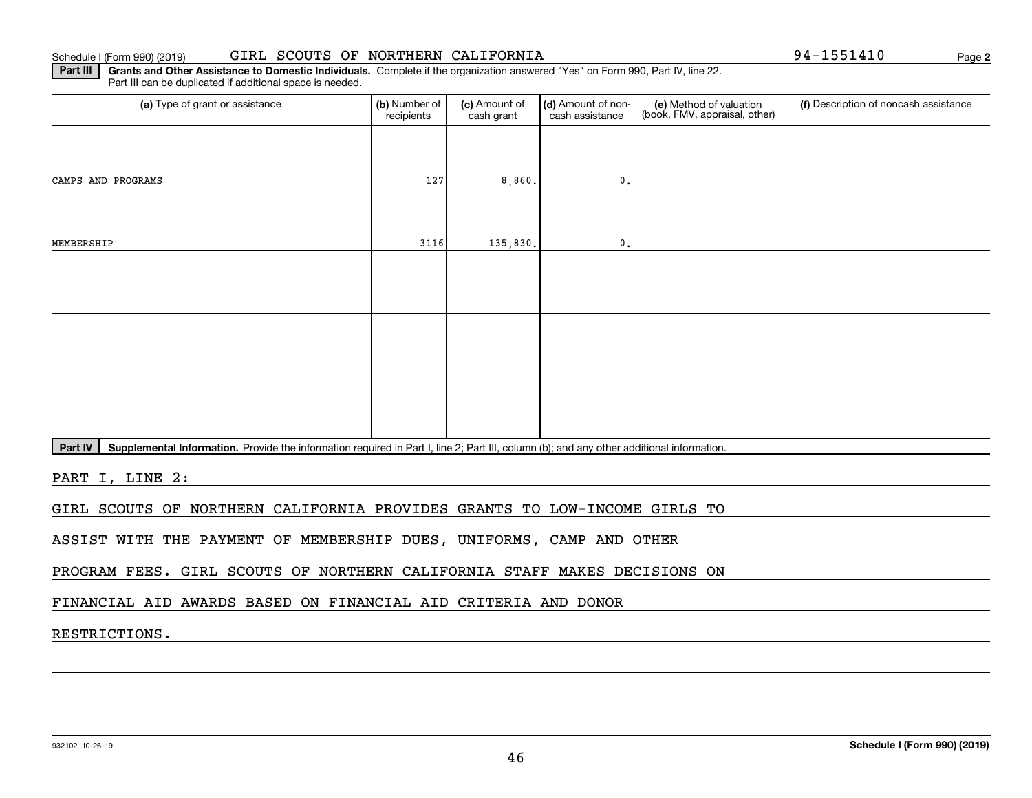#### Schedule I (Form 990) (2019) GIRL SCOUTS OF NORTHERN CALIFORNIA 94-1551410 Page

**2**

**Part III** | Grants and Other Assistance to Domestic Individuals. Complete if the organization answered "Yes" on Form 990, Part IV, line 22. Part III can be duplicated if additional space is needed.

| (a) Type of grant or assistance | (b) Number of<br>recipients | (c) Amount of<br>cash grant | (d) Amount of non-<br>cash assistance | (e) Method of valuation<br>(book, FMV, appraisal, other) | (f) Description of noncash assistance |
|---------------------------------|-----------------------------|-----------------------------|---------------------------------------|----------------------------------------------------------|---------------------------------------|
|                                 |                             |                             |                                       |                                                          |                                       |
| CAMPS AND PROGRAMS              | 127                         | 8,860.                      | $\mathbf{0}$ .                        |                                                          |                                       |
|                                 |                             |                             |                                       |                                                          |                                       |
| MEMBERSHIP                      | 3116                        | 135,830.                    | $\,$ 0 .                              |                                                          |                                       |
|                                 |                             |                             |                                       |                                                          |                                       |
|                                 |                             |                             |                                       |                                                          |                                       |
|                                 |                             |                             |                                       |                                                          |                                       |
|                                 |                             |                             |                                       |                                                          |                                       |
|                                 |                             |                             |                                       |                                                          |                                       |
|                                 |                             |                             |                                       |                                                          |                                       |

Part IV | Supplemental Information. Provide the information required in Part I, line 2; Part III, column (b); and any other additional information.

PART I, LINE 2:

GIRL SCOUTS OF NORTHERN CALIFORNIA PROVIDES GRANTS TO LOW-INCOME GIRLS TO

ASSIST WITH THE PAYMENT OF MEMBERSHIP DUES, UNIFORMS, CAMP AND OTHER

PROGRAM FEES. GIRL SCOUTS OF NORTHERN CALIFORNIA STAFF MAKES DECISIONS ON

FINANCIAL AID AWARDS BASED ON FINANCIAL AID CRITERIA AND DONOR

RESTRICTIONS.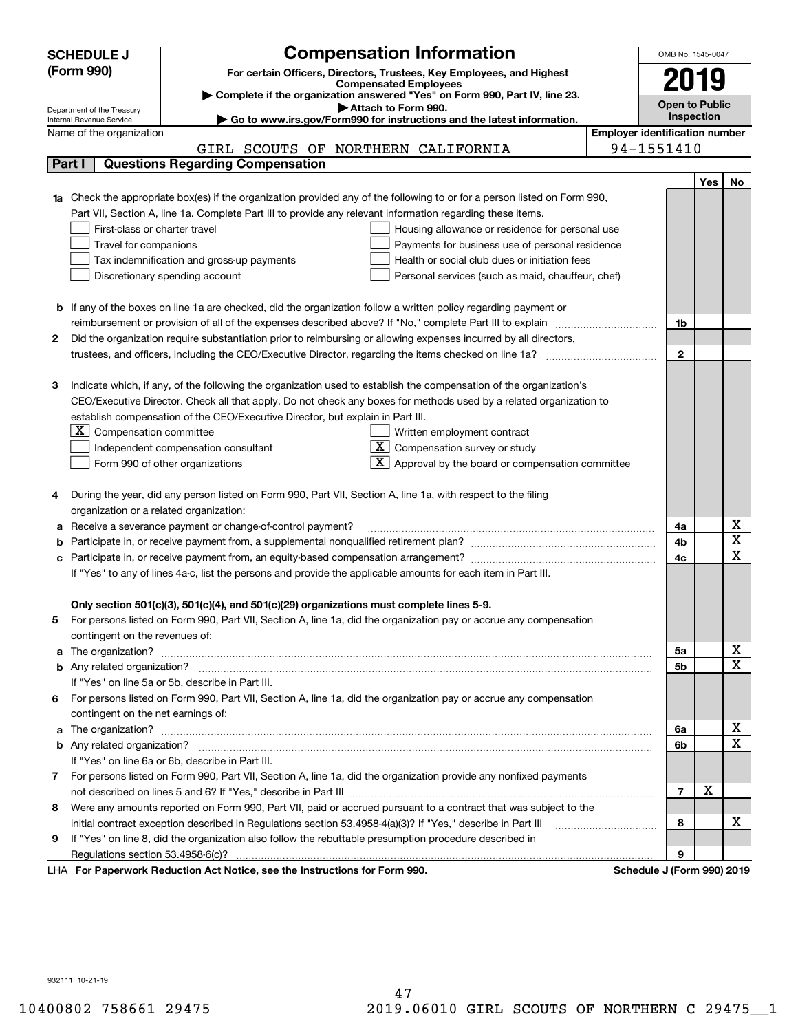|   | <b>SCHEDULE J</b>                                      | <b>Compensation Information</b>                                                                                        |  | OMB No. 1545-0047                     |     |             |
|---|--------------------------------------------------------|------------------------------------------------------------------------------------------------------------------------|--|---------------------------------------|-----|-------------|
|   | (Form 990)                                             | For certain Officers, Directors, Trustees, Key Employees, and Highest                                                  |  |                                       |     |             |
|   |                                                        | <b>Compensated Employees</b>                                                                                           |  | 2019                                  |     |             |
|   |                                                        | Complete if the organization answered "Yes" on Form 990, Part IV, line 23.                                             |  | <b>Open to Public</b>                 |     |             |
|   | Department of the Treasury<br>Internal Revenue Service | Attach to Form 990.<br>Go to www.irs.gov/Form990 for instructions and the latest information.                          |  | Inspection                            |     |             |
|   | Name of the organization                               |                                                                                                                        |  | <b>Employer identification number</b> |     |             |
|   |                                                        | GIRL SCOUTS OF NORTHERN CALIFORNIA                                                                                     |  | 94-1551410                            |     |             |
|   | Part I                                                 | <b>Questions Regarding Compensation</b>                                                                                |  |                                       |     |             |
|   |                                                        |                                                                                                                        |  |                                       | Yes | No          |
|   |                                                        | Check the appropriate box(es) if the organization provided any of the following to or for a person listed on Form 990, |  |                                       |     |             |
|   |                                                        | Part VII, Section A, line 1a. Complete Part III to provide any relevant information regarding these items.             |  |                                       |     |             |
|   | First-class or charter travel                          | Housing allowance or residence for personal use                                                                        |  |                                       |     |             |
|   | Travel for companions                                  | Payments for business use of personal residence                                                                        |  |                                       |     |             |
|   | Tax indemnification and gross-up payments              | Health or social club dues or initiation fees                                                                          |  |                                       |     |             |
|   | Discretionary spending account                         | Personal services (such as maid, chauffeur, chef)                                                                      |  |                                       |     |             |
|   |                                                        |                                                                                                                        |  |                                       |     |             |
|   |                                                        | <b>b</b> If any of the boxes on line 1a are checked, did the organization follow a written policy regarding payment or |  |                                       |     |             |
|   |                                                        | reimbursement or provision of all of the expenses described above? If "No," complete Part III to explain               |  | 1b                                    |     |             |
| 2 |                                                        | Did the organization require substantiation prior to reimbursing or allowing expenses incurred by all directors,       |  |                                       |     |             |
|   |                                                        |                                                                                                                        |  | $\mathbf{2}$                          |     |             |
|   |                                                        |                                                                                                                        |  |                                       |     |             |
| з |                                                        | Indicate which, if any, of the following the organization used to establish the compensation of the organization's     |  |                                       |     |             |
|   |                                                        | CEO/Executive Director. Check all that apply. Do not check any boxes for methods used by a related organization to     |  |                                       |     |             |
|   |                                                        | establish compensation of the CEO/Executive Director, but explain in Part III.                                         |  |                                       |     |             |
|   | $X$ Compensation committee                             | Written employment contract                                                                                            |  |                                       |     |             |
|   |                                                        | $X$ Compensation survey or study<br>Independent compensation consultant                                                |  |                                       |     |             |
|   |                                                        | $\boxed{\textbf{X}}$ Approval by the board or compensation committee<br>Form 990 of other organizations                |  |                                       |     |             |
|   |                                                        |                                                                                                                        |  |                                       |     |             |
| 4 |                                                        | During the year, did any person listed on Form 990, Part VII, Section A, line 1a, with respect to the filing           |  |                                       |     |             |
|   | organization or a related organization:                |                                                                                                                        |  |                                       |     |             |
| а |                                                        | Receive a severance payment or change-of-control payment?                                                              |  | 4a                                    |     | х           |
| b |                                                        |                                                                                                                        |  | 4b                                    |     | X           |
| с |                                                        |                                                                                                                        |  | 4c                                    |     | $\mathbf X$ |
|   |                                                        | If "Yes" to any of lines 4a-c, list the persons and provide the applicable amounts for each item in Part III.          |  |                                       |     |             |
|   |                                                        |                                                                                                                        |  |                                       |     |             |
|   |                                                        | Only section 501(c)(3), 501(c)(4), and 501(c)(29) organizations must complete lines 5-9.                               |  |                                       |     |             |
| 5 |                                                        | For persons listed on Form 990, Part VII, Section A, line 1a, did the organization pay or accrue any compensation      |  |                                       |     |             |
|   | contingent on the revenues of:                         |                                                                                                                        |  |                                       |     |             |
| a |                                                        |                                                                                                                        |  | 5a                                    |     | x           |
|   |                                                        |                                                                                                                        |  | 5b                                    |     | Χ           |
|   |                                                        | If "Yes" on line 5a or 5b, describe in Part III.                                                                       |  |                                       |     |             |
|   |                                                        | 6 For persons listed on Form 990, Part VII, Section A, line 1a, did the organization pay or accrue any compensation    |  |                                       |     |             |
|   | contingent on the net earnings of:                     |                                                                                                                        |  |                                       |     |             |
| a |                                                        |                                                                                                                        |  | 6a                                    |     | x           |
|   |                                                        |                                                                                                                        |  | 6b                                    |     | Χ           |
|   |                                                        | If "Yes" on line 6a or 6b, describe in Part III.                                                                       |  |                                       |     |             |
|   |                                                        | 7 For persons listed on Form 990, Part VII, Section A, line 1a, did the organization provide any nonfixed payments     |  |                                       |     |             |
|   |                                                        |                                                                                                                        |  | $\overline{7}$                        | х   |             |
| 8 |                                                        | Were any amounts reported on Form 990, Part VII, paid or accrued pursuant to a contract that was subject to the        |  |                                       |     |             |
|   |                                                        | initial contract exception described in Regulations section 53.4958-4(a)(3)? If "Yes," describe in Part III            |  | 8                                     |     | х           |
| 9 |                                                        | If "Yes" on line 8, did the organization also follow the rebuttable presumption procedure described in                 |  |                                       |     |             |
|   |                                                        |                                                                                                                        |  | 9                                     |     |             |
|   |                                                        | LHA For Paperwork Reduction Act Notice, see the Instructions for Form 990.                                             |  | Schedule J (Form 990) 2019            |     |             |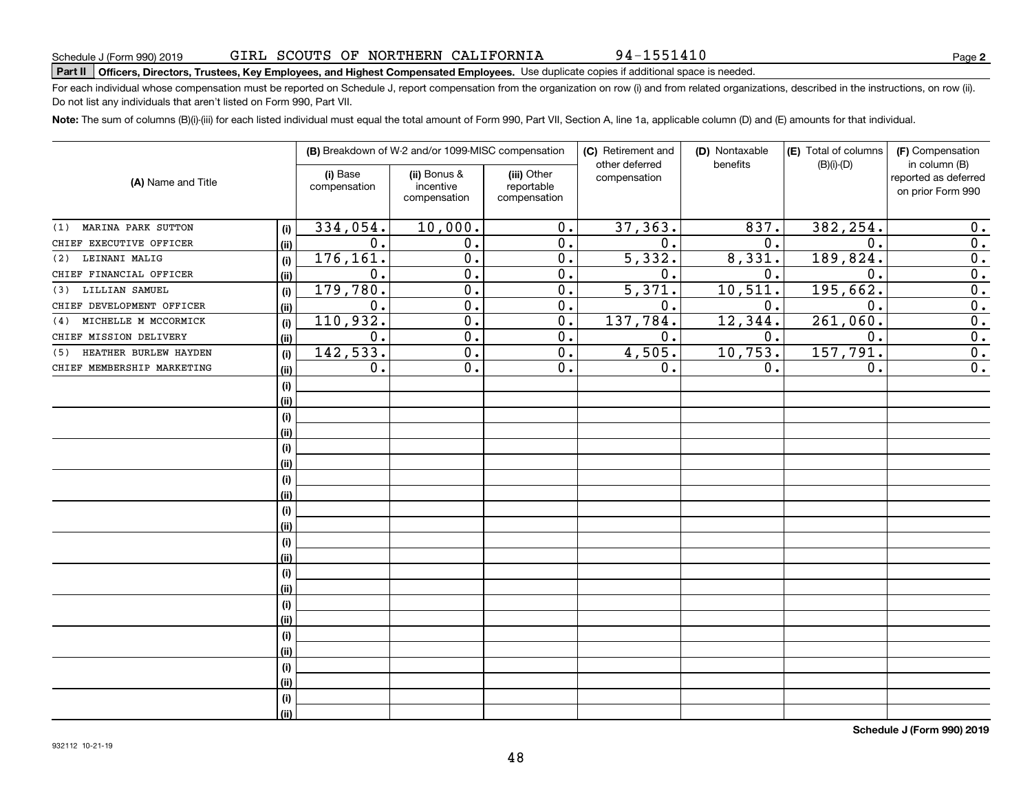Do not list any individuals that aren't listed on Form 990, Part VII.

|                              |      |                          | (B) Breakdown of W-2 and/or 1099-MISC compensation | (C) Retirement and                        |                                | (D) Nontaxable   | (E) Total of columns | (F) Compensation                                           |
|------------------------------|------|--------------------------|----------------------------------------------------|-------------------------------------------|--------------------------------|------------------|----------------------|------------------------------------------------------------|
| (A) Name and Title           |      | (i) Base<br>compensation | (ii) Bonus &<br>incentive<br>compensation          | (iii) Other<br>reportable<br>compensation | other deferred<br>compensation | benefits         | $(B)(i)-(D)$         | in column (B)<br>reported as deferred<br>on prior Form 990 |
| MARINA PARK SUTTON<br>(1)    | (i)  | 334,054.                 | 10,000.                                            | $\overline{0}$ .                          | 37, 363.                       | 837.             | 382,254.             | 0.                                                         |
| CHIEF EXECUTIVE OFFICER      | (ii) | 0.                       | 0.                                                 | $\overline{0}$ .                          | 0.                             | $\overline{0}$ . | 0.                   | $\overline{0}$ .                                           |
| LEINANI MALIG<br>(2)         | (i)  | 176,161.                 | $\overline{0}$ .                                   | $\overline{0}$ .                          | 5,332.                         | 8,331.           | 189,824.             | $\overline{0}$ .                                           |
| CHIEF FINANCIAL OFFICER      | (ii) | 0.                       | $\overline{0}$ .                                   | $\overline{0}$ .                          | 0.                             | 0.               | 0.                   | $\overline{0}$ .                                           |
| LILLIAN SAMUEL<br>(3)        | (i)  | 179,780.                 | $\overline{0}$ .                                   | $\overline{0}$ .                          | $\overline{5,371}$ .           | 10,511.          | 195,662.             | $\overline{0}$ .                                           |
| CHIEF DEVELOPMENT OFFICER    | (ii) | 0.                       | $\overline{0}$ .                                   | $\overline{0}$ .                          | 0.                             | 0.               | 0.                   | $\overline{0}$ .                                           |
| MICHELLE M MCCORMICK<br>(4)  | (i)  | 110,932.                 | $\overline{0}$ .                                   | $\overline{0}$ .                          | 137,784.                       | 12,344.          | 261,060.             | $\overline{0}$ .                                           |
| CHIEF MISSION DELIVERY       | (ii) | 0.                       | $\overline{0}$ .                                   | $\overline{0}$ .                          | 0.                             | 0.               | 0.                   | $\overline{0}$ .                                           |
| HEATHER BURLEW HAYDEN<br>(5) | (i)  | 142,533.                 | $\overline{0}$ .                                   | $\overline{0}$ .                          | 4,505.                         | 10,753.          | 157,791.             | $\overline{0}$ .                                           |
| CHIEF MEMBERSHIP MARKETING   | (ii) | $\mathbf 0$ .            | $\overline{0}$ .                                   | $\overline{0}$ .                          | 0.                             | 0.               | 0.                   | $\overline{0}$ .                                           |
|                              | (i)  |                          |                                                    |                                           |                                |                  |                      |                                                            |
|                              | (ii) |                          |                                                    |                                           |                                |                  |                      |                                                            |
|                              | (i)  |                          |                                                    |                                           |                                |                  |                      |                                                            |
|                              | (ii) |                          |                                                    |                                           |                                |                  |                      |                                                            |
|                              | (i)  |                          |                                                    |                                           |                                |                  |                      |                                                            |
|                              | (ii) |                          |                                                    |                                           |                                |                  |                      |                                                            |
|                              | (i)  |                          |                                                    |                                           |                                |                  |                      |                                                            |
|                              | (ii) |                          |                                                    |                                           |                                |                  |                      |                                                            |
|                              | (i)  |                          |                                                    |                                           |                                |                  |                      |                                                            |
|                              | (ii) |                          |                                                    |                                           |                                |                  |                      |                                                            |
|                              | (i)  |                          |                                                    |                                           |                                |                  |                      |                                                            |
|                              | (ii) |                          |                                                    |                                           |                                |                  |                      |                                                            |
|                              | (i)  |                          |                                                    |                                           |                                |                  |                      |                                                            |
|                              | (ii) |                          |                                                    |                                           |                                |                  |                      |                                                            |
|                              | (i)  |                          |                                                    |                                           |                                |                  |                      |                                                            |
|                              | (ii) |                          |                                                    |                                           |                                |                  |                      |                                                            |
|                              | (i)  |                          |                                                    |                                           |                                |                  |                      |                                                            |
|                              | (ii) |                          |                                                    |                                           |                                |                  |                      |                                                            |
|                              | (i)  |                          |                                                    |                                           |                                |                  |                      |                                                            |
|                              | (ii) |                          |                                                    |                                           |                                |                  |                      |                                                            |
|                              | (i)  |                          |                                                    |                                           |                                |                  |                      |                                                            |
|                              | (ii) |                          |                                                    |                                           |                                |                  |                      |                                                            |

48

**Note:**  The sum of columns (B)(i)-(iii) for each listed individual must equal the total amount of Form 990, Part VII, Section A, line 1a, applicable column (D) and (E) amounts for that individual.

For each individual whose compensation must be reported on Schedule J, report compensation from the organization on row (i) and from related organizations, described in the instructions, on row (ii).

#### GIRL SCOUTS OF NORTHERN CALIFORNIA

**Part II Officers, Directors, Trustees, Key Employees, and Highest Compensated Employees.**  Schedule J (Form 990) 2019 Page Use duplicate copies if additional space is needed. 94-1551410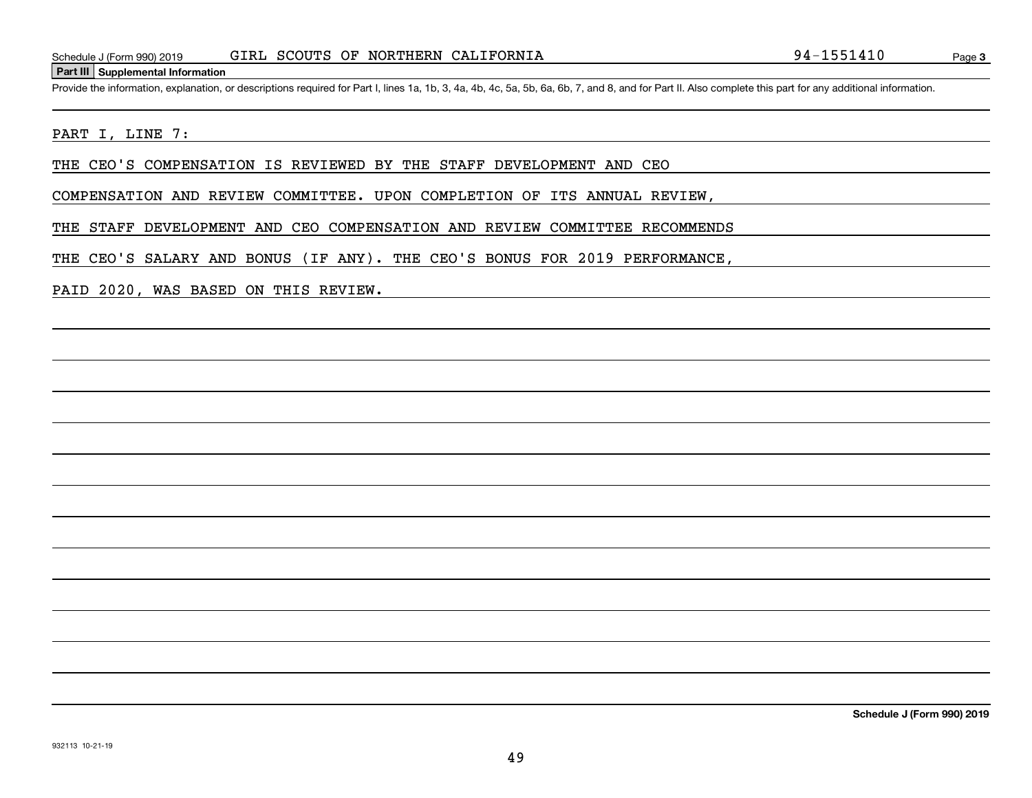#### **Part III Supplemental Information**

Schedule J (Form 990) 2019 GIRL SCOUTS OF NORTHERN CALIFORNIA<br>
Part III Supplemental Information<br>
Provide the information, explanation, or descriptions required for Part I, lines 1a, 1b, 3, 4a, 4b, 4c, 5a, 5b, 6a, 6b, 7, a

#### PART I, LINE 7:

THE CEO'S COMPENSATION IS REVIEWED BY THE STAFF DEVELOPMENT AND CEO

COMPENSATION AND REVIEW COMMITTEE. UPON COMPLETION OF ITS ANNUAL REVIEW,

THE STAFF DEVELOPMENT AND CEO COMPENSATION AND REVIEW COMMITTEE RECOMMENDS

THE CEO'S SALARY AND BONUS (IF ANY). THE CEO'S BONUS FOR 2019 PERFORMANCE,

PAID 2020, WAS BASED ON THIS REVIEW.

**Schedule J (Form 990) 2019**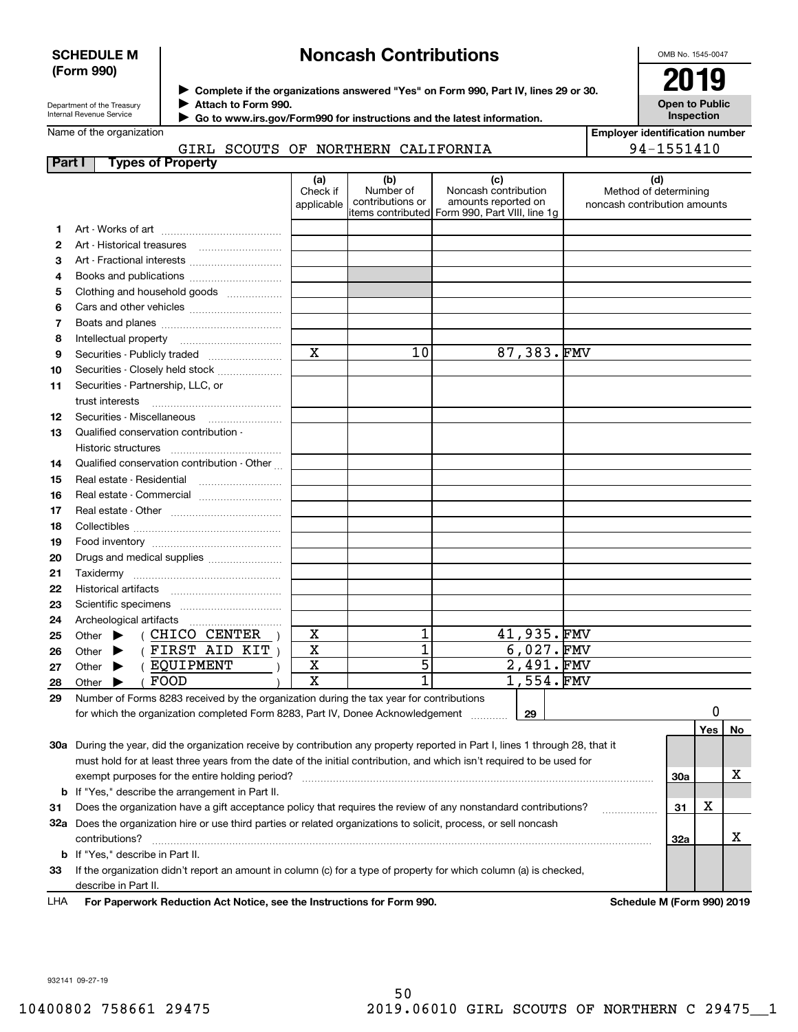#### **SCHEDULE M (Form 990)**

# **Noncash Contributions**

OMB No. 1545-0047

**Open to Public Inspection**

| Department of the Treasury      |  |
|---------------------------------|--|
| <b>Internal Revenue Service</b> |  |

**Complete if the organizations answered "Yes" on Form 990, Part IV, lines 29 or 30.** <sup>J</sup>**2019 Attach to Form 990.** J

 **Go to www.irs.gov/Form990 for instructions and the latest information.** J

#### Name of the organization GIRL SCOUTS OF NORTHERN CALIFORNIA

|               | GIRL SCOUTS OF NORTHERN CALIFORNIA                                                                                                                                        |                               |                                      |                                                                                                      |                                                       | 94-1551410 |     |    |
|---------------|---------------------------------------------------------------------------------------------------------------------------------------------------------------------------|-------------------------------|--------------------------------------|------------------------------------------------------------------------------------------------------|-------------------------------------------------------|------------|-----|----|
| <b>Part I</b> | <b>Types of Property</b>                                                                                                                                                  |                               |                                      |                                                                                                      |                                                       |            |     |    |
|               |                                                                                                                                                                           | (a)<br>Check if<br>applicable | (b)<br>Number of<br>contributions or | (c)<br>Noncash contribution<br>amounts reported on<br>items contributed Form 990, Part VIII, line 1q | Method of determining<br>noncash contribution amounts | (d)        |     |    |
| 1             |                                                                                                                                                                           |                               |                                      |                                                                                                      |                                                       |            |     |    |
| 2             |                                                                                                                                                                           |                               |                                      |                                                                                                      |                                                       |            |     |    |
| З             | Art - Fractional interests                                                                                                                                                |                               |                                      |                                                                                                      |                                                       |            |     |    |
| 4             | Books and publications                                                                                                                                                    |                               |                                      |                                                                                                      |                                                       |            |     |    |
| 5             | Clothing and household goods                                                                                                                                              |                               |                                      |                                                                                                      |                                                       |            |     |    |
| 6             |                                                                                                                                                                           |                               |                                      |                                                                                                      |                                                       |            |     |    |
| 7             |                                                                                                                                                                           |                               |                                      |                                                                                                      |                                                       |            |     |    |
| 8             |                                                                                                                                                                           |                               |                                      |                                                                                                      |                                                       |            |     |    |
| 9             | Securities - Publicly traded                                                                                                                                              | $\mathbf X$                   | 10                                   | 87,383.FMV                                                                                           |                                                       |            |     |    |
| 10            | Securities - Closely held stock                                                                                                                                           |                               |                                      |                                                                                                      |                                                       |            |     |    |
| 11            | Securities - Partnership, LLC, or                                                                                                                                         |                               |                                      |                                                                                                      |                                                       |            |     |    |
|               | trust interests                                                                                                                                                           |                               |                                      |                                                                                                      |                                                       |            |     |    |
| 12            | Securities - Miscellaneous                                                                                                                                                |                               |                                      |                                                                                                      |                                                       |            |     |    |
| 13            | Qualified conservation contribution -                                                                                                                                     |                               |                                      |                                                                                                      |                                                       |            |     |    |
|               | Historic structures                                                                                                                                                       |                               |                                      |                                                                                                      |                                                       |            |     |    |
| 14            | Qualified conservation contribution - Other                                                                                                                               |                               |                                      |                                                                                                      |                                                       |            |     |    |
| 15            | Real estate - Residential                                                                                                                                                 |                               |                                      |                                                                                                      |                                                       |            |     |    |
| 16            | Real estate - Commercial                                                                                                                                                  |                               |                                      |                                                                                                      |                                                       |            |     |    |
| 17            |                                                                                                                                                                           |                               |                                      |                                                                                                      |                                                       |            |     |    |
| 18            |                                                                                                                                                                           |                               |                                      |                                                                                                      |                                                       |            |     |    |
| 19            |                                                                                                                                                                           |                               |                                      |                                                                                                      |                                                       |            |     |    |
| 20            | Drugs and medical supplies                                                                                                                                                |                               |                                      |                                                                                                      |                                                       |            |     |    |
| 21            |                                                                                                                                                                           |                               |                                      |                                                                                                      |                                                       |            |     |    |
| 22            |                                                                                                                                                                           |                               |                                      |                                                                                                      |                                                       |            |     |    |
| 23            |                                                                                                                                                                           |                               |                                      |                                                                                                      |                                                       |            |     |    |
| 24            | Archeological artifacts                                                                                                                                                   |                               |                                      |                                                                                                      |                                                       |            |     |    |
| 25            | ( CHICO CENTER<br>Other $\blacktriangleright$                                                                                                                             | X                             | 1                                    | 41,935.FMV                                                                                           |                                                       |            |     |    |
| 26            | (FIRST AND KIT)<br>Other $\blacktriangleright$                                                                                                                            | $\overline{\textbf{X}}$       | $\overline{1}$                       | $6,027.$ FMV                                                                                         |                                                       |            |     |    |
| 27            | ( EQUIPMENT<br>Other $\blacktriangleright$                                                                                                                                | $\overline{\mathtt{x}}$       | 5                                    | 2,491.FMV                                                                                            |                                                       |            |     |    |
| 28            | FOOD<br>Other $\blacktriangleright$                                                                                                                                       | $\overline{\mathbf{x}}$       | 1                                    | 1,554.FMV                                                                                            |                                                       |            |     |    |
| 29            |                                                                                                                                                                           |                               |                                      |                                                                                                      |                                                       |            |     |    |
|               | Number of Forms 8283 received by the organization during the tax year for contributions<br>for which the organization completed Form 8283, Part IV, Donee Acknowledgement |                               |                                      |                                                                                                      |                                                       |            | 0   |    |
|               |                                                                                                                                                                           |                               |                                      | 29                                                                                                   |                                                       |            |     |    |
|               |                                                                                                                                                                           |                               |                                      |                                                                                                      |                                                       |            | Yes | No |
|               | 30a During the year, did the organization receive by contribution any property reported in Part I, lines 1 through 28, that it                                            |                               |                                      |                                                                                                      |                                                       |            |     |    |
|               | must hold for at least three years from the date of the initial contribution, and which isn't required to be used for                                                     |                               |                                      |                                                                                                      |                                                       |            |     |    |
|               | exempt purposes for the entire holding period?                                                                                                                            |                               |                                      |                                                                                                      |                                                       | 30a        |     | x  |
| b             | If "Yes," describe the arrangement in Part II.                                                                                                                            |                               |                                      |                                                                                                      |                                                       |            |     |    |
| 31            | Does the organization have a gift acceptance policy that requires the review of any nonstandard contributions?                                                            |                               |                                      |                                                                                                      | .                                                     | 31         | X   |    |
|               | 32a Does the organization hire or use third parties or related organizations to solicit, process, or sell noncash                                                         |                               |                                      |                                                                                                      |                                                       |            |     |    |
|               | contributions?                                                                                                                                                            |                               |                                      |                                                                                                      |                                                       | 32a        |     | X  |
| b             | If "Yes," describe in Part II.                                                                                                                                            |                               |                                      |                                                                                                      |                                                       |            |     |    |
| 33            | If the organization didn't report an amount in column (c) for a type of property for which column (a) is checked,                                                         |                               |                                      |                                                                                                      |                                                       |            |     |    |

For Paperwork Reduction Act Notice, see the Instructions for Form 990. Schedule M (Form 990) 2019 LHA

932141 09-27-19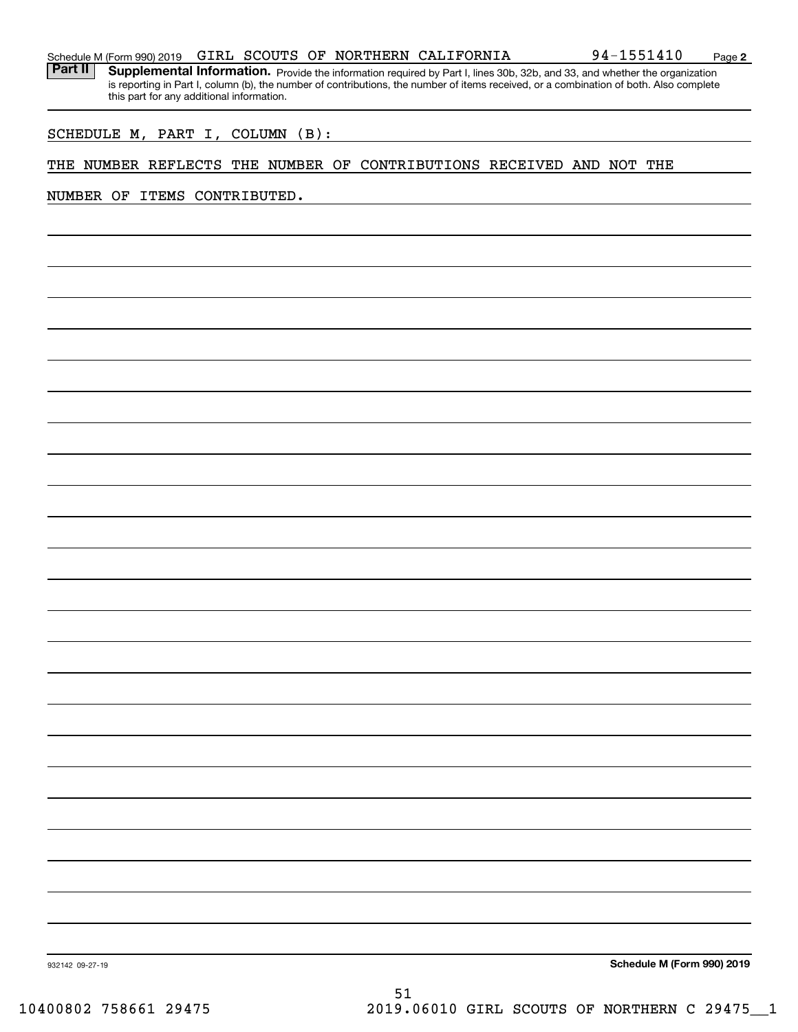|  |  |  |  |  |  | Schedule M (Form 990) 2019 GIRL SCOUTS OF NORTHERN CALIFORNIA | 94-1551410 | Page |  |
|--|--|--|--|--|--|---------------------------------------------------------------|------------|------|--|
|--|--|--|--|--|--|---------------------------------------------------------------|------------|------|--|

**2**

Part II | Supplemental Information. Provide the information required by Part I, lines 30b, 32b, and 33, and whether the organization is reporting in Part I, column (b), the number of contributions, the number of items received, or a combination of both. Also complete this part for any additional information.

SCHEDULE M, PART I, COLUMN (B):

#### THE NUMBER REFLECTS THE NUMBER OF CONTRIBUTIONS RECEIVED AND NOT THE

NUMBER OF ITEMS CONTRIBUTED.

**Schedule M (Form 990) 2019**

932142 09-27-19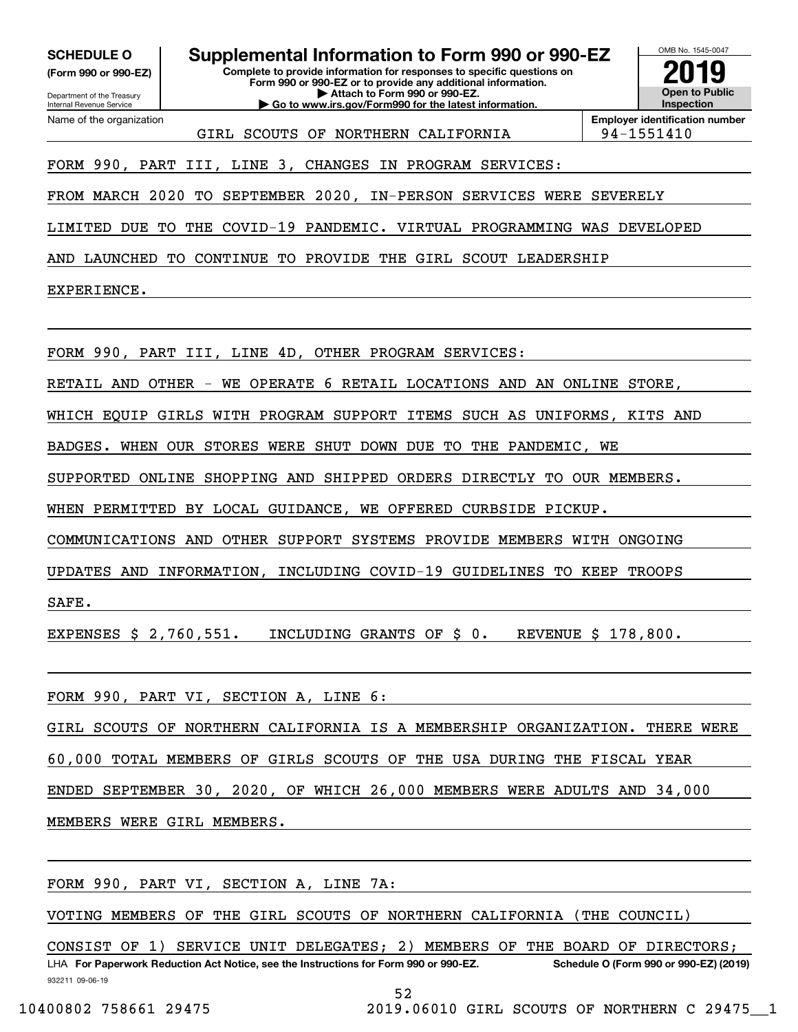**(Form 990 or 990-EZ)**

Department of the Treasury Internal Revenue Service Name of the organization

**Complete to provide information for responses to specific questions on SCHEDULE O Supplemental Information to Form 990 or 990-EZ**

**Form 990 or 990-EZ or to provide any additional information. | Attach to Form 990 or 990-EZ. | Go to www.irs.gov/Form990 for the latest information.**



GIRL SCOUTS OF NORTHERN CALIFORNIA | 94-1551410

**Employer identification number**

# FORM 990, PART III, LINE 3, CHANGES IN PROGRAM SERVICES:

FROM MARCH 2020 TO SEPTEMBER 2020, IN-PERSON SERVICES WERE SEVERELY

LIMITED DUE TO THE COVID-19 PANDEMIC. VIRTUAL PROGRAMMING WAS DEVELOPED

AND LAUNCHED TO CONTINUE TO PROVIDE THE GIRL SCOUT LEADERSHIP

EXPERIENCE.

FORM 990, PART III, LINE 4D, OTHER PROGRAM SERVICES:

RETAIL AND OTHER - WE OPERATE 6 RETAIL LOCATIONS AND AN ONLINE STORE,

WHICH EQUIP GIRLS WITH PROGRAM SUPPORT ITEMS SUCH AS UNIFORMS, KITS AND

BADGES. WHEN OUR STORES WERE SHUT DOWN DUE TO THE PANDEMIC, WE

SUPPORTED ONLINE SHOPPING AND SHIPPED ORDERS DIRECTLY TO OUR MEMBERS.

WHEN PERMITTED BY LOCAL GUIDANCE, WE OFFERED CURBSIDE PICKUP.

COMMUNICATIONS AND OTHER SUPPORT SYSTEMS PROVIDE MEMBERS WITH ONGOING

UPDATES AND INFORMATION, INCLUDING COVID-19 GUIDELINES TO KEEP TROOPS

SAFE.

EXPENSES \$ 2,760,551. INCLUDING GRANTS OF \$ 0. REVENUE \$ 178,800.

FORM 990, PART VI, SECTION A, LINE 6:

GIRL SCOUTS OF NORTHERN CALIFORNIA IS A MEMBERSHIP ORGANIZATION. THERE WERE

60,000 TOTAL MEMBERS OF GIRLS SCOUTS OF THE USA DURING THE FISCAL YEAR

ENDED SEPTEMBER 30, 2020, OF WHICH 26,000 MEMBERS WERE ADULTS AND 34,000

MEMBERS WERE GIRL MEMBERS.

FORM 990, PART VI, SECTION A, LINE 7A:

VOTING MEMBERS OF THE GIRL SCOUTS OF NORTHERN CALIFORNIA (THE COUNCIL)

932211 09-06-19 LHA For Paperwork Reduction Act Notice, see the Instructions for Form 990 or 990-EZ. Schedule O (Form 990 or 990-EZ) (2019) CONSIST OF 1) SERVICE UNIT DELEGATES; 2) MEMBERS OF THE BOARD OF DIRECTORS;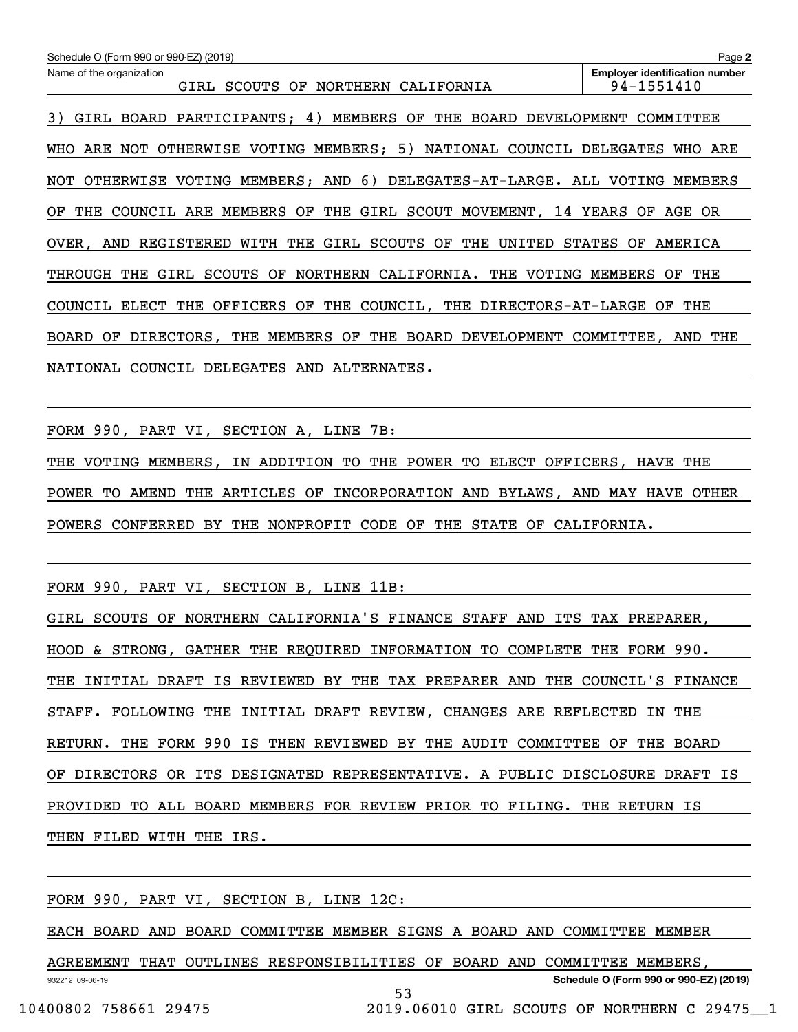| Schedule O (Form 990 or 990-EZ) (2019)                                        | Page 2                                              |
|-------------------------------------------------------------------------------|-----------------------------------------------------|
| Name of the organization<br>GIRL SCOUTS OF<br>NORTHERN CALIFORNIA             | <b>Employer identification number</b><br>94-1551410 |
| 3)<br>GIRL BOARD PARTICIPANTS; 4) MEMBERS OF<br>THE BOARD DEVELOPMENT         | COMMITTEE                                           |
| OTHERWISE VOTING MEMBERS; 5) NATIONAL COUNCIL DELEGATES<br>WHO ARE NOT        | WHO ARE                                             |
| NOT OTHERWISE VOTING MEMBERS; AND 6) DELEGATES-AT-LARGE. ALL VOTING           | MEMBERS                                             |
| COUNCIL ARE MEMBERS OF THE GIRL SCOUT MOVEMENT, 14 YEARS OF<br>OF THE         | AGE OR                                              |
| WITH THE GIRL SCOUTS OF<br>THE<br>OVER ,<br>AND<br>REGISTERED<br>UNITED       | STATES<br>AMERICA<br>OF                             |
| NORTHERN CALIFORNIA.<br>SCOUTS OF<br>VOTING<br>THROUGH<br>THE<br>GIRL<br>THE  | MEMBERS<br>THE<br>OF                                |
| THE OFFICERS OF THE COUNCIL,<br>THE DIRECTORS-AT-LARGE OF<br>COUNCIL<br>ELECT | THE                                                 |
| BOARD<br>DIRECTORS,<br>THE MEMBERS OF<br>THE<br>BOARD<br>DEVELOPMENT<br>OF    | COMMITTEE, AND<br>THE                               |
| NATIONAL COUNCIL DELEGATES AND ALTERNATES.                                    |                                                     |

FORM 990, PART VI, SECTION A, LINE 7B:

THE VOTING MEMBERS, IN ADDITION TO THE POWER TO ELECT OFFICERS, HAVE THE POWER TO AMEND THE ARTICLES OF INCORPORATION AND BYLAWS, AND MAY HAVE OTHER POWERS CONFERRED BY THE NONPROFIT CODE OF THE STATE OF CALIFORNIA.

FORM 990, PART VI, SECTION B, LINE 11B:

GIRL SCOUTS OF NORTHERN CALIFORNIA'S FINANCE STAFF AND ITS TAX PREPARER, HOOD & STRONG, GATHER THE REQUIRED INFORMATION TO COMPLETE THE FORM 990. THE INITIAL DRAFT IS REVIEWED BY THE TAX PREPARER AND THE COUNCIL'S FINANCE STAFF. FOLLOWING THE INITIAL DRAFT REVIEW, CHANGES ARE REFLECTED IN THE RETURN. THE FORM 990 IS THEN REVIEWED BY THE AUDIT COMMITTEE OF THE BOARD OF DIRECTORS OR ITS DESIGNATED REPRESENTATIVE. A PUBLIC DISCLOSURE DRAFT IS PROVIDED TO ALL BOARD MEMBERS FOR REVIEW PRIOR TO FILING. THE RETURN IS THEN FILED WITH THE IRS.

FORM 990, PART VI, SECTION B, LINE 12C:

EACH BOARD AND BOARD COMMITTEE MEMBER SIGNS A BOARD AND COMMITTEE MEMBER

932212 09-06-19 **Schedule O (Form 990 or 990-EZ) (2019)** AGREEMENT THAT OUTLINES RESPONSIBILITIES OF BOARD AND COMMITTEE MEMBERS,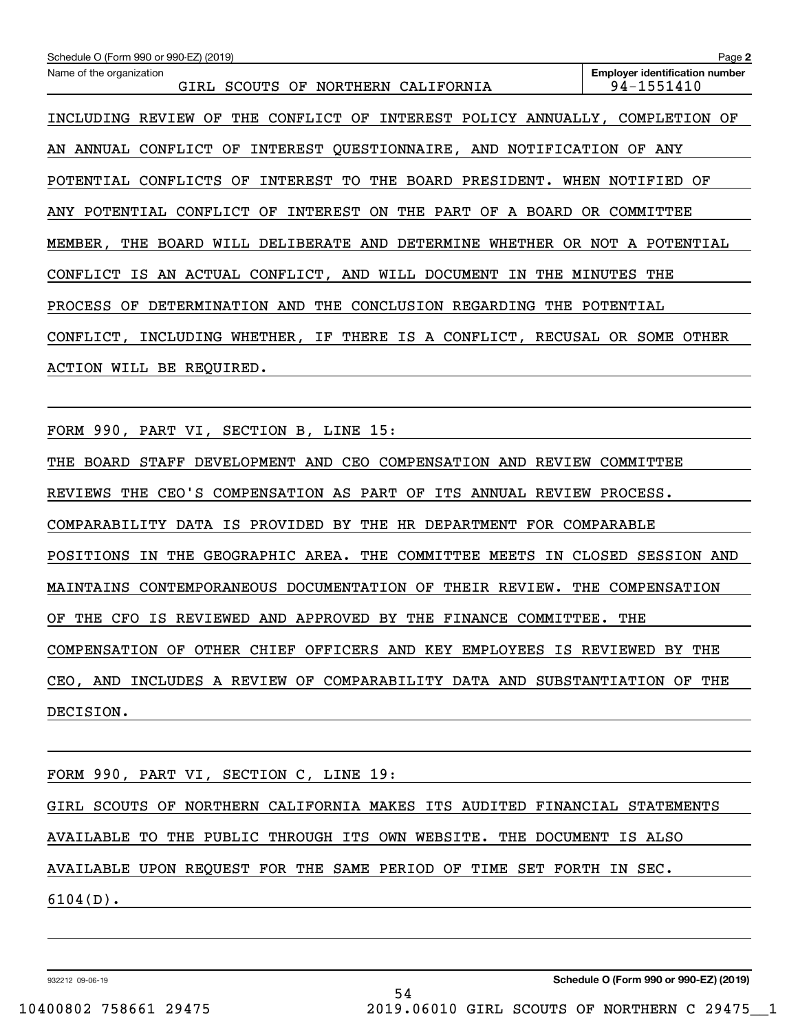| Schedule O (Form 990 or 990-EZ) (2019)                                                  | Page 2                                              |
|-----------------------------------------------------------------------------------------|-----------------------------------------------------|
| Name of the organization<br>GIRL SCOUTS OF NORTHERN CALIFORNIA                          | <b>Employer identification number</b><br>94-1551410 |
| OF<br>CONFLICT OF INTEREST POLICY ANNUALLY, COMPLETION OF<br>INCLUDING<br>REVIEW<br>THE |                                                     |
| AN ANNUAL CONFLICT OF INTEREST QUESTIONNAIRE, AND NOTIFICATION OF ANY                   |                                                     |
| INTEREST TO THE BOARD PRESIDENT. WHEN NOTIFIED OF<br>POTENTIAL CONFLICTS OF             |                                                     |
| CONFLICT OF<br>INTEREST<br>ON THE PART OF<br>A BOARD<br>ANY POTENTIAL                   | OR COMMITTEE                                        |
| MEMBER, THE BOARD WILL DELIBERATE AND DETERMINE WHETHER                                 | OR NOT A POTENTIAL                                  |
| CONFLICT IS AN ACTUAL CONFLICT, AND WILL DOCUMENT IN<br>THE                             | MINUTES THE                                         |
| DETERMINATION AND THE CONCLUSION REGARDING THE POTENTIAL<br><b>PROCESS</b><br>OF        |                                                     |
| INCLUDING WHETHER, IF THERE IS A CONFLICT, RECUSAL OR SOME<br>CONFLICT,                 | <b>OTHER</b>                                        |
| ACTION WILL BE REQUIRED.                                                                |                                                     |
|                                                                                         |                                                     |

FORM 990, PART VI, SECTION B, LINE 15:

THE BOARD STAFF DEVELOPMENT AND CEO COMPENSATION AND REVIEW COMMITTEE REVIEWS THE CEO'S COMPENSATION AS PART OF ITS ANNUAL REVIEW PROCESS. COMPARABILITY DATA IS PROVIDED BY THE HR DEPARTMENT FOR COMPARABLE POSITIONS IN THE GEOGRAPHIC AREA. THE COMMITTEE MEETS IN CLOSED SESSION AND MAINTAINS CONTEMPORANEOUS DOCUMENTATION OF THEIR REVIEW. THE COMPENSATION OF THE CFO IS REVIEWED AND APPROVED BY THE FINANCE COMMITTEE. THE COMPENSATION OF OTHER CHIEF OFFICERS AND KEY EMPLOYEES IS REVIEWED BY THE CEO, AND INCLUDES A REVIEW OF COMPARABILITY DATA AND SUBSTANTIATION OF THE DECISION.

FORM 990, PART VI, SECTION C, LINE 19: GIRL SCOUTS OF NORTHERN CALIFORNIA MAKES ITS AUDITED FINANCIAL STATEMENTS AVAILABLE TO THE PUBLIC THROUGH ITS OWN WEBSITE. THE DOCUMENT IS ALSO AVAILABLE UPON REQUEST FOR THE SAME PERIOD OF TIME SET FORTH IN SEC. 6104(D).

932212 09-06-19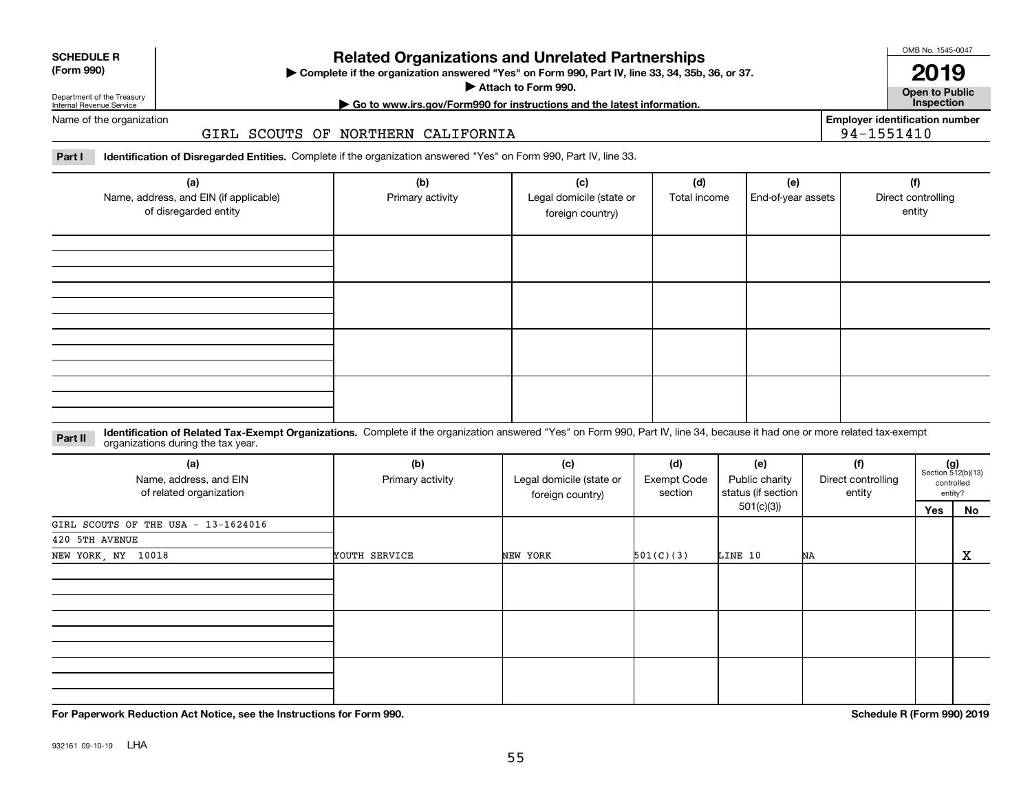932161 09-10-19 LHA

# **Related Organizations and Unrelated Partnerships**

**Complete if the organization answered "Yes" on Form 990, Part IV, line 33, 34, 35b, 36, or 37.** |

**Attach to Form 990.**  |

**Open to Public**

Department of the Treasury Internal Revenue Service Name of the organization

**SCHEDULE R (Form 990)**

#### GIRL SCOUTS OF NORTHERN CALIFORNIA

**Part I Identification of Disregarded Entities.**  Complete if the organization answered "Yes" on Form 990, Part IV, line 33.

| (a)<br>Name, address, and EIN (if applicable)<br>of disregarded entity | (b)<br>Primary activity | (c)<br>Legal domicile (state or<br>foreign country) | (d)<br>Total income | (e)<br>End-of-year assets | (f)<br>Direct controlling<br>entity |
|------------------------------------------------------------------------|-------------------------|-----------------------------------------------------|---------------------|---------------------------|-------------------------------------|
|                                                                        |                         |                                                     |                     |                           |                                     |
|                                                                        |                         |                                                     |                     |                           |                                     |
|                                                                        |                         |                                                     |                     |                           |                                     |
|                                                                        |                         |                                                     |                     |                           |                                     |

**Identification of Related Tax-Exempt Organizations.** Complete if the organization answered "Yes" on Form 990, Part IV, line 34, because it had one or more related tax-exempt **Part II** organizations during the tax year.

| (a)<br>Name, address, and EIN<br>of related organization | (b)<br>Primary activity | (c)<br>Legal domicile (state or<br>foreign country) | (d)<br>Exempt Code<br>section | (e)<br>Public charity<br>status (if section | (f)<br>Direct controlling<br>entity | $(g)$<br>Section 512(b)(13) | controlled<br>entity? |
|----------------------------------------------------------|-------------------------|-----------------------------------------------------|-------------------------------|---------------------------------------------|-------------------------------------|-----------------------------|-----------------------|
|                                                          |                         |                                                     |                               | 501(c)(3))                                  |                                     | Yes                         | No                    |
| GIRL SCOUTS OF THE USA - 13-1624016                      |                         |                                                     |                               |                                             |                                     |                             |                       |
| 420 5TH AVENUE                                           |                         |                                                     |                               |                                             |                                     |                             |                       |
| NEW YORK, NY 10018                                       | YOUTH SERVICE           | NEW YORK                                            | 501(C)(3)                     | LINE 10                                     | NA                                  |                             | х                     |
|                                                          |                         |                                                     |                               |                                             |                                     |                             |                       |
|                                                          |                         |                                                     |                               |                                             |                                     |                             |                       |
|                                                          |                         |                                                     |                               |                                             |                                     |                             |                       |

**For Paperwork Reduction Act Notice, see the Instructions for Form 990. Schedule R (Form 990) 2019**



**Employer identification number**

94-1551410

# **| Go to www.irs.gov/Form990 for instructions and the latest information. Inspection**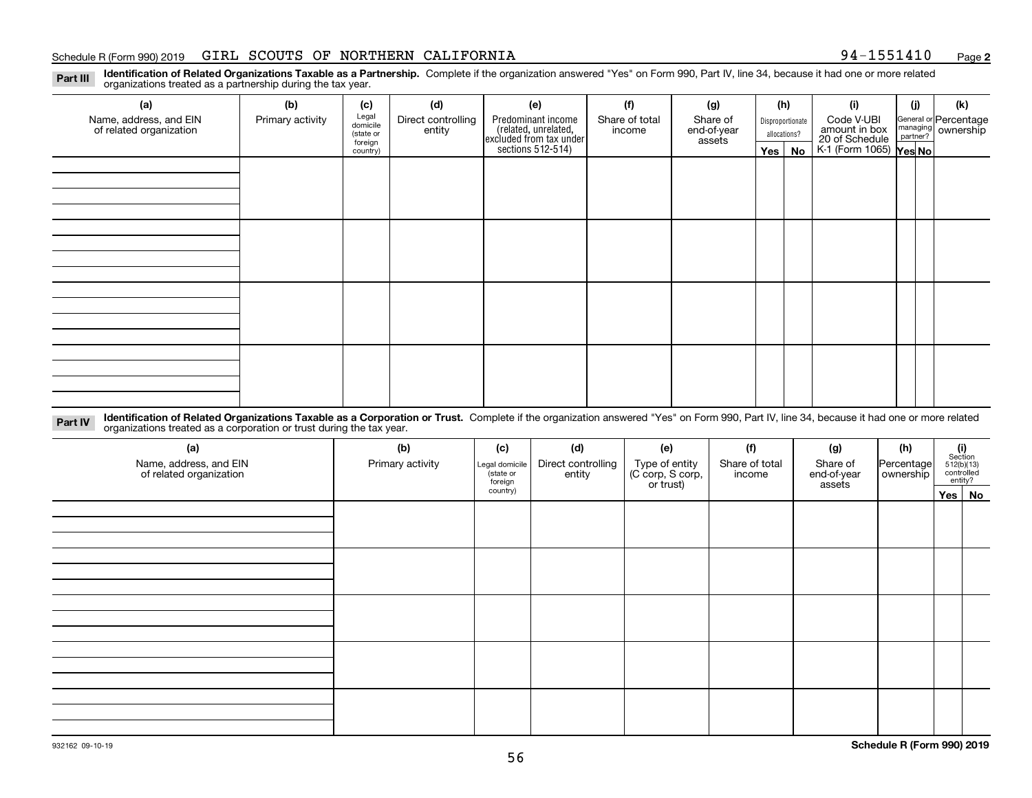#### Schedule R (Form 990) 2019 GIRL SCOUTS OF NORTHERN CALIFORNIA 94-1551410 Page

**2**

**Identification of Related Organizations Taxable as a Partnership.** Complete if the organization answered "Yes" on Form 990, Part IV, line 34, because it had one or more related **Part III** organizations treated as a partnership during the tax year.

| (a)                                               | (b)              | (c)                  | (d)                          | (e)                                                                 | (f)                      | (g)                     |                  | (h)          | (i)                                                       | (i) | (k)                            |
|---------------------------------------------------|------------------|----------------------|------------------------------|---------------------------------------------------------------------|--------------------------|-------------------------|------------------|--------------|-----------------------------------------------------------|-----|--------------------------------|
| Name, address, and EIN<br>of related organization | Primary activity | Legal<br>domicile    | Direct controlling<br>entity | Predominant income                                                  | Share of total<br>income | Share of<br>end-of-year | Disproportionate |              | Code V-UBI                                                |     | General or Percentage          |
|                                                   |                  | (state or<br>foreign |                              |                                                                     |                          | assets                  |                  | allocations? |                                                           |     | managing<br>partner? Ownership |
|                                                   |                  | country)             |                              | related, unrelated,<br>excluded from tax under<br>sections 512-514) |                          |                         | Yes $ $          | No           | amount in box<br>20 of Schedule<br>K-1 (Form 1065) Yes No |     |                                |
|                                                   |                  |                      |                              |                                                                     |                          |                         |                  |              |                                                           |     |                                |
|                                                   |                  |                      |                              |                                                                     |                          |                         |                  |              |                                                           |     |                                |
|                                                   |                  |                      |                              |                                                                     |                          |                         |                  |              |                                                           |     |                                |
|                                                   |                  |                      |                              |                                                                     |                          |                         |                  |              |                                                           |     |                                |
|                                                   |                  |                      |                              |                                                                     |                          |                         |                  |              |                                                           |     |                                |
|                                                   |                  |                      |                              |                                                                     |                          |                         |                  |              |                                                           |     |                                |
|                                                   |                  |                      |                              |                                                                     |                          |                         |                  |              |                                                           |     |                                |
|                                                   |                  |                      |                              |                                                                     |                          |                         |                  |              |                                                           |     |                                |
|                                                   |                  |                      |                              |                                                                     |                          |                         |                  |              |                                                           |     |                                |
|                                                   |                  |                      |                              |                                                                     |                          |                         |                  |              |                                                           |     |                                |
|                                                   |                  |                      |                              |                                                                     |                          |                         |                  |              |                                                           |     |                                |
|                                                   |                  |                      |                              |                                                                     |                          |                         |                  |              |                                                           |     |                                |
|                                                   |                  |                      |                              |                                                                     |                          |                         |                  |              |                                                           |     |                                |
|                                                   |                  |                      |                              |                                                                     |                          |                         |                  |              |                                                           |     |                                |
|                                                   |                  |                      |                              |                                                                     |                          |                         |                  |              |                                                           |     |                                |
|                                                   |                  |                      |                              |                                                                     |                          |                         |                  |              |                                                           |     |                                |
|                                                   |                  |                      |                              |                                                                     |                          |                         |                  |              |                                                           |     |                                |

**Identification of Related Organizations Taxable as a Corporation or Trust.** Complete if the organization answered "Yes" on Form 990, Part IV, line 34, because it had one or more related **Part IV** organizations treated as a corporation or trust during the tax year.

| (a)<br>Name, address, and EIN<br>of related organization | (b)<br>Primary activity | (c)<br>Legal domicile<br>(state or<br>foreign | (d)<br>Direct controlling<br>entity | (e)<br>Type of entity<br>(C corp, S corp,<br>or trust) | (f)<br>Share of total<br>income | (g)<br>Share of<br>end-of-year<br>assets | (h)<br>Percentage<br>ownership | $\begin{array}{c} \textbf{(i)}\\ \text{Section}\\ 512 \textbf{(b)} \textbf{(13)}\\ \text{controlled}\end{array}$<br>entity? |
|----------------------------------------------------------|-------------------------|-----------------------------------------------|-------------------------------------|--------------------------------------------------------|---------------------------------|------------------------------------------|--------------------------------|-----------------------------------------------------------------------------------------------------------------------------|
|                                                          |                         | country)                                      |                                     |                                                        |                                 |                                          |                                | Yes   No                                                                                                                    |
|                                                          |                         |                                               |                                     |                                                        |                                 |                                          |                                |                                                                                                                             |
|                                                          |                         |                                               |                                     |                                                        |                                 |                                          |                                |                                                                                                                             |
|                                                          |                         |                                               |                                     |                                                        |                                 |                                          |                                |                                                                                                                             |
|                                                          |                         |                                               |                                     |                                                        |                                 |                                          |                                |                                                                                                                             |
|                                                          |                         |                                               |                                     |                                                        |                                 |                                          |                                |                                                                                                                             |
|                                                          |                         |                                               |                                     |                                                        |                                 |                                          |                                |                                                                                                                             |
|                                                          |                         |                                               |                                     |                                                        |                                 |                                          |                                |                                                                                                                             |
|                                                          |                         |                                               |                                     |                                                        |                                 |                                          |                                |                                                                                                                             |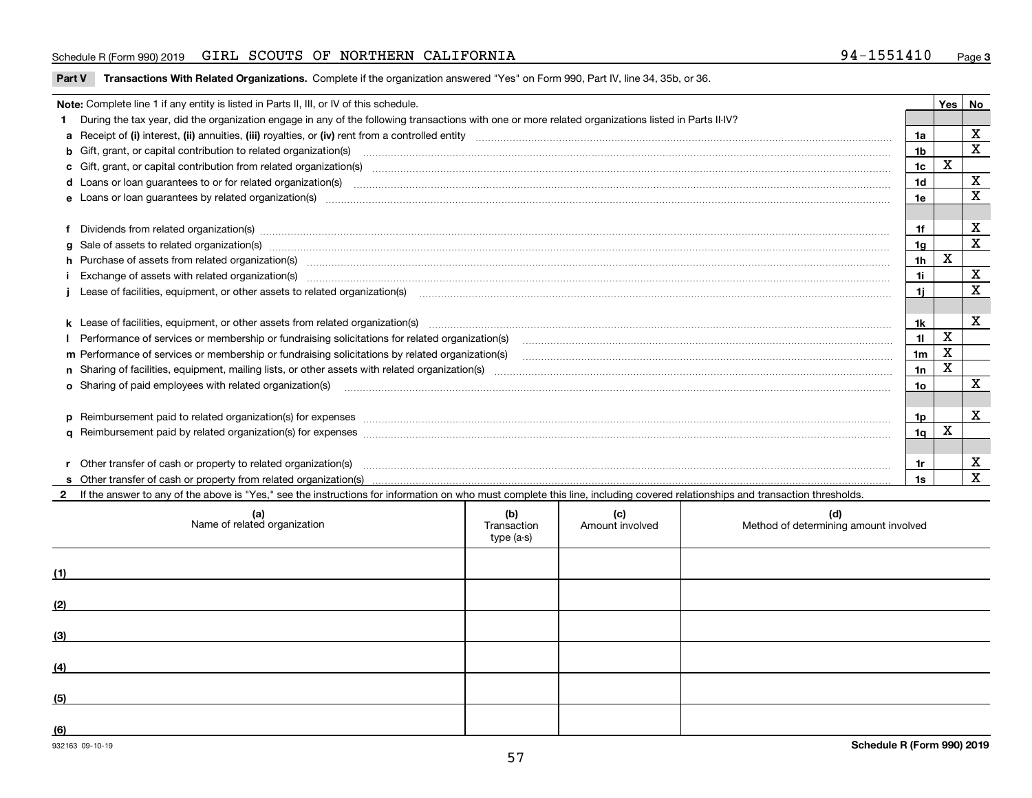#### Schedule R (Form 990) 2019 GIRL SCOUTS OF NORTHERN CALIFORNIA 94-1551410 Page

**Part V** T**ransactions With Related Organizations.** Complete if the organization answered "Yes" on Form 990, Part IV, line 34, 35b, or 36.

| Yes                                                                                     |                                                                                                                                                                                                                                |                |             |              |  |  |  |
|-----------------------------------------------------------------------------------------|--------------------------------------------------------------------------------------------------------------------------------------------------------------------------------------------------------------------------------|----------------|-------------|--------------|--|--|--|
| Note: Complete line 1 if any entity is listed in Parts II, III, or IV of this schedule. |                                                                                                                                                                                                                                |                |             |              |  |  |  |
|                                                                                         | During the tax year, did the organization engage in any of the following transactions with one or more related organizations listed in Parts II-IV?                                                                            |                |             |              |  |  |  |
|                                                                                         |                                                                                                                                                                                                                                | 1a             |             | X            |  |  |  |
|                                                                                         | <b>b</b> Gift, grant, or capital contribution to related organization(s)                                                                                                                                                       | 1 <sub>b</sub> |             | X            |  |  |  |
|                                                                                         | c Gift, grant, or capital contribution from related organization(s) material contracts and contribution from related organization(s) material contents and contribution from related organization(s) material contents and con | 1c             | $\mathbf X$ |              |  |  |  |
|                                                                                         |                                                                                                                                                                                                                                | 1 <sub>d</sub> |             | X            |  |  |  |
|                                                                                         |                                                                                                                                                                                                                                | 1e             |             | X            |  |  |  |
|                                                                                         |                                                                                                                                                                                                                                |                |             |              |  |  |  |
|                                                                                         | Dividends from related organization(s) manufactured and contract and contract or produced and contract and contract and contract and contract and contract and contract and contract and contract and contract and contract an | 1f             |             | х            |  |  |  |
|                                                                                         |                                                                                                                                                                                                                                | 1g             |             | $\mathbf{x}$ |  |  |  |
|                                                                                         | h Purchase of assets from related organization(s) manufactured content to content the content of the content of the content of the content of the content of the content of the content of the content of the content of the c | 1 <sub>h</sub> | X           |              |  |  |  |
|                                                                                         |                                                                                                                                                                                                                                | 1i.            |             | х            |  |  |  |
|                                                                                         | Lease of facilities, equipment, or other assets to related organization(s) [11] manufactured content and content and content and content and content and content and content and content and content and content and content a | 1i.            |             | X            |  |  |  |
|                                                                                         |                                                                                                                                                                                                                                |                |             |              |  |  |  |
|                                                                                         | k Lease of facilities, equipment, or other assets from related organization(s) manufaction content and the manufacture of facilities, equipment, or other assets from related organization(s) manufaction manufacture manufact | 1k             |             | X            |  |  |  |
|                                                                                         |                                                                                                                                                                                                                                | 11             | X           |              |  |  |  |
|                                                                                         | m Performance of services or membership or fundraising solicitations by related organization(s)                                                                                                                                | 1 <sub>m</sub> | $\mathbf X$ |              |  |  |  |
|                                                                                         |                                                                                                                                                                                                                                | 1n             | X           |              |  |  |  |
|                                                                                         | <b>o</b> Sharing of paid employees with related organization(s)                                                                                                                                                                | 1o             |             | X            |  |  |  |
|                                                                                         |                                                                                                                                                                                                                                |                |             |              |  |  |  |
|                                                                                         | p Reimbursement paid to related organization(s) for expenses [1111] and the content of the content of the content of the content of the content of the content of the content of the content of the content of the content of  | 1p             |             | X            |  |  |  |
|                                                                                         |                                                                                                                                                                                                                                | 1q             | X           |              |  |  |  |
|                                                                                         |                                                                                                                                                                                                                                |                |             |              |  |  |  |
|                                                                                         | Other transfer of cash or property to related organization(s)                                                                                                                                                                  | 1r             |             | х            |  |  |  |
|                                                                                         |                                                                                                                                                                                                                                | 1s             |             | $\mathbf{x}$ |  |  |  |
|                                                                                         | 2 If the answer to any of the above is "Yes," see the instructions for information on who must complete this line, including covered relationships and transaction thresholds.                                                 |                |             |              |  |  |  |

|     | (a)<br>Name of related organization | (b)<br>Transaction<br>type (a-s) | (c)<br>Amount involved | (d)<br>Method of determining amount involved |
|-----|-------------------------------------|----------------------------------|------------------------|----------------------------------------------|
| (1) |                                     |                                  |                        |                                              |
| (2) |                                     |                                  |                        |                                              |
| (3) |                                     |                                  |                        |                                              |
| (4) |                                     |                                  |                        |                                              |
| (5) |                                     |                                  |                        |                                              |
| (6) |                                     |                                  |                        |                                              |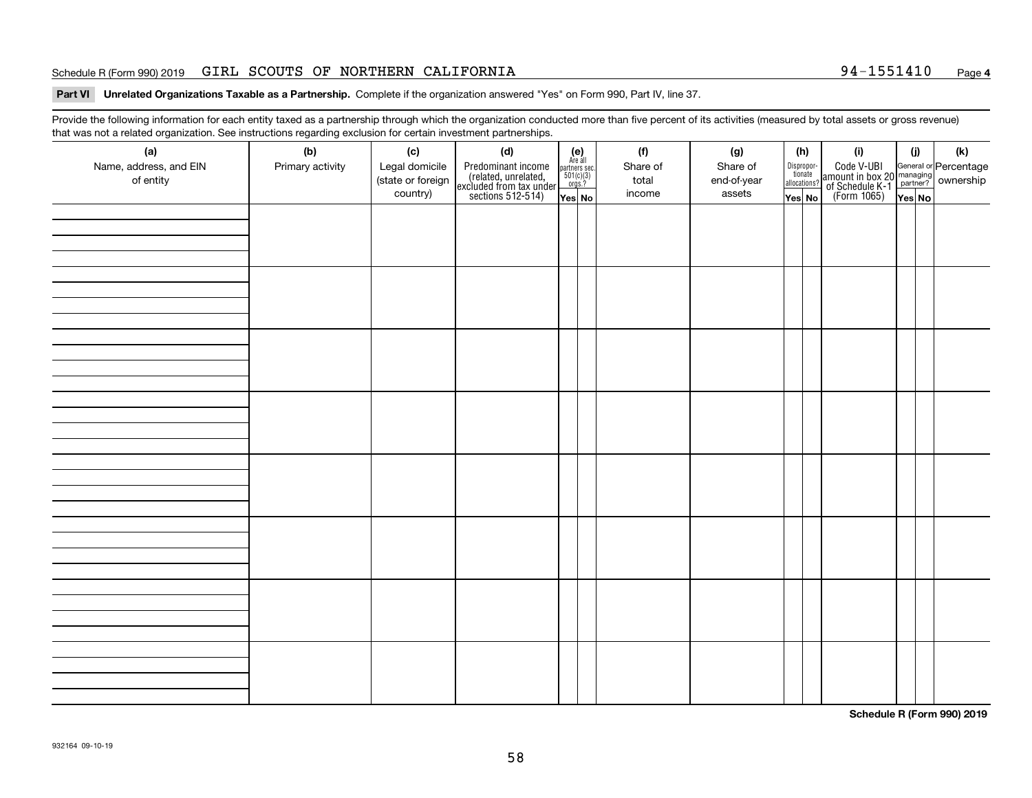#### Schedule R (Form 990) 2019 GIRL SCOUTS OF NORTHERN CALIFORNIA 94-1551410 Page

#### **Part VI Unrelated Organizations Taxable as a Partnership. Complete if the organization answered "Yes" on Form 990, Part IV, line 37.**

Provide the following information for each entity taxed as a partnership through which the organization conducted more than five percent of its activities (measured by total assets or gross revenue) that was not a related organization. See instructions regarding exclusion for certain investment partnerships.

| (a)<br>Name, address, and EIN<br>of entity | $\tilde{}$<br>(b)<br>Primary activity | (c)<br>Legal domicile<br>(state or foreign<br>country) | (d)<br>Predominant income<br>(related, unrelated,<br>excluded from tax under<br>sections 512-514) | $(e)$<br>Are all<br>$\begin{array}{c}\n\text{parameters} \sec.\n\\ \n501(c)(3)\n\\ \n0rgs.?\n\end{array}$<br>Yes No | (f)<br>Share of<br>total<br>income | (g)<br>Share of<br>end-of-year<br>assets | (h)<br>Dispropor-<br>tionate<br>allocations?<br>Yes No | (i)<br>Code V-UBI<br>amount in box 20 managing<br>of Schedule K-1<br>(Form 1065)<br>$\overline{Yes}$ No | (i)<br>Yes No | (k) |
|--------------------------------------------|---------------------------------------|--------------------------------------------------------|---------------------------------------------------------------------------------------------------|---------------------------------------------------------------------------------------------------------------------|------------------------------------|------------------------------------------|--------------------------------------------------------|---------------------------------------------------------------------------------------------------------|---------------|-----|
|                                            |                                       |                                                        |                                                                                                   |                                                                                                                     |                                    |                                          |                                                        |                                                                                                         |               |     |
|                                            |                                       |                                                        |                                                                                                   |                                                                                                                     |                                    |                                          |                                                        |                                                                                                         |               |     |
|                                            |                                       |                                                        |                                                                                                   |                                                                                                                     |                                    |                                          |                                                        |                                                                                                         |               |     |
|                                            |                                       |                                                        |                                                                                                   |                                                                                                                     |                                    |                                          |                                                        |                                                                                                         |               |     |
|                                            |                                       |                                                        |                                                                                                   |                                                                                                                     |                                    |                                          |                                                        |                                                                                                         |               |     |
|                                            |                                       |                                                        |                                                                                                   |                                                                                                                     |                                    |                                          |                                                        |                                                                                                         |               |     |
|                                            |                                       |                                                        |                                                                                                   |                                                                                                                     |                                    |                                          |                                                        |                                                                                                         |               |     |
|                                            |                                       |                                                        |                                                                                                   |                                                                                                                     |                                    |                                          |                                                        |                                                                                                         |               |     |

**Schedule R (Form 990) 2019**